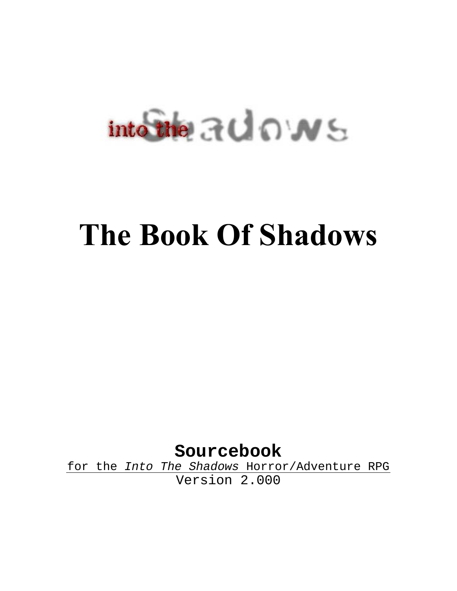# $into the  $30 \text{ N}$  s$

## **The Book Of Shadows**

**Sourcebook** 

for the Into The Shadows Horror/Adventure RPG Version 2.000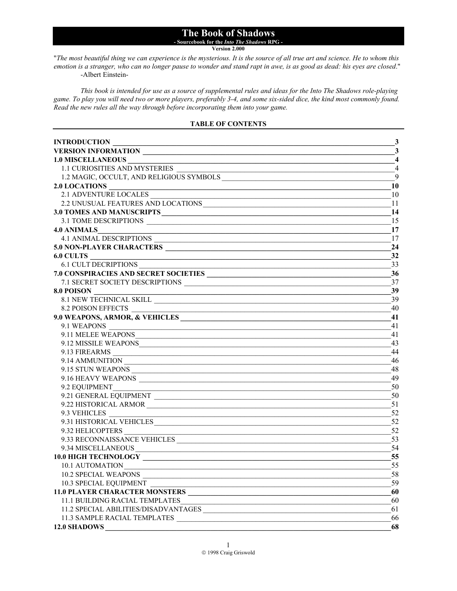#### **The Book of Shadows - Sourcebook for the** *Into The Shadows* **RPG -**

**Version 2.000**

"*The most beautiful thing we can experience is the mysterious. It is the source of all true art and science. He to whom this emotion is a stranger, who can no longer pause to wonder and stand rapt in awe, is as good as dead: his eyes are closed*." -Albert Einstein-

*This book is intended for use as a source of supplemental rules and ideas for the Into The Shadows role-playing game. To play you will need two or more players, preferably 3-4, and some six-sided dice, the kind most commonly found. Read the new rules all the way through before incorporating them into your game.* 

#### **TABLE OF CONTENTS**

| <b>INTRODUCTION</b>                                                                                                                                  | $\mathbf{3}$            |
|------------------------------------------------------------------------------------------------------------------------------------------------------|-------------------------|
| VERSION INFORMATION                                                                                                                                  | 3                       |
| <b>1.0 MISCELLANEOUS</b><br><u> 1989 - Johann Stein, mars ar y breninn ar ymwedd y cynnwys y cynnwys y cynnwys y cynnwys y cynnwys y cynnwys</u>     | $\overline{\mathbf{4}}$ |
| 1.1 CURIOSITIES AND MYSTERIES                                                                                                                        | $\overline{4}$          |
|                                                                                                                                                      | 9                       |
|                                                                                                                                                      | 10                      |
| 2.1 ADVENTURE LOCALES                                                                                                                                | 10                      |
| 2.2 UNUSUAL FEATURES AND LOCATIONS                                                                                                                   | 11                      |
|                                                                                                                                                      | 14                      |
|                                                                                                                                                      | 15                      |
| <b>4.0 ANIMALS</b><br><u> 2000 - Jan James James Barbara, menyebaran bagian pengaran pengaran pengaran pengaran pengaran pengaran peng</u>           | 17                      |
| 4.1 ANIMAL DESCRIPTIONS<br>5.0 NON-PLAYER CHARACTERS                                                                                                 | 17                      |
|                                                                                                                                                      | 24                      |
| 6.0 CULTS<br><u> 1980 - Jan Alexander Start, fransk politik (d. 1980)</u>                                                                            | 32                      |
| 6.1 CULT DECRIPTIONS                                                                                                                                 | 33                      |
| 7.0 CONSPIRACIES AND SECRET SOCIETIES                                                                                                                | 36                      |
| 7.1 SECRET SOCIETY DESCRIPTIONS                                                                                                                      | 37                      |
| 8.0 POISON                                                                                                                                           | 39                      |
| 8.1 NEW TECHNICAL SKILL                                                                                                                              | 39                      |
| 8.2 POISON EFFECTS                                                                                                                                   | 40                      |
| 9.0 WEAPONS, ARMOR, & VEHICLES                                                                                                                       | 41                      |
| 9.1 WEAPONS                                                                                                                                          | 41                      |
| 9.11 MELEE WEAPONS                                                                                                                                   | 41                      |
| 9.12 MISSILE WEAPONS                                                                                                                                 | 43                      |
|                                                                                                                                                      | 44                      |
|                                                                                                                                                      | 46                      |
| 9.15 STUN WEAPONS                                                                                                                                    | 48                      |
|                                                                                                                                                      | 49                      |
| 9.2 EQUIPMENT                                                                                                                                        | 50                      |
|                                                                                                                                                      | 50                      |
| 9.22 HISTORICAL ARMOR                                                                                                                                | 51                      |
|                                                                                                                                                      | 52                      |
| 9.3 VEHICLES<br>9.31 HISTORICAL VEHICLES                                                                                                             | 52                      |
|                                                                                                                                                      | 52                      |
|                                                                                                                                                      | 53                      |
|                                                                                                                                                      | 54                      |
| <b>10.0 HIGH TECHNOLOGY</b><br><u> 1989 - Johann Harry Harry Harry Harry Harry Harry Harry Harry Harry Harry Harry Harry Harry Harry Harry Harry</u> | 55                      |
| 10.1 AUTOMATION                                                                                                                                      | 55                      |
| <b>10.2 SPECIAL WEAPONS</b>                                                                                                                          | 58                      |
| 10.3 SPECIAL EQUIPMENT                                                                                                                               | 59                      |
|                                                                                                                                                      | 60                      |
| 11.1 BUILDING RACIAL TEMPLATES                                                                                                                       | 60                      |
| 11.2 SPECIAL ABILITIES/DISADVANTAGES                                                                                                                 | 61                      |
| 11.3 SAMPLE RACIAL TEMPLATES                                                                                                                         | 66                      |
| 12.0 SHADOWS                                                                                                                                         | 68                      |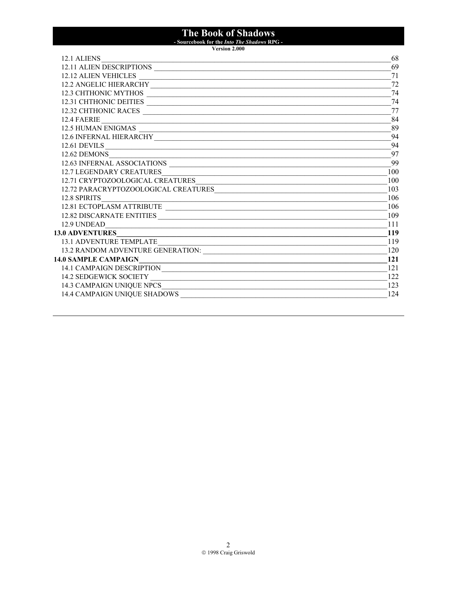## The Book of Shadows<br>- Sourcebook for the *Into The Shadows* RPG -<br>Version 2.000

| 12.1 ALIENS                                                                                                                                                         | 68  |
|---------------------------------------------------------------------------------------------------------------------------------------------------------------------|-----|
| 12.11 ALIEN DESCRIPTIONS                                                                                                                                            | 69  |
| 12.12 ALIEN VEHICLES                                                                                                                                                | 71  |
| 12.2 ANGELIC HIERARCHY                                                                                                                                              | 72  |
| 12.3 CHTHONIC MYTHOS                                                                                                                                                | 74  |
| 12.31 CHTHONIC DEITIES                                                                                                                                              | 74  |
| 12.32 CHTHONIC RACES                                                                                                                                                | 77  |
|                                                                                                                                                                     | 84  |
|                                                                                                                                                                     | 89  |
| 12.4 FAERIE<br>12.5 HUMAN ENIGMAS<br>12.6 INFERNAL HIERARCHY                                                                                                        | 94  |
| 12.61 DEVILS                                                                                                                                                        | 94  |
| 12.62 DEMONS                                                                                                                                                        | 97  |
| 12.63 INFERNAL ASSOCIATIONS                                                                                                                                         | 99  |
| 12.7 LEGENDARY CREATURES                                                                                                                                            | 100 |
| 12.71 CRYPTOZOOLOGICAL CREATURES<br>12.72 PARACRYPTOZOOLOGICAL CREATURES                                                                                            | 100 |
|                                                                                                                                                                     | 103 |
| 12.8 SPIRITS                                                                                                                                                        | 106 |
|                                                                                                                                                                     | 106 |
|                                                                                                                                                                     | 109 |
| 12.9 UNDEAD                                                                                                                                                         | 111 |
| 13.0 ADVENTURES                                                                                                                                                     | 119 |
| <b>13.1 ADVENTURE TEMPLATE</b><br><u> 1989 - Jan James James James James James James James James James James James James James James James James J</u>              | 119 |
|                                                                                                                                                                     | 120 |
| 14.0 SAMPLE CAMPAIGN<br>LO SAMPLE CAMPAIGNNAIRE CAMPAIGNALLE COMPAIGNAIRE COMPAIGNAIRE COMPAIGNAIRE COMPAIGNAIRE COMPAIGNAIRE COMPAIGN<br>14.1 CAMPAIGN DESCRIPTION | 121 |
|                                                                                                                                                                     | 121 |
|                                                                                                                                                                     | 122 |
|                                                                                                                                                                     | 123 |
|                                                                                                                                                                     | 124 |
|                                                                                                                                                                     |     |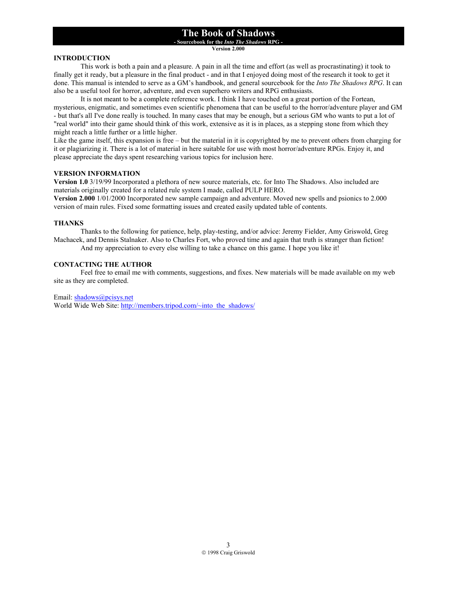**- Sourcebook for the** *Into The Shadows* **RPG -** 

**Version 2.000**

#### **INTRODUCTION**

 This work is both a pain and a pleasure. A pain in all the time and effort (as well as procrastinating) it took to finally get it ready, but a pleasure in the final product - and in that I enjoyed doing most of the research it took to get it done. This manual is intended to serve as a GM's handbook, and general sourcebook for the *Into The Shadows RPG*. It can also be a useful tool for horror, adventure, and even superhero writers and RPG enthusiasts.

 It is not meant to be a complete reference work. I think I have touched on a great portion of the Fortean, mysterious, enigmatic, and sometimes even scientific phenomena that can be useful to the horror/adventure player and GM - but that's all I've done really is touched. In many cases that may be enough, but a serious GM who wants to put a lot of "real world" into their game should think of this work, extensive as it is in places, as a stepping stone from which they might reach a little further or a little higher.

Like the game itself, this expansion is free – but the material in it is copyrighted by me to prevent others from charging for it or plagiarizing it. There is a lot of material in here suitable for use with most horror/adventure RPGs. Enjoy it, and please appreciate the days spent researching various topics for inclusion here.

#### **VERSION INFORMATION**

**Version 1.0** 3/19/99 Incorporated a plethora of new source materials, etc. for Into The Shadows. Also included are materials originally created for a related rule system I made, called PULP HERO.

**Version 2.000** 1/01/2000 Incorporated new sample campaign and adventure. Moved new spells and psionics to 2.000 version of main rules. Fixed some formatting issues and created easily updated table of contents.

#### **THANKS**

Thanks to the following for patience, help, play-testing, and/or advice: Jeremy Fielder, Amy Griswold, Greg Machacek, and Dennis Stalnaker. Also to Charles Fort, who proved time and again that truth is stranger than fiction! And my appreciation to every else willing to take a chance on this game. I hope you like it!

#### **CONTACTING THE AUTHOR**

 Feel free to email me with comments, suggestions, and fixes. New materials will be made available on my web site as they are completed.

Email: shadows@pcisys.net

World Wide Web Site: http://members.tripod.com/~into\_the\_shadows/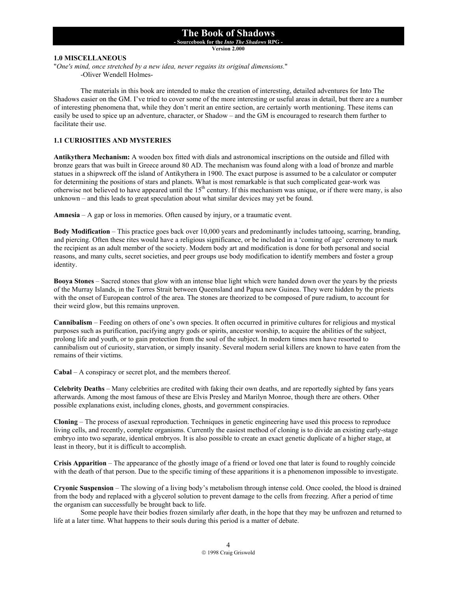**- Sourcebook for the** *Into The Shadows* **RPG -** 

**Version 2.000**

#### **1.0 MISCELLANEOUS**

"*One's mind, once stretched by a new idea, never regains its original dimensions.*" -Oliver Wendell Holmes-

 The materials in this book are intended to make the creation of interesting, detailed adventures for Into The Shadows easier on the GM. I've tried to cover some of the more interesting or useful areas in detail, but there are a number of interesting phenomena that, while they don't merit an entire section, are certainly worth mentioning. These items can easily be used to spice up an adventure, character, or Shadow – and the GM is encouraged to research them further to facilitate their use.

#### **1.1 CURIOSITIES AND MYSTERIES**

**Antikythera Mechanism:** A wooden box fitted with dials and astronomical inscriptions on the outside and filled with bronze gears that was built in Greece around 80 AD. The mechanism was found along with a load of bronze and marble statues in a shipwreck off the island of Antikythera in 1900. The exact purpose is assumed to be a calculator or computer for determining the positions of stars and planets. What is most remarkable is that such complicated gear-work was otherwise not believed to have appeared until the 15<sup>th</sup> century. If this mechanism was unique, or if there were many, is also unknown – and this leads to great speculation about what similar devices may yet be found.

**Amnesia** – A gap or loss in memories. Often caused by injury, or a traumatic event.

**Body Modification** – This practice goes back over 10,000 years and predominantly includes tattooing, scarring, branding, and piercing. Often these rites would have a religious significance, or be included in a 'coming of age' ceremony to mark the recipient as an adult member of the society. Modern body art and modification is done for both personal and social reasons, and many cults, secret societies, and peer groups use body modification to identify members and foster a group identity.

**Booya Stones** – Sacred stones that glow with an intense blue light which were handed down over the years by the priests of the Murray Islands, in the Torres Strait between Queensland and Papua new Guinea. They were hidden by the priests with the onset of European control of the area. The stones are theorized to be composed of pure radium, to account for their weird glow, but this remains unproven.

**Cannibalism** – Feeding on others of one's own species. It often occurred in primitive cultures for religious and mystical purposes such as purification, pacifying angry gods or spirits, ancestor worship, to acquire the abilities of the subject, prolong life and youth, or to gain protection from the soul of the subject. In modern times men have resorted to cannibalism out of curiosity, starvation, or simply insanity. Several modern serial killers are known to have eaten from the remains of their victims.

**Cabal** – A conspiracy or secret plot, and the members thereof.

**Celebrity Deaths** – Many celebrities are credited with faking their own deaths, and are reportedly sighted by fans years afterwards. Among the most famous of these are Elvis Presley and Marilyn Monroe, though there are others. Other possible explanations exist, including clones, ghosts, and government conspiracies.

**Cloning** – The process of asexual reproduction. Techniques in genetic engineering have used this process to reproduce living cells, and recently, complete organisms. Currently the easiest method of cloning is to divide an existing early-stage embryo into two separate, identical embryos. It is also possible to create an exact genetic duplicate of a higher stage, at least in theory, but it is difficult to accomplish.

**Crisis Apparition** – The appearance of the ghostly image of a friend or loved one that later is found to roughly coincide with the death of that person. Due to the specific timing of these apparitions it is a phenomenon impossible to investigate.

**Cryonic Suspension** – The slowing of a living body's metabolism through intense cold. Once cooled, the blood is drained from the body and replaced with a glycerol solution to prevent damage to the cells from freezing. After a period of time the organism can successfully be brought back to life.

 Some people have their bodies frozen similarly after death, in the hope that they may be unfrozen and returned to life at a later time. What happens to their souls during this period is a matter of debate.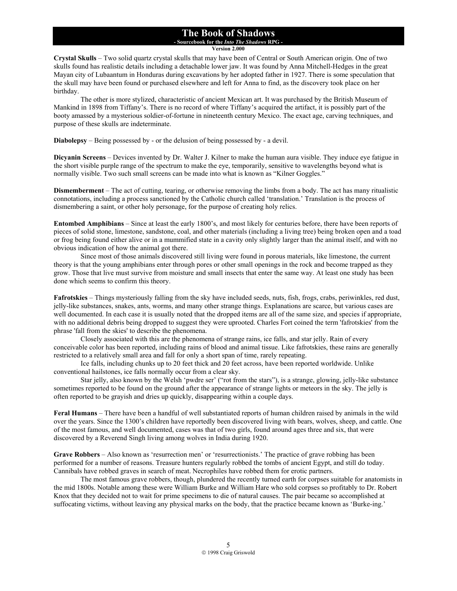#### **The Book of Shadows - Sourcebook for the** *Into The Shadows* **RPG -**

**Version 2.000**

**Crystal Skulls** – Two solid quartz crystal skulls that may have been of Central or South American origin. One of two skulls found has realistic details including a detachable lower jaw. It was found by Anna Mitchell-Hedges in the great Mayan city of Lubaantum in Honduras during excavations by her adopted father in 1927. There is some speculation that the skull may have been found or purchased elsewhere and left for Anna to find, as the discovery took place on her birthday.

The other is more stylized, characteristic of ancient Mexican art. It was purchased by the British Museum of Mankind in 1898 from Tiffany's. There is no record of where Tiffany's acquired the artifact, it is possibly part of the booty amassed by a mysterious soldier-of-fortune in nineteenth century Mexico. The exact age, carving techniques, and purpose of these skulls are indeterminate.

**Diabolepsy** – Being possessed by - or the delusion of being possessed by - a devil.

**Dicyanin Screens** – Devices invented by Dr. Walter J. Kilner to make the human aura visible. They induce eye fatigue in the short visible purple range of the spectrum to make the eye, temporarily, sensitive to wavelengths beyond what is normally visible. Two such small screens can be made into what is known as "Kilner Goggles."

**Dismemberment** – The act of cutting, tearing, or otherwise removing the limbs from a body. The act has many ritualistic connotations, including a process sanctioned by the Catholic church called 'translation.' Translation is the process of dismembering a saint, or other holy personage, for the purpose of creating holy relics.

**Entombed Amphibians** – Since at least the early 1800's, and most likely for centuries before, there have been reports of pieces of solid stone, limestone, sandstone, coal, and other materials (including a living tree) being broken open and a toad or frog being found either alive or in a mummified state in a cavity only slightly larger than the animal itself, and with no obvious indication of how the animal got there.

 Since most of those animals discovered still living were found in porous materials, like limestone, the current theory is that the young amphibians enter through pores or other small openings in the rock and become trapped as they grow. Those that live must survive from moisture and small insects that enter the same way. At least one study has been done which seems to confirm this theory.

**Fafrotskies** – Things mysteriously falling from the sky have included seeds, nuts, fish, frogs, crabs, periwinkles, red dust, jelly-like substances, snakes, ants, worms, and many other strange things. Explanations are scarce, but various cases are well documented. In each case it is usually noted that the dropped items are all of the same size, and species if appropriate, with no additional debris being dropped to suggest they were uprooted. Charles Fort coined the term 'fafrotskies' from the phrase 'fall from the skies' to describe the phenomena.

 Closely associated with this are the phenomena of strange rains, ice falls, and star jelly. Rain of every conceivable color has been reported, including rains of blood and animal tissue. Like fafrotskies, these rains are generally restricted to a relatively small area and fall for only a short span of time, rarely repeating.

Ice falls, including chunks up to 20 feet thick and 20 feet across, have been reported worldwide. Unlike conventional hailstones, ice falls normally occur from a clear sky.

Star jelly, also known by the Welsh 'pwdre ser' ("rot from the stars"), is a strange, glowing, jelly-like substance sometimes reported to be found on the ground after the appearance of strange lights or meteors in the sky. The jelly is often reported to be grayish and dries up quickly, disappearing within a couple days.

**Feral Humans** – There have been a handful of well substantiated reports of human children raised by animals in the wild over the years. Since the 1300's children have reportedly been discovered living with bears, wolves, sheep, and cattle. One of the most famous, and well documented, cases was that of two girls, found around ages three and six, that were discovered by a Reverend Singh living among wolves in India during 1920.

**Grave Robbers** – Also known as 'resurrection men' or 'resurrectionists.' The practice of grave robbing has been performed for a number of reasons. Treasure hunters regularly robbed the tombs of ancient Egypt, and still do today. Cannibals have robbed graves in search of meat. Necrophiles have robbed them for erotic partners.

 The most famous grave robbers, though, plundered the recently turned earth for corpses suitable for anatomists in the mid 1800s. Notable among these were William Burke and William Hare who sold corpses so profitably to Dr. Robert Knox that they decided not to wait for prime specimens to die of natural causes. The pair became so accomplished at suffocating victims, without leaving any physical marks on the body, that the practice became known as 'Burke-ing.'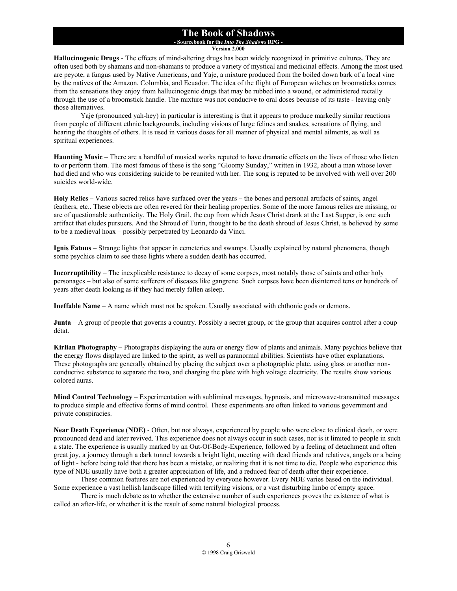**- Sourcebook for the** *Into The Shadows* **RPG - Version 2.000**

**Hallucinogenic Drugs** - The effects of mind-altering drugs has been widely recognized in primitive cultures. They are often used both by shamans and non-shamans to produce a variety of mystical and medicinal effects. Among the most used are peyote, a fungus used by Native Americans, and Yaje, a mixture produced from the boiled down bark of a local vine by the natives of the Amazon, Columbia, and Ecuador. The idea of the flight of European witches on broomsticks comes from the sensations they enjoy from hallucinogenic drugs that may be rubbed into a wound, or administered rectally through the use of a broomstick handle. The mixture was not conducive to oral doses because of its taste - leaving only those alternatives.

 Yaje (pronounced yah-hey) in particular is interesting is that it appears to produce markedly similar reactions from people of different ethnic backgrounds, including visions of large felines and snakes, sensations of flying, and hearing the thoughts of others. It is used in various doses for all manner of physical and mental ailments, as well as spiritual experiences.

**Haunting Music** – There are a handful of musical works reputed to have dramatic effects on the lives of those who listen to or perform them. The most famous of these is the song "Gloomy Sunday," written in 1932, about a man whose lover had died and who was considering suicide to be reunited with her. The song is reputed to be involved with well over 200 suicides world-wide.

**Holy Relics** – Various sacred relics have surfaced over the years – the bones and personal artifacts of saints, angel feathers, etc.. These objects are often revered for their healing properties. Some of the more famous relics are missing, or are of questionable authenticity. The Holy Grail, the cup from which Jesus Christ drank at the Last Supper, is one such artifact that eludes pursuers. And the Shroud of Turin, thought to be the death shroud of Jesus Christ, is believed by some to be a medieval hoax – possibly perpetrated by Leonardo da Vinci.

**Ignis Fatuus** – Strange lights that appear in cemeteries and swamps. Usually explained by natural phenomena, though some psychics claim to see these lights where a sudden death has occurred.

**Incorruptibility** – The inexplicable resistance to decay of some corpses, most notably those of saints and other holy personages – but also of some sufferers of diseases like gangrene. Such corpses have been disinterred tens or hundreds of years after death looking as if they had merely fallen asleep.

**Ineffable Name** – A name which must not be spoken. Usually associated with chthonic gods or demons.

**Junta** – A group of people that governs a country. Possibly a secret group, or the group that acquires control after a coup détat.

**Kirlian Photography** – Photographs displaying the aura or energy flow of plants and animals. Many psychics believe that the energy flows displayed are linked to the spirit, as well as paranormal abilities. Scientists have other explanations. These photographs are generally obtained by placing the subject over a photographic plate, using glass or another nonconductive substance to separate the two, and charging the plate with high voltage electricity. The results show various colored auras.

**Mind Control Technology** – Experimentation with subliminal messages, hypnosis, and microwave-transmitted messages to produce simple and effective forms of mind control. These experiments are often linked to various government and private conspiracies.

**Near Death Experience (NDE)** - Often, but not always, experienced by people who were close to clinical death, or were pronounced dead and later revived. This experience does not always occur in such cases, nor is it limited to people in such a state. The experience is usually marked by an Out-Of-Body-Experience, followed by a feeling of detachment and often great joy, a journey through a dark tunnel towards a bright light, meeting with dead friends and relatives, angels or a being of light - before being told that there has been a mistake, or realizing that it is not time to die. People who experience this type of NDE usually have both a greater appreciation of life, and a reduced fear of death after their experience.

 These common features are not experienced by everyone however. Every NDE varies based on the individual. Some experience a vast hellish landscape filled with terrifying visions, or a vast disturbing limbo of empty space.

There is much debate as to whether the extensive number of such experiences proves the existence of what is called an after-life, or whether it is the result of some natural biological process.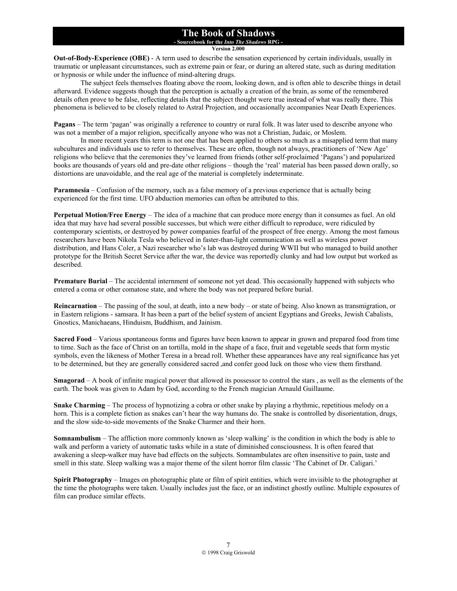#### **The Book of Shadows - Sourcebook for the** *Into The Shadows* **RPG -**

**Version 2.000**

**Out-of-Body-Experience (OBE)** - A term used to describe the sensation experienced by certain individuals, usually in traumatic or unpleasant circumstances, such as extreme pain or fear, or during an altered state, such as during meditation or hypnosis or while under the influence of mind-altering drugs.

 The subject feels themselves floating above the room, looking down, and is often able to describe things in detail afterward. Evidence suggests though that the perception is actually a creation of the brain, as some of the remembered details often prove to be false, reflecting details that the subject thought were true instead of what was really there. This phenomena is believed to be closely related to Astral Projection, and occasionally accompanies Near Death Experiences.

**Pagans** – The term 'pagan' was originally a reference to country or rural folk. It was later used to describe anyone who was not a member of a major religion, specifically anyone who was not a Christian, Judaic, or Moslem.

In more recent years this term is not one that has been applied to others so much as a misapplied term that many subcultures and individuals use to refer to themselves. These are often, though not always, practitioners of 'New Age' religions who believe that the ceremonies they've learned from friends (other self-proclaimed 'Pagans') and popularized books are thousands of years old and pre-date other religions – though the 'real' material has been passed down orally, so distortions are unavoidable, and the real age of the material is completely indeterminate.

**Paramnesia** – Confusion of the memory, such as a false memory of a previous experience that is actually being experienced for the first time. UFO abduction memories can often be attributed to this.

**Perpetual Motion/Free Energy** – The idea of a machine that can produce more energy than it consumes as fuel. An old idea that may have had several possible successes, but which were either difficult to reproduce, were ridiculed by contemporary scientists, or destroyed by power companies fearful of the prospect of free energy. Among the most famous researchers have been Nikola Tesla who believed in faster-than-light communication as well as wireless power distribution, and Hans Coler, a Nazi researcher who's lab was destroyed during WWII but who managed to build another prototype for the British Secret Service after the war, the device was reportedly clunky and had low output but worked as described.

**Premature Burial** – The accidental internment of someone not yet dead. This occasionally happened with subjects who entered a coma or other comatose state, and where the body was not prepared before burial.

**Reincarnation** – The passing of the soul, at death, into a new body – or state of being. Also known as transmigration, or in Eastern religions - samsara. It has been a part of the belief system of ancient Egyptians and Greeks, Jewish Cabalists, Gnostics, Manichaeans, Hinduism, Buddhism, and Jainism.

**Sacred Food** – Various spontaneous forms and figures have been known to appear in grown and prepared food from time to time. Such as the face of Christ on an tortilla, mold in the shape of a face, fruit and vegetable seeds that form mystic symbols, even the likeness of Mother Teresa in a bread roll. Whether these appearances have any real significance has yet to be determined, but they are generally considered sacred ,and confer good luck on those who view them firsthand.

**Smagorad** – A book of infinite magical power that allowed its possessor to control the stars , as well as the elements of the earth. The book was given to Adam by God, according to the French magician Arnauld Guillaume.

**Snake Charming** – The process of hypnotizing a cobra or other snake by playing a rhythmic, repetitious melody on a horn. This is a complete fiction as snakes can't hear the way humans do. The snake is controlled by disorientation, drugs, and the slow side-to-side movements of the Snake Charmer and their horn.

**Somnambulism** – The affliction more commonly known as 'sleep walking' is the condition in which the body is able to walk and perform a variety of automatic tasks while in a state of diminished consciousness. It is often feared that awakening a sleep-walker may have bad effects on the subjects. Somnambulates are often insensitive to pain, taste and smell in this state. Sleep walking was a major theme of the silent horror film classic 'The Cabinet of Dr. Caligari.'

**Spirit Photography** – Images on photographic plate or film of spirit entities, which were invisible to the photographer at the time the photographs were taken. Usually includes just the face, or an indistinct ghostly outline. Multiple exposures of film can produce similar effects.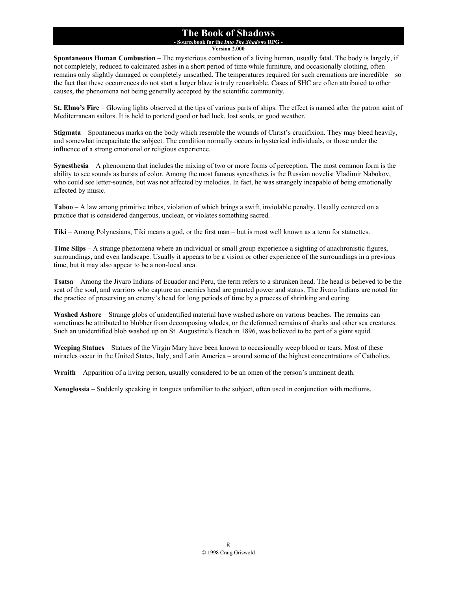#### **The Book of Shadows - Sourcebook for the** *Into The Shadows* **RPG -**

**Version 2.000**

**Spontaneous Human Combustion** – The mysterious combustion of a living human, usually fatal. The body is largely, if not completely, reduced to calcinated ashes in a short period of time while furniture, and occasionally clothing, often remains only slightly damaged or completely unscathed. The temperatures required for such cremations are incredible – so the fact that these occurrences do not start a larger blaze is truly remarkable. Cases of SHC are often attributed to other causes, the phenomena not being generally accepted by the scientific community.

**St. Elmo's Fire** – Glowing lights observed at the tips of various parts of ships. The effect is named after the patron saint of Mediterranean sailors. It is held to portend good or bad luck, lost souls, or good weather.

**Stigmata** – Spontaneous marks on the body which resemble the wounds of Christ's crucifixion. They may bleed heavily, and somewhat incapacitate the subject. The condition normally occurs in hysterical individuals, or those under the influence of a strong emotional or religious experience.

**Synesthesia** – A phenomena that includes the mixing of two or more forms of perception. The most common form is the ability to see sounds as bursts of color. Among the most famous synesthetes is the Russian novelist Vladimir Nabokov, who could see letter-sounds, but was not affected by melodies. In fact, he was strangely incapable of being emotionally affected by music.

**Taboo** – A law among primitive tribes, violation of which brings a swift, inviolable penalty. Usually centered on a practice that is considered dangerous, unclean, or violates something sacred.

**Tiki** – Among Polynesians, Tiki means a god, or the first man – but is most well known as a term for statuettes.

**Time Slips** – A strange phenomena where an individual or small group experience a sighting of anachronistic figures, surroundings, and even landscape. Usually it appears to be a vision or other experience of the surroundings in a previous time, but it may also appear to be a non-local area.

**Tsatsa** – Among the Jivaro Indians of Ecuador and Peru, the term refers to a shrunken head. The head is believed to be the seat of the soul, and warriors who capture an enemies head are granted power and status. The Jivaro Indians are noted for the practice of preserving an enemy's head for long periods of time by a process of shrinking and curing.

**Washed Ashore** – Strange globs of unidentified material have washed ashore on various beaches. The remains can sometimes be attributed to blubber from decomposing whales, or the deformed remains of sharks and other sea creatures. Such an unidentified blob washed up on St. Augustine's Beach in 1896, was believed to be part of a giant squid.

**Weeping Statues** – Statues of the Virgin Mary have been known to occasionally weep blood or tears. Most of these miracles occur in the United States, Italy, and Latin America – around some of the highest concentrations of Catholics.

**Wraith** – Apparition of a living person, usually considered to be an omen of the person's imminent death.

**Xenoglossia** – Suddenly speaking in tongues unfamiliar to the subject, often used in conjunction with mediums.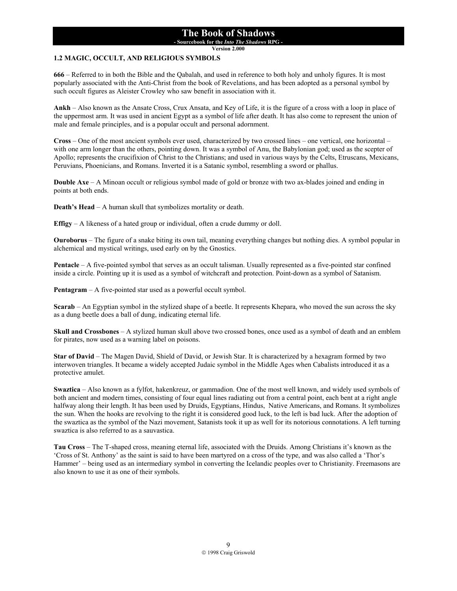**- Sourcebook for the** *Into The Shadows* **RPG -** 

**Version 2.000**

#### **1.2 MAGIC, OCCULT, AND RELIGIOUS SYMBOLS**

**666** – Referred to in both the Bible and the Qabalah, and used in reference to both holy and unholy figures. It is most popularly associated with the Anti-Christ from the book of Revelations, and has been adopted as a personal symbol by such occult figures as Aleister Crowley who saw benefit in association with it.

**Ankh** – Also known as the Ansate Cross, Crux Ansata, and Key of Life, it is the figure of a cross with a loop in place of the uppermost arm. It was used in ancient Egypt as a symbol of life after death. It has also come to represent the union of male and female principles, and is a popular occult and personal adornment.

**Cross** – One of the most ancient symbols ever used, characterized by two crossed lines – one vertical, one horizontal – with one arm longer than the others, pointing down. It was a symbol of Anu, the Babylonian god; used as the scepter of Apollo; represents the crucifixion of Christ to the Christians; and used in various ways by the Celts, Etruscans, Mexicans, Peruvians, Phoenicians, and Romans. Inverted it is a Satanic symbol, resembling a sword or phallus.

**Double Axe** – A Minoan occult or religious symbol made of gold or bronze with two ax-blades joined and ending in points at both ends.

**Death's Head** – A human skull that symbolizes mortality or death.

**Effigy** – A likeness of a hated group or individual, often a crude dummy or doll.

**Ouroborus** – The figure of a snake biting its own tail, meaning everything changes but nothing dies. A symbol popular in alchemical and mystical writings, used early on by the Gnostics.

**Pentacle** – A five-pointed symbol that serves as an occult talisman. Usually represented as a five-pointed star confined inside a circle. Pointing up it is used as a symbol of witchcraft and protection. Point-down as a symbol of Satanism.

**Pentagram** – A five-pointed star used as a powerful occult symbol.

**Scarab** – An Egyptian symbol in the stylized shape of a beetle. It represents Khepara, who moved the sun across the sky as a dung beetle does a ball of dung, indicating eternal life.

**Skull and Crossbones** – A stylized human skull above two crossed bones, once used as a symbol of death and an emblem for pirates, now used as a warning label on poisons.

**Star of David** – The Magen David, Shield of David, or Jewish Star. It is characterized by a hexagram formed by two interwoven triangles. It became a widely accepted Judaic symbol in the Middle Ages when Cabalists introduced it as a protective amulet.

**Swaztica** – Also known as a fylfot, hakenkreuz, or gammadion. One of the most well known, and widely used symbols of both ancient and modern times, consisting of four equal lines radiating out from a central point, each bent at a right angle halfway along their length. It has been used by Druids, Egyptians, Hindus, Native Americans, and Romans. It symbolizes the sun. When the hooks are revolving to the right it is considered good luck, to the left is bad luck. After the adoption of the swaztica as the symbol of the Nazi movement, Satanists took it up as well for its notorious connotations. A left turning swaztica is also referred to as a sauvastica.

**Tau Cross** – The T-shaped cross, meaning eternal life, associated with the Druids. Among Christians it's known as the 'Cross of St. Anthony' as the saint is said to have been martyred on a cross of the type, and was also called a 'Thor's Hammer' – being used as an intermediary symbol in converting the Icelandic peoples over to Christianity. Freemasons are also known to use it as one of their symbols.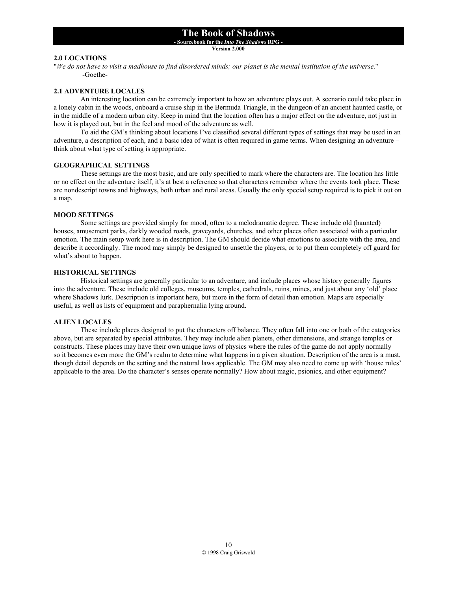## **- Sourcebook for the** *Into The Shadows* **RPG -**

**Version 2.000**

#### **2.0 LOCATIONS**

"*We do not have to visit a madhouse to find disordered minds; our planet is the mental institution of the universe.*" -Goethe-

#### **2.1 ADVENTURE LOCALES**

 An interesting location can be extremely important to how an adventure plays out. A scenario could take place in a lonely cabin in the woods, onboard a cruise ship in the Bermuda Triangle, in the dungeon of an ancient haunted castle, or in the middle of a modern urban city. Keep in mind that the location often has a major effect on the adventure, not just in how it is played out, but in the feel and mood of the adventure as well.

 To aid the GM's thinking about locations I've classified several different types of settings that may be used in an adventure, a description of each, and a basic idea of what is often required in game terms. When designing an adventure – think about what type of setting is appropriate.

#### **GEOGRAPHICAL SETTINGS**

 These settings are the most basic, and are only specified to mark where the characters are. The location has little or no effect on the adventure itself, it's at best a reference so that characters remember where the events took place. These are nondescript towns and highways, both urban and rural areas. Usually the only special setup required is to pick it out on a map.

#### **MOOD SETTINGS**

 Some settings are provided simply for mood, often to a melodramatic degree. These include old (haunted) houses, amusement parks, darkly wooded roads, graveyards, churches, and other places often associated with a particular emotion. The main setup work here is in description. The GM should decide what emotions to associate with the area, and describe it accordingly. The mood may simply be designed to unsettle the players, or to put them completely off guard for what's about to happen.

#### **HISTORICAL SETTINGS**

 Historical settings are generally particular to an adventure, and include places whose history generally figures into the adventure. These include old colleges, museums, temples, cathedrals, ruins, mines, and just about any 'old' place where Shadows lurk. Description is important here, but more in the form of detail than emotion. Maps are especially useful, as well as lists of equipment and paraphernalia lying around.

#### **ALIEN LOCALES**

 These include places designed to put the characters off balance. They often fall into one or both of the categories above, but are separated by special attributes. They may include alien planets, other dimensions, and strange temples or constructs. These places may have their own unique laws of physics where the rules of the game do not apply normally – so it becomes even more the GM's realm to determine what happens in a given situation. Description of the area is a must, though detail depends on the setting and the natural laws applicable. The GM may also need to come up with 'house rules' applicable to the area. Do the character's senses operate normally? How about magic, psionics, and other equipment?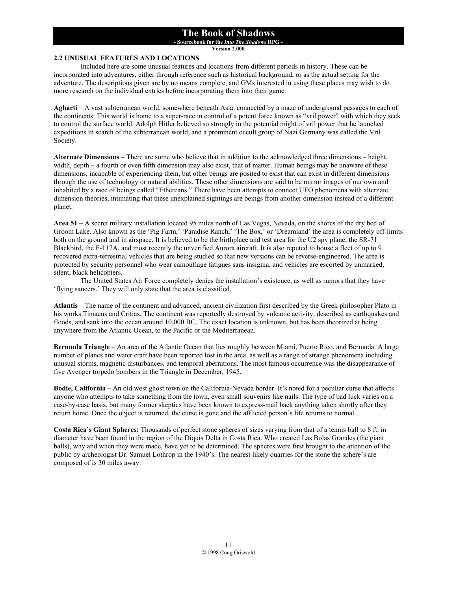**- Sourcebook for the** *Into The Shadows* **RPG -** 

**Version 2.000**

#### **2.2 UNUSUAL FEATURES AND LOCATIONS**

 Included here are some unusual features and locations from different periods in history. These can be incorporated into adventures, either through reference such as historical background, or as the actual setting for the adventure. The descriptions given are by no means complete, and GMs interested in using these places may wish to do more research on the individual entries before incorporating them into their game.

**Agharti** – A vast subterranean world, somewhere beneath Asia, connected by a maze of underground passages to each of the continents. This world is home to a super-race in control of a potent force known as "vril power" with which they seek to control the surface world. Adolph Hitler believed so strongly in the potential might of vril power that he launched expeditions in search of the subterranean world, and a prominent occult group of Nazi Germany was called the Vril Society.

**Alternate Dimensions –** There are some who believe that in addition to the acknowledged three dimensions – height, width, depth – a fourth or even fifth dimension may also exist, that of matter. Human beings may be unaware of these dimensions, incapable of experiencing them, but other beings are posited to exist that can exist in different dimensions through the use of technology or natural abilities. These other dimensions are said to be mirror images of our own and inhabited by a race of beings called "Ethereans." There have been attempts to connect UFO phenomena with alternate dimension theories, intimating that these unexplained sightings are beings from another dimension instead of a different planet.

**Area 51** – A secret military installation located 95 miles north of Las Vegas, Nevada, on the shores of the dry bed of Groom Lake. Also known as the 'Pig Farm,' 'Paradise Ranch,' 'The Box,' or 'Dreamland' the area is completely off-limits both on the ground and in airspace. It is believed to be the birthplace and test area for the U2 spy plane, the SR-71 Blackbird, the F-117A, and most recently the unverified Aurora aircraft. It is also reputed to house a fleet of up to 9 recovered extra-terrestrial vehicles that are being studied so that new versions can be reverse-engineered. The area is protected by security personnel who wear camouflage fatigues sans insignia, and vehicles are escorted by unmarked, silent, black helicopters.

 The United States Air Force completely denies the installation's existence, as well as rumors that they have 'flying saucers.' They will only state that the area is classified.

**Atlantis** – The name of the continent and advanced, ancient civilization first described by the Greek philosopher Plato in his works Timaeus and Critias. The continent was reportedly destroyed by volcanic activity, described as earthquakes and floods, and sank into the ocean around 10,000 BC. The exact location is unknown, but has been theorized at being anywhere from the Atlantic Ocean, to the Pacific or the Mediterranean.

**Bermuda Triangle** – An area of the Atlantic Ocean that lies roughly between Miami, Puerto Rico, and Bermuda. A large number of planes and water craft have been reported lost in the area, as well as a range of strange phenomena including unusual storms, magnetic disturbances, and temporal aberrations. The most famous occurrence was the disappearance of five Avenger torpedo bombers in the Triangle in December, 1945.

**Bodie, California** – An old west ghost town on the California-Nevada border. It's noted for a peculiar curse that affects anyone who attempts to take something from the town, even small souvenirs like nails. The type of bad luck varies on a case-by-case basis, but many former skeptics have been known to express-mail back anything taken shortly after they return home. Once the object is returned, the curse is gone and the afflicted person's life returns to normal.

**Costa Rica's Giant Spheres:** Thousands of perfect stone spheres of sizes varying from that of a tennis ball to 8 ft. in diameter have been found in the region of the Diquís Delta in Costa Rica. Who created Las Bolas Grandes (the giant balls), why and when they were made, have yet to be determined. The spheres were first brought to the attention of the public by archeologist Dr. Samuel Lothrop in the 1940's. The nearest likely quarries for the stone the sphere's are composed of is 30 miles away.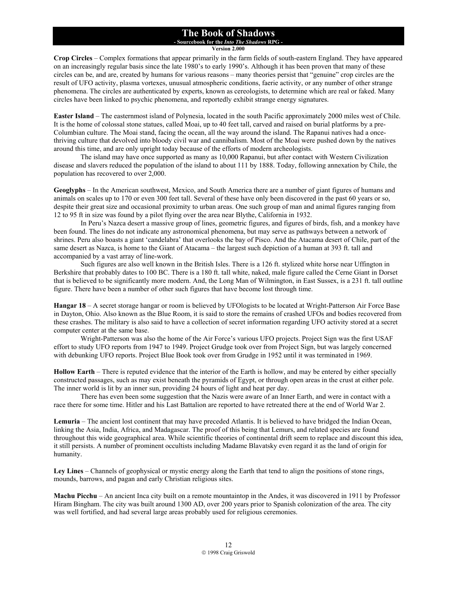#### **The Book of Shadows - Sourcebook for the** *Into The Shadows* **RPG -**

**Version 2.000**

**Crop Circles** – Complex formations that appear primarily in the farm fields of south-eastern England. They have appeared on an increasingly regular basis since the late 1980's to early 1990's. Although it has been proven that many of these circles can be, and are, created by humans for various reasons – many theories persist that "genuine" crop circles are the result of UFO activity, plasma vortexes, unusual atmospheric conditions, faerie activity, or any number of other strange phenomena. The circles are authenticated by experts, known as cereologists, to determine which are real or faked. Many circles have been linked to psychic phenomena, and reportedly exhibit strange energy signatures.

**Easter Island** – The easternmost island of Polynesia, located in the south Pacific approximately 2000 miles west of Chile. It is the home of colossal stone statues, called Moai, up to 40 feet tall, carved and raised on burial platforms by a pre-Columbian culture. The Moai stand, facing the ocean, all the way around the island. The Rapanui natives had a oncethriving culture that devolved into bloody civil war and cannibalism. Most of the Moai were pushed down by the natives around this time, and are only upright today because of the efforts of modern archeologists.

The island may have once supported as many as 10,000 Rapanui, but after contact with Western Civilization disease and slavers reduced the population of the island to about 111 by 1888. Today, following annexation by Chile, the population has recovered to over 2,000.

**Geoglyphs** – In the American southwest, Mexico, and South America there are a number of giant figures of humans and animals on scales up to 170 or even 300 feet tall. Several of these have only been discovered in the past 60 years or so, despite their great size and occasional proximity to urban areas. One such group of man and animal figures ranging from 12 to 95 ft in size was found by a pilot flying over the area near Blythe, California in 1932.

 In Peru's Nazca desert a massive group of lines, geometric figures, and figures of birds, fish, and a monkey have been found. The lines do not indicate any astronomical phenomena, but may serve as pathways between a network of shrines. Peru also boasts a giant 'candelabra' that overlooks the bay of Pisco. And the Atacama desert of Chile, part of the same desert as Nazca, is home to the Giant of Atacama – the largest such depiction of a human at 393 ft. tall and accompanied by a vast array of line-work.

 Such figures are also well known in the British Isles. There is a 126 ft. stylized white horse near Uffington in Berkshire that probably dates to 100 BC. There is a 180 ft. tall white, naked, male figure called the Cerne Giant in Dorset that is believed to be significantly more modern. And, the Long Man of Wilmington, in East Sussex, is a 231 ft. tall outline figure. There have been a number of other such figures that have become lost through time.

**Hangar 18** – A secret storage hangar or room is believed by UFOlogists to be located at Wright-Patterson Air Force Base in Dayton, Ohio. Also known as the Blue Room, it is said to store the remains of crashed UFOs and bodies recovered from these crashes. The military is also said to have a collection of secret information regarding UFO activity stored at a secret computer center at the same base.

 Wright-Patterson was also the home of the Air Force's various UFO projects. Project Sign was the first USAF effort to study UFO reports from 1947 to 1949. Project Grudge took over from Project Sign, but was largely concerned with debunking UFO reports. Project Blue Book took over from Grudge in 1952 until it was terminated in 1969.

**Hollow Earth** – There is reputed evidence that the interior of the Earth is hollow, and may be entered by either specially constructed passages, such as may exist beneath the pyramids of Egypt, or through open areas in the crust at either pole. The inner world is lit by an inner sun, providing 24 hours of light and heat per day.

 There has even been some suggestion that the Nazis were aware of an Inner Earth, and were in contact with a race there for some time. Hitler and his Last Battalion are reported to have retreated there at the end of World War 2.

**Lemuria** – The ancient lost continent that may have preceded Atlantis. It is believed to have bridged the Indian Ocean, linking the Asia, India, Africa, and Madagascar. The proof of this being that Lemurs, and related species are found throughout this wide geographical area. While scientific theories of continental drift seem to replace and discount this idea, it still persists. A number of prominent occultists including Madame Blavatsky even regard it as the land of origin for humanity.

**Ley Lines** – Channels of geophysical or mystic energy along the Earth that tend to align the positions of stone rings, mounds, barrows, and pagan and early Christian religious sites.

**Machu Picchu** – An ancient Inca city built on a remote mountaintop in the Andes, it was discovered in 1911 by Professor Hiram Bingham. The city was built around 1300 AD, over 200 years prior to Spanish colonization of the area. The city was well fortified, and had several large areas probably used for religious ceremonies.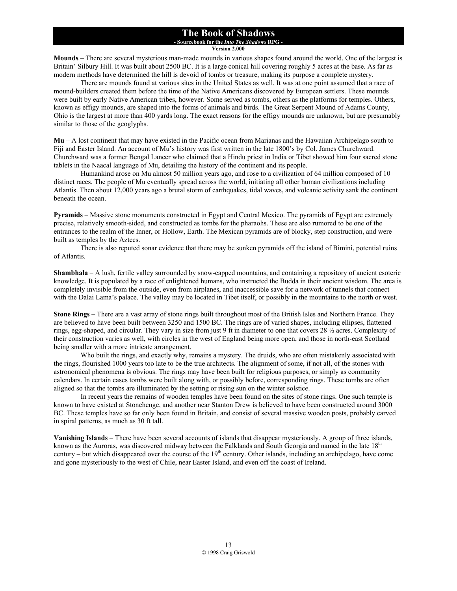**- Sourcebook for the** *Into The Shadows* **RPG -** 

**Version 2.000**

**Mounds** – There are several mysterious man-made mounds in various shapes found around the world. One of the largest is Britain' Silbury Hill. It was built about 2500 BC. It is a large conical hill covering roughly 5 acres at the base. As far as modern methods have determined the hill is devoid of tombs or treasure, making its purpose a complete mystery.

 There are mounds found at various sites in the United States as well. It was at one point assumed that a race of mound-builders created them before the time of the Native Americans discovered by European settlers. These mounds were built by early Native American tribes, however. Some served as tombs, others as the platforms for temples. Others, known as effigy mounds, are shaped into the forms of animals and birds. The Great Serpent Mound of Adams County, Ohio is the largest at more than 400 yards long. The exact reasons for the effigy mounds are unknown, but are presumably similar to those of the geoglyphs.

**Mu** – A lost continent that may have existed in the Pacific ocean from Marianas and the Hawaiian Archipelago south to Fiji and Easter Island. An account of Mu's history was first written in the late 1800's by Col. James Churchward. Churchward was a former Bengal Lancer who claimed that a Hindu priest in India or Tibet showed him four sacred stone tablets in the Naacal language of Mu, detailing the history of the continent and its people.

 Humankind arose on Mu almost 50 million years ago, and rose to a civilization of 64 million composed of 10 distinct races. The people of Mu eventually spread across the world, initiating all other human civilizations including Atlantis. Then about 12,000 years ago a brutal storm of earthquakes, tidal waves, and volcanic activity sank the continent beneath the ocean.

**Pyramids** – Massive stone monuments constructed in Egypt and Central Mexico. The pyramids of Egypt are extremely precise, relatively smooth-sided, and constructed as tombs for the pharaohs. These are also rumored to be one of the entrances to the realm of the Inner, or Hollow, Earth. The Mexican pyramids are of blocky, step construction, and were built as temples by the Aztecs.

 There is also reputed sonar evidence that there may be sunken pyramids off the island of Bimini, potential ruins of Atlantis.

**Shambhala** – A lush, fertile valley surrounded by snow-capped mountains, and containing a repository of ancient esoteric knowledge. It is populated by a race of enlightened humans, who instructed the Budda in their ancient wisdom. The area is completely invisible from the outside, even from airplanes, and inaccessible save for a network of tunnels that connect with the Dalai Lama's palace. The valley may be located in Tibet itself, or possibly in the mountains to the north or west.

**Stone Rings** – There are a vast array of stone rings built throughout most of the British Isles and Northern France. They are believed to have been built between 3250 and 1500 BC. The rings are of varied shapes, including ellipses, flattened rings, egg-shaped, and circular. They vary in size from just 9 ft in diameter to one that covers 28 ½ acres. Complexity of their construction varies as well, with circles in the west of England being more open, and those in north-east Scotland being smaller with a more intricate arrangement.

 Who built the rings, and exactly why, remains a mystery. The druids, who are often mistakenly associated with the rings, flourished 1000 years too late to be the true architects. The alignment of some, if not all, of the stones with astronomical phenomena is obvious. The rings may have been built for religious purposes, or simply as community calendars. In certain cases tombs were built along with, or possibly before, corresponding rings. These tombs are often aligned so that the tombs are illuminated by the setting or rising sun on the winter solstice.

 In recent years the remains of wooden temples have been found on the sites of stone rings. One such temple is known to have existed at Stonehenge, and another near Stanton Drew is believed to have been constructed around 3000 BC. These temples have so far only been found in Britain, and consist of several massive wooden posts, probably carved in spiral patterns, as much as 30 ft tall.

**Vanishing Islands** – There have been several accounts of islands that disappear mysteriously. A group of three islands, known as the Auroras, was discovered midway between the Falklands and South Georgia and named in the late 18<sup>th</sup> century – but which disappeared over the course of the  $19<sup>th</sup>$  century. Other islands, including an archipelago, have come and gone mysteriously to the west of Chile, near Easter Island, and even off the coast of Ireland.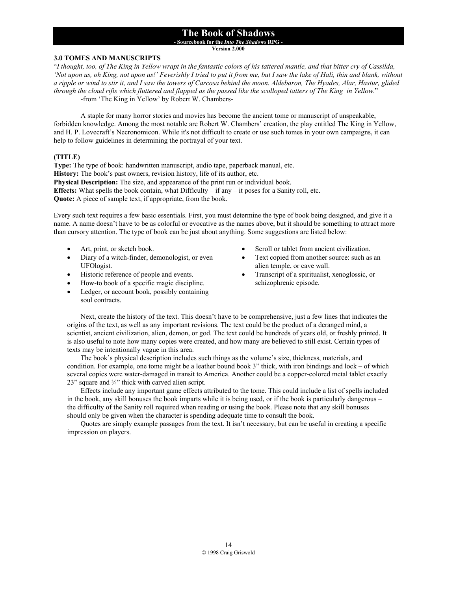**- Sourcebook for the** *Into The Shadows* **RPG -** 

**Version 2.000**

#### **3.0 TOMES AND MANUSCRIPTS**

"*I thought, too, of The King in Yellow wrapt in the fantastic colors of his tattered mantle, and that bitter cry of Cassilda, 'Not upon us, oh King, not upon us!' Feverishly I tried to put it from me, but I saw the lake of Hali, thin and blank, without a ripple or wind to stir it, and I saw the towers of Carcosa behind the moon. Aldebaron, The Hyades, Alar, Hastur, glided through the cloud rifts which fluttered and flapped as the passed like the scolloped tatters of The King in Yellow.*" -from 'The King in Yellow' by Robert W. Chambers-

 A staple for many horror stories and movies has become the ancient tome or manuscript of unspeakable, forbidden knowledge. Among the most notable are Robert W. Chambers' creation, the play entitled The King in Yellow, and H. P. Lovecraft's Necronomicon. While it's not difficult to create or use such tomes in your own campaigns, it can help to follow guidelines in determining the portrayal of your text.

#### **(TITLE)**

**Type:** The type of book: handwritten manuscript, audio tape, paperback manual, etc. **History:** The book's past owners, revision history, life of its author, etc. **Physical Description:** The size, and appearance of the print run or individual book. **Effects:** What spells the book contain, what Difficulty – if any – it poses for a Sanity roll, etc. **Quote:** A piece of sample text, if appropriate, from the book.

Every such text requires a few basic essentials. First, you must determine the type of book being designed, and give it a name. A name doesn't have to be as colorful or evocative as the names above, but it should be something to attract more than cursory attention. The type of book can be just about anything. Some suggestions are listed below:

- Art, print, or sketch book.
- Diary of a witch-finder, demonologist, or even UFOlogist.
- Historic reference of people and events.
- How-to book of a specific magic discipline.
- Ledger, or account book, possibly containing soul contracts.
- Scroll or tablet from ancient civilization.
- Text copied from another source: such as an alien temple, or cave wall.
- Transcript of a spiritualist, xenoglossic, or schizophrenic episode.

Next, create the history of the text. This doesn't have to be comprehensive, just a few lines that indicates the origins of the text, as well as any important revisions. The text could be the product of a deranged mind, a scientist, ancient civilization, alien, demon, or god. The text could be hundreds of years old, or freshly printed. It is also useful to note how many copies were created, and how many are believed to still exist. Certain types of texts may be intentionally vague in this area.

The book's physical description includes such things as the volume's size, thickness, materials, and condition. For example, one tome might be a leather bound book 3" thick, with iron bindings and lock – of which several copies were water-damaged in transit to America. Another could be a copper-colored metal tablet exactly  $23$ " square and  $\frac{3}{4}$ " thick with carved alien script.

Effects include any important game effects attributed to the tome. This could include a list of spells included in the book, any skill bonuses the book imparts while it is being used, or if the book is particularly dangerous – the difficulty of the Sanity roll required when reading or using the book. Please note that any skill bonuses should only be given when the character is spending adequate time to consult the book.

Quotes are simply example passages from the text. It isn't necessary, but can be useful in creating a specific impression on players.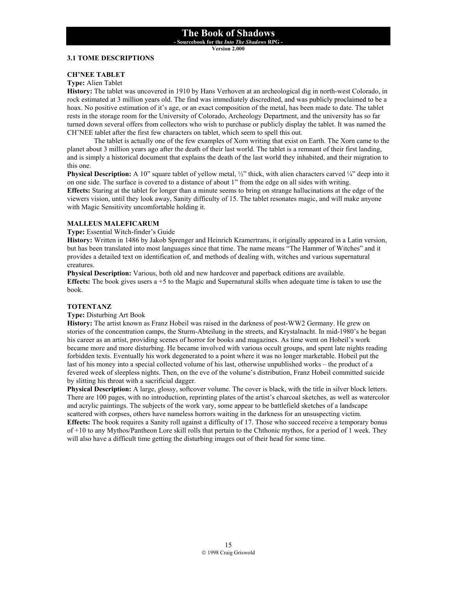**- Sourcebook for the** *Into The Shadows* **RPG -** 

**Version 2.000**

#### **3.1 TOME DESCRIPTIONS**

#### **CH'NEE TABLET**

#### **Type:** Alien Tablet

**History:** The tablet was uncovered in 1910 by Hans Verhoven at an archeological dig in north-west Colorado, in rock estimated at 3 million years old. The find was immediately discredited, and was publicly proclaimed to be a hoax. No positive estimation of it's age, or an exact composition of the metal, has been made to date. The tablet rests in the storage room for the University of Colorado, Archeology Department, and the university has so far turned down several offers from collectors who wish to purchase or publicly display the tablet. It was named the CH'NEE tablet after the first few characters on tablet, which seem to spell this out.

 The tablet is actually one of the few examples of Xorn writing that exist on Earth. The Xorn came to the planet about 3 million years ago after the death of their last world. The tablet is a remnant of their first landing, and is simply a historical document that explains the death of the last world they inhabited, and their migration to this one.

**Physical Description:** A 10" square tablet of yellow metal,  $\frac{1}{2}$ " thick, with alien characters carved  $\frac{1}{4}$ " deep into it on one side. The surface is covered to a distance of about 1" from the edge on all sides with writing.

**Effects:** Staring at the tablet for longer than a minute seems to bring on strange hallucinations at the edge of the viewers vision, until they look away, Sanity difficulty of 15. The tablet resonates magic, and will make anyone with Magic Sensitivity uncomfortable holding it.

#### **MALLEUS MALEFICARUM**

#### **Type:** Essential Witch-finder's Guide

**History:** Written in 1486 by Jakob Sprenger and Heinrich Kramertrans, it originally appeared in a Latin version, but has been translated into most languages since that time. The name means "The Hammer of Witches" and it provides a detailed text on identification of, and methods of dealing with, witches and various supernatural creatures.

**Physical Description:** Various, both old and new hardcover and paperback editions are available. **Effects:** The book gives users a +5 to the Magic and Supernatural skills when adequate time is taken to use the book.

#### **TOTENTANZ**

#### **Type:** Disturbing Art Book

**History:** The artist known as Franz Hobeil was raised in the darkness of post-WW2 Germany. He grew on stories of the concentration camps, the Sturm-Abteilung in the streets, and Krystalnacht. In mid-1980's he began his career as an artist, providing scenes of horror for books and magazines. As time went on Hobeil's work became more and more disturbing. He became involved with various occult groups, and spent late nights reading forbidden texts. Eventually his work degenerated to a point where it was no longer marketable. Hobeil put the last of his money into a special collected volume of his last, otherwise unpublished works – the product of a fevered week of sleepless nights. Then, on the eve of the volume's distribution, Franz Hobeil committed suicide by slitting his throat with a sacrificial dagger.

**Physical Description:** A large, glossy, softcover volume. The cover is black, with the title in silver block letters. There are 100 pages, with no introduction, reprinting plates of the artist's charcoal sketches, as well as watercolor and acrylic paintings. The subjects of the work vary, some appear to be battlefield sketches of a landscape scattered with corpses, others have nameless horrors waiting in the darkness for an unsuspecting victim. **Effects:** The book requires a Sanity roll against a difficulty of 17. Those who succeed receive a temporary bonus of +10 to any Mythos/Pantheon Lore skill rolls that pertain to the Chthonic mythos, for a period of 1 week. They will also have a difficult time getting the disturbing images out of their head for some time.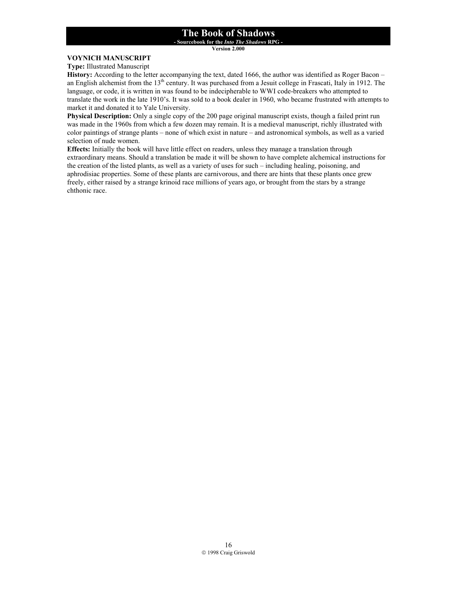**- Sourcebook for the** *Into The Shadows* **RPG -** 

**Version 2.000**

#### **VOYNICH MANUSCRIPT**

**Type:** Illustrated Manuscript

**History:** According to the letter accompanying the text, dated 1666, the author was identified as Roger Bacon – an English alchemist from the 13<sup>th</sup> century. It was purchased from a Jesuit college in Frascati, Italy in 1912. The language, or code, it is written in was found to be indecipherable to WWI code-breakers who attempted to translate the work in the late 1910's. It was sold to a book dealer in 1960, who became frustrated with attempts to market it and donated it to Yale University.

**Physical Description:** Only a single copy of the 200 page original manuscript exists, though a failed print run was made in the 1960s from which a few dozen may remain. It is a medieval manuscript, richly illustrated with color paintings of strange plants – none of which exist in nature – and astronomical symbols, as well as a varied selection of nude women.

**Effects:** Initially the book will have little effect on readers, unless they manage a translation through extraordinary means. Should a translation be made it will be shown to have complete alchemical instructions for the creation of the listed plants, as well as a variety of uses for such – including healing, poisoning, and aphrodisiac properties. Some of these plants are carnivorous, and there are hints that these plants once grew freely, either raised by a strange krinoid race millions of years ago, or brought from the stars by a strange chthonic race.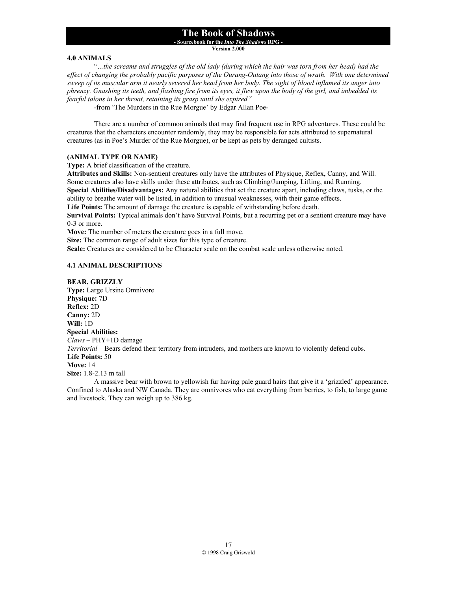**- Sourcebook for the** *Into The Shadows* **RPG -** 

**Version 2.000**

#### **4.0 ANIMALS**

 "*…the screams and struggles of the old lady (during which the hair was torn from her head) had the*  effect of changing the probably pacific purposes of the Ourang-Outang into those of wrath. With one determined *sweep of its muscular arm it nearly severed her head from her body. The sight of blood inflamed its anger into phrenzy. Gnashing its teeth, and flashing fire from its eyes, it flew upon the body of the girl, and imbedded its fearful talons in her throat, retaining its grasp until she expired.*"

-from 'The Murders in the Rue Morgue' by Edgar Allan Poe-

There are a number of common animals that may find frequent use in RPG adventures. These could be creatures that the characters encounter randomly, they may be responsible for acts attributed to supernatural creatures (as in Poe's Murder of the Rue Morgue), or be kept as pets by deranged cultists.

#### **(ANIMAL TYPE OR NAME)**

**Type:** A brief classification of the creature.

**Attributes and Skills:** Non-sentient creatures only have the attributes of Physique, Reflex, Canny, and Will. Some creatures also have skills under these attributes, such as Climbing/Jumping, Lifting, and Running. **Special Abilities/Disadvantages:** Any natural abilities that set the creature apart, including claws, tusks, or the ability to breathe water will be listed, in addition to unusual weaknesses, with their game effects.

**Life Points:** The amount of damage the creature is capable of withstanding before death.

**Survival Points:** Typical animals don't have Survival Points, but a recurring pet or a sentient creature may have 0-3 or more.

**Move:** The number of meters the creature goes in a full move. **Size:** The common range of adult sizes for this type of creature.

**Scale:** Creatures are considered to be Character scale on the combat scale unless otherwise noted.

#### **4.1 ANIMAL DESCRIPTIONS**

**BEAR, GRIZZLY Type:** Large Ursine Omnivore **Physique:** 7D **Reflex:** 2D **Canny:** 2D **Will:** 1D **Special Abilities:** *Claws* – PHY+1D damage *Territorial* – Bears defend their territory from intruders, and mothers are known to violently defend cubs. **Life Points:** 50 **Move:** 14 **Size:** 1.8-2.13 m tall A massive bear with brown to yellowish fur having pale guard hairs that give it a 'grizzled' appearance.

Confined to Alaska and NW Canada. They are omnivores who eat everything from berries, to fish, to large game and livestock. They can weigh up to 386 kg.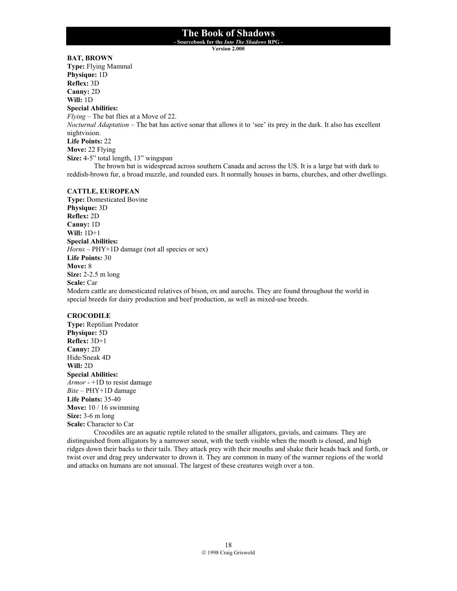**- Sourcebook for the** *Into The Shadows* **RPG -** 

**Version 2.000**

**BAT, BROWN Type:** Flying Mammal **Physique:** 1D **Reflex:** 3D **Canny:** 2D **Will:** 1D **Special Abilities:** *Flying* – The bat flies at a Move of 22. *Nocturnal Adaptation* – The bat has active sonar that allows it to 'see' its prey in the dark. It also has excellent nightvision. **Life Points:** 22 **Move:** 22 Flying **Size:** 4-5" total length, 13" wingspan The brown bat is widespread across southern Canada and across the US. It is a large bat with dark to reddish-brown fur, a broad muzzle, and rounded ears. It normally houses in barns, churches, and other dwellings.

#### **CATTLE, EUROPEAN**

**Type:** Domesticated Bovine **Physique:** 3D **Reflex:** 2D **Canny:** 1D **Will:** 1D+1 **Special Abilities:** *Horns* – PHY+1D damage (not all species or sex) **Life Points:** 30 **Move:** 8 **Size:** 2-2.5 m long **Scale:** Car

Modern cattle are domesticated relatives of bison, ox and aurochs. They are found throughout the world in special breeds for dairy production and beef production, as well as mixed-use breeds.

#### **CROCODILE**

**Type:** Reptilian Predator **Physique:** 5D **Reflex:** 3D+1 **Canny:** 2D Hide/Sneak 4D **Will:** 2D **Special Abilities:** *Armor* - +1D to resist damage *Bite* – PHY+1D damage **Life Points:** 35-40 **Move:** 10 / 16 swimming **Size:** 3-6 m long **Scale:** Character to Car

Crocodiles are an aquatic reptile related to the smaller alligators, gavials, and caimans. They are distinguished from alligators by a narrower snout, with the teeth visible when the mouth is closed, and high ridges down their backs to their tails. They attack prey with their mouths and shake their heads back and forth, or twist over and drag prey underwater to drown it. They are common in many of the warmer regions of the world and attacks on humans are not unusual. The largest of these creatures weigh over a ton.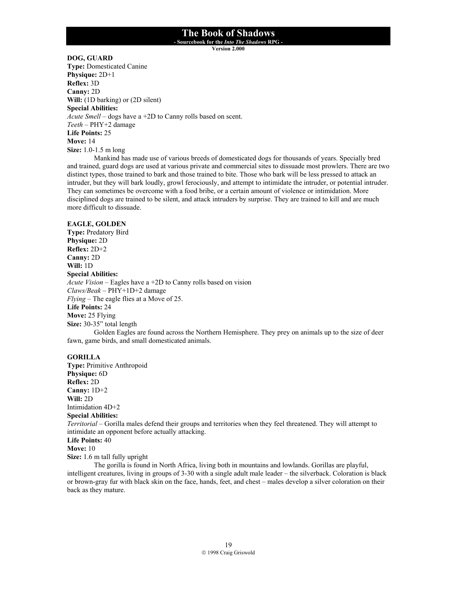**- Sourcebook for the** *Into The Shadows* **RPG -** 

**Version 2.000**

**DOG, GUARD Type:** Domesticated Canine **Physique:** 2D+1 **Reflex:** 3D **Canny:** 2D **Will:** (1D barking) or (2D silent) **Special Abilities:** *Acute Smell* – dogs have a +2D to Canny rolls based on scent. *Teeth* – PHY+2 damage **Life Points:** 25 **Move:** 14 **Size:** 1.0-1.5 m long

Mankind has made use of various breeds of domesticated dogs for thousands of years. Specially bred and trained, guard dogs are used at various private and commercial sites to dissuade most prowlers. There are two distinct types, those trained to bark and those trained to bite. Those who bark will be less pressed to attack an intruder, but they will bark loudly, growl ferociously, and attempt to intimidate the intruder, or potential intruder. They can sometimes be overcome with a food bribe, or a certain amount of violence or intimidation. More disciplined dogs are trained to be silent, and attack intruders by surprise. They are trained to kill and are much more difficult to dissuade.

#### **EAGLE, GOLDEN**

**Type:** Predatory Bird **Physique:** 2D **Reflex:** 2D+2 **Canny:** 2D **Will:** 1D **Special Abilities:** *Acute Vision* – Eagles have a +2D to Canny rolls based on vision *Claws/Beak* – PHY+1D+2 damage *Flying* – The eagle flies at a Move of 25. **Life Points:** 24 **Move:** 25 Flying **Size:** 30-35" total length

Golden Eagles are found across the Northern Hemisphere. They prey on animals up to the size of deer fawn, game birds, and small domesticated animals.

#### **GORILLA**

**Type:** Primitive Anthropoid **Physique:** 6D **Reflex:** 2D **Canny:** 1D+2 **Will:** 2D Intimidation 4D+2 **Special Abilities:** *Territorial* – Gorilla males defend their groups and territories when they feel threatened. They will attempt to intimidate an opponent before actually attacking. **Life Points:** 40 **Move:** 10 **Size:** 1.6 m tall fully upright The gorilla is found in North Africa, living both in mountains and lowlands. Gorillas are playful,

intelligent creatures, living in groups of 3-30 with a single adult male leader – the silverback. Coloration is black or brown-gray fur with black skin on the face, hands, feet, and chest – males develop a silver coloration on their back as they mature.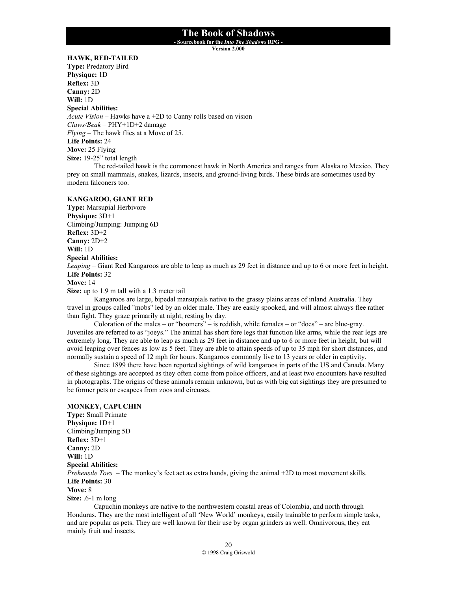**- Sourcebook for the** *Into The Shadows* **RPG -** 

**Version 2.000**

#### **HAWK, RED-TAILED**

**Type:** Predatory Bird **Physique:** 1D **Reflex:** 3D **Canny:** 2D **Will:** 1D **Special Abilities:** *Acute Vision* – Hawks have a +2D to Canny rolls based on vision *Claws/Beak* – PHY+1D+2 damage *Flying* – The hawk flies at a Move of 25. **Life Points:** 24 **Move:** 25 Flying **Size:** 19-25" total length

The red-tailed hawk is the commonest hawk in North America and ranges from Alaska to Mexico. They prey on small mammals, snakes, lizards, insects, and ground-living birds. These birds are sometimes used by modern falconers too.

#### **KANGAROO, GIANT RED**

**Type:** Marsupial Herbivore **Physique:** 3D+1 Climbing/Jumping: Jumping 6D **Reflex:** 3D+2 **Canny:** 2D+2 **Will:** 1D **Special Abilities:** *Leaping* – Giant Red Kangaroos are able to leap as much as 29 feet in distance and up to 6 or more feet in height. **Life Points:** 32 **Move:** 14

**Size:** up to 1.9 m tall with a 1.3 meter tail

Kangaroos are large, bipedal marsupials native to the grassy plains areas of inland Australia. They travel in groups called "mobs" led by an older male. They are easily spooked, and will almost always flee rather than fight. They graze primarily at night, resting by day.

Coloration of the males – or "boomers" – is reddish, while females – or "does" – are blue-gray. Juveniles are referred to as "joeys." The animal has short fore legs that function like arms, while the rear legs are extremely long. They are able to leap as much as 29 feet in distance and up to 6 or more feet in height, but will avoid leaping over fences as low as 5 feet. They are able to attain speeds of up to 35 mph for short distances, and normally sustain a speed of 12 mph for hours. Kangaroos commonly live to 13 years or older in captivity.

Since 1899 there have been reported sightings of wild kangaroos in parts of the US and Canada. Many of these sightings are accepted as they often come from police officers, and at least two encounters have resulted in photographs. The origins of these animals remain unknown, but as with big cat sightings they are presumed to be former pets or escapees from zoos and circuses.

#### **MONKEY, CAPUCHIN**

**Type:** Small Primate **Physique:** 1D+1 Climbing/Jumping 5D **Reflex:** 3D+1 **Canny:** 2D **Will:** 1D **Special Abilities:** *Prehensile Toes* – The monkey's feet act as extra hands, giving the animal +2D to most movement skills. **Life Points:** 30 **Move:** 8 **Size:** .6-1 m long

Capuchin monkeys are native to the northwestern coastal areas of Colombia, and north through Honduras. They are the most intelligent of all 'New World' monkeys, easily trainable to perform simple tasks, and are popular as pets. They are well known for their use by organ grinders as well. Omnivorous, they eat mainly fruit and insects.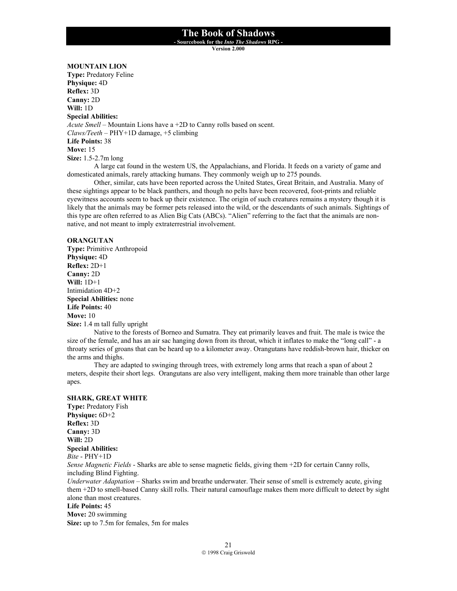**- Sourcebook for the** *Into The Shadows* **RPG -** 

**Version 2.000**

#### **MOUNTAIN LION**

**Type:** Predatory Feline **Physique:** 4D **Reflex:** 3D **Canny:** 2D **Will:** 1D **Special Abilities:** *Acute Smell* – Mountain Lions have a +2D to Canny rolls based on scent. *Claws/Teeth* – PHY+1D damage, +5 climbing **Life Points:** 38 **Move:** 15 **Size:** 1.5-2.7m long

A large cat found in the western US, the Appalachians, and Florida. It feeds on a variety of game and domesticated animals, rarely attacking humans. They commonly weigh up to 275 pounds.

Other, similar, cats have been reported across the United States, Great Britain, and Australia. Many of these sightings appear to be black panthers, and though no pelts have been recovered, foot-prints and reliable eyewitness accounts seem to back up their existence. The origin of such creatures remains a mystery though it is likely that the animals may be former pets released into the wild, or the descendants of such animals. Sightings of this type are often referred to as Alien Big Cats (ABCs). "Alien" referring to the fact that the animals are nonnative, and not meant to imply extraterrestrial involvement.

#### **ORANGUTAN**

**Type:** Primitive Anthropoid **Physique:** 4D **Reflex:** 2D+1 **Canny:** 2D **Will:** 1D+1 Intimidation 4D+2 **Special Abilities:** none **Life Points:** 40 **Move:** 10 **Size:** 1.4 m tall fully upright

Native to the forests of Borneo and Sumatra. They eat primarily leaves and fruit. The male is twice the size of the female, and has an air sac hanging down from its throat, which it inflates to make the "long call" - a throaty series of groans that can be heard up to a kilometer away. Orangutans have reddish-brown hair, thicker on the arms and thighs.

They are adapted to swinging through trees, with extremely long arms that reach a span of about 2 meters, despite their short legs. Orangutans are also very intelligent, making them more trainable than other large apes.

#### **SHARK, GREAT WHITE**

**Type:** Predatory Fish **Physique:** 6D+2 **Reflex:** 3D **Canny:** 3D **Will:** 2D **Special Abilities:** *Bite* - PHY+1D *Sense Magnetic Fields* - Sharks are able to sense magnetic fields, giving them +2D for certain Canny rolls, including Blind Fighting. *Underwater Adaptation* – Sharks swim and breathe underwater. Their sense of smell is extremely acute, giving them +2D to smell-based Canny skill rolls. Their natural camouflage makes them more difficult to detect by sight alone than most creatures. **Life Points:** 45

**Move:** 20 swimming **Size:** up to 7.5m for females, 5m for males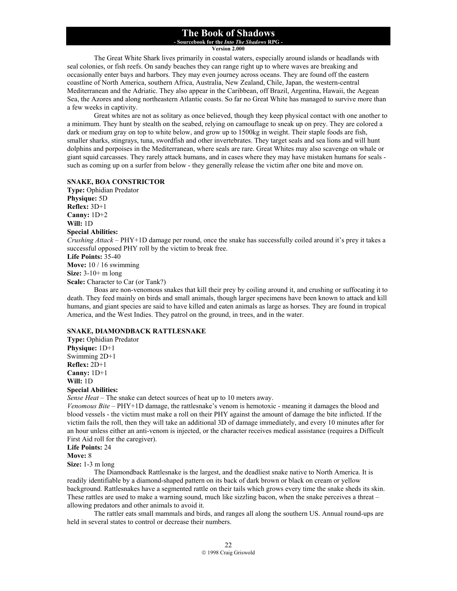**- Sourcebook for the** *Into The Shadows* **RPG -** 

**Version 2.000**

The Great White Shark lives primarily in coastal waters, especially around islands or headlands with seal colonies, or fish reefs. On sandy beaches they can range right up to where waves are breaking and occasionally enter bays and harbors. They may even journey across oceans. They are found off the eastern coastline of North America, southern Africa, Australia, New Zealand, Chile, Japan, the western-central Mediterranean and the Adriatic. They also appear in the Caribbean, off Brazil, Argentina, Hawaii, the Aegean Sea, the Azores and along northeastern Atlantic coasts. So far no Great White has managed to survive more than a few weeks in captivity.

Great whites are not as solitary as once believed, though they keep physical contact with one another to a minimum. They hunt by stealth on the seabed, relying on camouflage to sneak up on prey. They are colored a dark or medium gray on top to white below, and grow up to 1500kg in weight. Their staple foods are fish, smaller sharks, stingrays, tuna, swordfish and other invertebrates. They target seals and sea lions and will hunt dolphins and porpoises in the Mediterranean, where seals are rare. Great Whites may also scavenge on whale or giant squid carcasses. They rarely attack humans, and in cases where they may have mistaken humans for seals such as coming up on a surfer from below - they generally release the victim after one bite and move on.

#### **SNAKE, BOA CONSTRICTOR**

**Type:** Ophidian Predator **Physique:** 5D **Reflex:** 3D+1 **Canny:** 1D+2 **Will:** 1D **Special Abilities:** *Crushing Attack* – PHY+1D damage per round, once the snake has successfully coiled around it's prey it takes a successful opposed PHY roll by the victim to break free. **Life Points:** 35-40 **Move:** 10 / 16 swimming **Size:** 3-10+ m long **Scale:** Character to Car (or Tank?)

Boas are non-venomous snakes that kill their prey by coiling around it, and crushing or suffocating it to death. They feed mainly on birds and small animals, though larger specimens have been known to attack and kill humans, and giant species are said to have killed and eaten animals as large as horses. They are found in tropical America, and the West Indies. They patrol on the ground, in trees, and in the water.

#### **SNAKE, DIAMONDBACK RATTLESNAKE**

**Type:** Ophidian Predator **Physique:** 1D+1 Swimming 2D+1 **Reflex:** 2D+1 **Canny:** 1D+1 **Will:** 1D **Special Abilities:**

*Sense Heat* – The snake can detect sources of heat up to 10 meters away.

*Venomous Bite* – PHY+1D damage, the rattlesnake's venom is hemotoxic - meaning it damages the blood and blood vessels - the victim must make a roll on their PHY against the amount of damage the bite inflicted. If the victim fails the roll, then they will take an additional 3D of damage immediately, and every 10 minutes after for an hour unless either an anti-venom is injected, or the character receives medical assistance (requires a Difficult First Aid roll for the caregiver).

**Life Points:** 24

**Move:** 8

**Size:** 1-3 m long

The Diamondback Rattlesnake is the largest, and the deadliest snake native to North America. It is readily identifiable by a diamond-shaped pattern on its back of dark brown or black on cream or yellow background. Rattlesnakes have a segmented rattle on their tails which grows every time the snake sheds its skin. These rattles are used to make a warning sound, much like sizzling bacon, when the snake perceives a threat – allowing predators and other animals to avoid it.

 The rattler eats small mammals and birds, and ranges all along the southern US. Annual round-ups are held in several states to control or decrease their numbers.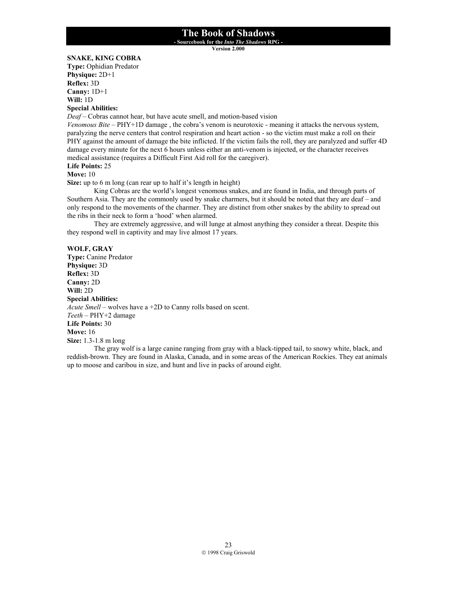**- Sourcebook for the** *Into The Shadows* **RPG - Version 2.000**

**SNAKE, KING COBRA** 

**Type:** Ophidian Predator **Physique:** 2D+1 **Reflex:** 3D **Canny:** 1D+1 **Will:** 1D

**Special Abilities:**

*Deaf* – Cobras cannot hear, but have acute smell, and motion-based vision

*Venomous Bite* – PHY+1D damage, the cobra's venom is neurotoxic - meaning it attacks the nervous system, paralyzing the nerve centers that control respiration and heart action - so the victim must make a roll on their PHY against the amount of damage the bite inflicted. If the victim fails the roll, they are paralyzed and suffer 4D damage every minute for the next 6 hours unless either an anti-venom is injected, or the character receives medical assistance (requires a Difficult First Aid roll for the caregiver).

#### **Life Points:** 25

**Move:** 10

**Size:** up to 6 m long (can rear up to half it's length in height)

King Cobras are the world's longest venomous snakes, and are found in India, and through parts of Southern Asia. They are the commonly used by snake charmers, but it should be noted that they are deaf – and only respond to the movements of the charmer. They are distinct from other snakes by the ability to spread out the ribs in their neck to form a 'hood' when alarmed.

 They are extremely aggressive, and will lunge at almost anything they consider a threat. Despite this they respond well in captivity and may live almost 17 years.

#### **WOLF, GRAY**

**Type:** Canine Predator **Physique:** 3D **Reflex:** 3D **Canny:** 2D **Will:** 2D **Special Abilities:** *Acute Smell* – wolves have a +2D to Canny rolls based on scent. *Teeth* – PHY+2 damage **Life Points:** 30 **Move:** 16 **Size:** 1.3-1.8 m long

The gray wolf is a large canine ranging from gray with a black-tipped tail, to snowy white, black, and reddish-brown. They are found in Alaska, Canada, and in some areas of the American Rockies. They eat animals up to moose and caribou in size, and hunt and live in packs of around eight.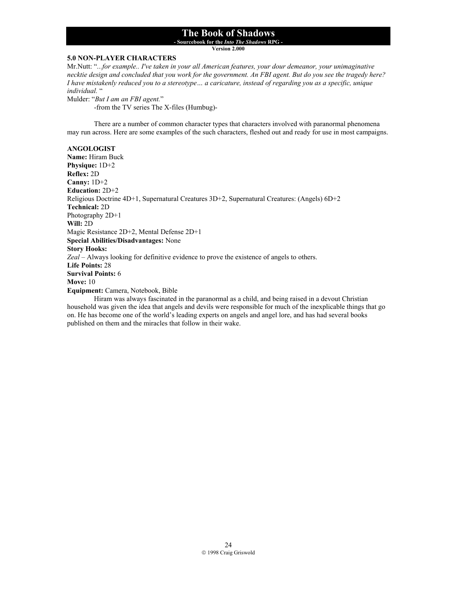**- Sourcebook for the** *Into The Shadows* **RPG -** 

**Version 2.000**

#### **5.0 NON-PLAYER CHARACTERS**

Mr.Nutt: "*...for example.. I've taken in your all American features, your dour demeanor, your unimaginative necktie design and concluded that you work for the government. An FBI agent. But do you see the tragedy here? I have mistakenly reduced you to a stereotype… a caricature, instead of regarding you as a specific, unique individual.* "

Mulder: "*But I am an FBI agent.*"

-from the TV series The X-files (Humbug)-

 There are a number of common character types that characters involved with paranormal phenomena may run across. Here are some examples of the such characters, fleshed out and ready for use in most campaigns.

#### **ANGOLOGIST**

**Name:** Hiram Buck **Physique:** 1D+2 **Reflex:** 2D **Canny:** 1D+2 **Education:** 2D+2 Religious Doctrine 4D+1, Supernatural Creatures 3D+2, Supernatural Creatures: (Angels) 6D+2 **Technical:** 2D Photography 2D+1 **Will:** 2D Magic Resistance 2D+2, Mental Defense 2D+1 **Special Abilities/Disadvantages:** None **Story Hooks:** *Zeal* – Always looking for definitive evidence to prove the existence of angels to others. **Life Points:** 28 **Survival Points:** 6 **Move:** 10 **Equipment:** Camera, Notebook, Bible

Hiram was always fascinated in the paranormal as a child, and being raised in a devout Christian household was given the idea that angels and devils were responsible for much of the inexplicable things that go on. He has become one of the world's leading experts on angels and angel lore, and has had several books published on them and the miracles that follow in their wake.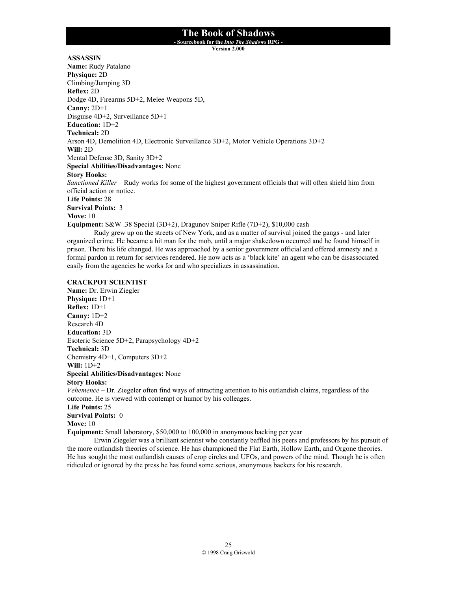**- Sourcebook for the** *Into The Shadows* **RPG -** 

**Version 2.000**

**ASSASSIN**

**Name:** Rudy Patalano **Physique:** 2D Climbing/Jumping 3D **Reflex:** 2D Dodge 4D, Firearms 5D+2, Melee Weapons 5D, **Canny:** 2D+1 Disguise 4D+2, Surveillance 5D+1 **Education:** 1D+2 **Technical:** 2D Arson 4D, Demolition 4D, Electronic Surveillance 3D+2, Motor Vehicle Operations 3D+2 **Will:** 2D Mental Defense 3D, Sanity 3D+2 **Special Abilities/Disadvantages:** None **Story Hooks:** *Sanctioned Killer* – Rudy works for some of the highest government officials that will often shield him from official action or notice. **Life Points:** 28 **Survival Points:** 3 **Move:** 10 **Equipment:** S&W .38 Special (3D+2), Dragunov Sniper Rifle (7D+2), \$10,000 cash Rudy grew up on the streets of New York, and as a matter of survival joined the gangs - and later

organized crime. He became a hit man for the mob, until a major shakedown occurred and he found himself in prison. There his life changed. He was approached by a senior government official and offered amnesty and a formal pardon in return for services rendered. He now acts as a 'black kite' an agent who can be disassociated easily from the agencies he works for and who specializes in assassination.

#### **CRACKPOT SCIENTIST**

**Name:** Dr. Erwin Ziegler **Physique:** 1D+1 **Reflex:** 1D+1 **Canny:** 1D+2 Research 4D **Education:** 3D Esoteric Science 5D+2, Parapsychology 4D+2 **Technical:** 3D Chemistry 4D+1, Computers 3D+2 **Will:** 1D+2 **Special Abilities/Disadvantages:** None **Story Hooks:** *Vehemence* – Dr. Ziegeler often find ways of attracting attention to his outlandish claims, regardless of the

outcome. He is viewed with contempt or humor by his colleages. **Life Points:** 25 **Survival Points:** 0 **Move:** 10

**Equipment:** Small laboratory, \$50,000 to 100,000 in anonymous backing per year

Erwin Ziegeler was a brilliant scientist who constantly baffled his peers and professors by his pursuit of the more outlandish theories of science. He has championed the Flat Earth, Hollow Earth, and Orgone theories. He has sought the most outlandish causes of crop circles and UFOs, and powers of the mind. Though he is often ridiculed or ignored by the press he has found some serious, anonymous backers for his research.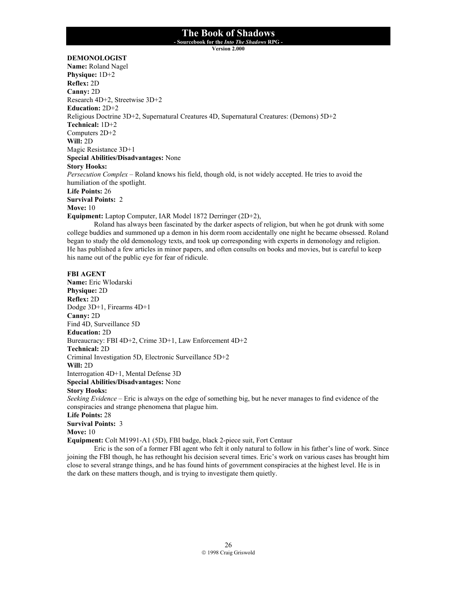**- Sourcebook for the** *Into The Shadows* **RPG -** 

**Version 2.000**

#### **DEMONOLOGIST**

**Name:** Roland Nagel **Physique:** 1D+2 **Reflex:** 2D **Canny:** 2D Research 4D+2, Streetwise 3D+2 **Education:** 2D+2 Religious Doctrine 3D+2, Supernatural Creatures 4D, Supernatural Creatures: (Demons) 5D+2 **Technical:** 1D+2 Computers 2D+2 **Will:** 2D Magic Resistance 3D+1 **Special Abilities/Disadvantages:** None **Story Hooks:** *Persecution Complex* – Roland knows his field, though old, is not widely accepted. He tries to avoid the humiliation of the spotlight. **Life Points:** 26 **Survival Points:** 2 **Move:** 10 **Equipment:** Laptop Computer, IAR Model 1872 Derringer (2D+2),

Roland has always been fascinated by the darker aspects of religion, but when he got drunk with some college buddies and summoned up a demon in his dorm room accidentally one night he became obsessed. Roland began to study the old demonology texts, and took up corresponding with experts in demonology and religion. He has published a few articles in minor papers, and often consults on books and movies, but is careful to keep his name out of the public eye for fear of ridicule.

#### **FBI AGENT**

**Name:** Eric Wlodarski **Physique:** 2D **Reflex:** 2D Dodge 3D+1, Firearms 4D+1 **Canny:** 2D Find 4D, Surveillance 5D **Education:** 2D Bureaucracy: FBI 4D+2, Crime 3D+1, Law Enforcement 4D+2 **Technical:** 2D Criminal Investigation 5D, Electronic Surveillance 5D+2 **Will:** 2D Interrogation 4D+1, Mental Defense 3D **Special Abilities/Disadvantages:** None **Story Hooks:** *Seeking Evidence* – Eric is always on the edge of something big, but he never manages to find evidence of the conspiracies and strange phenomena that plague him. **Life Points:** 28 **Survival Points:** 3 **Move:** 10 **Equipment:** Colt M1991-A1 (5D), FBI badge, black 2-piece suit, Fort Centaur

Eric is the son of a former FBI agent who felt it only natural to follow in his father's line of work. Since joining the FBI though, he has rethought his decision several times. Eric's work on various cases has brought him close to several strange things, and he has found hints of government conspiracies at the highest level. He is in the dark on these matters though, and is trying to investigate them quietly.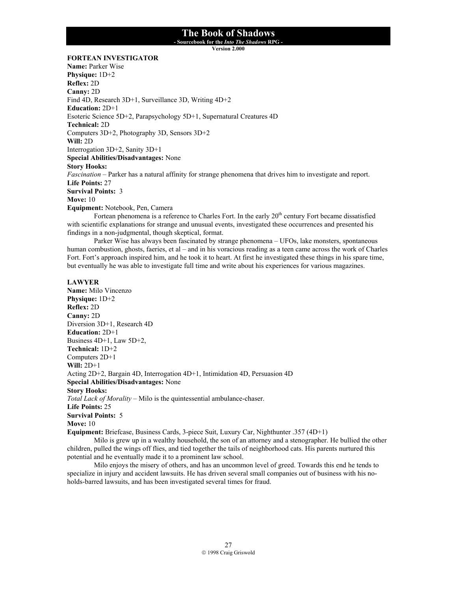**- Sourcebook for the** *Into The Shadows* **RPG -** 

**Version 2.000**

#### **FORTEAN INVESTIGATOR**

**Name:** Parker Wise **Physique:** 1D+2 **Reflex:** 2D **Canny:** 2D Find 4D, Research 3D+1, Surveillance 3D, Writing 4D+2 **Education:** 2D+1 Esoteric Science 5D+2, Parapsychology 5D+1, Supernatural Creatures 4D **Technical:** 2D Computers 3D+2, Photography 3D, Sensors 3D+2 **Will:** 2D Interrogation 3D+2, Sanity 3D+1 **Special Abilities/Disadvantages:** None **Story Hooks:** *Fascination* – Parker has a natural affinity for strange phenomena that drives him to investigate and report. **Life Points:** 27 **Survival Points:** 3 **Move:** 10 **Equipment:** Notebook, Pen, Camera

Fortean phenomena is a reference to Charles Fort. In the early  $20<sup>th</sup>$  century Fort became dissatisfied with scientific explanations for strange and unusual events, investigated these occurrences and presented his findings in a non-judgmental, though skeptical, format.

 Parker Wise has always been fascinated by strange phenomena – UFOs, lake monsters, spontaneous human combustion, ghosts, faeries, et al – and in his voracious reading as a teen came across the work of Charles Fort. Fort's approach inspired him, and he took it to heart. At first he investigated these things in his spare time, but eventually he was able to investigate full time and write about his experiences for various magazines.

#### **LAWYER**

**Name:** Milo Vincenzo **Physique:** 1D+2 **Reflex:** 2D **Canny:** 2D Diversion 3D+1, Research 4D **Education:** 2D+1 Business 4D+1, Law 5D+2, **Technical:** 1D+2 Computers 2D+1 **Will:** 2D+1 Acting 2D+2, Bargain 4D, Interrogation 4D+1, Intimidation 4D, Persuasion 4D **Special Abilities/Disadvantages:** None **Story Hooks:** *Total Lack of Morality* – Milo is the quintessential ambulance-chaser. **Life Points:** 25 **Survival Points:** 5 **Move:** 10 **Equipment:** Briefcase, Business Cards, 3-piece Suit, Luxury Car, Nighthunter .357 (4D+1)

 Milo is grew up in a wealthy household, the son of an attorney and a stenographer. He bullied the other children, pulled the wings off flies, and tied together the tails of neighborhood cats. His parents nurtured this potential and he eventually made it to a prominent law school.

 Milo enjoys the misery of others, and has an uncommon level of greed. Towards this end he tends to specialize in injury and accident lawsuits. He has driven several small companies out of business with his noholds-barred lawsuits, and has been investigated several times for fraud.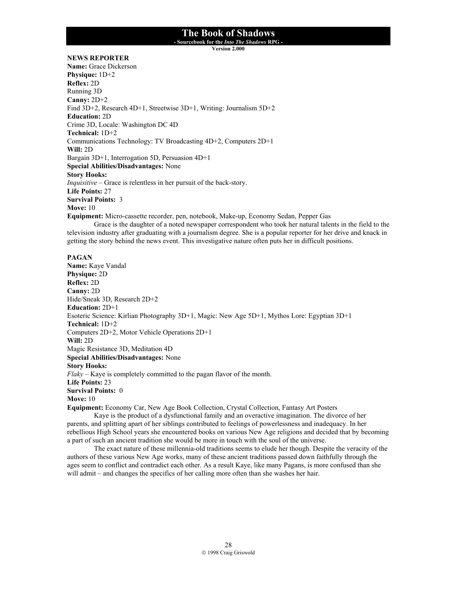**- Sourcebook for the** *Into The Shadows* **RPG -** 

**Version 2.000**

#### **NEWS REPORTER**

**Name:** Grace Dickerson **Physique:** 1D+2 **Reflex:** 2D Running 3D **Canny:** 2D+2 Find 3D+2, Research 4D+1, Streetwise 3D+1, Writing: Journalism 5D+2 **Education:** 2D Crime 3D, Locale: Washington DC 4D **Technical:** 1D+2 Communications Technology: TV Broadcasting 4D+2, Computers 2D+1 **Will:** 2D Bargain 3D+1, Interrogation 5D, Persuasion 4D+1 **Special Abilities/Disadvantages:** None **Story Hooks:** *Inquisitive* – Grace is relentless in her pursuit of the back-story. **Life Points:** 27 **Survival Points:** 3 **Move:** 10

**Equipment:** Micro-cassette recorder, pen, notebook, Make-up, Economy Sedan, Pepper Gas

 Grace is the daughter of a noted newspaper correspondent who took her natural talents in the field to the television industry after graduating with a journalism degree. She is a popular reporter for her drive and knack in getting the story behind the news event. This investigative nature often puts her in difficult positions.

#### **PAGAN**

**Name:** Kaye Vandal **Physique:** 2D **Reflex:** 2D **Canny:** 2D Hide/Sneak 3D, Research 2D+2 **Education:** 2D+1 Esoteric Science: Kirlian Photography 3D+1, Magic: New Age 5D+1, Mythos Lore: Egyptian 3D+1 **Technical:** 1D+2 Computers 2D+2, Motor Vehicle Operations 2D+1 **Will:** 2D Magic Resistance 3D, Meditation 4D **Special Abilities/Disadvantages:** None **Story Hooks:** *Flaky* – Kaye is completely committed to the pagan flavor of the month. **Life Points:** 23 **Survival Points:** 0 **Move:** 10

**Equipment:** Economy Car, New Age Book Collection, Crystal Collection, Fantasy Art Posters

 Kaye is the product of a dysfunctional family and an overactive imagination. The divorce of her parents, and splitting apart of her siblings contributed to feelings of powerlessness and inadequacy. In her rebellious High School years she encountered books on various New Age religions and decided that by becoming a part of such an ancient tradition she would be more in touch with the soul of the universe.

 The exact nature of these millennia-old traditions seems to elude her though. Despite the veracity of the authors of these various New Age works, many of these ancient traditions passed down faithfully through the ages seem to conflict and contradict each other. As a result Kaye, like many Pagans, is more confused than she will admit – and changes the specifics of her calling more often than she washes her hair.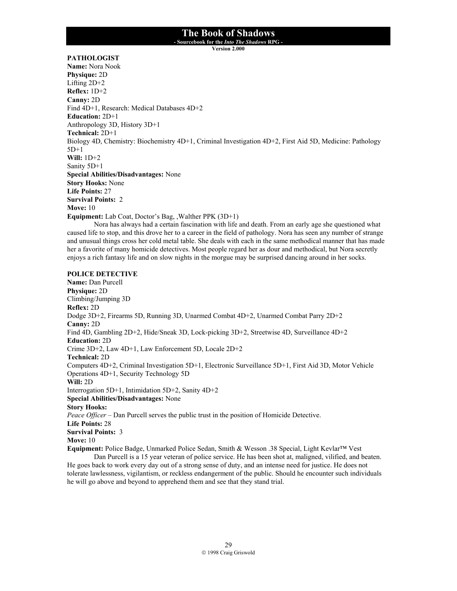**- Sourcebook for the** *Into The Shadows* **RPG -** 

**Version 2.000**

#### **PATHOLOGIST**

**Name:** Nora Nook **Physique:** 2D Lifting 2D+2 **Reflex:** 1D+2 **Canny:** 2D Find 4D+1, Research: Medical Databases 4D+2 **Education:** 2D+1 Anthropology 3D, History 3D+1 **Technical:** 2D+1 Biology 4D, Chemistry: Biochemistry 4D+1, Criminal Investigation 4D+2, First Aid 5D, Medicine: Pathology 5D+1 **Will:** 1D+2 Sanity 5D+1 **Special Abilities/Disadvantages:** None **Story Hooks:** None **Life Points:** 27 **Survival Points:** 2 **Move:** 10 **Equipment:** Lab Coat, Doctor's Bag, ,Walther PPK (3D+1) Nora has always had a certain fascination with life and death. From an early age she questioned what

caused life to stop, and this drove her to a career in the field of pathology. Nora has seen any number of strange and unusual things cross her cold metal table. She deals with each in the same methodical manner that has made her a favorite of many homicide detectives. Most people regard her as dour and methodical, but Nora secretly enjoys a rich fantasy life and on slow nights in the morgue may be surprised dancing around in her socks.

#### **POLICE DETECTIVE**

**Name:** Dan Purcell **Physique:** 2D Climbing/Jumping 3D **Reflex:** 2D Dodge 3D+2, Firearms 5D, Running 3D, Unarmed Combat 4D+2, Unarmed Combat Parry 2D+2 **Canny:** 2D Find 4D, Gambling 2D+2, Hide/Sneak 3D, Lock-picking 3D+2, Streetwise 4D, Surveillance 4D+2 **Education:** 2D Crime 3D+2, Law 4D+1, Law Enforcement 5D, Locale 2D+2 **Technical:** 2D Computers 4D+2, Criminal Investigation 5D+1, Electronic Surveillance 5D+1, First Aid 3D, Motor Vehicle Operations 4D+1, Security Technology 5D **Will:** 2D Interrogation 5D+1, Intimidation 5D+2, Sanity 4D+2 **Special Abilities/Disadvantages:** None **Story Hooks:** *Peace Officer* – Dan Purcell serves the public trust in the position of Homicide Detective. **Life Points:** 28 **Survival Points:** 3 **Move:** 10 **Equipment:** Police Badge, Unmarked Police Sedan, Smith & Wesson .38 Special, Light Kevlar™ Vest Dan Purcell is a 15 year veteran of police service. He has been shot at, maligned, vilified, and beaten.

He goes back to work every day out of a strong sense of duty, and an intense need for justice. He does not tolerate lawlessness, vigilantism, or reckless endangerment of the public. Should he encounter such individuals he will go above and beyond to apprehend them and see that they stand trial.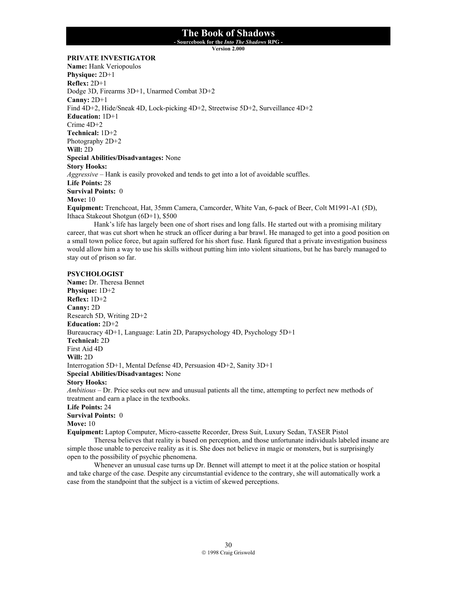**- Sourcebook for the** *Into The Shadows* **RPG -** 

**Version 2.000**

#### **PRIVATE INVESTIGATOR**

**Name:** Hank Veriopoulos **Physique:** 2D+1 **Reflex:** 2D+1 Dodge 3D, Firearms 3D+1, Unarmed Combat 3D+2 **Canny:** 2D+1 Find 4D+2, Hide/Sneak 4D, Lock-picking 4D+2, Streetwise 5D+2, Surveillance 4D+2 **Education:** 1D+1 Crime 4D+2 **Technical:** 1D+2 Photography 2D+2 **Will:** 2D **Special Abilities/Disadvantages:** None **Story Hooks:** *Aggressive* – Hank is easily provoked and tends to get into a lot of avoidable scuffles. **Life Points:** 28 **Survival Points:** 0 **Move:** 10 **Equipment:** Trenchcoat, Hat, 35mm Camera, Camcorder, White Van, 6-pack of Beer, Colt M1991-A1 (5D), Ithaca Stakeout Shotgun (6D+1), \$500

Hank's life has largely been one of short rises and long falls. He started out with a promising military career, that was cut short when he struck an officer during a bar brawl. He managed to get into a good position on a small town police force, but again suffered for his short fuse. Hank figured that a private investigation business would allow him a way to use his skills without putting him into violent situations, but he has barely managed to stay out of prison so far.

#### **PSYCHOLOGIST**

**Name:** Dr. Theresa Bennet **Physique:** 1D+2 **Reflex:** 1D+2 **Canny:** 2D Research 5D, Writing 2D+2 **Education:** 2D+2 Bureaucracy 4D+1, Language: Latin 2D, Parapsychology 4D, Psychology 5D+1 **Technical:** 2D First Aid 4D **Will:** 2D Interrogation 5D+1, Mental Defense 4D, Persuasion 4D+2, Sanity 3D+1 **Special Abilities/Disadvantages:** None **Story Hooks:** *Ambitious* – Dr. Price seeks out new and unusual patients all the time, attempting to perfect new methods of treatment and earn a place in the textbooks. **Life Points:** 24 **Survival Points:** 0 **Move:** 10

**Equipment:** Laptop Computer, Micro-cassette Recorder, Dress Suit, Luxury Sedan, TASER Pistol

Theresa believes that reality is based on perception, and those unfortunate individuals labeled insane are simple those unable to perceive reality as it is. She does not believe in magic or monsters, but is surprisingly open to the possibility of psychic phenomena.

Whenever an unusual case turns up Dr. Bennet will attempt to meet it at the police station or hospital and take charge of the case. Despite any circumstantial evidence to the contrary, she will automatically work a case from the standpoint that the subject is a victim of skewed perceptions.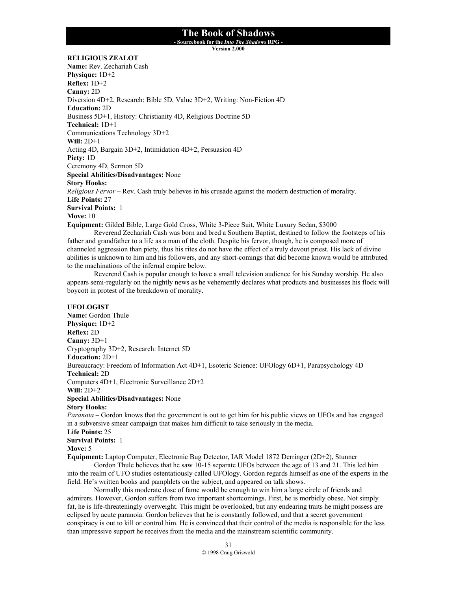**- Sourcebook for the** *Into The Shadows* **RPG -** 

**Version 2.000**

#### **RELIGIOUS ZEALOT**

**Name:** Rev. Zechariah Cash **Physique:** 1D+2 **Reflex:** 1D+2 **Canny:** 2D Diversion 4D+2, Research: Bible 5D, Value 3D+2, Writing: Non-Fiction 4D **Education:** 2D Business 5D+1, History: Christianity 4D, Religious Doctrine 5D **Technical:** 1D+1 Communications Technology 3D+2 **Will:** 2D+1 Acting 4D, Bargain 3D+2, Intimidation 4D+2, Persuasion 4D **Piety:** 1D Ceremony 4D, Sermon 5D **Special Abilities/Disadvantages:** None **Story Hooks:** *Religious Fervor* – Rev. Cash truly believes in his crusade against the modern destruction of morality. **Life Points:** 27 **Survival Points:** 1 **Move:** 10 **Equipment:** Gilded Bible, Large Gold Cross, White 3-Piece Suit, White Luxury Sedan, \$3000 Reverend Zechariah Cash was born and bred a Southern Baptist, destined to follow the footsteps of his

father and grandfather to a life as a man of the cloth. Despite his fervor, though, he is composed more of channeled aggression than piety, thus his rites do not have the effect of a truly devout priest. His lack of divine abilities is unknown to him and his followers, and any short-comings that did become known would be attributed to the machinations of the infernal empire below.

 Reverend Cash is popular enough to have a small television audience for his Sunday worship. He also appears semi-regularly on the nightly news as he vehemently declares what products and businesses his flock will boycott in protest of the breakdown of morality.

#### **UFOLOGIST**

**Name:** Gordon Thule **Physique:** 1D+2 **Reflex:** 2D **Canny:** 3D+1 Cryptography 3D+2, Research: Internet 5D **Education:** 2D+1 Bureaucracy: Freedom of Information Act 4D+1, Esoteric Science: UFOlogy 6D+1, Parapsychology 4D **Technical:** 2D Computers 4D+1, Electronic Surveillance 2D+2 **Will:** 2D+2 **Special Abilities/Disadvantages:** None **Story Hooks:** *Paranoia* – Gordon knows that the government is out to get him for his public views on UFOs and has engaged in a subversive smear campaign that makes him difficult to take seriously in the media.

**Life Points:** 25

#### **Survival Points:** 1

**Move:** 5

**Equipment:** Laptop Computer, Electronic Bug Detector, IAR Model 1872 Derringer (2D+2), Stunner

 Gordon Thule believes that he saw 10-15 separate UFOs between the age of 13 and 21. This led him into the realm of UFO studies ostentatiously called UFOlogy. Gordon regards himself as one of the experts in the field. He's written books and pamphlets on the subject, and appeared on talk shows.

 Normally this moderate dose of fame would be enough to win him a large circle of friends and admirers. However, Gordon suffers from two important shortcomings. First, he is morbidly obese. Not simply fat, he is life-threateningly overweight. This might be overlooked, but any endearing traits he might possess are eclipsed by acute paranoia. Gordon believes that he is constantly followed, and that a secret government conspiracy is out to kill or control him. He is convinced that their control of the media is responsible for the less than impressive support he receives from the media and the mainstream scientific community.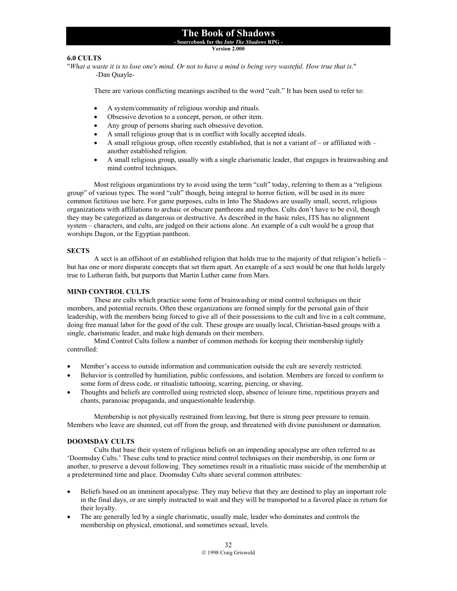#### **- Sourcebook for the** *Into The Shadows* **RPG -**

**Version 2.000**

#### **6.0 CULTS**

"*What a waste it is to lose one's mind. Or not to have a mind is being very wasteful. How true that is.*" -Dan Quayle-

There are various conflicting meanings ascribed to the word "cult." It has been used to refer to:

- A system/community of religious worship and rituals.
- Obsessive devotion to a concept, person, or other item.
- Any group of persons sharing such obsessive devotion.
- A small religious group that is in conflict with locally accepted ideals.
- A small religious group, often recently established, that is not a variant of or affiliated with another established religion.
- A small religious group, usually with a single charismatic leader, that engages in brainwashing and mind control techniques.

Most religious organizations try to avoid using the term "cult" today, referring to them as a "religious group" of various types. The word "cult" though, being integral to horror fiction, will be used in its more common fictitious use here. For game purposes, cults in Into The Shadows are usually small, secret, religious organizations with affiliations to archaic or obscure pantheons and mythos. Cults don't have to be evil, though they may be categorized as dangerous or destructive. As described in the basic rules, ITS has no alignment system – characters, and cults, are judged on their actions alone. An example of a cult would be a group that worships Dagon, or the Egyptian pantheon.

#### **SECTS**

 A sect is an offshoot of an established religion that holds true to the majority of that religion's beliefs – but has one or more disparate concepts that set them apart. An example of a sect would be one that holds largely true to Lutheran faith, but purports that Martin Luther came from Mars.

#### **MIND CONTROL CULTS**

 These are cults which practice some form of brainwashing or mind control techniques on their members, and potential recruits. Often these organizations are formed simply for the personal gain of their leadership, with the members being forced to give all of their possessions to the cult and live in a cult commune, doing free manual labor for the good of the cult. These groups are usually local, Christian-based groups with a single, charismatic leader, and make high demands on their members.

 Mind Control Cults follow a number of common methods for keeping their membership tightly controlled:

- Member's access to outside information and communication outside the cult are severely restricted.
- Behavior is controlled by humiliation, public confessions, and isolation. Members are forced to conform to some form of dress code, or ritualistic tattooing, scarring, piercing, or shaving.
- Thoughts and beliefs are controlled using restricted sleep, absence of leisure time, repetitious prayers and chants, paranoiac propaganda, and unquestionable leadership.

Membership is not physically restrained from leaving, but there is strong peer pressure to remain. Members who leave are shunned, cut off from the group, and threatened with divine punishment or damnation.

#### **DOOMSDAY CULTS**

 Cults that base their system of religious beliefs on an impending apocalypse are often referred to as 'Doomsday Cults.' These cults tend to practice mind control techniques on their membership, in one form or another, to preserve a devout following. They sometimes result in a ritualistic mass suicide of the membership at a predetermined time and place. Doomsday Cults share several common attributes:

- Beliefs based on an imminent apocalypse. They may believe that they are destined to play an important role in the final days, or are simply instructed to wait and they will be transported to a favored place in return for their loyalty.
- The are generally led by a single charismatic, usually male, leader who dominates and controls the membership on physical, emotional, and sometimes sexual, levels.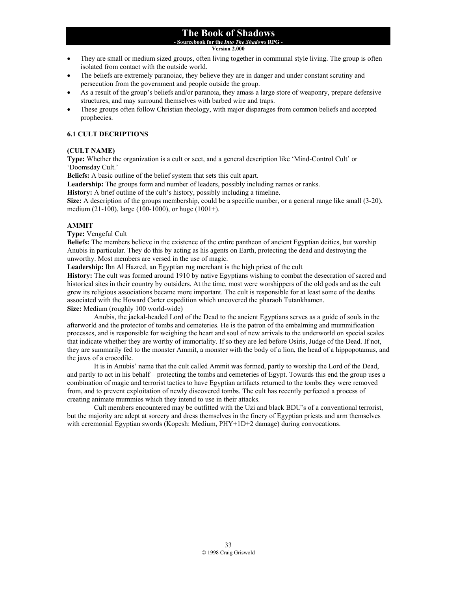**- Sourcebook for the** *Into The Shadows* **RPG -** 

**Version 2.000**

- They are small or medium sized groups, often living together in communal style living. The group is often isolated from contact with the outside world.
- The beliefs are extremely paranoiac, they believe they are in danger and under constant scrutiny and persecution from the government and people outside the group.
- As a result of the group's beliefs and/or paranoia, they amass a large store of weaponry, prepare defensive structures, and may surround themselves with barbed wire and traps.
- These groups often follow Christian theology, with major disparages from common beliefs and accepted prophecies.

#### **6.1 CULT DECRIPTIONS**

#### **(CULT NAME)**

**Type:** Whether the organization is a cult or sect, and a general description like 'Mind-Control Cult' or 'Doomsday Cult.'

**Beliefs:** A basic outline of the belief system that sets this cult apart.

**Leadership:** The groups form and number of leaders, possibly including names or ranks.

**History:** A brief outline of the cult's history, possibly including a timeline.

**Size:** A description of the groups membership, could be a specific number, or a general range like small (3-20), medium (21-100), large (100-1000), or huge (1001+).

#### **AMMIT**

**Type:** Vengeful Cult

**Beliefs:** The members believe in the existence of the entire pantheon of ancient Egyptian deities, but worship Anubis in particular. They do this by acting as his agents on Earth, protecting the dead and destroying the unworthy. Most members are versed in the use of magic.

**Leadership:** Ibn Al Hazred, an Egyptian rug merchant is the high priest of the cult

**History:** The cult was formed around 1910 by native Egyptians wishing to combat the desecration of sacred and historical sites in their country by outsiders. At the time, most were worshippers of the old gods and as the cult grew its religious associations became more important. The cult is responsible for at least some of the deaths associated with the Howard Carter expedition which uncovered the pharaoh Tutankhamen. **Size:** Medium (roughly 100 world-wide)

 Anubis, the jackal-headed Lord of the Dead to the ancient Egyptians serves as a guide of souls in the afterworld and the protector of tombs and cemeteries. He is the patron of the embalming and mummification processes, and is responsible for weighing the heart and soul of new arrivals to the underworld on special scales that indicate whether they are worthy of immortality. If so they are led before Osiris, Judge of the Dead. If not, they are summarily fed to the monster Ammit, a monster with the body of a lion, the head of a hippopotamus, and the jaws of a crocodile.

 It is in Anubis' name that the cult called Ammit was formed, partly to worship the Lord of the Dead, and partly to act in his behalf – protecting the tombs and cemeteries of Egypt. Towards this end the group uses a combination of magic and terrorist tactics to have Egyptian artifacts returned to the tombs they were removed from, and to prevent exploitation of newly discovered tombs. The cult has recently perfected a process of creating animate mummies which they intend to use in their attacks.

 Cult members encountered may be outfitted with the Uzi and black BDU's of a conventional terrorist, but the majority are adept at sorcery and dress themselves in the finery of Egyptian priests and arm themselves with ceremonial Egyptian swords (Kopesh: Medium, PHY+1D+2 damage) during convocations.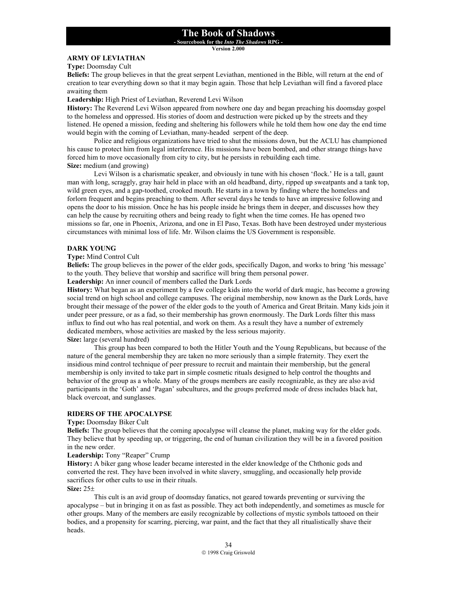**- Sourcebook for the** *Into The Shadows* **RPG -** 

**Version 2.000**

#### **ARMY OF LEVIATHAN**

**Type:** Doomsday Cult

**Beliefs:** The group believes in that the great serpent Leviathan, mentioned in the Bible, will return at the end of creation to tear everything down so that it may begin again. Those that help Leviathan will find a favored place awaiting them

#### **Leadership:** High Priest of Leviathan, Reverend Levi Wilson

**History:** The Reverend Levi Wilson appeared from nowhere one day and began preaching his doomsday gospel to the homeless and oppressed. His stories of doom and destruction were picked up by the streets and they listened. He opened a mission, feeding and sheltering his followers while he told them how one day the end time would begin with the coming of Leviathan, many-headed serpent of the deep.

 Police and religious organizations have tried to shut the missions down, but the ACLU has championed his cause to protect him from legal interference. His missions have been bombed, and other strange things have forced him to move occasionally from city to city, but he persists in rebuilding each time. **Size:** medium (and growing)

Levi Wilson is a charismatic speaker, and obviously in tune with his chosen 'flock.' He is a tall, gaunt man with long, scraggly, gray hair held in place with an old headband, dirty, ripped up sweatpants and a tank top, wild green eyes, and a gap-toothed, crooked mouth. He starts in a town by finding where the homeless and forlorn frequent and begins preaching to them. After several days he tends to have an impressive following and opens the door to his mission. Once he has his people inside he brings them in deeper, and discusses how they can help the cause by recruiting others and being ready to fight when the time comes. He has opened two missions so far, one in Phoenix, Arizona, and one in El Paso, Texas. Both have been destroyed under mysterious circumstances with minimal loss of life. Mr. Wilson claims the US Government is responsible.

#### **DARK YOUNG**

#### **Type:** Mind Control Cult

**Beliefs:** The group believes in the power of the elder gods, specifically Dagon, and works to bring 'his message' to the youth. They believe that worship and sacrifice will bring them personal power.

**Leadership:** An inner council of members called the Dark Lords

**History:** What began as an experiment by a few college kids into the world of dark magic, has become a growing social trend on high school and college campuses. The original membership, now known as the Dark Lords, have brought their message of the power of the elder gods to the youth of America and Great Britain. Many kids join it under peer pressure, or as a fad, so their membership has grown enormously. The Dark Lords filter this mass influx to find out who has real potential, and work on them. As a result they have a number of extremely dedicated members, whose activities are masked by the less serious majority. **Size:** large (several hundred)

This group has been compared to both the Hitler Youth and the Young Republicans, but because of the nature of the general membership they are taken no more seriously than a simple fraternity. They exert the insidious mind control technique of peer pressure to recruit and maintain their membership, but the general membership is only invited to take part in simple cosmetic rituals designed to help control the thoughts and behavior of the group as a whole. Many of the groups members are easily recognizable, as they are also avid participants in the 'Goth' and 'Pagan' subcultures, and the groups preferred mode of dress includes black hat, black overcoat, and sunglasses.

#### **RIDERS OF THE APOCALYPSE**

**Type:** Doomsday Biker Cult

**Beliefs:** The group believes that the coming apocalypse will cleanse the planet, making way for the elder gods. They believe that by speeding up, or triggering, the end of human civilization they will be in a favored position in the new order.

#### **Leadership:** Tony "Reaper" Crump

**History:** A biker gang whose leader became interested in the elder knowledge of the Chthonic gods and converted the rest. They have been involved in white slavery, smuggling, and occasionally help provide sacrifices for other cults to use in their rituals.

#### **Size:** 25±

This cult is an avid group of doomsday fanatics, not geared towards preventing or surviving the apocalypse – but in bringing it on as fast as possible. They act both independently, and sometimes as muscle for other groups. Many of the members are easily recognizable by collections of mystic symbols tattooed on their bodies, and a propensity for scarring, piercing, war paint, and the fact that they all ritualistically shave their heads.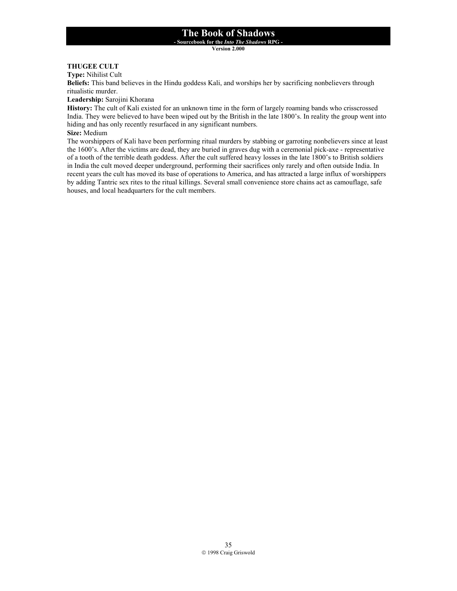**- Sourcebook for the** *Into The Shadows* **RPG -** 

**Version 2.000**

# **THUGEE CULT**

**Type:** Nihilist Cult

**Beliefs:** This band believes in the Hindu goddess Kali, and worships her by sacrificing nonbelievers through ritualistic murder.

**Leadership:** Sarojini Khorana

**History:** The cult of Kali existed for an unknown time in the form of largely roaming bands who crisscrossed India. They were believed to have been wiped out by the British in the late 1800's. In reality the group went into hiding and has only recently resurfaced in any significant numbers.

**Size:** Medium

The worshippers of Kali have been performing ritual murders by stabbing or garroting nonbelievers since at least the 1600's. After the victims are dead, they are buried in graves dug with a ceremonial pick-axe - representative of a tooth of the terrible death goddess. After the cult suffered heavy losses in the late 1800's to British soldiers in India the cult moved deeper underground, performing their sacrifices only rarely and often outside India. In recent years the cult has moved its base of operations to America, and has attracted a large influx of worshippers by adding Tantric sex rites to the ritual killings. Several small convenience store chains act as camouflage, safe houses, and local headquarters for the cult members.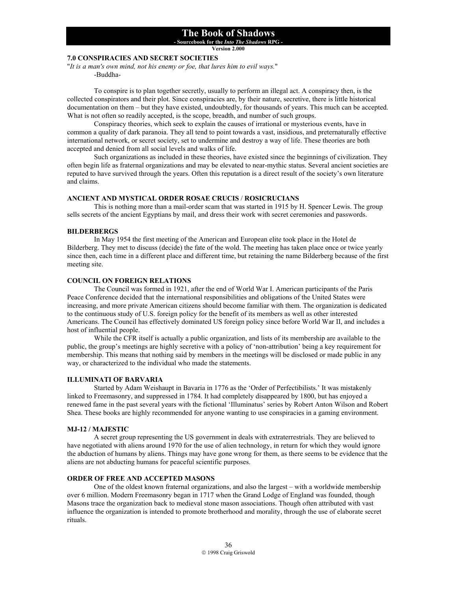**- Sourcebook for the** *Into The Shadows* **RPG -** 

#### **Version 2.000**

# **7.0 CONSPIRACIES AND SECRET SOCIETIES**

"*It is a man's own mind, not his enemy or foe, that lures him to evil ways.*" -Buddha-

 To conspire is to plan together secretly, usually to perform an illegal act. A conspiracy then, is the collected conspirators and their plot. Since conspiracies are, by their nature, secretive, there is little historical documentation on them – but they have existed, undoubtedly, for thousands of years. This much can be accepted. What is not often so readily accepted, is the scope, breadth, and number of such groups.

 Conspiracy theories, which seek to explain the causes of irrational or mysterious events, have in common a quality of dark paranoia. They all tend to point towards a vast, insidious, and preternaturally effective international network, or secret society, set to undermine and destroy a way of life. These theories are both accepted and denied from all social levels and walks of life.

 Such organizations as included in these theories, have existed since the beginnings of civilization. They often begin life as fraternal organizations and may be elevated to near-mythic status. Several ancient societies are reputed to have survived through the years. Often this reputation is a direct result of the society's own literature and claims.

#### **ANCIENT AND MYSTICAL ORDER ROSAE CRUCIS** / **ROSICRUCIANS**

This is nothing more than a mail-order scam that was started in 1915 by H. Spencer Lewis. The group sells secrets of the ancient Egyptians by mail, and dress their work with secret ceremonies and passwords.

#### **BILDERBERGS**

In May 1954 the first meeting of the American and European elite took place in the Hotel de Bilderberg. They met to discuss (decide) the fate of the wold. The meeting has taken place once or twice yearly since then, each time in a different place and different time, but retaining the name Bilderberg because of the first meeting site.

#### **COUNCIL ON FOREIGN RELATIONS**

The Council was formed in 1921, after the end of World War I. American participants of the Paris Peace Conference decided that the international responsibilities and obligations of the United States were increasing, and more private American citizens should become familiar with them. The organization is dedicated to the continuous study of U.S. foreign policy for the benefit of its members as well as other interested Americans. The Council has effectively dominated US foreign policy since before World War II, and includes a host of influential people.

While the CFR itself is actually a public organization, and lists of its membership are available to the public, the group's meetings are highly secretive with a policy of 'non-attribution' being a key requirement for membership. This means that nothing said by members in the meetings will be disclosed or made public in any way, or characterized to the individual who made the statements.

#### **ILLUMINATI OF BARVARIA**

Started by Adam Weishaupt in Bavaria in 1776 as the 'Order of Perfectibilists.' It was mistakenly linked to Freemasonry, and suppressed in 1784. It had completely disappeared by 1800, but has enjoyed a renewed fame in the past several years with the fictional 'Illuminatus' series by Robert Anton Wilson and Robert Shea. These books are highly recommended for anyone wanting to use conspiracies in a gaming environment.

#### **MJ-12 / MAJESTIC**

 A secret group representing the US government in deals with extraterrestrials. They are believed to have negotiated with aliens around 1970 for the use of alien technology, in return for which they would ignore the abduction of humans by aliens. Things may have gone wrong for them, as there seems to be evidence that the aliens are not abducting humans for peaceful scientific purposes.

#### **ORDER OF FREE AND ACCEPTED MASONS**

One of the oldest known fraternal organizations, and also the largest – with a worldwide membership over 6 million. Modern Freemasonry began in 1717 when the Grand Lodge of England was founded, though Masons trace the organization back to medieval stone mason associations. Though often attributed with vast influence the organization is intended to promote brotherhood and morality, through the use of elaborate secret rituals.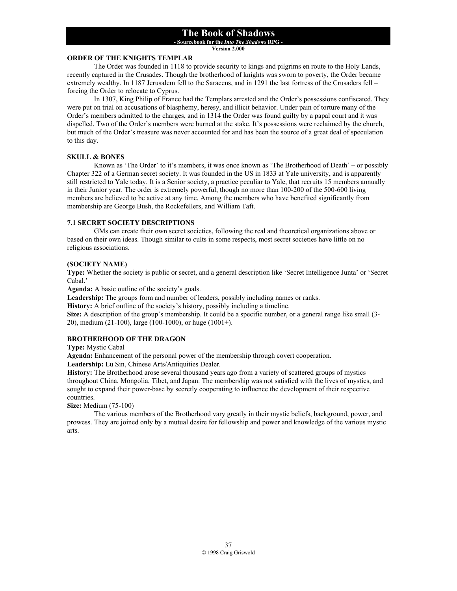**- Sourcebook for the** *Into The Shadows* **RPG -** 

**Version 2.000**

# **ORDER OF THE KNIGHTS TEMPLAR**

The Order was founded in 1118 to provide security to kings and pilgrims en route to the Holy Lands, recently captured in the Crusades. Though the brotherhood of knights was sworn to poverty, the Order became extremely wealthy. In 1187 Jerusalem fell to the Saracens, and in 1291 the last fortress of the Crusaders fell – forcing the Order to relocate to Cyprus.

 In 1307, King Philip of France had the Templars arrested and the Order's possessions confiscated. They were put on trial on accusations of blasphemy, heresy, and illicit behavior. Under pain of torture many of the Order's members admitted to the charges, and in 1314 the Order was found guilty by a papal court and it was dispelled. Two of the Order's members were burned at the stake. It's possessions were reclaimed by the church, but much of the Order's treasure was never accounted for and has been the source of a great deal of speculation to this day.

#### **SKULL & BONES**

 Known as 'The Order' to it's members, it was once known as 'The Brotherhood of Death' – or possibly Chapter 322 of a German secret society. It was founded in the US in 1833 at Yale university, and is apparently still restricted to Yale today. It is a Senior society, a practice peculiar to Yale, that recruits 15 members annually in their Junior year. The order is extremely powerful, though no more than 100-200 of the 500-600 living members are believed to be active at any time. Among the members who have benefited significantly from membership are George Bush, the Rockefellers, and William Taft.

#### **7.1 SECRET SOCIETY DESCRIPTIONS**

 GMs can create their own secret societies, following the real and theoretical organizations above or based on their own ideas. Though similar to cults in some respects, most secret societies have little on no religious associations.

#### **(SOCIETY NAME)**

**Type:** Whether the society is public or secret, and a general description like 'Secret Intelligence Junta' or 'Secret Cabal.'

**Agenda:** A basic outline of the society's goals.

**Leadership:** The groups form and number of leaders, possibly including names or ranks.

**History:** A brief outline of the society's history, possibly including a timeline.

**Size:** A description of the group's membership. It could be a specific number, or a general range like small (3- 20), medium (21-100), large (100-1000), or huge (1001+).

#### **BROTHERHOOD OF THE DRAGON**

**Type:** Mystic Cabal

**Agenda:** Enhancement of the personal power of the membership through covert cooperation. **Leadership:** Lu Sin, Chinese Arts/Antiquities Dealer.

**History:** The Brotherhood arose several thousand years ago from a variety of scattered groups of mystics throughout China, Mongolia, Tibet, and Japan. The membership was not satisfied with the lives of mystics, and sought to expand their power-base by secretly cooperating to influence the development of their respective countries.

#### **Size:** Medium (75-100)

The various members of the Brotherhood vary greatly in their mystic beliefs, background, power, and prowess. They are joined only by a mutual desire for fellowship and power and knowledge of the various mystic arts.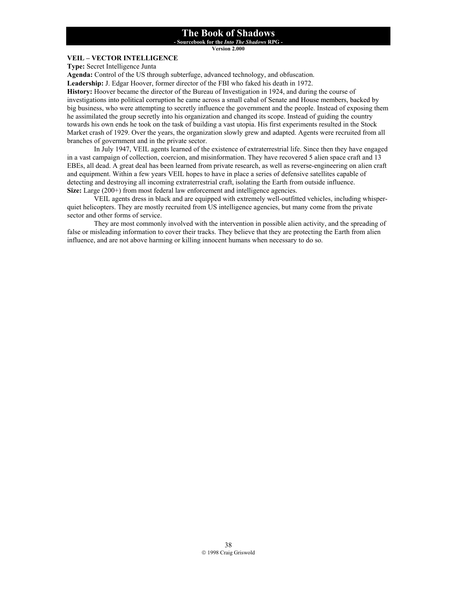**- Sourcebook for the** *Into The Shadows* **RPG -** 

**Version 2.000**

# **VEIL – VECTOR INTELLIGENCE**

**Type:** Secret Intelligence Junta

**Agenda:** Control of the US through subterfuge, advanced technology, and obfuscation.

**Leadership:** J. Edgar Hoover, former director of the FBI who faked his death in 1972.

**History:** Hoover became the director of the Bureau of Investigation in 1924, and during the course of investigations into political corruption he came across a small cabal of Senate and House members, backed by big business, who were attempting to secretly influence the government and the people. Instead of exposing them he assimilated the group secretly into his organization and changed its scope. Instead of guiding the country towards his own ends he took on the task of building a vast utopia. His first experiments resulted in the Stock Market crash of 1929. Over the years, the organization slowly grew and adapted. Agents were recruited from all branches of government and in the private sector.

In July 1947, VEIL agents learned of the existence of extraterrestrial life. Since then they have engaged in a vast campaign of collection, coercion, and misinformation. They have recovered 5 alien space craft and 13 EBEs, all dead. A great deal has been learned from private research, as well as reverse-engineering on alien craft and equipment. Within a few years VEIL hopes to have in place a series of defensive satellites capable of detecting and destroying all incoming extraterrestrial craft, isolating the Earth from outside influence. **Size:** Large (200+) from most federal law enforcement and intelligence agencies.

VEIL agents dress in black and are equipped with extremely well-outfitted vehicles, including whisperquiet helicopters. They are mostly recruited from US intelligence agencies, but many come from the private sector and other forms of service.

 They are most commonly involved with the intervention in possible alien activity, and the spreading of false or misleading information to cover their tracks. They believe that they are protecting the Earth from alien influence, and are not above harming or killing innocent humans when necessary to do so.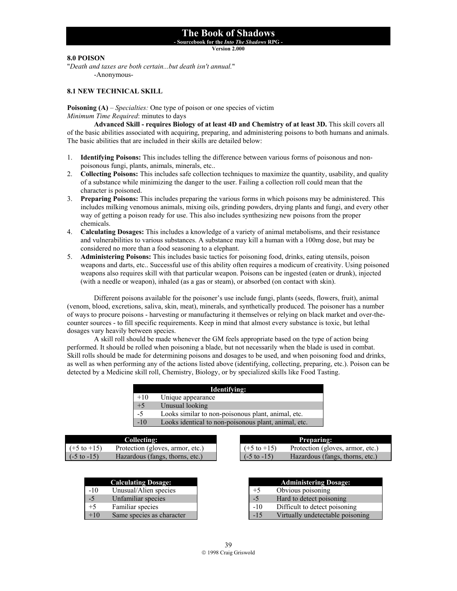**- Sourcebook for the** *Into The Shadows* **RPG -** 

**Version 2.000**

# **8.0 POISON**

"*Death and taxes are both certain...but death isn't annual.*" -Anonymous-

### **8.1 NEW TECHNICAL SKILL**

**Poisoning (A)** *– Specialties:* One type of poison or one species of victim *Minimum Time Required*: minutes to days

**Advanced Skill - requires Biology of at least 4D and Chemistry of at least 3D.** This skill covers all of the basic abilities associated with acquiring, preparing, and administering poisons to both humans and animals. The basic abilities that are included in their skills are detailed below:

- 1. **Identifying Poisons:** This includes telling the difference between various forms of poisonous and nonpoisonous fungi, plants, animals, minerals, etc..
- 2. **Collecting Poisons:** This includes safe collection techniques to maximize the quantity, usability, and quality of a substance while minimizing the danger to the user. Failing a collection roll could mean that the character is poisoned.
- 3. **Preparing Poisons:** This includes preparing the various forms in which poisons may be administered. This includes milking venomous animals, mixing oils, grinding powders, drying plants and fungi, and every other way of getting a poison ready for use. This also includes synthesizing new poisons from the proper chemicals.
- 4. **Calculating Dosages:** This includes a knowledge of a variety of animal metabolisms, and their resistance and vulnerabilities to various substances. A substance may kill a human with a 100mg dose, but may be considered no more than a food seasoning to a elephant.
- 5. **Administering Poisons:** This includes basic tactics for poisoning food, drinks, eating utensils, poison weapons and darts, etc.. Successful use of this ability often requires a modicum of creativity. Using poisoned weapons also requires skill with that particular weapon. Poisons can be ingested (eaten or drunk), injected (with a needle or weapon), inhaled (as a gas or steam), or absorbed (on contact with skin).

 Different poisons available for the poisoner's use include fungi, plants (seeds, flowers, fruit), animal (venom, blood, excretions, saliva, skin, meat), minerals, and synthetically produced. The poisoner has a number of ways to procure poisons - harvesting or manufacturing it themselves or relying on black market and over-thecounter sources - to fill specific requirements. Keep in mind that almost every substance is toxic, but lethal dosages vary heavily between species.

 A skill roll should be made whenever the GM feels appropriate based on the type of action being performed. It should be rolled when poisoning a blade, but not necessarily when the blade is used in combat. Skill rolls should be made for determining poisons and dosages to be used, and when poisoning food and drinks, as well as when performing any of the actions listed above (identifying, collecting, preparing, etc.). Poison can be detected by a Medicine skill roll, Chemistry, Biology, or by specialized skills like Food Tasting.

| Identifying: |                                                      |  |
|--------------|------------------------------------------------------|--|
| $+10$        | Unique appearance                                    |  |
| $+5$         | Unusual looking                                      |  |
| $-5$         | Looks similar to non-poisonous plant, animal, etc.   |  |
| $-10$        | Looks identical to non-poisonous plant, animal, etc. |  |
|              |                                                      |  |

| Collecting:             |                                  |  |  |  |
|-------------------------|----------------------------------|--|--|--|
| $( +5 \text{ to } +15)$ | Protection (gloves, armor, etc.) |  |  |  |
| $\sim$ (-5 to -15)      | Hazardous (fangs, thorns, etc.)  |  |  |  |

|       | <b>Calculating Dosage:</b> |
|-------|----------------------------|
| $-10$ | Unusual/Alien species      |
| $-5$  | Unfamiliar species         |
| $+5$  | Familiar species           |
| $+10$ | Same species as character  |

| <b>Preparing:</b>      |                                  |  |  |  |
|------------------------|----------------------------------|--|--|--|
| $( +5$ to $+15)$       | Protection (gloves, armor, etc.) |  |  |  |
| $(-5 \text{ to } -15)$ | Hazardous (fangs, thorns, etc.)  |  |  |  |

| <b>Administering Dosage:</b> |                                  |  |
|------------------------------|----------------------------------|--|
| $+5$                         | Obvious poisoning                |  |
| $-5$                         | Hard to detect poisoning         |  |
| $-10$                        | Difficult to detect poisoning    |  |
| $-15$                        | Virtually undetectable poisoning |  |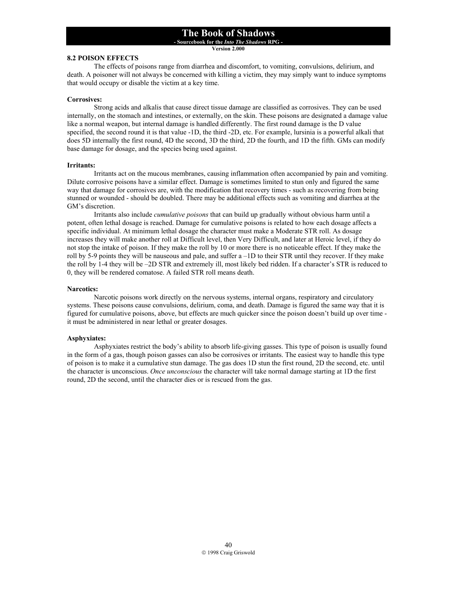**- Sourcebook for the** *Into The Shadows* **RPG -** 

**Version 2.000**

### **8.2 POISON EFFECTS**

 The effects of poisons range from diarrhea and discomfort, to vomiting, convulsions, delirium, and death. A poisoner will not always be concerned with killing a victim, they may simply want to induce symptoms that would occupy or disable the victim at a key time.

#### **Corrosives:**

 Strong acids and alkalis that cause direct tissue damage are classified as corrosives. They can be used internally, on the stomach and intestines, or externally, on the skin. These poisons are designated a damage value like a normal weapon, but internal damage is handled differently. The first round damage is the D value specified, the second round it is that value -1D, the third -2D, etc. For example, lursinia is a powerful alkali that does 5D internally the first round, 4D the second, 3D the third, 2D the fourth, and 1D the fifth. GMs can modify base damage for dosage, and the species being used against.

#### **Irritants:**

 Irritants act on the mucous membranes, causing inflammation often accompanied by pain and vomiting. Dilute corrosive poisons have a similar effect. Damage is sometimes limited to stun only and figured the same way that damage for corrosives are, with the modification that recovery times - such as recovering from being stunned or wounded - should be doubled. There may be additional effects such as vomiting and diarrhea at the GM's discretion.

 Irritants also include *cumulative poisons* that can build up gradually without obvious harm until a potent, often lethal dosage is reached. Damage for cumulative poisons is related to how each dosage affects a specific individual. At minimum lethal dosage the character must make a Moderate STR roll. As dosage increases they will make another roll at Difficult level, then Very Difficult, and later at Heroic level, if they do not stop the intake of poison. If they make the roll by 10 or more there is no noticeable effect. If they make the roll by 5-9 points they will be nauseous and pale, and suffer a –1D to their STR until they recover. If they make the roll by 1-4 they will be –2D STR and extremely ill, most likely bed ridden. If a character's STR is reduced to 0, they will be rendered comatose. A failed STR roll means death.

#### **Narcotics:**

 Narcotic poisons work directly on the nervous systems, internal organs, respiratory and circulatory systems. These poisons cause convulsions, delirium, coma, and death. Damage is figured the same way that it is figured for cumulative poisons, above, but effects are much quicker since the poison doesn't build up over time it must be administered in near lethal or greater dosages.

#### **Asphyxiates:**

 Asphyxiates restrict the body's ability to absorb life-giving gasses. This type of poison is usually found in the form of a gas, though poison gasses can also be corrosives or irritants. The easiest way to handle this type of poison is to make it a cumulative stun damage. The gas does 1D stun the first round, 2D the second, etc. until the character is unconscious. *Once unconscious* the character will take normal damage starting at 1D the first round, 2D the second, until the character dies or is rescued from the gas.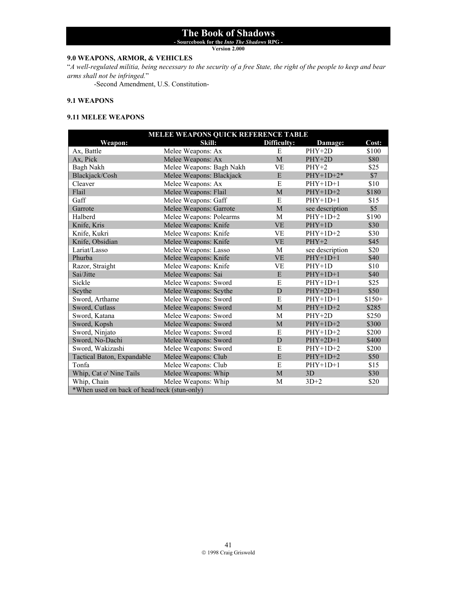**- Sourcebook for the** *Into The Shadows* **RPG -** 

**Version 2.000**

# **9.0 WEAPONS, ARMOR, & VEHICLES**

"*A well-regulated militia, being necessary to the security of a free State, the right of the people to keep and bear arms shall not be infringed.*"

-Second Amendment, U.S. Constitution-

#### **9.1 WEAPONS**

# **9.11 MELEE WEAPONS**

| MELEE WEAPONS QUICK REFERENCE TABLE         |                          |             |                 |         |
|---------------------------------------------|--------------------------|-------------|-----------------|---------|
| Weapon:                                     | Skill:                   | Difficulty: | Damage:         | Cost:   |
| Ax, Battle                                  | Melee Weapons: Ax        | E           | $PHY+2D$        | \$100   |
| Ax, Pick                                    | Melee Weapons: Ax        | M           | $PHY+2D$        | \$80    |
| Bagh Nakh                                   | Melee Weapons: Bagh Nakh | <b>VE</b>   | $PHY+2$         | \$25    |
| Blackjack/Cosh                              | Melee Weapons: Blackjack | E           | $PHY+1D+2*$     | \$7     |
| Cleaver                                     | Melee Weapons: Ax        | E           | $PHY+1D+1$      | \$10    |
| Flail                                       | Melee Weapons: Flail     | M           | $PHY+1D+2$      | \$180   |
| Gaff                                        | Melee Weapons: Gaff      | E           | $PHY+1D+1$      | \$15    |
| Garrote                                     | Melee Weapons: Garrote   | M           | see description | \$5     |
| Halberd                                     | Melee Weapons: Polearms  | M           | $PHY+1D+2$      | \$190   |
| Knife, Kris                                 | Melee Weapons: Knife     | <b>VE</b>   | $PHY+1D$        | \$30    |
| Knife, Kukri                                | Melee Weapons: Knife     | VE          | $PHY+1D+2$      | \$30    |
| Knife, Obsidian                             | Melee Weapons: Knife     | <b>VE</b>   | $PHY+2$         | \$45    |
| Lariat/Lasso                                | Melee Weapons: Lasso     | M           | see description | \$20    |
| Phurba                                      | Melee Weapons: Knife     | <b>VE</b>   | $PHY+1D+1$      | \$40    |
| Razor, Straight                             | Melee Weapons: Knife     | VE          | $PHY+1D$        | \$10    |
| Sai/Jitte                                   | Melee Weapons: Sai       | E           | $PHY+1D+1$      | \$40    |
| Sickle                                      | Melee Weapons: Sword     | E           | $PHY+1D+1$      | \$25    |
| Scythe                                      | Melee Weapons: Scythe    | D           | $PHY+2D+1$      | \$50    |
| Sword, Arthame                              | Melee Weapons: Sword     | E           | $PHY+1D+1$      | $$150+$ |
| Sword, Cutlass                              | Melee Weapons: Sword     | M           | $PHY+1D+2$      | \$285   |
| Sword, Katana                               | Melee Weapons: Sword     | M           | $PHY+2D$        | \$250   |
| Sword, Kopsh                                | Melee Weapons: Sword     | M           | $PHY+1D+2$      | \$300   |
| Sword, Ninjato                              | Melee Weapons: Sword     | E           | $PHY+1D+2$      | \$200   |
| Sword, No-Dachi                             | Melee Weapons: Sword     | D           | $PHY+2D+1$      | \$400   |
| Sword, Wakizashi                            | Melee Weapons: Sword     | E           | $PHY+1D+2$      | \$200   |
| Tactical Baton, Expandable                  | Melee Weapons: Club      | E           | $PHY+1D+2$      | \$50    |
| Tonfa                                       | Melee Weapons: Club      | E           | $PHY+1D+1$      | \$15    |
| Whip, Cat o' Nine Tails                     | Melee Weapons: Whip      | M           | 3D              | \$30    |
| Whip, Chain                                 | Melee Weapons: Whip      | M           | $3D+2$          | \$20    |
| *When used on back of head/neck (stun-only) |                          |             |                 |         |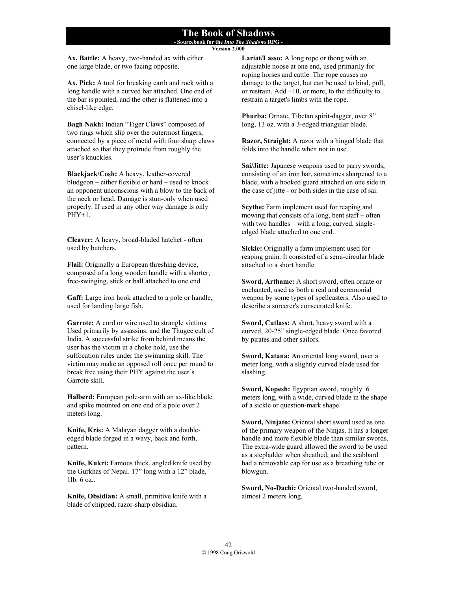**- Sourcebook for the** *Into The Shadows* **RPG - Version 2.000**

**Ax, Battle:** A heavy, two-handed ax with either one large blade, or two facing opposite.

**Ax, Pick:** A tool for breaking earth and rock with a long handle with a curved bar attached. One end of the bar is pointed, and the other is flattened into a chisel-like edge.

**Bagh Nakh:** Indian "Tiger Claws" composed of two rings which slip over the outermost fingers, connected by a piece of metal with four sharp claws attached so that they protrude from roughly the user's knuckles.

**Blackjack/Cosh:** A heavy, leather-covered bludgeon – either flexible or hard – used to knock an opponent unconscious with a blow to the back of the neck or head. Damage is stun-only when used properly. If used in any other way damage is only PHY+1.

**Cleaver:** A heavy, broad-bladed hatchet - often used by butchers.

**Flail:** Originally a European threshing device, composed of a long wooden handle with a shorter, free-swinging, stick or ball attached to one end.

Gaff: Large iron hook attached to a pole or handle, used for landing large fish.

**Garrote:** A cord or wire used to strangle victims. Used primarily by assassins, and the Thugee cult of India. A successful strike from behind means the user has the victim in a choke hold, use the suffocation rules under the swimming skill. The victim may make an opposed roll once per round to break free using their PHY against the user's Garrote skill.

**Halberd:** European pole-arm with an ax-like blade and spike mounted on one end of a pole over 2 meters long.

**Knife, Kris:** A Malayan dagger with a doubleedged blade forged in a wavy, back and forth, pattern.

**Knife, Kukri:** Famous thick, angled knife used by the Gurkhas of Nepal. 17" long with a 12" blade, 1lb. 6 oz..

**Knife, Obsidian:** A small, primitive knife with a blade of chipped, razor-sharp obsidian.

**Lariat/Lasso:** A long rope or thong with an adjustable noose at one end, used primarily for roping horses and cattle. The rope causes no damage to the target, but can be used to bind, pull, or restrain. Add  $+10$ , or more, to the difficulty to restrain a target's limbs with the rope.

**Phurba:** Ornate, Tibetan spirit-dagger, over 8" long, 13 oz. with a 3-edged triangular blade.

**Razor, Straight:** A razor with a hinged blade that folds into the handle when not in use.

**Sai/Jitte:** Japanese weapons used to parry swords, consisting of an iron bar, sometimes sharpened to a blade, with a hooked guard attached on one side in the case of jitte - or both sides in the case of sai.

**Scythe:** Farm implement used for reaping and mowing that consists of a long, bent staff – often with two handles – with a long, curved, singleedged blade attached to one end.

**Sickle:** Originally a farm implement used for reaping grain. It consisted of a semi-circular blade attached to a short handle.

**Sword, Arthame:** A short sword, often ornate or enchanted, used as both a real and ceremonial weapon by some types of spellcasters. Also used to describe a sorcerer's consecrated knife.

**Sword, Cutlass:** A short, heavy sword with a curved, 20-25" single-edged blade. Once favored by pirates and other sailors.

**Sword, Katana:** An oriental long sword, over a meter long, with a slightly curved blade used for slashing.

**Sword, Kopesh:** Egyptian sword, roughly .6 meters long, with a wide, curved blade in the shape of a sickle or question-mark shape.

**Sword, Ninjato:** Oriental short sword used as one of the primary weapon of the Ninjas. It has a longer handle and more flexible blade than similar swords. The extra-wide guard allowed the sword to be used as a stepladder when sheathed, and the scabbard had a removable cap for use as a breathing tube or blowgun.

**Sword, No-Dachi:** Oriental two-handed sword, almost 2 meters long.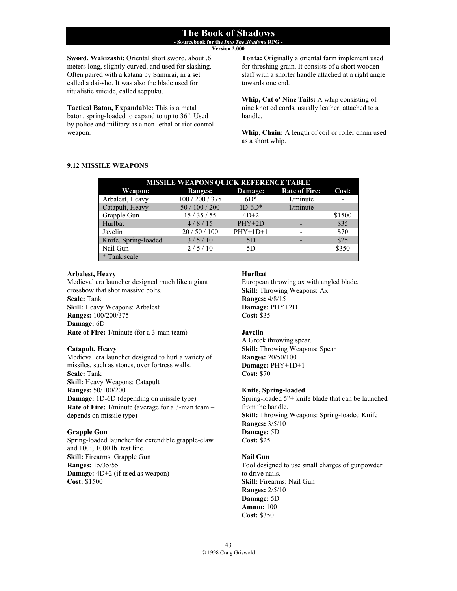**- Sourcebook for the** *Into The Shadows* **RPG - Version 2.000**

**Sword, Wakizashi:** Oriental short sword, about .6 meters long, slightly curved, and used for slashing. Often paired with a katana by Samurai, in a set called a dai-sho. It was also the blade used for ritualistic suicide, called seppuku.

**Tactical Baton, Expandable:** This is a metal baton, spring-loaded to expand to up to 36". Used by police and military as a non-lethal or riot control weapon.

**Tonfa:** Originally a oriental farm implement used for threshing grain. It consists of a short wooden staff with a shorter handle attached at a right angle towards one end.

**Whip, Cat o' Nine Tails:** A whip consisting of nine knotted cords, usually leather, attached to a handle.

**Whip, Chain:** A length of coil or roller chain used as a short whip.

### **9.12 MISSILE WEAPONS**

| <b>MISSILE WEAPONS QUICK REFERENCE TABLE</b> |                |            |                      |        |  |  |
|----------------------------------------------|----------------|------------|----------------------|--------|--|--|
| Weapon:                                      | <b>Ranges:</b> | Damage:    | <b>Rate of Fire:</b> | Cost:  |  |  |
| Arbalest, Heavy                              | 100/200/375    | $6D*$      | 1/minute             |        |  |  |
| Catapult, Heavy                              | 50/100/200     | $1D-6D^*$  | 1/minute             |        |  |  |
| Grapple Gun                                  | 15/35/55       | $4D+2$     |                      | \$1500 |  |  |
| Hurlbat                                      | 4/8/15         | $PHY+2D$   |                      | \$35   |  |  |
| Javelin                                      | 20/50/100      | $PHY+1D+1$ |                      | \$70   |  |  |
| Knife, Spring-loaded                         | 3/5/10         | .5D        |                      | \$25   |  |  |
| Nail Gun                                     | 2/5/10         | 5D         |                      | \$350  |  |  |
| * Tank scale                                 |                |            |                      |        |  |  |

#### **Arbalest, Heavy**

Medieval era launcher designed much like a giant crossbow that shot massive bolts. **Scale:** Tank **Skill:** Heavy Weapons: Arbalest **Ranges:** 100/200/375 **Damage:** 6D **Rate of Fire:** 1/minute (for a 3-man team)

# **Catapult, Heavy**

Medieval era launcher designed to hurl a variety of missiles, such as stones, over fortress walls. **Scale:** Tank **Skill:** Heavy Weapons: Catapult **Ranges:** 50/100/200 **Damage:** 1D-6D (depending on missile type) **Rate of Fire:** 1/minute (average for a 3-man team – depends on missile type)

# **Grapple Gun**

Spring-loaded launcher for extendible grapple-claw and 100', 1000 lb. test line. **Skill:** Firearms: Grapple Gun **Ranges:** 15/35/55 **Damage:** 4D+2 (if used as weapon) **Cost:** \$1500

### **Hurlbat**

European throwing ax with angled blade. **Skill:** Throwing Weapons: Ax **Ranges:** 4/8/15 **Damage:** PHY+2D **Cost:** \$35

# **Javelin**

A Greek throwing spear. **Skill:** Throwing Weapons: Spear **Ranges:** 20/50/100 **Damage:** PHY+1D+1 **Cost:** \$70

#### **Knife, Spring-loaded**

Spring-loaded 5"+ knife blade that can be launched from the handle. **Skill:** Throwing Weapons: Spring-loaded Knife **Ranges:** 3/5/10 **Damage:** 5D **Cost:** \$25

# **Nail Gun**

Tool designed to use small charges of gunpowder to drive nails. **Skill:** Firearms: Nail Gun **Ranges:** 2/5/10 **Damage:** 5D **Ammo:** 100 **Cost:** \$350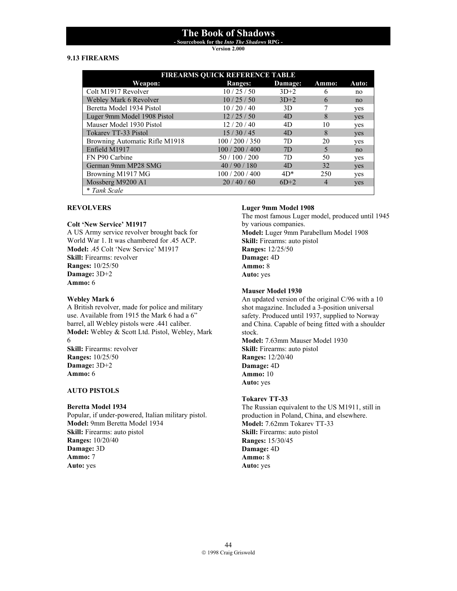**- Sourcebook for the** *Into The Shadows* **RPG -** 

**Version 2.000**

# **9.13 FIREARMS**

| <b>FIREARMS QUICK REFERENCE TABLE</b> |                |         |       |            |
|---------------------------------------|----------------|---------|-------|------------|
| Weapon:                               | <b>Ranges:</b> | Damage: | Ammo: | Auto:      |
| Colt M1917 Revolver                   | 10/25/50       | $3D+2$  | 6     | no         |
| Webley Mark 6 Revolver                | 10/25/50       | $3D+2$  | 6     | no         |
| Beretta Model 1934 Pistol             | 10/20/40       | 3D      |       | yes        |
| Luger 9mm Model 1908 Pistol           | 12/25/50       | 4D      | 8     | yes        |
| Mauser Model 1930 Pistol              | 12/20/40       | 4D      | 10    | yes        |
| <b>Tokarev TT-33 Pistol</b>           | 15/30/45       | 4D      | 8     | yes        |
| Browning Automatic Rifle M1918        | 100/200/350    | 7D      | 20    | yes        |
| Enfield M1917                         | 100/200/400    | 7D      | 5     | no         |
| FN P90 Carbine                        | 50 / 100 / 200 | 7D      | 50    | yes        |
| German 9mm MP28 SMG                   | 40/90/180      | 4D      | 32    | <b>ves</b> |
| Browning M1917 MG                     | 100/200/400    | $4D*$   | 250   | yes        |
| Mossberg M9200 A1                     | 20/40/60       | $6D+2$  | 4     | <b>ves</b> |
| * Tank Scale                          |                |         |       |            |

### **REVOLVERS**

#### **Colt 'New Service' M1917**

A US Army service revolver brought back for World War 1. It was chambered for .45 ACP. **Model:** .45 Colt 'New Service' M1917 **Skill:** Firearms: revolver **Ranges:** 10/25/50 **Damage:** 3D+2 **Ammo:** 6

### **Webley Mark 6**

A British revolver, made for police and military use. Available from 1915 the Mark 6 had a 6" barrel, all Webley pistols were .441 caliber. **Model:** Webley & Scott Ltd. Pistol, Webley, Mark 6 **Skill:** Firearms: revolver **Ranges:** 10/25/50 **Damage:** 3D+2 **Ammo:** 6

# **AUTO PISTOLS**

#### **Beretta Model 1934**

Popular, if under-powered, Italian military pistol. **Model:** 9mm Beretta Model 1934 **Skill:** Firearms: auto pistol **Ranges:** 10/20/40 **Damage:** 3D **Ammo:** 7 **Auto:** yes

### **Luger 9mm Model 1908**

The most famous Luger model, produced until 1945 by various companies. **Model:** Luger 9mm Parabellum Model 1908 **Skill:** Firearms: auto pistol **Ranges:** 12/25/50 **Damage:** 4D **Ammo:** 8 **Auto:** yes

### **Mauser Model 1930**

An updated version of the original C/96 with a 10 shot magazine. Included a 3-position universal safety. Produced until 1937, supplied to Norway and China. Capable of being fitted with a shoulder stock. **Model:** 7.63mm Mauser Model 1930 **Skill:** Firearms: auto pistol **Ranges:** 12/20/40 **Damage:** 4D **Ammo:** 10 **Auto:** yes

# **Tokarev TT-33**

The Russian equivalent to the US M1911, still in production in Poland, China, and elsewhere. **Model:** 7.62mm Tokarev TT-33 **Skill:** Firearms: auto pistol **Ranges:** 15/30/45 **Damage:** 4D **Ammo:** 8 **Auto:** yes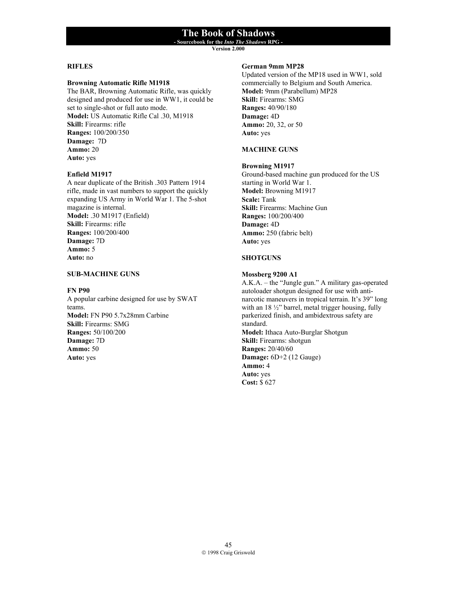**- Sourcebook for the** *Into The Shadows* **RPG -** 

**Version 2.000**

#### **RIFLES**

#### **Browning Automatic Rifle M1918**

The BAR, Browning Automatic Rifle, was quickly designed and produced for use in WW1, it could be set to single-shot or full auto mode. **Model:** US Automatic Rifle Cal .30, M1918 **Skill:** Firearms: rifle **Ranges:** 100/200/350 **Damage:** 7D **Ammo:** 20 **Auto:** yes

### **Enfield M1917**

A near duplicate of the British .303 Pattern 1914 rifle, made in vast numbers to support the quickly expanding US Army in World War 1. The 5-shot magazine is internal. **Model:** .30 M1917 (Enfield) **Skill:** Firearms: rifle **Ranges:** 100/200/400 **Damage:** 7D **Ammo:** 5 **Auto:** no

#### **SUB-MACHINE GUNS**

#### **FN P90**

A popular carbine designed for use by SWAT teams. **Model:** FN P90 5.7x28mm Carbine **Skill:** Firearms: SMG **Ranges:** 50/100/200 **Damage:** 7D **Ammo:** 50 **Auto:** yes

### **German 9mm MP28**

Updated version of the MP18 used in WW1, sold commercially to Belgium and South America. **Model:** 9mm (Parabellum) MP28 **Skill:** Firearms: SMG **Ranges:** 40/90/180 **Damage:** 4D **Ammo:** 20, 32, or 50 **Auto:** yes

### **MACHINE GUNS**

#### **Browning M1917**

Ground-based machine gun produced for the US starting in World War 1. **Model:** Browning M1917 **Scale:** Tank **Skill:** Firearms: Machine Gun **Ranges:** 100/200/400 **Damage:** 4D **Ammo:** 250 (fabric belt) **Auto:** yes

### **SHOTGUNS**

#### **Mossberg 9200 A1**

A.K.A. – the "Jungle gun." A military gas-operated autoloader shotgun designed for use with antinarcotic maneuvers in tropical terrain. It's 39" long with an 18  $\frac{1}{2}$ " barrel, metal trigger housing, fully parkerized finish, and ambidextrous safety are standard. **Model:** Ithaca Auto-Burglar Shotgun **Skill:** Firearms: shotgun **Ranges:** 20/40/60 **Damage:** 6D+2 (12 Gauge) **Ammo:** 4 **Auto:** yes **Cost:** \$ 627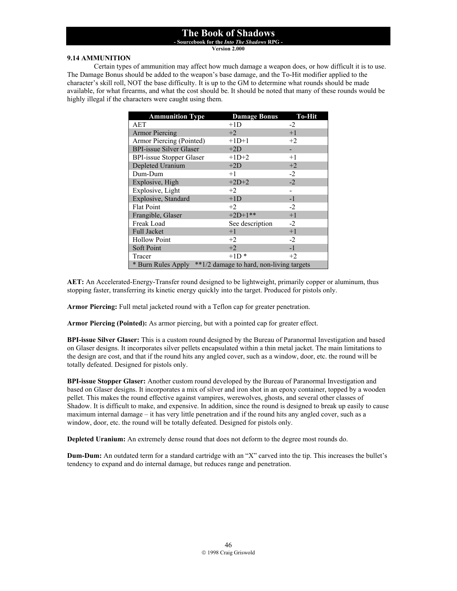**- Sourcebook for the** *Into The Shadows* **RPG -** 

**Version 2.000**

### **9.14 AMMUNITION**

 Certain types of ammunition may affect how much damage a weapon does, or how difficult it is to use. The Damage Bonus should be added to the weapon's base damage, and the To-Hit modifier applied to the character's skill roll, NOT the base difficulty. It is up to the GM to determine what rounds should be made available, for what firearms, and what the cost should be. It should be noted that many of these rounds would be highly illegal if the characters were caught using them.

| <b>Ammunition Type</b>                                         | <b>Damage Bonus</b> | <b>To-Hit</b> |  |
|----------------------------------------------------------------|---------------------|---------------|--|
| AET                                                            | $+1D$               | $-2$          |  |
| <b>Armor Piercing</b>                                          | $+2$                | $+1$          |  |
| Armor Piercing (Pointed)                                       | $+1D+1$             | $+2$          |  |
| <b>BPI-issue Silver Glaser</b>                                 | $+2D$               |               |  |
| <b>BPI-issue Stopper Glaser</b>                                | $+1D+2$             | $+1$          |  |
| Depleted Uranium                                               | $+2D$               | $+2$          |  |
| Dum-Dum                                                        | $+1$                | $-2$          |  |
| Explosive, High                                                | $+2D+2$             | $-2$          |  |
| Explosive, Light                                               | $+2$                |               |  |
| Explosive, Standard                                            | $+1D$               | $-1$          |  |
| <b>Flat Point</b>                                              | $+2$                | $-2$          |  |
| Frangible, Glaser                                              | $+2D+1***$          | $+1$          |  |
| Freak Load                                                     | See description     | $-2$          |  |
| Full Jacket                                                    | $+1$                | $+1$          |  |
| <b>Hollow Point</b>                                            | $+2$                | $-2$          |  |
| Soft Point                                                     | $+2$                | $-1$          |  |
| Tracer                                                         | $+1D*$              | $+2$          |  |
| **1/2 damage to hard, non-living targets<br>* Burn Rules Apply |                     |               |  |

**AET:** An Accelerated-Energy-Transfer round designed to be lightweight, primarily copper or aluminum, thus stopping faster, transferring its kinetic energy quickly into the target. Produced for pistols only.

**Armor Piercing:** Full metal jacketed round with a Teflon cap for greater penetration.

**Armor Piercing (Pointed):** As armor piercing, but with a pointed cap for greater effect.

**BPI-issue Silver Glaser:** This is a custom round designed by the Bureau of Paranormal Investigation and based on Glaser designs. It incorporates silver pellets encapsulated within a thin metal jacket. The main limitations to the design are cost, and that if the round hits any angled cover, such as a window, door, etc. the round will be totally defeated. Designed for pistols only.

**BPI-issue Stopper Glaser:** Another custom round developed by the Bureau of Paranormal Investigation and based on Glaser designs. It incorporates a mix of silver and iron shot in an epoxy container, topped by a wooden pellet. This makes the round effective against vampires, werewolves, ghosts, and several other classes of Shadow. It is difficult to make, and expensive. In addition, since the round is designed to break up easily to cause maximum internal damage – it has very little penetration and if the round hits any angled cover, such as a window, door, etc. the round will be totally defeated. Designed for pistols only.

**Depleted Uranium:** An extremely dense round that does not deform to the degree most rounds do.

**Dum-Dum:** An outdated term for a standard cartridge with an "X" carved into the tip. This increases the bullet's tendency to expand and do internal damage, but reduces range and penetration.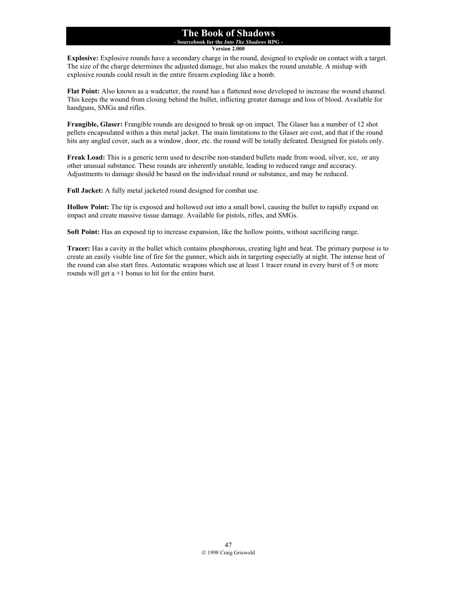### **The Book of Shadows - Sourcebook for the** *Into The Shadows* **RPG -**

**Version 2.000**

**Explosive:** Explosive rounds have a secondary charge in the round, designed to explode on contact with a target. The size of the charge determines the adjusted damage, but also makes the round unstable. A mishap with explosive rounds could result in the entire firearm exploding like a bomb.

**Flat Point:** Also known as a wadcutter, the round has a flattened nose developed to increase the wound channel. This keeps the wound from closing behind the bullet, inflicting greater damage and loss of blood. Available for handguns, SMGs and rifles.

**Frangible, Glaser:** Frangible rounds are designed to break up on impact. The Glaser has a number of 12 shot pellets encapsulated within a thin metal jacket. The main limitations to the Glaser are cost, and that if the round hits any angled cover, such as a window, door, etc. the round will be totally defeated. Designed for pistols only.

**Freak Load:** This is a generic term used to describe non-standard bullets made from wood, silver, ice, or any other unusual substance. These rounds are inherently unstable, leading to reduced range and accuracy. Adjustments to damage should be based on the individual round or substance, and may be reduced.

**Full Jacket:** A fully metal jacketed round designed for combat use.

**Hollow Point:** The tip is exposed and hollowed out into a small bowl, causing the bullet to rapidly expand on impact and create massive tissue damage. Available for pistols, rifles, and SMGs.

**Soft Point:** Has an exposed tip to increase expansion, like the hollow points, without sacrificing range.

**Tracer:** Has a cavity in the bullet which contains phosphorous, creating light and heat. The primary purpose is to create an easily visible line of fire for the gunner, which aids in targeting especially at night. The intense heat of the round can also start fires. Automatic weapons which use at least 1 tracer round in every burst of 5 or more rounds will get a +1 bonus to hit for the entire burst.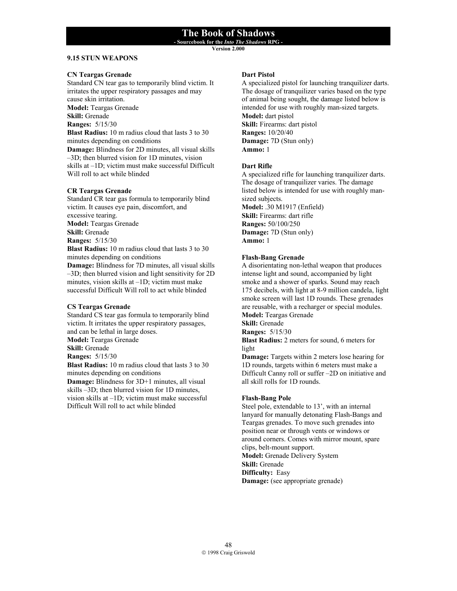**- Sourcebook for the** *Into The Shadows* **RPG -** 

**Version 2.000**

# **9.15 STUN WEAPONS**

### **CN Teargas Grenade**

Standard CN tear gas to temporarily blind victim. It irritates the upper respiratory passages and may cause skin irritation. **Model:** Teargas Grenade **Skill:** Grenade **Ranges:** 5/15/30 **Blast Radius:** 10 m radius cloud that lasts 3 to 30 minutes depending on conditions **Damage:** Blindness for 2D minutes, all visual skills –3D; then blurred vision for 1D minutes, vision skills at –1D; victim must make successful Difficult Will roll to act while blinded

#### **CR Teargas Grenade**

Standard CR tear gas formula to temporarily blind victim. It causes eye pain, discomfort, and excessive tearing. **Model:** Teargas Grenade **Skill:** Grenade **Ranges:** 5/15/30 **Blast Radius:** 10 m radius cloud that lasts 3 to 30 minutes depending on conditions **Damage:** Blindness for 7D minutes, all visual skills –3D; then blurred vision and light sensitivity for 2D minutes, vision skills at –1D; victim must make successful Difficult Will roll to act while blinded

#### **CS Teargas Grenade**

Standard CS tear gas formula to temporarily blind victim. It irritates the upper respiratory passages, and can be lethal in large doses. **Model:** Teargas Grenade **Skill:** Grenade **Ranges:** 5/15/30 **Blast Radius:** 10 m radius cloud that lasts 3 to 30 minutes depending on conditions **Damage:** Blindness for 3D+1 minutes, all visual skills –3D; then blurred vision for 1D minutes, vision skills at –1D; victim must make successful Difficult Will roll to act while blinded

#### **Dart Pistol**

A specialized pistol for launching tranquilizer darts. The dosage of tranquilizer varies based on the type of animal being sought, the damage listed below is intended for use with roughly man-sized targets. **Model:** dart pistol **Skill:** Firearms: dart pistol **Ranges:** 10/20/40 **Damage:** 7D (Stun only) **Ammo:** 1

### **Dart Rifle**

A specialized rifle for launching tranquilizer darts. The dosage of tranquilizer varies. The damage listed below is intended for use with roughly mansized subjects. **Model:** .30 M1917 (Enfield) **Skill:** Firearms: dart rifle **Ranges:** 50/100/250 **Damage:** 7D (Stun only) **Ammo:** 1

### **Flash-Bang Grenade**

A disorientating non-lethal weapon that produces intense light and sound, accompanied by light smoke and a shower of sparks. Sound may reach 175 decibels, with light at 8-9 million candela, light smoke screen will last 1D rounds. These grenades are reusable, with a recharger or special modules. **Model:** Teargas Grenade

**Skill:** Grenade

**Ranges:** 5/15/30

**Blast Radius:** 2 meters for sound, 6 meters for light

**Damage:** Targets within 2 meters lose hearing for 1D rounds, targets within 6 meters must make a Difficult Canny roll or suffer –2D on initiative and all skill rolls for 1D rounds.

#### **Flash-Bang Pole**

Steel pole, extendable to 13', with an internal lanyard for manually detonating Flash-Bangs and Teargas grenades. To move such grenades into position near or through vents or windows or around corners. Comes with mirror mount, spare clips, belt-mount support. **Model:** Grenade Delivery System **Skill:** Grenade **Difficulty:** Easy **Damage:** (see appropriate grenade)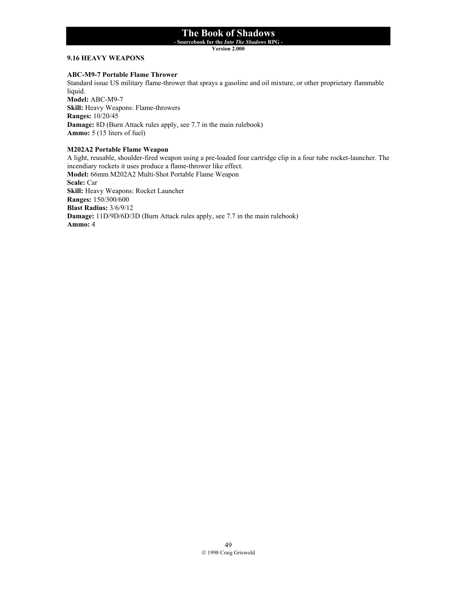**- Sourcebook for the** *Into The Shadows* **RPG -** 

**Version 2.000**

### **9.16 HEAVY WEAPONS**

#### **ABC-M9-7 Portable Flame Thrower**

Standard issue US military flame-thrower that sprays a gasoline and oil mixture, or other proprietary flammable liquid.

**Model:** ABC-M9-7 **Skill:** Heavy Weapons: Flame-throwers **Ranges:** 10/20/45 **Damage:** 8D (Burn Attack rules apply, see 7.7 in the main rulebook) **Ammo:** 5 (15 liters of fuel)

#### **M202A2 Portable Flame Weapon**

A light, reusable, shoulder-fired weapon using a pre-loaded four cartridge clip in a four tube rocket-launcher. The incendiary rockets it uses produce a flame-thrower like effect. **Model:** 66mm M202A2 Multi-Shot Portable Flame Weapon **Scale:** Car **Skill:** Heavy Weapons: Rocket Launcher **Ranges:** 150/300/600 **Blast Radius:** 3/6/9/12 **Damage:** 11D/9D/6D/3D (Burn Attack rules apply, see 7.7 in the main rulebook) **Ammo:** 4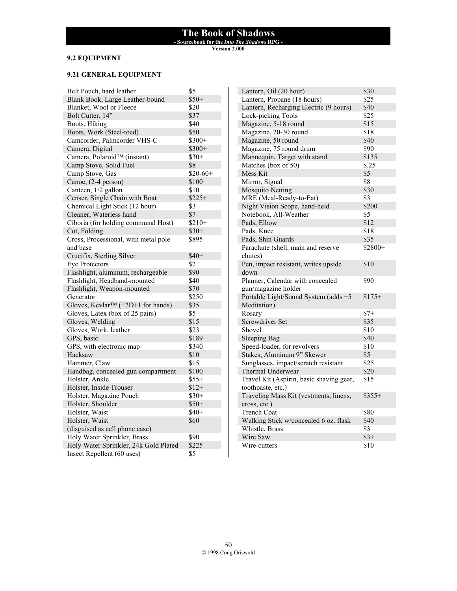**- Sourcebook for the** *Into The Shadows* **RPG -** 

**Version 2.000**

# **9.2 EQUIPMENT**

# **9.21 GENERAL EQUIPMENT**

| Belt Pouch, hard leather                       | \$5       |
|------------------------------------------------|-----------|
| Blank Book, Large Leather-bound                | $$50+$    |
| Blanket, Wool or Fleece                        | \$20      |
| Bolt Cutter, 14"                               | \$37      |
| Boots, Hiking                                  | \$40      |
| Boots, Work (Steel-toed)                       | \$50      |
| Camcorder, Palmcorder VHS-C                    | $$300+$   |
| Camera, Digital                                | $$300+$   |
| Camera, Polaroid™ (instant)                    | $$30+$    |
| Camp Stove, Solid Fuel                         | \$8       |
| Camp Stove, Gas                                | $$20-60+$ |
| Canoe, (2-4 person)                            | \$100     |
| Canteen, 1/2 gallon                            | \$10      |
| Censer, Single Chain with Boat                 | $$225+$   |
| Chemical Light Stick (12 hour)                 | \$3       |
| Cleaner, Waterless hand                        | \$7       |
| Ciboria (for holding communal Host)            | $$210+$   |
| Cot, Folding                                   | $$30+$    |
| Cross, Processional, with metal pole           | \$895     |
| and base                                       |           |
| Crucifix, Sterling Silver                      | $$40+$    |
| <b>Eye Protectors</b>                          | \$2       |
| Flashlight, aluminum, rechargeable             | \$90      |
| Flashlight, Headband-mounted                   | \$40      |
| Flashlight, Weapon-mounted                     | \$70      |
| Generator                                      | \$250     |
| Gloves, Kevlar <sup>TM</sup> (+2D+1 for hands) | \$35      |
| Gloves, Latex (box of 25 pairs)                | \$5       |
| Gloves, Welding                                | \$15      |
| Gloves, Work, leather                          | \$23      |
| GPS, basic                                     | \$189     |
| GPS, with electronic map                       | \$340     |
| Hacksaw                                        | \$10      |
| Hammer, Claw                                   | \$15      |
| Handbag, concealed gun compartment             | \$100     |
| Holster, Ankle                                 | $$55+$    |
| Holster, Inside Trouser                        | $$12+$    |
| Holster, Magazine Pouch                        | $$30+$    |
| Holster, Shoulder                              | $$50+$    |
| Holster, Waist                                 | \$40+     |
| Holster, Waist                                 | \$60      |
| (disguised as cell phone case)                 |           |
| Holy Water Sprinkler, Brass                    | \$90      |
| Holy Water Sprinkler, 24k Gold Plated          | \$225     |
| Insect Repellent (60 uses)                     | \$5       |

| Lantern, Oil (20 hour)<br>Lantern, Propane (18 hours)<br>\$25 |
|---------------------------------------------------------------|
|                                                               |
| Lantern, Recharging Electric (9 hours)<br>\$40                |
| Lock-picking Tools<br>\$25                                    |
| Magazine, 5-18 round<br>\$15                                  |
| Magazine, 20-30 round<br>\$18                                 |
| Magazine, 50 round<br>\$40                                    |
| Magazine, 75 round drum<br>\$90                               |
| \$135<br>Mannequin, Target with stand                         |
| Matches (box of 50)<br>\$.25                                  |
| Mess Kit<br>\$5                                               |
| Mirror, Signal<br>\$8                                         |
| <b>Mosquito Netting</b><br>\$30                               |
| MRE (Meal-Ready-to-Eat)<br>\$3                                |
| Night Vision Scope, hand-held<br>\$200                        |
| \$5<br>Notebook, All-Weather                                  |
| \$12<br>Pads, Elbow                                           |
| Pads, Knee<br>\$18                                            |
| \$35<br>Pads, Shin Guards                                     |
| Parachute (shell, main and reserve<br>\$2800+                 |
| chutes)                                                       |
| Pen, impact resistant, writes upside<br>\$10                  |
| down                                                          |
| Planner, Calendar with concealed<br>\$90                      |
| gun/magazine holder                                           |
| Portable Light/Sound System (adds +5<br>$$175+$               |
| Meditation)                                                   |
| Rosary<br>$$7+$                                               |
| Screwdriver Set<br>\$35                                       |
| Shovel<br>\$10                                                |
| \$40<br><b>Sleeping Bag</b>                                   |
| Speed-loader, for revolvers<br>\$10                           |
| Stakes, Aluminum 9" Skewer<br>\$5                             |
| Sunglasses, impact/scratch resistant<br>\$25                  |
| Thermal Underwear<br>\$20                                     |
| Travel Kit (Aspirin, basic shaving gear,<br>\$15              |
| toothpaste, etc.)                                             |
| Traveling Mass Kit (vestments, linens,<br>$$355+$             |
| cross, etc.)                                                  |
| <b>Trench Coat</b><br>\$80                                    |
| Walking Stick w/concealed 6 oz. flask<br>\$40                 |
| Whistle, Brass<br>\$3                                         |
| Wire Saw<br>$$3+$                                             |
| Wire-cutters<br>\$10                                          |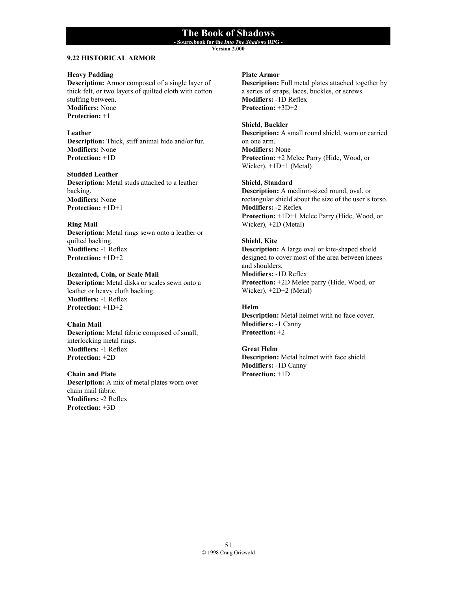**- Sourcebook for the** *Into The Shadows* **RPG - Version 2.000**

# **9.22 HISTORICAL ARMOR**

#### **Heavy Padding**

**Description:** Armor composed of a single layer of thick felt, or two layers of quilted cloth with cotton stuffing between. **Modifiers:** None **Protection:** +1

#### **Leather**

**Description:** Thick, stiff animal hide and/or fur. **Modifiers:** None **Protection:** +1D

#### **Studded Leather**

**Description:** Metal studs attached to a leather backing. **Modifiers:** None **Protection:** +1D+1

#### **Ring Mail**

**Description:** Metal rings sewn onto a leather or quilted backing. **Modifiers:** -1 Reflex **Protection:** +1D+2

**Bezainted, Coin, or Scale Mail Description:** Metal disks or scales sewn onto a leather or heavy cloth backing. **Modifiers:** -1 Reflex **Protection:** +1D+2

#### **Chain Mail**

**Description:** Metal fabric composed of small, interlocking metal rings. **Modifiers:** -1 Reflex **Protection:** +2D

#### **Chain and Plate Description:** A mix of metal plates worn over chain mail fabric. **Modifiers:** -2 Reflex **Protection:** +3D

### **Plate Armor**

**Description:** Full metal plates attached together by a series of straps, laces, buckles, or screws. **Modifiers:** -1D Reflex **Protection:** +3D+2

### **Shield, Buckler**

**Description:** A small round shield, worn or carried on one arm. **Modifiers:** None **Protection:** +2 Melee Parry (Hide, Wood, or Wicker), +1D+1 (Metal)

### **Shield, Standard**

**Description:** A medium-sized round, oval, or rectangular shield about the size of the user's torso. **Modifiers:** -2 Reflex **Protection:** +1D+1 Melee Parry (Hide, Wood, or Wicker), +2D (Metal)

#### **Shield, Kite**

**Description:** A large oval or kite-shaped shield designed to cover most of the area between knees and shoulders. **Modifiers:** -1D Reflex **Protection:** +2D Melee parry (Hide, Wood, or Wicker), +2D+2 (Metal)

# **Helm**

**Description:** Metal helmet with no face cover. **Modifiers:** -1 Canny **Protection:** +2

#### **Great Helm**

**Description:** Metal helmet with face shield. **Modifiers:** -1D Canny **Protection:** +1D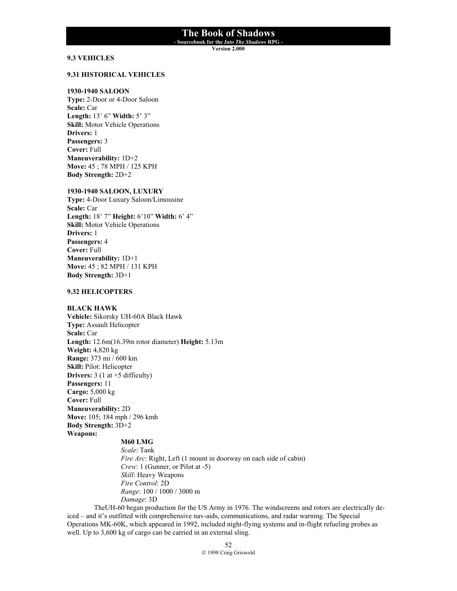**- Sourcebook for the** *Into The Shadows* **RPG -** 

**Version 2.000**

# **9.3 VEHICLES**

#### **9.31 HISTORICAL VEHICLES**

#### **1930-1940 SALOON**

**Type:** 2-Door or 4-Door Saloon **Scale:** Car **Length:** 13' 6" **Width:** 5' 3" **Skill:** Motor Vehicle Operations **Drivers:** 1 **Passengers:** 3 **Cover:** Full **Maneuverability:** 1D+2 **Move:** 45 ; 78 MPH / 125 KPH **Body Strength:** 2D+2

#### **1930-1940 SALOON, LUXURY**

**Type:** 4-Door Luxury Saloon/Limousine **Scale:** Car **Length:** 18' 7" **Height:** 6'10" **Width:** 6' 4" **Skill:** Motor Vehicle Operations **Drivers:** 1 **Passengers:** 4 **Cover:** Full **Maneuverability:** 1D+1 **Move:** 45 ; 82 MPH / 131 KPH **Body Strength:** 3D+1

#### **9.32 HELICOPTERS**

#### **BLACK HAWK**

**Vehicle:** Sikorsky UH-60A Black Hawk **Type:** Assault Helicopter **Scale:** Car **Length:** 12.6m(16.39m rotor diameter) **Height:** 5.13m **Weight:** 4,820 kg **Range:** 373 mi / 600 km **Skill:** Pilot: Helicopter **Drivers:** 3 (1 at +5 difficulty) **Passengers:** 11 **Cargo:** 5,000 kg **Cover:** Full **Maneuverability:** 2D **Move:** 105; 184 mph / 296 kmh **Body Strength:** 3D+2 **Weapons: M60 LMG** 

*Scale*: Tank *Fire Arc*: Right, Left (1 mount in doorway on each side of cabin) *Crew*: 1 (Gunner, or Pilot at -5) *Skill*: Heavy Weapons *Fire Control*: 2D *Range*: 100 / 1000 / 3000 m *Damage*: 3D

TheUH-60 began production for the US Army in 1976. The windscreens and rotors are electrically deiced – and it's outfitted with comprehensive nav-aids, communications, and radar warning. The Special Operations MK-60K, which appeared in 1992, included night-flying systems and in-flight refueling probes as well. Up to 3,600 kg of cargo can be carried in an external sling.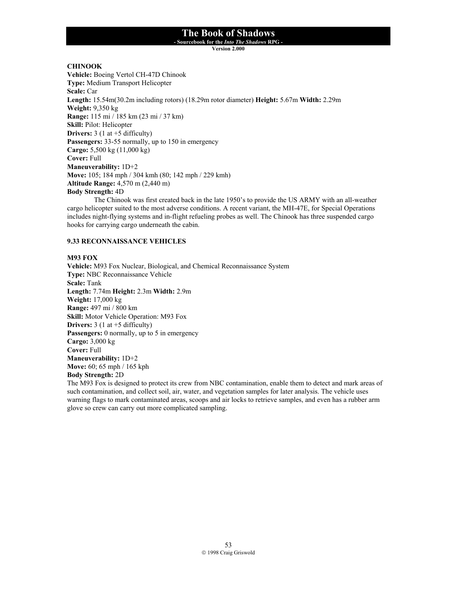**- Sourcebook for the** *Into The Shadows* **RPG -** 

**Version 2.000**

### **CHINOOK**

**Vehicle:** Boeing Vertol CH-47D Chinook **Type:** Medium Transport Helicopter **Scale:** Car **Length:** 15.54m(30.2m including rotors) (18.29m rotor diameter) **Height:** 5.67m **Width:** 2.29m **Weight:** 9,350 kg **Range:** 115 mi / 185 km (23 mi / 37 km) **Skill:** Pilot: Helicopter **Drivers:**  $3(1 \text{ at } +5 \text{ difficulty})$ **Passengers:** 33-55 normally, up to 150 in emergency **Cargo:** 5,500 kg (11,000 kg) **Cover:** Full **Maneuverability:** 1D+2 **Move:** 105; 184 mph / 304 kmh (80; 142 mph / 229 kmh) **Altitude Range:** 4,570 m (2,440 m) **Body Strength:** 4D

The Chinook was first created back in the late 1950's to provide the US ARMY with an all-weather cargo helicopter suited to the most adverse conditions. A recent variant, the MH-47E, for Special Operations includes night-flying systems and in-flight refueling probes as well. The Chinook has three suspended cargo hooks for carrying cargo underneath the cabin.

### **9.33 RECONNAISSANCE VEHICLES**

#### **M93 FOX**

**Vehicle:** M93 Fox Nuclear, Biological, and Chemical Reconnaissance System **Type:** NBC Reconnaissance Vehicle **Scale:** Tank **Length:** 7.74m **Height:** 2.3m **Width:** 2.9m **Weight:** 17,000 kg **Range:** 497 mi / 800 km **Skill:** Motor Vehicle Operation: M93 Fox **Drivers:** 3 (1 at +5 difficulty) **Passengers:** 0 normally, up to 5 in emergency **Cargo:** 3,000 kg **Cover:** Full **Maneuverability:** 1D+2 **Move:** 60; 65 mph / 165 kph **Body Strength:** 2D

The M93 Fox is designed to protect its crew from NBC contamination, enable them to detect and mark areas of such contamination, and collect soil, air, water, and vegetation samples for later analysis. The vehicle uses warning flags to mark contaminated areas, scoops and air locks to retrieve samples, and even has a rubber arm glove so crew can carry out more complicated sampling.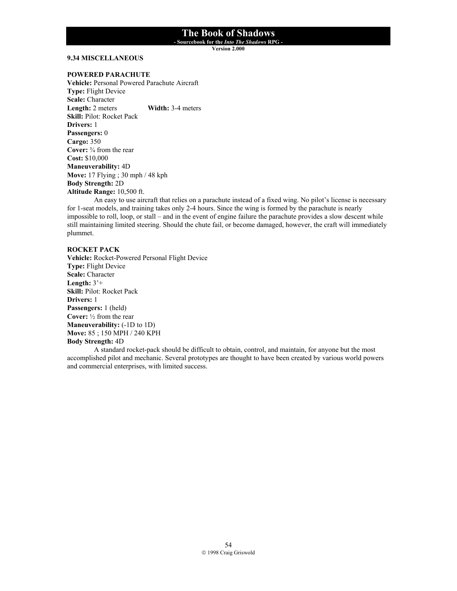**- Sourcebook for the** *Into The Shadows* **RPG -** 

**Version 2.000**

#### **9.34 MISCELLANEOUS**

#### **POWERED PARACHUTE**

**Vehicle:** Personal Powered Parachute Aircraft **Type:** Flight Device **Scale:** Character **Length:** 2 meters **Width:** 3-4 meters **Skill:** Pilot: Rocket Pack **Drivers:** 1 **Passengers:** 0 **Cargo:** 350 **Cover:** ¾ from the rear **Cost:** \$10,000 **Maneuverability:** 4D **Move:** 17 Flying ; 30 mph / 48 kph **Body Strength:** 2D **Altitude Range:** 10,500 ft.

 An easy to use aircraft that relies on a parachute instead of a fixed wing. No pilot's license is necessary for 1-seat models, and training takes only 2-4 hours. Since the wing is formed by the parachute is nearly impossible to roll, loop, or stall – and in the event of engine failure the parachute provides a slow descent while still maintaining limited steering. Should the chute fail, or become damaged, however, the craft will immediately plummet.

#### **ROCKET PACK**

**Vehicle:** Rocket-Powered Personal Flight Device **Type:** Flight Device **Scale:** Character **Length:** 3'+ **Skill:** Pilot: Rocket Pack **Drivers:** 1 **Passengers:** 1 (held) **Cover:** ½ from the rear **Maneuverability:** (-1D to 1D) **Move:** 85 ; 150 MPH / 240 KPH **Body Strength:** 4D

 A standard rocket-pack should be difficult to obtain, control, and maintain, for anyone but the most accomplished pilot and mechanic. Several prototypes are thought to have been created by various world powers and commercial enterprises, with limited success.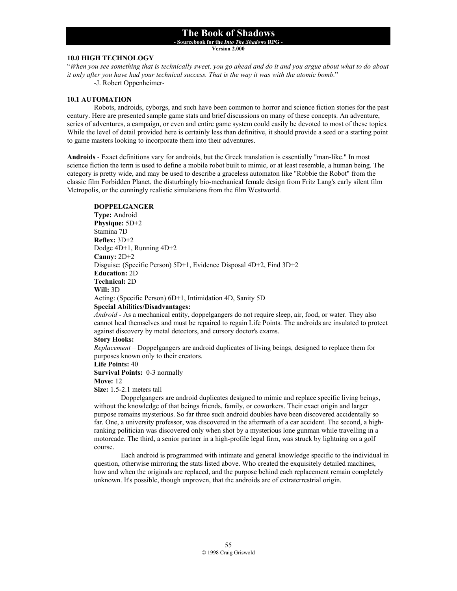**- Sourcebook for the** *Into The Shadows* **RPG -** 

**Version 2.000**

### **10.0 HIGH TECHNOLOGY**

"*When you see something that is technically sweet, you go ahead and do it and you argue about what to do about it only after you have had your technical success. That is the way it was with the atomic bomb.*"

-J. Robert Oppenheimer-

#### **10.1 AUTOMATION**

 Robots, androids, cyborgs, and such have been common to horror and science fiction stories for the past century. Here are presented sample game stats and brief discussions on many of these concepts. An adventure, series of adventures, a campaign, or even and entire game system could easily be devoted to most of these topics. While the level of detail provided here is certainly less than definitive, it should provide a seed or a starting point to game masters looking to incorporate them into their adventures.

**Androids** - Exact definitions vary for androids, but the Greek translation is essentially "man-like." In most science fiction the term is used to define a mobile robot built to mimic, or at least resemble, a human being. The category is pretty wide, and may be used to describe a graceless automaton like "Robbie the Robot" from the classic film Forbidden Planet, the disturbingly bio-mechanical female design from Fritz Lang's early silent film Metropolis, or the cunningly realistic simulations from the film Westworld.

#### **DOPPELGANGER**

**Type:** Android **Physique:** 5D+2 Stamina 7D **Reflex:** 3D+2 Dodge 4D+1, Running 4D+2 **Canny:** 2D+2 Disguise: (Specific Person) 5D+1, Evidence Disposal 4D+2, Find 3D+2 **Education:** 2D **Technical:** 2D **Will:** 3D Acting: (Specific Person) 6D+1, Intimidation 4D, Sanity 5D **Special Abilities/Disadvantages:**

*Android* - As a mechanical entity, doppelgangers do not require sleep, air, food, or water. They also cannot heal themselves and must be repaired to regain Life Points. The androids are insulated to protect against discovery by metal detectors, and cursory doctor's exams.

#### **Story Hooks:**

*Replacement* – Doppelgangers are android duplicates of living beings, designed to replace them for purposes known only to their creators.

#### **Life Points:** 40

**Survival Points:** 0-3 normally

#### **Move:** 12

**Size:** 1.5-2.1 meters tall

 Doppelgangers are android duplicates designed to mimic and replace specific living beings, without the knowledge of that beings friends, family, or coworkers. Their exact origin and larger purpose remains mysterious. So far three such android doubles have been discovered accidentally so far. One, a university professor, was discovered in the aftermath of a car accident. The second, a highranking politician was discovered only when shot by a mysterious lone gunman while travelling in a motorcade. The third, a senior partner in a high-profile legal firm, was struck by lightning on a golf course.

 Each android is programmed with intimate and general knowledge specific to the individual in question, otherwise mirroring the stats listed above. Who created the exquisitely detailed machines, how and when the originals are replaced, and the purpose behind each replacement remain completely unknown. It's possible, though unproven, that the androids are of extraterrestrial origin.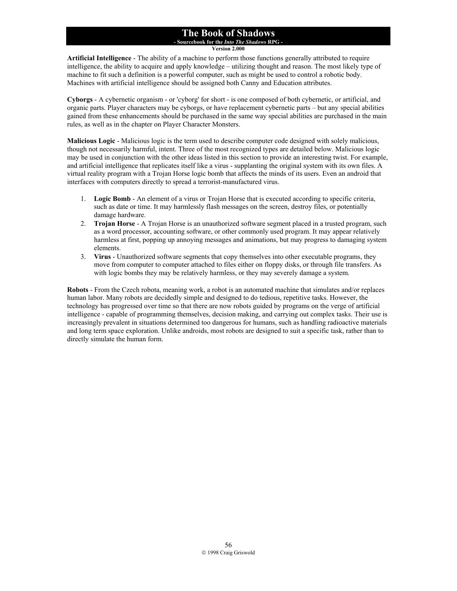#### **The Book of Shadows - Sourcebook for the** *Into The Shadows* **RPG -**

**Version 2.000**

**Artificial Intelligence** - The ability of a machine to perform those functions generally attributed to require intelligence, the ability to acquire and apply knowledge – utilizing thought and reason. The most likely type of machine to fit such a definition is a powerful computer, such as might be used to control a robotic body. Machines with artificial intelligence should be assigned both Canny and Education attributes.

**Cyborgs** - A cybernetic organism - or 'cyborg' for short - is one composed of both cybernetic, or artificial, and organic parts. Player characters may be cyborgs, or have replacement cybernetic parts – but any special abilities gained from these enhancements should be purchased in the same way special abilities are purchased in the main rules, as well as in the chapter on Player Character Monsters.

**Malicious Logic** - Malicious logic is the term used to describe computer code designed with solely malicious, though not necessarily harmful, intent. Three of the most recognized types are detailed below. Malicious logic may be used in conjunction with the other ideas listed in this section to provide an interesting twist. For example, and artificial intelligence that replicates itself like a virus - supplanting the original system with its own files. A virtual reality program with a Trojan Horse logic bomb that affects the minds of its users. Even an android that interfaces with computers directly to spread a terrorist-manufactured virus.

- 1. **Logic Bomb** An element of a virus or Trojan Horse that is executed according to specific criteria, such as date or time. It may harmlessly flash messages on the screen, destroy files, or potentially damage hardware.
- 2. **Trojan Horse** A Trojan Horse is an unauthorized software segment placed in a trusted program, such as a word processor, accounting software, or other commonly used program. It may appear relatively harmless at first, popping up annoying messages and animations, but may progress to damaging system elements.
- 3. **Virus** Unauthorized software segments that copy themselves into other executable programs, they move from computer to computer attached to files either on floppy disks, or through file transfers. As with logic bombs they may be relatively harmless, or they may severely damage a system.

**Robots** - From the Czech robota, meaning work, a robot is an automated machine that simulates and/or replaces human labor. Many robots are decidedly simple and designed to do tedious, repetitive tasks. However, the technology has progressed over time so that there are now robots guided by programs on the verge of artificial intelligence - capable of programming themselves, decision making, and carrying out complex tasks. Their use is increasingly prevalent in situations determined too dangerous for humans, such as handling radioactive materials and long term space exploration. Unlike androids, most robots are designed to suit a specific task, rather than to directly simulate the human form.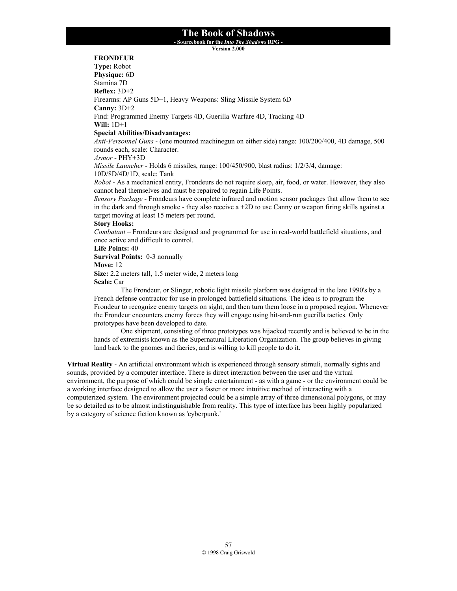**- Sourcebook for the** *Into The Shadows* **RPG -** 

**Version 2.000**

# **FRONDEUR**

**Type:** Robot **Physique:** 6D Stamina 7D **Reflex:** 3D+2 Firearms: AP Guns 5D+1, Heavy Weapons: Sling Missile System 6D **Canny:** 3D+2 Find: Programmed Enemy Targets 4D, Guerilla Warfare 4D, Tracking 4D **Will:** 1D+1 **Special Abilities/Disadvantages:** *Anti-Personnel Guns* - (one mounted machinegun on either side) range: 100/200/400, 4D damage, 500 rounds each, scale: Character. *Armor* - PHY+3D *Missile Launcher* - Holds 6 missiles, range: 100/450/900, blast radius: 1/2/3/4, damage: 10D/8D/4D/1D, scale: Tank *Robot* - As a mechanical entity, Frondeurs do not require sleep, air, food, or water. However, they also cannot heal themselves and must be repaired to regain Life Points. *Sensory Package* - Frondeurs have complete infrared and motion sensor packages that allow them to see in the dark and through smoke - they also receive a  $+2D$  to use Canny or weapon firing skills against a target moving at least 15 meters per round. **Story Hooks:** *Combatant* – Frondeurs are designed and programmed for use in real-world battlefield situations, and once active and difficult to control. **Life Points:** 40 **Survival Points:** 0-3 normally **Move:** 12 **Size:** 2.2 meters tall, 1.5 meter wide, 2 meters long **Scale:** Car The Frondeur, or Slinger, robotic light missile platform was designed in the late 1990's by a French defense contractor for use in prolonged battlefield situations. The idea is to program the Frondeur to recognize enemy targets on sight, and then turn them loose in a proposed region. Whenever the Frondeur encounters enemy forces they will engage using hit-and-run guerilla tactics. Only prototypes have been developed to date.

 One shipment, consisting of three prototypes was hijacked recently and is believed to be in the hands of extremists known as the Supernatural Liberation Organization. The group believes in giving land back to the gnomes and faeries, and is willing to kill people to do it.

**Virtual Reality** - An artificial environment which is experienced through sensory stimuli, normally sights and sounds, provided by a computer interface. There is direct interaction between the user and the virtual environment, the purpose of which could be simple entertainment - as with a game - or the environment could be a working interface designed to allow the user a faster or more intuitive method of interacting with a computerized system. The environment projected could be a simple array of three dimensional polygons, or may be so detailed as to be almost indistinguishable from reality. This type of interface has been highly popularized by a category of science fiction known as 'cyberpunk.'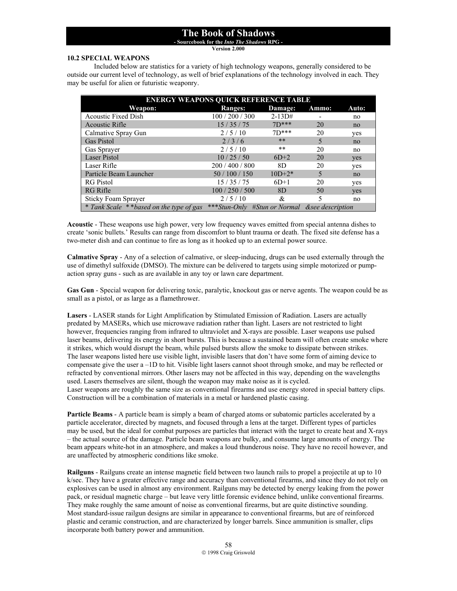**- Sourcebook for the** *Into The Shadows* **RPG - Version 2.000**

#### **10.2 SPECIAL WEAPONS**

 Included below are statistics for a variety of high technology weapons, generally considered to be outside our current level of technology, as well of brief explanations of the technology involved in each. They may be useful for alien or futuristic weaponry.

| <b>ENERGY WEAPONS QUICK REFERENCE TABLE</b> |                                                |            |       |       |  |
|---------------------------------------------|------------------------------------------------|------------|-------|-------|--|
| Weapon:                                     | <b>Ranges:</b>                                 | Damage:    | Ammo: | Auto: |  |
| <b>Acoustic Fixed Dish</b>                  | 100/200/300                                    | $2 - 13D#$ |       | no    |  |
| <b>Acoustic Rifle</b>                       | 15/35/75                                       | $7D***$    | 20    | no    |  |
| Calmative Spray Gun                         | 2/5/10                                         | $7D***$    | 20    | yes   |  |
| <b>Gas Pistol</b>                           | 2/3/6                                          | **         | 5     | no    |  |
| Gas Sprayer                                 | 2/5/10                                         | **         | 20    | no    |  |
| <b>Laser Pistol</b>                         | 10/25/50                                       | $6D+2$     | 20    | yes   |  |
| Laser Rifle                                 | 200/400/800                                    | 8D         | 20    | yes   |  |
| Particle Beam Launcher                      | 50/100/150                                     | $10D+2*$   | 5     | no    |  |
| <b>RG</b> Pistol                            | 15/35/75                                       | $6D+1$     | 20    | yes   |  |
| RG Rifle                                    | 100/250/500                                    | 8D         | 50    | yes   |  |
| <b>Sticky Foam Sprayer</b>                  | 2/5/10                                         | &          | 5     | no    |  |
| * Tank Scale **based on the type of gas     | ***Stun-Only #Stun or Normal & see description |            |       |       |  |

**Acoustic** - These weapons use high power, very low frequency waves emitted from special antenna dishes to create 'sonic bullets.' Results can range from discomfort to blunt trauma or death. The fixed site defense has a two-meter dish and can continue to fire as long as it hooked up to an external power source.

**Calmative Spray** - Any of a selection of calmative, or sleep-inducing, drugs can be used externally through the use of dimethyl sulfoxide (DMSO). The mixture can be delivered to targets using simple motorized or pumpaction spray guns - such as are available in any toy or lawn care department.

**Gas Gun** - Special weapon for delivering toxic, paralytic, knockout gas or nerve agents. The weapon could be as small as a pistol, or as large as a flamethrower.

**Lasers** - LASER stands for Light Amplification by Stimulated Emission of Radiation. Lasers are actually predated by MASERs, which use microwave radiation rather than light. Lasers are not restricted to light however, frequencies ranging from infrared to ultraviolet and X-rays are possible. Laser weapons use pulsed laser beams, delivering its energy in short bursts. This is because a sustained beam will often create smoke where it strikes, which would disrupt the beam, while pulsed bursts allow the smoke to dissipate between strikes. The laser weapons listed here use visible light, invisible lasers that don't have some form of aiming device to compensate give the user a –1D to hit. Visible light lasers cannot shoot through smoke, and may be reflected or refracted by conventional mirrors. Other lasers may not be affected in this way, depending on the wavelengths used. Lasers themselves are silent, though the weapon may make noise as it is cycled. Laser weapons are roughly the same size as conventional firearms and use energy stored in special battery clips. Construction will be a combination of materials in a metal or hardened plastic casing.

**Particle Beams** - A particle beam is simply a beam of charged atoms or subatomic particles accelerated by a particle accelerator, directed by magnets, and focused through a lens at the target. Different types of particles may be used, but the ideal for combat purposes are particles that interact with the target to create heat and X-rays – the actual source of the damage. Particle beam weapons are bulky, and consume large amounts of energy. The beam appears white-hot in an atmosphere, and makes a loud thunderous noise. They have no recoil however, and are unaffected by atmospheric conditions like smoke.

**Railguns** - Railguns create an intense magnetic field between two launch rails to propel a projectile at up to 10 k/sec. They have a greater effective range and accuracy than conventional firearms, and since they do not rely on explosives can be used in almost any environment. Railguns may be detected by energy leaking from the power pack, or residual magnetic charge – but leave very little forensic evidence behind, unlike conventional firearms. They make roughly the same amount of noise as conventional firearms, but are quite distinctive sounding. Most standard-issue railgun designs are similar in appearance to conventional firearms, but are of reinforced plastic and ceramic construction, and are characterized by longer barrels. Since ammunition is smaller, clips incorporate both battery power and ammunition.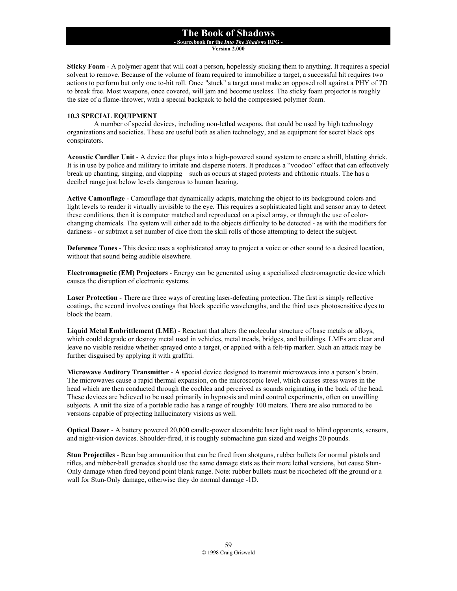**- Sourcebook for the** *Into The Shadows* **RPG -** 

**Version 2.000**

**Sticky Foam** - A polymer agent that will coat a person, hopelessly sticking them to anything. It requires a special solvent to remove. Because of the volume of foam required to immobilize a target, a successful hit requires two actions to perform but only one to-hit roll. Once "stuck" a target must make an opposed roll against a PHY of 7D to break free. Most weapons, once covered, will jam and become useless. The sticky foam projector is roughly the size of a flame-thrower, with a special backpack to hold the compressed polymer foam.

#### **10.3 SPECIAL EQUIPMENT**

 A number of special devices, including non-lethal weapons, that could be used by high technology organizations and societies. These are useful both as alien technology, and as equipment for secret black ops conspirators.

**Acoustic Curdler Unit** - A device that plugs into a high-powered sound system to create a shrill, blatting shriek. It is in use by police and military to irritate and disperse rioters. It produces a "voodoo" effect that can effectively break up chanting, singing, and clapping – such as occurs at staged protests and chthonic rituals. The has a decibel range just below levels dangerous to human hearing.

**Active Camouflage** - Camouflage that dynamically adapts, matching the object to its background colors and light levels to render it virtually invisible to the eye. This requires a sophisticated light and sensor array to detect these conditions, then it is computer matched and reproduced on a pixel array, or through the use of colorchanging chemicals. The system will either add to the objects difficulty to be detected - as with the modifiers for darkness - or subtract a set number of dice from the skill rolls of those attempting to detect the subject.

**Deference Tones** - This device uses a sophisticated array to project a voice or other sound to a desired location, without that sound being audible elsewhere.

**Electromagnetic (EM) Projectors** - Energy can be generated using a specialized electromagnetic device which causes the disruption of electronic systems.

**Laser Protection** - There are three ways of creating laser-defeating protection. The first is simply reflective coatings, the second involves coatings that block specific wavelengths, and the third uses photosensitive dyes to block the beam.

**Liquid Metal Embrittlement (LME)** - Reactant that alters the molecular structure of base metals or alloys, which could degrade or destroy metal used in vehicles, metal treads, bridges, and buildings. LMEs are clear and leave no visible residue whether sprayed onto a target, or applied with a felt-tip marker. Such an attack may be further disguised by applying it with graffiti.

**Microwave Auditory Transmitter** - A special device designed to transmit microwaves into a person's brain. The microwaves cause a rapid thermal expansion, on the microscopic level, which causes stress waves in the head which are then conducted through the cochlea and perceived as sounds originating in the back of the head. These devices are believed to be used primarily in hypnosis and mind control experiments, often on unwilling subjects. A unit the size of a portable radio has a range of roughly 100 meters. There are also rumored to be versions capable of projecting hallucinatory visions as well.

**Optical Dazer** - A battery powered 20,000 candle-power alexandrite laser light used to blind opponents, sensors, and night-vision devices. Shoulder-fired, it is roughly submachine gun sized and weighs 20 pounds.

**Stun Projectiles** - Bean bag ammunition that can be fired from shotguns, rubber bullets for normal pistols and rifles, and rubber-ball grenades should use the same damage stats as their more lethal versions, but cause Stun-Only damage when fired beyond point blank range. Note: rubber bullets must be ricocheted off the ground or a wall for Stun-Only damage, otherwise they do normal damage -1D.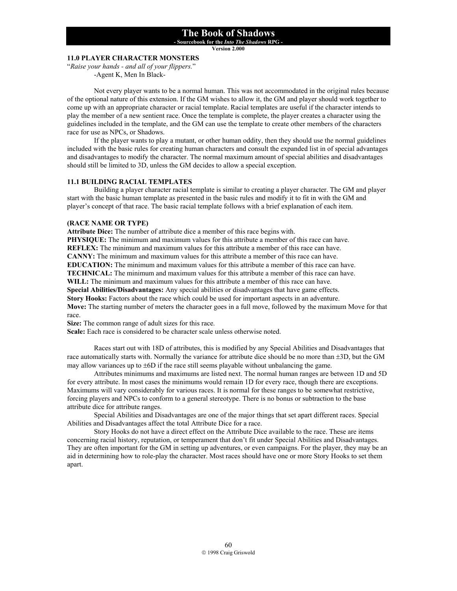**- Sourcebook for the** *Into The Shadows* **RPG -** 

**Version 2.000**

# **11.0 PLAYER CHARACTER MONSTERS**

"*Raise your hands - and all of your flippers.*" -Agent K, Men In Black-

 Not every player wants to be a normal human. This was not accommodated in the original rules because of the optional nature of this extension. If the GM wishes to allow it, the GM and player should work together to come up with an appropriate character or racial template. Racial templates are useful if the character intends to play the member of a new sentient race. Once the template is complete, the player creates a character using the guidelines included in the template, and the GM can use the template to create other members of the characters race for use as NPCs, or Shadows.

 If the player wants to play a mutant, or other human oddity, then they should use the normal guidelines included with the basic rules for creating human characters and consult the expanded list in of special advantages and disadvantages to modify the character. The normal maximum amount of special abilities and disadvantages should still be limited to 3D, unless the GM decides to allow a special exception.

### **11.1 BUILDING RACIAL TEMPLATES**

 Building a player character racial template is similar to creating a player character. The GM and player start with the basic human template as presented in the basic rules and modify it to fit in with the GM and player's concept of that race. The basic racial template follows with a brief explanation of each item.

#### **(RACE NAME OR TYPE)**

**Attribute Dice:** The number of attribute dice a member of this race begins with.

**PHYSIQUE:** The minimum and maximum values for this attribute a member of this race can have.

**REFLEX:** The minimum and maximum values for this attribute a member of this race can have.

**CANNY:** The minimum and maximum values for this attribute a member of this race can have.

**EDUCATION:** The minimum and maximum values for this attribute a member of this race can have.

**TECHNICAL:** The minimum and maximum values for this attribute a member of this race can have.

**WILL:** The minimum and maximum values for this attribute a member of this race can have.

**Special Abilities/Disadvantages:** Any special abilities or disadvantages that have game effects.

**Story Hooks:** Factors about the race which could be used for important aspects in an adventure.

**Move:** The starting number of meters the character goes in a full move, followed by the maximum Move for that race.

**Size:** The common range of adult sizes for this race.

**Scale:** Each race is considered to be character scale unless otherwise noted.

Races start out with 18D of attributes, this is modified by any Special Abilities and Disadvantages that race automatically starts with. Normally the variance for attribute dice should be no more than  $\pm 3D$ , but the GM may allow variances up to  $\pm 6D$  if the race still seems playable without unbalancing the game.

Attributes minimums and maximums are listed next. The normal human ranges are between 1D and 5D for every attribute. In most cases the minimums would remain 1D for every race, though there are exceptions. Maximums will vary considerably for various races. It is normal for these ranges to be somewhat restrictive, forcing players and NPCs to conform to a general stereotype. There is no bonus or subtraction to the base attribute dice for attribute ranges.

Special Abilities and Disadvantages are one of the major things that set apart different races. Special Abilities and Disadvantages affect the total Attribute Dice for a race.

Story Hooks do not have a direct effect on the Attribute Dice available to the race. These are items concerning racial history, reputation, or temperament that don't fit under Special Abilities and Disadvantages. They are often important for the GM in setting up adventures, or even campaigns. For the player, they may be an aid in determining how to role-play the character. Most races should have one or more Story Hooks to set them apart.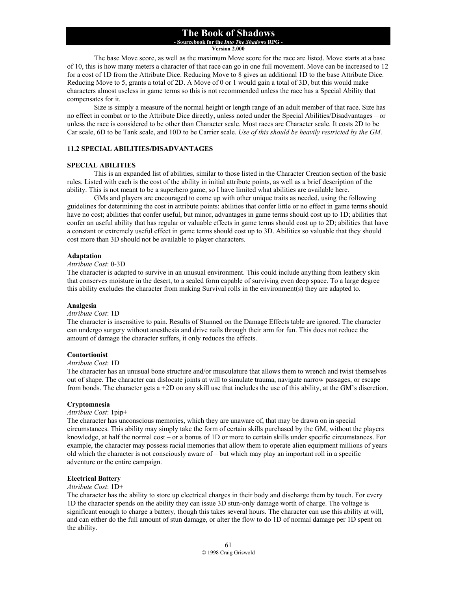**- Sourcebook for the** *Into The Shadows* **RPG - Version 2.000**

 The base Move score, as well as the maximum Move score for the race are listed. Move starts at a base of 10, this is how many meters a character of that race can go in one full movement. Move can be increased to 12 for a cost of 1D from the Attribute Dice. Reducing Move to 8 gives an additional 1D to the base Attribute Dice. Reducing Move to 5, grants a total of 2D. A Move of 0 or 1 would gain a total of 3D, but this would make characters almost useless in game terms so this is not recommended unless the race has a Special Ability that compensates for it.

 Size is simply a measure of the normal height or length range of an adult member of that race. Size has no effect in combat or to the Attribute Dice directly, unless noted under the Special Abilities/Disadvantages – or unless the race is considered to be other than Character scale. Most races are Character scale. It costs 2D to be Car scale, 6D to be Tank scale, and 10D to be Carrier scale. *Use of this should be heavily restricted by the GM*.

#### **11.2 SPECIAL ABILITIES/DISADVANTAGES**

#### **SPECIAL ABILITIES**

 This is an expanded list of abilities, similar to those listed in the Character Creation section of the basic rules. Listed with each is the cost of the ability in initial attribute points, as well as a brief description of the ability. This is not meant to be a superhero game, so I have limited what abilities are available here.

GMs and players are encouraged to come up with other unique traits as needed, using the following guidelines for determining the cost in attribute points: abilities that confer little or no effect in game terms should have no cost; abilities that confer useful, but minor, advantages in game terms should cost up to 1D; abilities that confer an useful ability that has regular or valuable effects in game terms should cost up to 2D; abilities that have a constant or extremely useful effect in game terms should cost up to 3D. Abilities so valuable that they should cost more than 3D should not be available to player characters.

### **Adaptation**

#### *Attribute Cost*: 0-3D

The character is adapted to survive in an unusual environment. This could include anything from leathery skin that conserves moisture in the desert, to a sealed form capable of surviving even deep space. To a large degree this ability excludes the character from making Survival rolls in the environment(s) they are adapted to.

#### **Analgesia**

#### *Attribute Cost*: 1D

The character is insensitive to pain. Results of Stunned on the Damage Effects table are ignored. The character can undergo surgery without anesthesia and drive nails through their arm for fun. This does not reduce the amount of damage the character suffers, it only reduces the effects.

#### **Contortionist**

#### *Attribute Cost*: 1D

The character has an unusual bone structure and/or musculature that allows them to wrench and twist themselves out of shape. The character can dislocate joints at will to simulate trauma, navigate narrow passages, or escape from bonds. The character gets a  $+2D$  on any skill use that includes the use of this ability, at the GM's discretion.

#### **Cryptomnesia**

#### *Attribute Cost*: 1pip+

The character has unconscious memories, which they are unaware of, that may be drawn on in special circumstances. This ability may simply take the form of certain skills purchased by the GM, without the players knowledge, at half the normal cost – or a bonus of 1D or more to certain skills under specific circumstances. For example, the character may possess racial memories that allow them to operate alien equipment millions of years old which the character is not consciously aware of – but which may play an important roll in a specific adventure or the entire campaign.

#### **Electrical Battery**

#### *Attribute Cost*: 1D+

The character has the ability to store up electrical charges in their body and discharge them by touch. For every 1D the character spends on the ability they can issue 3D stun-only damage worth of charge. The voltage is significant enough to charge a battery, though this takes several hours. The character can use this ability at will, and can either do the full amount of stun damage, or alter the flow to do 1D of normal damage per 1D spent on the ability.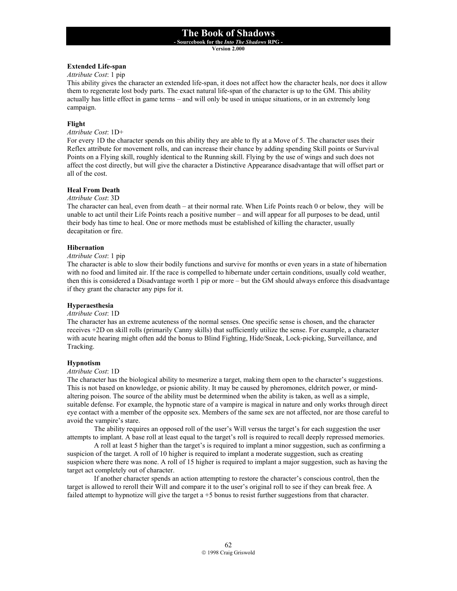**- Sourcebook for the** *Into The Shadows* **RPG -** 

**Version 2.000**

#### **Extended Life-span**

*Attribute Cost*: 1 pip

This ability gives the character an extended life-span, it does not affect how the character heals, nor does it allow them to regenerate lost body parts. The exact natural life-span of the character is up to the GM. This ability actually has little effect in game terms – and will only be used in unique situations, or in an extremely long campaign.

#### **Flight**

*Attribute Cost*: 1D+

For every 1D the character spends on this ability they are able to fly at a Move of 5. The character uses their Reflex attribute for movement rolls, and can increase their chance by adding spending Skill points or Survival Points on a Flying skill, roughly identical to the Running skill. Flying by the use of wings and such does not affect the cost directly, but will give the character a Distinctive Appearance disadvantage that will offset part or all of the cost.

### **Heal From Death**

*Attribute Cost*: 3D

The character can heal, even from death – at their normal rate. When Life Points reach 0 or below, they will be unable to act until their Life Points reach a positive number – and will appear for all purposes to be dead, until their body has time to heal. One or more methods must be established of killing the character, usually decapitation or fire.

#### **Hibernation**

*Attribute Cost*: 1 pip

The character is able to slow their bodily functions and survive for months or even years in a state of hibernation with no food and limited air. If the race is compelled to hibernate under certain conditions, usually cold weather, then this is considered a Disadvantage worth 1 pip or more – but the GM should always enforce this disadvantage if they grant the character any pips for it.

#### **Hyperaesthesia**

#### *Attribute Cost*: 1D

The character has an extreme acuteness of the normal senses. One specific sense is chosen, and the character receives +2D on skill rolls (primarily Canny skills) that sufficiently utilize the sense. For example, a character with acute hearing might often add the bonus to Blind Fighting, Hide/Sneak, Lock-picking, Surveillance, and Tracking.

#### **Hypnotism**

#### *Attribute Cost*: 1D

The character has the biological ability to mesmerize a target, making them open to the character's suggestions. This is not based on knowledge, or psionic ability. It may be caused by pheromones, eldritch power, or mindaltering poison. The source of the ability must be determined when the ability is taken, as well as a simple, suitable defense. For example, the hypnotic stare of a vampire is magical in nature and only works through direct eye contact with a member of the opposite sex. Members of the same sex are not affected, nor are those careful to avoid the vampire's stare.

 The ability requires an opposed roll of the user's Will versus the target's for each suggestion the user attempts to implant. A base roll at least equal to the target's roll is required to recall deeply repressed memories.

 A roll at least 5 higher than the target's is required to implant a minor suggestion, such as confirming a suspicion of the target. A roll of 10 higher is required to implant a moderate suggestion, such as creating suspicion where there was none. A roll of 15 higher is required to implant a major suggestion, such as having the target act completely out of character.

If another character spends an action attempting to restore the character's conscious control, then the target is allowed to reroll their Will and compare it to the user's original roll to see if they can break free. A failed attempt to hypnotize will give the target a +5 bonus to resist further suggestions from that character.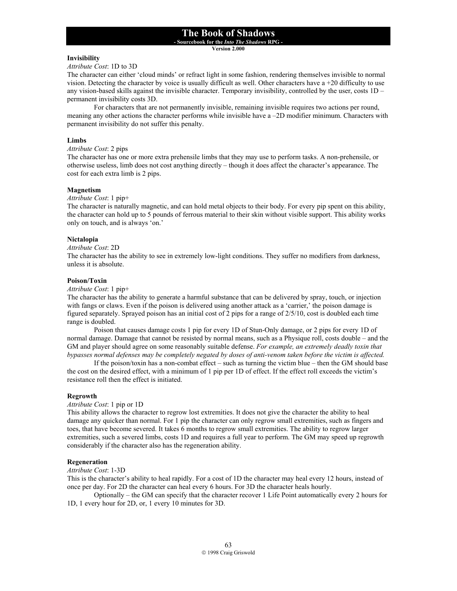**- Sourcebook for the** *Into The Shadows* **RPG -** 

**Version 2.000**

### **Invisibility**

#### *Attribute Cost*: 1D to 3D

The character can either 'cloud minds' or refract light in some fashion, rendering themselves invisible to normal vision. Detecting the character by voice is usually difficult as well. Other characters have a +20 difficulty to use any vision-based skills against the invisible character. Temporary invisibility, controlled by the user, costs 1D – permanent invisibility costs 3D.

 For characters that are not permanently invisible, remaining invisible requires two actions per round, meaning any other actions the character performs while invisible have a –2D modifier minimum. Characters with permanent invisibility do not suffer this penalty.

### **Limbs**

### *Attribute Cost*: 2 pips

The character has one or more extra prehensile limbs that they may use to perform tasks. A non-prehensile, or otherwise useless, limb does not cost anything directly – though it does affect the character's appearance. The cost for each extra limb is 2 pips.

### **Magnetism**

#### *Attribute Cost*: 1 pip+

The character is naturally magnetic, and can hold metal objects to their body. For every pip spent on this ability, the character can hold up to 5 pounds of ferrous material to their skin without visible support. This ability works only on touch, and is always 'on.'

### **Nictalopia**

#### *Attribute Cost*: 2D

The character has the ability to see in extremely low-light conditions. They suffer no modifiers from darkness, unless it is absolute.

### **Poison/Toxin**

#### *Attribute Cost*: 1 pip+

The character has the ability to generate a harmful substance that can be delivered by spray, touch, or injection with fangs or claws. Even if the poison is delivered using another attack as a 'carrier,' the poison damage is figured separately. Sprayed poison has an initial cost of 2 pips for a range of 2/5/10, cost is doubled each time range is doubled.

 Poison that causes damage costs 1 pip for every 1D of Stun-Only damage, or 2 pips for every 1D of normal damage. Damage that cannot be resisted by normal means, such as a Physique roll, costs double – and the GM and player should agree on some reasonably suitable defense. *For example, an extremely deadly toxin that bypasses normal defenses may be completely negated by doses of anti-venom taken before the victim is affected.*

If the poison/toxin has a non-combat effect – such as turning the victim blue – then the GM should base the cost on the desired effect, with a minimum of 1 pip per 1D of effect. If the effect roll exceeds the victim's resistance roll then the effect is initiated.

#### **Regrowth**

#### *Attribute Cost*: 1 pip or 1D

This ability allows the character to regrow lost extremities. It does not give the character the ability to heal damage any quicker than normal. For 1 pip the character can only regrow small extremities, such as fingers and toes, that have become severed. It takes 6 months to regrow small extremities. The ability to regrow larger extremities, such a severed limbs, costs 1D and requires a full year to perform. The GM may speed up regrowth considerably if the character also has the regeneration ability.

#### **Regeneration**

# *Attribute Cost*: 1-3D

This is the character's ability to heal rapidly. For a cost of 1D the character may heal every 12 hours, instead of once per day. For 2D the character can heal every 6 hours. For 3D the character heals hourly.

 Optionally – the GM can specify that the character recover 1 Life Point automatically every 2 hours for 1D, 1 every hour for 2D, or, 1 every 10 minutes for 3D.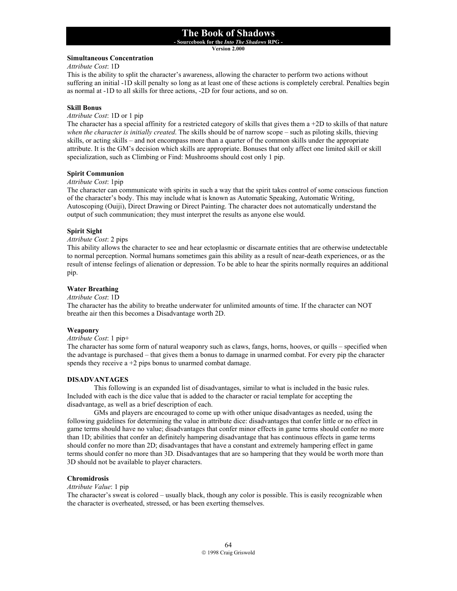**- Sourcebook for the** *Into The Shadows* **RPG -** 

**Version 2.000**

#### **Simultaneous Concentration**

*Attribute Cost*: 1D

This is the ability to split the character's awareness, allowing the character to perform two actions without suffering an initial -1D skill penalty so long as at least one of these actions is completely cerebral. Penalties begin as normal at -1D to all skills for three actions, -2D for four actions, and so on.

#### **Skill Bonus**

*Attribute Cost*: 1D or 1 pip

The character has a special affinity for a restricted category of skills that gives them  $a + 2D$  to skills of that nature *when the character is initially created*. The skills should be of narrow scope – such as piloting skills, thieving skills, or acting skills – and not encompass more than a quarter of the common skills under the appropriate attribute. It is the GM's decision which skills are appropriate. Bonuses that only affect one limited skill or skill specialization, such as Climbing or Find: Mushrooms should cost only 1 pip.

#### **Spirit Communion**

*Attribute Cost*: 1pip

The character can communicate with spirits in such a way that the spirit takes control of some conscious function of the character's body. This may include what is known as Automatic Speaking, Automatic Writing, Autoscoping (Ouiji), Direct Drawing or Direct Painting. The character does not automatically understand the output of such communication; they must interpret the results as anyone else would.

#### **Spirit Sight**

# *Attribute Cost*: 2 pips

This ability allows the character to see and hear ectoplasmic or discarnate entities that are otherwise undetectable to normal perception. Normal humans sometimes gain this ability as a result of near-death experiences, or as the result of intense feelings of alienation or depression. To be able to hear the spirits normally requires an additional pip.

#### **Water Breathing**

*Attribute Cost*: 1D

The character has the ability to breathe underwater for unlimited amounts of time. If the character can NOT breathe air then this becomes a Disadvantage worth 2D.

#### **Weaponry**

### *Attribute Cost*: 1 pip+

The character has some form of natural weaponry such as claws, fangs, horns, hooves, or quills – specified when the advantage is purchased – that gives them a bonus to damage in unarmed combat. For every pip the character spends they receive  $a + 2$  pips bonus to unarmed combat damage.

#### **DISADVANTAGES**

 This following is an expanded list of disadvantages, similar to what is included in the basic rules. Included with each is the dice value that is added to the character or racial template for accepting the disadvantage, as well as a brief description of each.

GMs and players are encouraged to come up with other unique disadvantages as needed, using the following guidelines for determining the value in attribute dice: disadvantages that confer little or no effect in game terms should have no value; disadvantages that confer minor effects in game terms should confer no more than 1D; abilities that confer an definitely hampering disadvantage that has continuous effects in game terms should confer no more than 2D; disadvantages that have a constant and extremely hampering effect in game terms should confer no more than 3D. Disadvantages that are so hampering that they would be worth more than 3D should not be available to player characters.

#### **Chromidrosis**

#### *Attribute Value*: 1 pip

The character's sweat is colored – usually black, though any color is possible. This is easily recognizable when the character is overheated, stressed, or has been exerting themselves.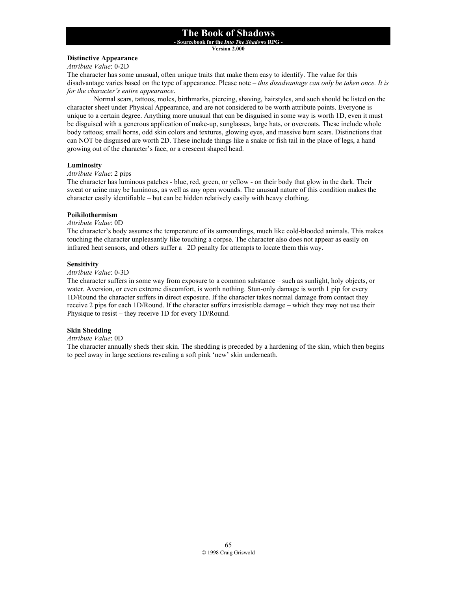**- Sourcebook for the** *Into The Shadows* **RPG -** 

**Version 2.000**

#### **Distinctive Appearance**

*Attribute Value*: 0-2D

The character has some unusual, often unique traits that make them easy to identify. The value for this disadvantage varies based on the type of appearance. Please note – *this disadvantage can only be taken once. It is for the character's entire appearance*.

 Normal scars, tattoos, moles, birthmarks, piercing, shaving, hairstyles, and such should be listed on the character sheet under Physical Appearance, and are not considered to be worth attribute points. Everyone is unique to a certain degree. Anything more unusual that can be disguised in some way is worth 1D, even it must be disguised with a generous application of make-up, sunglasses, large hats, or overcoats. These include whole body tattoos; small horns, odd skin colors and textures, glowing eyes, and massive burn scars. Distinctions that can NOT be disguised are worth 2D. These include things like a snake or fish tail in the place of legs, a hand growing out of the character's face, or a crescent shaped head.

#### **Luminosity**

### *Attribute Value*: 2 pips

The character has luminous patches - blue, red, green, or yellow - on their body that glow in the dark. Their sweat or urine may be luminous, as well as any open wounds. The unusual nature of this condition makes the character easily identifiable – but can be hidden relatively easily with heavy clothing.

#### **Poikilothermism**

#### *Attribute Value*: 0D

The character's body assumes the temperature of its surroundings, much like cold-blooded animals. This makes touching the character unpleasantly like touching a corpse. The character also does not appear as easily on infrared heat sensors, and others suffer a –2D penalty for attempts to locate them this way.

#### **Sensitivity**

#### *Attribute Value*: 0-3D

The character suffers in some way from exposure to a common substance – such as sunlight, holy objects, or water. Aversion, or even extreme discomfort, is worth nothing. Stun-only damage is worth 1 pip for every 1D/Round the character suffers in direct exposure. If the character takes normal damage from contact they receive 2 pips for each 1D/Round. If the character suffers irresistible damage – which they may not use their Physique to resist – they receive 1D for every 1D/Round.

#### **Skin Shedding**

#### *Attribute Value*: 0D

The character annually sheds their skin. The shedding is preceded by a hardening of the skin, which then begins to peel away in large sections revealing a soft pink 'new' skin underneath.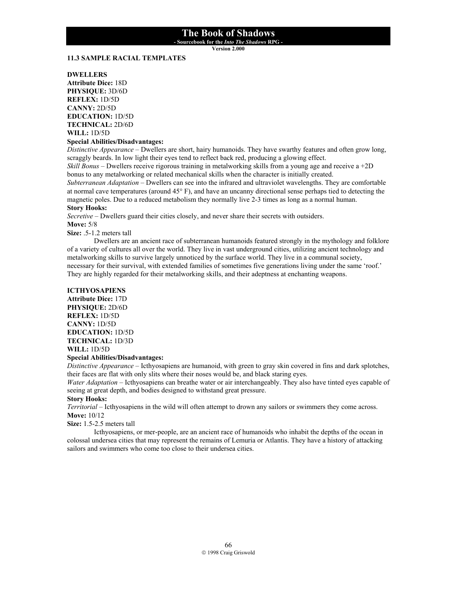**- Sourcebook for the** *Into The Shadows* **RPG -** 

**Version 2.000**

### **11.3 SAMPLE RACIAL TEMPLATES**

#### **DWELLERS**

**Attribute Dice:** 18D **PHYSIQUE:** 3D/6D **REFLEX:** 1D/5D **CANNY:** 2D/5D **EDUCATION:** 1D/5D **TECHNICAL:** 2D/6D **WILL:** 1D/5D

# **Special Abilities/Disadvantages:**

*Distinctive Appearance* – Dwellers are short, hairy humanoids. They have swarthy features and often grow long, scraggly beards. In low light their eyes tend to reflect back red, producing a glowing effect.

*Skill Bonus* – Dwellers receive rigorous training in metalworking skills from a young age and receive a +2D bonus to any metalworking or related mechanical skills when the character is initially created.

*Subterranean Adaptation* – Dwellers can see into the infrared and ultraviolet wavelengths. They are comfortable at normal cave temperatures (around  $45^{\circ}$  F), and have an uncanny directional sense perhaps tied to detecting the magnetic poles. Due to a reduced metabolism they normally live 2-3 times as long as a normal human.

### **Story Hooks:**

*Secretive* – Dwellers guard their cities closely, and never share their secrets with outsiders.

**Move:** 5/8

**Size:** .5-1.2 meters tall

 Dwellers are an ancient race of subterranean humanoids featured strongly in the mythology and folklore of a variety of cultures all over the world. They live in vast underground cities, utilizing ancient technology and metalworking skills to survive largely unnoticed by the surface world. They live in a communal society, necessary for their survival, with extended families of sometimes five generations living under the same 'roof.' They are highly regarded for their metalworking skills, and their adeptness at enchanting weapons.

#### **ICTHYOSAPIENS**

**Attribute Dice:** 17D **PHYSIQUE:** 2D/6D **REFLEX:** 1D/5D **CANNY:** 1D/5D **EDUCATION:** 1D/5D **TECHNICAL:** 1D/3D **WILL:** 1D/5D

### **Special Abilities/Disadvantages:**

*Distinctive Appearance* – Icthyosapiens are humanoid, with green to gray skin covered in fins and dark splotches, their faces are flat with only slits where their noses would be, and black staring eyes.

*Water Adaptation* – Icthyosapiens can breathe water or air interchangeably. They also have tinted eyes capable of seeing at great depth, and bodies designed to withstand great pressure.

#### **Story Hooks:**

*Territorial* – Icthyosapiens in the wild will often attempt to drown any sailors or swimmers they come across. **Move:** 10/12

#### **Size:** 1.5-2.5 meters tall

Icthyosapiens, or mer-people, are an ancient race of humanoids who inhabit the depths of the ocean in colossal undersea cities that may represent the remains of Lemuria or Atlantis. They have a history of attacking sailors and swimmers who come too close to their undersea cities.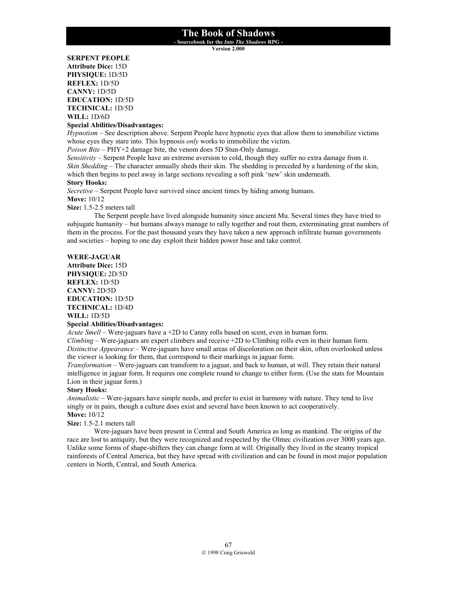**- Sourcebook for the** *Into The Shadows* **RPG -** 

**Version 2.000**

**SERPENT PEOPLE Attribute Dice:** 15D **PHYSIQUE:** 1D/5D **REFLEX:** 1D/5D **CANNY:** 1D/5D **EDUCATION:** 1D/5D **TECHNICAL:** 1D/5D **WILL:** 1D/6D

#### **Special Abilities/Disadvantages:**

*Hypnotism* – See description above. Serpent People have hypnotic eyes that allow them to immobilize victims whose eyes they stare into. This hypnosis *only* works to immobilize the victim.

*Poison Bite* – PHY+2 damage bite, the venom does 5D Stun-Only damage.

*Sensitivity* – Serpent People have an extreme aversion to cold, though they suffer no extra damage from it. *Skin Shedding* – The character annually sheds their skin. The shedding is preceded by a hardening of the skin, which then begins to peel away in large sections revealing a soft pink 'new' skin underneath.

#### **Story Hooks:**

*Secretive* – Serpent People have survived since ancient times by hiding among humans.

**Move:** 10/12

**Size:** 1.5-2.5 meters tall

The Serpent people have lived alongside humanity since ancient Mu. Several times they have tried to subjugate humanity – but humans always manage to rally together and rout them, exterminating great numbers of them in the process. For the past thousand years they have taken a new approach infiltrate human governments and societies – hoping to one day exploit their hidden power base and take control.

### **WERE-JAGUAR**

**Attribute Dice:** 15D **PHYSIQUE:** 2D/5D **REFLEX:** 1D/5D **CANNY:** 2D/5D **EDUCATION:** 1D/5D **TECHNICAL:** 1D/4D **WILL:** 1D/5D

# **Special Abilities/Disadvantages:**

*Acute Smell* – Were-jaguars have a +2D to Canny rolls based on scent, even in human form.

*Climbing* – Were-jaguars are expert climbers and receive +2D to Climbing rolls even in their human form. *Distinctive Appearance* – Were-jaguars have small areas of discoloration on their skin, often overlooked unless the viewer is looking for them, that correspond to their markings in jaguar form.

*Transformation* – Were-jaguars can transform to a jaguar, and back to human, at will. They retain their natural intelligence in jaguar form. It requires one complete round to change to either form. (Use the stats for Mountain Lion in their jaguar form.)

#### **Story Hooks:**

*Animalistic* – Were-jaguars have simple needs, and prefer to exist in harmony with nature. They tend to live singly or in pairs, though a culture does exist and several have been known to act cooperatively. **Move:** 10/12

### **Size:** 1.5-2.1 meters tall

 Were-jaguars have been present in Central and South America as long as mankind. The origins of the race are lost to antiquity, but they were recognized and respected by the Olmec civilization over 3000 years ago. Unlike some forms of shape-shifters they can change form at will. Originally they lived in the steamy tropical rainforests of Central America, but they have spread with civilization and can be found in most major population centers in North, Central, and South America.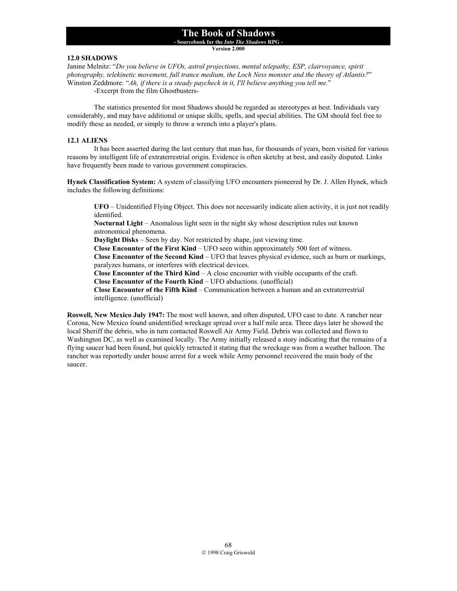**- Sourcebook for the** *Into The Shadows* **RPG -** 

**Version 2.000**

# **12.0 SHADOWS**

Janine Melnitz: "*Do you believe in UFOs, astral projections, mental telepathy, ESP, clairvoyance, spirit photography, telekinetic movement, full trance medium, the Loch Ness monster and the theory of Atlantis?*" Winston Zeddmore: "*Ah, if there is a steady paycheck in it, I'll believe anything you tell me.*"

-Excerpt from the film Ghostbusters-

 The statistics presented for most Shadows should be regarded as stereotypes at best. Individuals vary considerably, and may have additional or unique skills, spells, and special abilities. The GM should feel free to modify these as needed, or simply to throw a wrench into a player's plans.

#### **12.1 ALIENS**

 It has been asserted during the last century that man has, for thousands of years, been visited for various reasons by intelligent life of extraterrestrial origin. Evidence is often sketchy at best, and easily disputed. Links have frequently been made to various government conspiracies.

**Hynek Classification System:** A system of classifying UFO encounters pioneered by Dr. J. Allen Hynek, which includes the following definitions:

**UFO** – Unidentified Flying Object. This does not necessarily indicate alien activity, it is just not readily identified.

**Nocturnal Light** – Anomalous light seen in the night sky whose description rules out known astronomical phenomena.

**Daylight Disks** – Seen by day. Not restricted by shape, just viewing time.

**Close Encounter of the First Kind** – UFO seen within approximately 500 feet of witness.

**Close Encounter of the Second Kind** – UFO that leaves physical evidence, such as burn or markings, paralyzes humans, or interferes with electrical devices.

**Close Encounter of the Third Kind** – A close encounter with visible occupants of the craft.

**Close Encounter of the Fourth Kind** – UFO abductions. (unofficial)

**Close Encounter of the Fifth Kind** – Communication between a human and an extraterrestrial intelligence. (unofficial)

**Roswell, New Mexico July 1947:** The most well known, and often disputed, UFO case to date. A rancher near Corona, New Mexico found unidentified wreckage spread over a half mile area. Three days later he showed the local Sheriff the debris, who in turn contacted Roswell Air Army Field. Debris was collected and flown to Washington DC, as well as examined locally. The Army initially released a story indicating that the remains of a flying saucer had been found, but quickly retracted it stating that the wreckage was from a weather balloon. The rancher was reportedly under house arrest for a week while Army personnel recovered the main body of the saucer.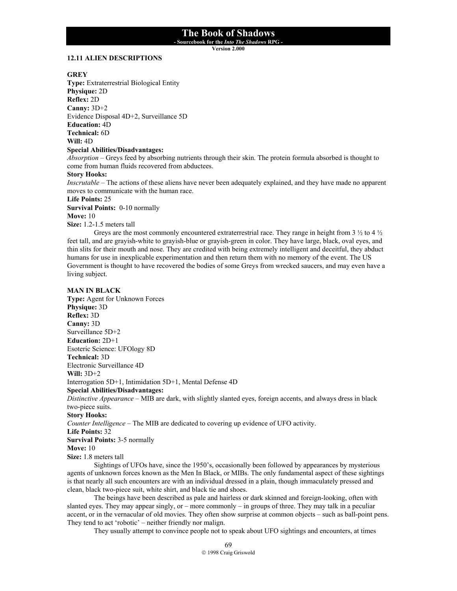**- Sourcebook for the** *Into The Shadows* **RPG -** 

**Version 2.000**

#### **12.11 ALIEN DESCRIPTIONS**

#### **GREY**

**Type:** Extraterrestrial Biological Entity **Physique:** 2D **Reflex:** 2D **Canny:** 3D+2 Evidence Disposal 4D+2, Surveillance 5D **Education:** 4D **Technical:** 6D **Will:** 4D **Special Abilities/Disadvantages:**

*Absorption* – Greys feed by absorbing nutrients through their skin. The protein formula absorbed is thought to come from human fluids recovered from abductees.

#### **Story Hooks:**

*Inscrutable* – The actions of these aliens have never been adequately explained, and they have made no apparent moves to communicate with the human race.

#### **Life Points:** 25

**Survival Points:** 0-10 normally

**Move:** 10

**Size:** 1.2-1.5 meters tall

Greys are the most commonly encountered extraterrestrial race. They range in height from  $3\frac{1}{2}$  to  $4\frac{1}{2}$ feet tall, and are grayish-white to grayish-blue or grayish-green in color. They have large, black, oval eyes, and thin slits for their mouth and nose. They are credited with being extremely intelligent and deceitful, they abduct humans for use in inexplicable experimentation and then return them with no memory of the event. The US Government is thought to have recovered the bodies of some Greys from wrecked saucers, and may even have a living subject.

#### **MAN IN BLACK**

**Type:** Agent for Unknown Forces **Physique:** 3D **Reflex:** 3D **Canny:** 3D Surveillance 5D+2 **Education:** 2D+1 Esoteric Science: UFOlogy 8D **Technical:** 3D Electronic Surveillance 4D **Will:** 3D+2 Interrogation 5D+1, Intimidation 5D+1, Mental Defense 4D **Special Abilities/Disadvantages:** *Distinctive Appearance* – MIB are dark, with slightly slanted eyes, foreign accents, and always dress in black two-piece suits. **Story Hooks:** *Counter Intelligence* – The MIB are dedicated to covering up evidence of UFO activity. **Life Points:** 32 **Survival Points:** 3-5 normally **Move:** 10 **Size:** 1.8 meters tall

Sightings of UFOs have, since the 1950's, occasionally been followed by appearances by mysterious agents of unknown forces known as the Men In Black, or MIBs. The only fundamental aspect of these sightings is that nearly all such encounters are with an individual dressed in a plain, though immaculately pressed and clean, black two-piece suit, white shirt, and black tie and shoes.

The beings have been described as pale and hairless or dark skinned and foreign-looking, often with slanted eyes. They may appear singly, or – more commonly – in groups of three. They may talk in a peculiar accent, or in the vernacular of old movies. They often show surprise at common objects – such as ball-point pens. They tend to act 'robotic' – neither friendly nor malign.

They usually attempt to convince people not to speak about UFO sightings and encounters, at times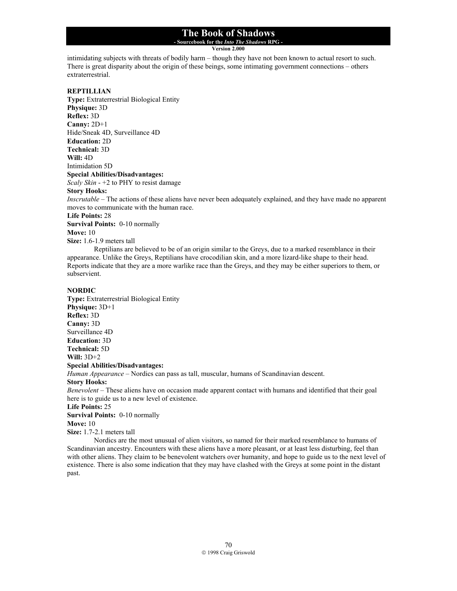# **- Sourcebook for the** *Into The Shadows* **RPG -**

**Version 2.000**

intimidating subjects with threats of bodily harm – though they have not been known to actual resort to such. There is great disparity about the origin of these beings, some intimating government connections – others extraterrestrial.

### **REPTILLIAN**

**Type:** Extraterrestrial Biological Entity **Physique:** 3D **Reflex:** 3D **Canny:** 2D+1 Hide/Sneak 4D, Surveillance 4D **Education:** 2D **Technical:** 3D **Will:** 4D Intimidation 5D **Special Abilities/Disadvantages:** *Scaly Skin* - +2 to PHY to resist damage **Story Hooks:**

*Inscrutable* – The actions of these aliens have never been adequately explained, and they have made no apparent moves to communicate with the human race.

**Life Points:** 28

**Survival Points:** 0-10 normally

**Move:** 10

**Size:** 1.6-1.9 meters tall

Reptilians are believed to be of an origin similar to the Greys, due to a marked resemblance in their appearance. Unlike the Greys, Reptilians have crocodilian skin, and a more lizard-like shape to their head. Reports indicate that they are a more warlike race than the Greys, and they may be either superiors to them, or subservient.

#### **NORDIC**

**Type:** Extraterrestrial Biological Entity **Physique:** 3D+1 **Reflex:** 3D **Canny:** 3D Surveillance 4D **Education:** 3D **Technical:** 5D **Will:** 3D+2 **Special Abilities/Disadvantages:** *Human Appearance* – Nordics can pass as tall, muscular, humans of Scandinavian descent.

**Story Hooks:**

*Benevolent* – These aliens have on occasion made apparent contact with humans and identified that their goal here is to guide us to a new level of existence.

#### **Life Points:** 25

**Survival Points:** 0-10 normally

**Move:** 10

**Size:** 1.7-2.1 meters tall

Nordics are the most unusual of alien visitors, so named for their marked resemblance to humans of Scandinavian ancestry. Encounters with these aliens have a more pleasant, or at least less disturbing, feel than with other aliens. They claim to be benevolent watchers over humanity, and hope to guide us to the next level of existence. There is also some indication that they may have clashed with the Greys at some point in the distant past.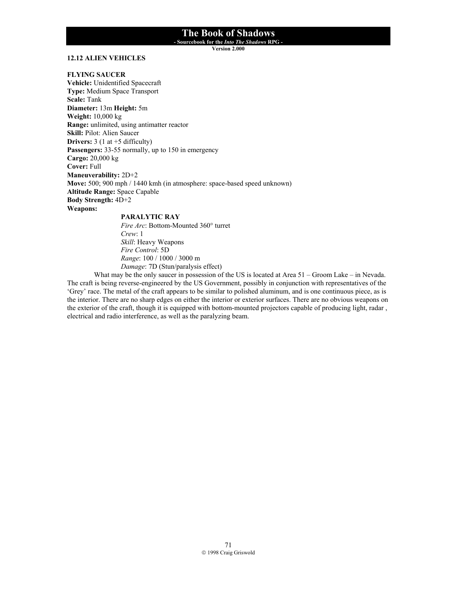**- Sourcebook for the** *Into The Shadows* **RPG -** 

**Version 2.000**

## **12.12 ALIEN VEHICLES**

#### **FLYING SAUCER**

**Vehicle:** Unidentified Spacecraft **Type:** Medium Space Transport **Scale:** Tank **Diameter:** 13m **Height:** 5m **Weight:** 10,000 kg **Range:** unlimited, using antimatter reactor **Skill:** Pilot: Alien Saucer **Drivers:** 3 (1 at +5 difficulty) Passengers: 33-55 normally, up to 150 in emergency **Cargo:** 20,000 kg **Cover:** Full **Maneuverability:** 2D+2 **Move:** 500; 900 mph / 1440 kmh (in atmosphere: space-based speed unknown) **Altitude Range:** Space Capable **Body Strength:** 4D+2 **Weapons: PARALYTIC RAY** 

*Fire Arc*: Bottom-Mounted 360° turret *Crew*: 1 *Skill*: Heavy Weapons *Fire Control*: 5D *Range*: 100 / 1000 / 3000 m *Damage*: 7D (Stun/paralysis effect)

What may be the only saucer in possession of the US is located at Area 51 – Groom Lake – in Nevada. The craft is being reverse-engineered by the US Government, possibly in conjunction with representatives of the 'Grey' race. The metal of the craft appears to be similar to polished aluminum, and is one continuous piece, as is the interior. There are no sharp edges on either the interior or exterior surfaces. There are no obvious weapons on the exterior of the craft, though it is equipped with bottom-mounted projectors capable of producing light, radar , electrical and radio interference, as well as the paralyzing beam.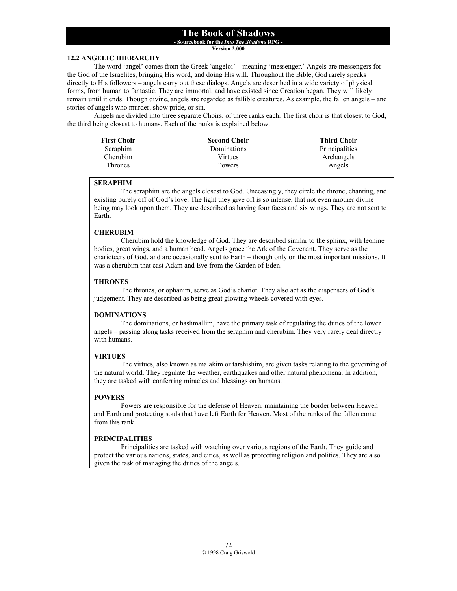**- Sourcebook for the** *Into The Shadows* **RPG -** 

**Version 2.000**

### **12.2 ANGELIC HIERARCHY**

 The word 'angel' comes from the Greek 'angeloi' – meaning 'messenger.' Angels are messengers for the God of the Israelites, bringing His word, and doing His will. Throughout the Bible, God rarely speaks directly to His followers – angels carry out these dialogs. Angels are described in a wide variety of physical forms, from human to fantastic. They are immortal, and have existed since Creation began. They will likely remain until it ends. Though divine, angels are regarded as fallible creatures. As example, the fallen angels – and stories of angels who murder, show pride, or sin.

 Angels are divided into three separate Choirs, of three ranks each. The first choir is that closest to God, the third being closest to humans. Each of the ranks is explained below.

| <b>First Choir</b> | <b>Second Choir</b> | <b>Third Choir</b> |
|--------------------|---------------------|--------------------|
| Seraphim           | Dominations         | Principalities     |
| Cherubim           | Virtues             | Archangels         |
| Thrones            | Powers              | Angels             |

#### **SERAPHIM**

 The seraphim are the angels closest to God. Unceasingly, they circle the throne, chanting, and existing purely off of God's love. The light they give off is so intense, that not even another divine being may look upon them. They are described as having four faces and six wings. They are not sent to Earth.

#### **CHERUBIM**

 Cherubim hold the knowledge of God. They are described similar to the sphinx, with leonine bodies, great wings, and a human head. Angels grace the Ark of the Covenant. They serve as the charioteers of God, and are occasionally sent to Earth – though only on the most important missions. It was a cherubim that cast Adam and Eve from the Garden of Eden.

### **THRONES**

 The thrones, or ophanim, serve as God's chariot. They also act as the dispensers of God's judgement. They are described as being great glowing wheels covered with eyes.

### **DOMINATIONS**

 The dominations, or hashmallim, have the primary task of regulating the duties of the lower angels – passing along tasks received from the seraphim and cherubim. They very rarely deal directly with humans.

### **VIRTUES**

 The virtues, also known as malakim or tarshishim, are given tasks relating to the governing of the natural world. They regulate the weather, earthquakes and other natural phenomena. In addition, they are tasked with conferring miracles and blessings on humans.

#### **POWERS**

 Powers are responsible for the defense of Heaven, maintaining the border between Heaven and Earth and protecting souls that have left Earth for Heaven. Most of the ranks of the fallen come from this rank.

### **PRINCIPALITIES**

 Principalities are tasked with watching over various regions of the Earth. They guide and protect the various nations, states, and cities, as well as protecting religion and politics. They are also given the task of managing the duties of the angels.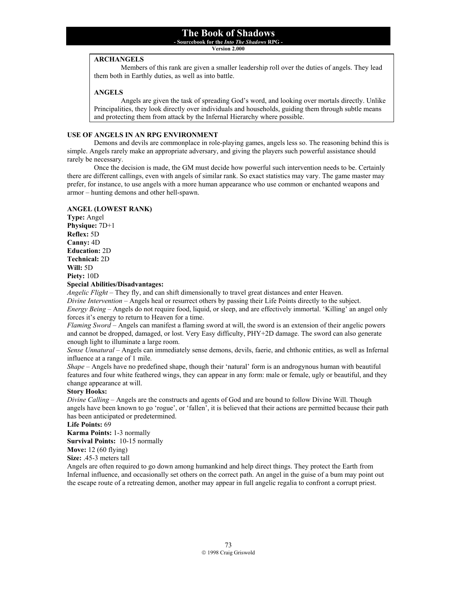**Version 2.000**

#### **ARCHANGELS**

 Members of this rank are given a smaller leadership roll over the duties of angels. They lead them both in Earthly duties, as well as into battle.

### **ANGELS**

 Angels are given the task of spreading God's word, and looking over mortals directly. Unlike Principalities, they look directly over individuals and households, guiding them through subtle means and protecting them from attack by the Infernal Hierarchy where possible.

### **USE OF ANGELS IN AN RPG ENVIRONMENT**

 Demons and devils are commonplace in role-playing games, angels less so. The reasoning behind this is simple. Angels rarely make an appropriate adversary, and giving the players such powerful assistance should rarely be necessary.

 Once the decision is made, the GM must decide how powerful such intervention needs to be. Certainly there are different callings, even with angels of similar rank. So exact statistics may vary. The game master may prefer, for instance, to use angels with a more human appearance who use common or enchanted weapons and armor – hunting demons and other hell-spawn.

## **ANGEL (LOWEST RANK)**

**Type:** Angel **Physique:** 7D+1 **Reflex:** 5D **Canny:** 4D **Education:** 2D **Technical:** 2D **Will:** 5D **Piety:** 10D **Special Abilities/Disadvantages:**

*Angelic Flight* – They fly, and can shift dimensionally to travel great distances and enter Heaven. *Divine Intervention* – Angels heal or resurrect others by passing their Life Points directly to the subject. *Energy Being* – Angels do not require food, liquid, or sleep, and are effectively immortal. 'Killing' an angel only forces it's energy to return to Heaven for a time.

*Flaming Sword* – Angels can manifest a flaming sword at will, the sword is an extension of their angelic powers and cannot be dropped, damaged, or lost. Very Easy difficulty, PHY+2D damage. The sword can also generate enough light to illuminate a large room.

*Sense Unnatural* – Angels can immediately sense demons, devils, faerie, and chthonic entities, as well as Infernal influence at a range of 1 mile.

*Shape* – Angels have no predefined shape, though their 'natural' form is an androgynous human with beautiful features and four white feathered wings, they can appear in any form: male or female, ugly or beautiful, and they change appearance at will.

### **Story Hooks:**

*Divine Calling* – Angels are the constructs and agents of God and are bound to follow Divine Will. Though angels have been known to go 'rogue', or 'fallen', it is believed that their actions are permitted because their path has been anticipated or predetermined.

**Life Points:** 69

**Karma Points:** 1-3 normally

**Survival Points:** 10-15 normally

**Move:** 12 (60 flying)

**Size:** .45-3 meters tall

Angels are often required to go down among humankind and help direct things. They protect the Earth from Infernal influence, and occasionally set others on the correct path. An angel in the guise of a bum may point out the escape route of a retreating demon, another may appear in full angelic regalia to confront a corrupt priest.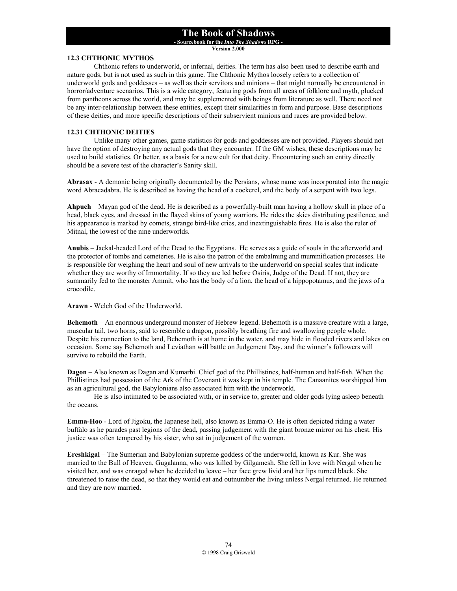**- Sourcebook for the** *Into The Shadows* **RPG -** 

**Version 2.000**

### **12.3 CHTHONIC MYTHOS**

 Chthonic refers to underworld, or infernal, deities. The term has also been used to describe earth and nature gods, but is not used as such in this game. The Chthonic Mythos loosely refers to a collection of underworld gods and goddesses – as well as their servitors and minions – that might normally be encountered in horror/adventure scenarios. This is a wide category, featuring gods from all areas of folklore and myth, plucked from pantheons across the world, and may be supplemented with beings from literature as well. There need not be any inter-relationship between these entities, except their similarities in form and purpose. Base descriptions of these deities, and more specific descriptions of their subservient minions and races are provided below.

## **12.31 CHTHONIC DEITIES**

 Unlike many other games, game statistics for gods and goddesses are not provided. Players should not have the option of destroying any actual gods that they encounter. If the GM wishes, these descriptions may be used to build statistics. Or better, as a basis for a new cult for that deity. Encountering such an entity directly should be a severe test of the character's Sanity skill.

**Abrasax** - A demonic being originally documented by the Persians, whose name was incorporated into the magic word Abracadabra. He is described as having the head of a cockerel, and the body of a serpent with two legs.

**Ahpuch** – Mayan god of the dead. He is described as a powerfully-built man having a hollow skull in place of a head, black eyes, and dressed in the flayed skins of young warriors. He rides the skies distributing pestilence, and his appearance is marked by comets, strange bird-like cries, and inextinguishable fires. He is also the ruler of Mitnal, the lowest of the nine underworlds.

**Anubis** – Jackal-headed Lord of the Dead to the Egyptians. He serves as a guide of souls in the afterworld and the protector of tombs and cemeteries. He is also the patron of the embalming and mummification processes. He is responsible for weighing the heart and soul of new arrivals to the underworld on special scales that indicate whether they are worthy of Immortality. If so they are led before Osiris, Judge of the Dead. If not, they are summarily fed to the monster Ammit, who has the body of a lion, the head of a hippopotamus, and the jaws of a crocodile.

**Arawn** - Welch God of the Underworld.

**Behemoth** – An enormous underground monster of Hebrew legend. Behemoth is a massive creature with a large, muscular tail, two horns, said to resemble a dragon, possibly breathing fire and swallowing people whole. Despite his connection to the land, Behemoth is at home in the water, and may hide in flooded rivers and lakes on occasion. Some say Behemoth and Leviathan will battle on Judgement Day, and the winner's followers will survive to rebuild the Earth.

**Dagon** – Also known as Dagan and Kumarbi. Chief god of the Phillistines, half-human and half-fish. When the Phillistines had possession of the Ark of the Covenant it was kept in his temple. The Canaanites worshipped him as an agricultural god, the Babylonians also associated him with the underworld.

 He is also intimated to be associated with, or in service to, greater and older gods lying asleep beneath the oceans.

**Emma-Hoo** - Lord of Jigoku, the Japanese hell, also known as Emma-O. He is often depicted riding a water buffalo as he parades past legions of the dead, passing judgement with the giant bronze mirror on his chest. His justice was often tempered by his sister, who sat in judgement of the women.

**Ereshkigal** – The Sumerian and Babylonian supreme goddess of the underworld, known as Kur. She was married to the Bull of Heaven, Gugalanna, who was killed by Gilgamesh. She fell in love with Nergal when he visited her, and was enraged when he decided to leave – her face grew livid and her lips turned black. She threatened to raise the dead, so that they would eat and outnumber the living unless Nergal returned. He returned and they are now married.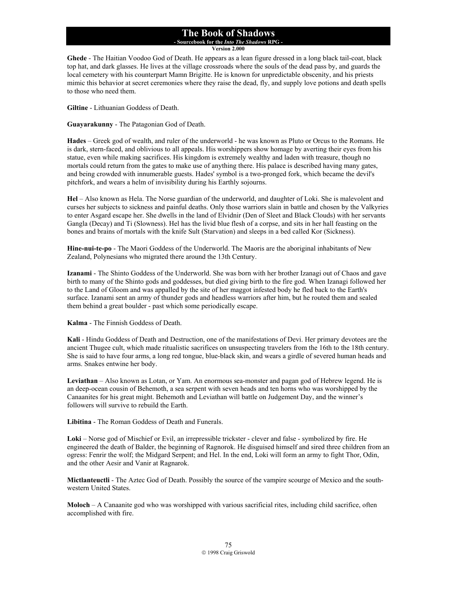**- Sourcebook for the** *Into The Shadows* **RPG - Version 2.000**

**Ghede** - The Haitian Voodoo God of Death. He appears as a lean figure dressed in a long black tail-coat, black top hat, and dark glasses. He lives at the village crossroads where the souls of the dead pass by, and guards the local cemetery with his counterpart Mamn Brigitte. He is known for unpredictable obscenity, and his priests mimic this behavior at secret ceremonies where they raise the dead, fly, and supply love potions and death spells to those who need them.

**Giltine** - Lithuanian Goddess of Death.

**Guayarakunny** - The Patagonian God of Death.

**Hades** – Greek god of wealth, and ruler of the underworld - he was known as Pluto or Orcus to the Romans. He is dark, stern-faced, and oblivious to all appeals. His worshippers show homage by averting their eyes from his statue, even while making sacrifices. His kingdom is extremely wealthy and laden with treasure, though no mortals could return from the gates to make use of anything there. His palace is described having many gates, and being crowded with innumerable guests. Hades' symbol is a two-pronged fork, which became the devil's pitchfork, and wears a helm of invisibility during his Earthly sojourns.

**Hel** – Also known as Hela. The Norse guardian of the underworld, and daughter of Loki. She is malevolent and curses her subjects to sickness and painful deaths. Only those warriors slain in battle and chosen by the Valkyries to enter Asgard escape her. She dwells in the land of Elvidnir (Den of Sleet and Black Clouds) with her servants Gangla (Decay) and Ti (Slowness). Hel has the livid blue flesh of a corpse, and sits in her hall feasting on the bones and brains of mortals with the knife Sult (Starvation) and sleeps in a bed called Kor (Sickness).

**Hine-nui-te-po** - The Maori Goddess of the Underworld. The Maoris are the aboriginal inhabitants of New Zealand, Polynesians who migrated there around the 13th Century.

**Izanami** - The Shinto Goddess of the Underworld. She was born with her brother Izanagi out of Chaos and gave birth to many of the Shinto gods and goddesses, but died giving birth to the fire god. When Izanagi followed her to the Land of Gloom and was appalled by the site of her maggot infested body he fled back to the Earth's surface. Izanami sent an army of thunder gods and headless warriors after him, but he routed them and sealed them behind a great boulder - past which some periodically escape.

**Kalma** - The Finnish Goddess of Death.

**Kali** - Hindu Goddess of Death and Destruction, one of the manifestations of Devi. Her primary devotees are the ancient Thugee cult, which made ritualistic sacrifices on unsuspecting travelers from the 16th to the 18th century. She is said to have four arms, a long red tongue, blue-black skin, and wears a girdle of severed human heads and arms. Snakes entwine her body.

**Leviathan** – Also known as Lotan, or Yam. An enormous sea-monster and pagan god of Hebrew legend. He is an deep-ocean cousin of Behemoth, a sea serpent with seven heads and ten horns who was worshipped by the Canaanites for his great might. Behemoth and Leviathan will battle on Judgement Day, and the winner's followers will survive to rebuild the Earth.

**Libitina** - The Roman Goddess of Death and Funerals.

**Loki** – Norse god of Mischief or Evil, an irrepressible trickster - clever and false - symbolized by fire. He engineered the death of Balder, the beginning of Ragnorok. He disguised himself and sired three children from an ogress: Fenrir the wolf; the Midgard Serpent; and Hel. In the end, Loki will form an army to fight Thor, Odin, and the other Aesir and Vanir at Ragnarok.

**Mictlanteuctli** - The Aztec God of Death. Possibly the source of the vampire scourge of Mexico and the southwestern United States.

**Moloch** – A Canaanite god who was worshipped with various sacrificial rites, including child sacrifice, often accomplished with fire.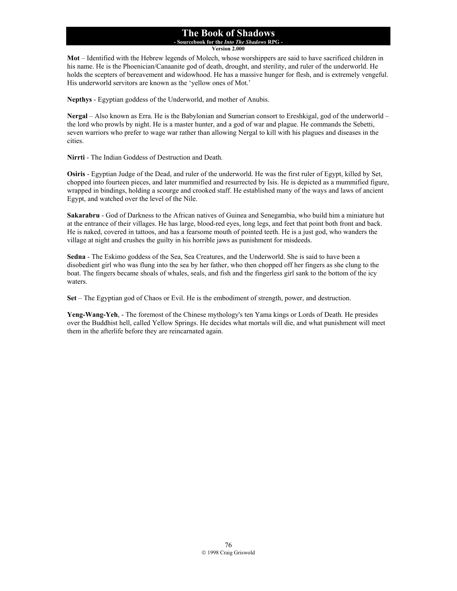## **The Book of Shadows - Sourcebook for the** *Into The Shadows* **RPG -**

**Version 2.000**

**Mot** – Identified with the Hebrew legends of Molech, whose worshippers are said to have sacrificed children in his name. He is the Phoenician/Canaanite god of death, drought, and sterility, and ruler of the underworld. He holds the scepters of bereavement and widowhood. He has a massive hunger for flesh, and is extremely vengeful. His underworld servitors are known as the 'yellow ones of Mot.'

**Nepthys** - Egyptian goddess of the Underworld, and mother of Anubis.

**Nergal** – Also known as Erra. He is the Babylonian and Sumerian consort to Ereshkigal, god of the underworld – the lord who prowls by night. He is a master hunter, and a god of war and plague. He commands the Sebetti, seven warriors who prefer to wage war rather than allowing Nergal to kill with his plagues and diseases in the cities.

**Nirrti** - The Indian Goddess of Destruction and Death.

**Osiris** - Egyptian Judge of the Dead, and ruler of the underworld. He was the first ruler of Egypt, killed by Set, chopped into fourteen pieces, and later mummified and resurrected by Isis. He is depicted as a mummified figure, wrapped in bindings, holding a scourge and crooked staff. He established many of the ways and laws of ancient Egypt, and watched over the level of the Nile.

**Sakarabru** - God of Darkness to the African natives of Guinea and Senegambia, who build him a miniature hut at the entrance of their villages. He has large, blood-red eyes, long legs, and feet that point both front and back. He is naked, covered in tattoos, and has a fearsome mouth of pointed teeth. He is a just god, who wanders the village at night and crushes the guilty in his horrible jaws as punishment for misdeeds.

**Sedna** - The Eskimo goddess of the Sea, Sea Creatures, and the Underworld. She is said to have been a disobedient girl who was flung into the sea by her father, who then chopped off her fingers as she clung to the boat. The fingers became shoals of whales, seals, and fish and the fingerless girl sank to the bottom of the icy waters.

**Set** – The Egyptian god of Chaos or Evil. He is the embodiment of strength, power, and destruction.

**Yeng-Wang-Yeh**, - The foremost of the Chinese mythology's ten Yama kings or Lords of Death. He presides over the Buddhist hell, called Yellow Springs. He decides what mortals will die, and what punishment will meet them in the afterlife before they are reincarnated again.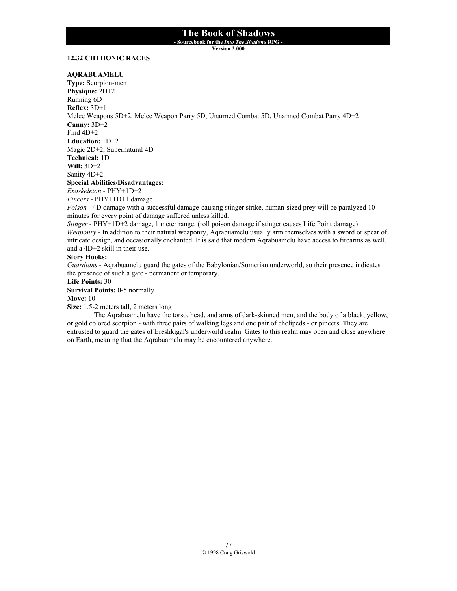**- Sourcebook for the** *Into The Shadows* **RPG -** 

**Version 2.000**

## **12.32 CHTHONIC RACES**

### **AQRABUAMELU**

**Type:** Scorpion-men **Physique:** 2D+2 Running 6D **Reflex:** 3D+1 Melee Weapons 5D+2, Melee Weapon Parry 5D, Unarmed Combat 5D, Unarmed Combat Parry 4D+2 **Canny:** 3D+2 Find  $4D+2$ **Education:** 1D+2 Magic 2D+2, Supernatural 4D **Technical:** 1D **Will:** 3D+2 Sanity 4D+2 **Special Abilities/Disadvantages:** *Exoskeleton* - PHY+1D+2 *Pincers* - PHY+1D+1 damage *Poison* - 4D damage with a successful damage-causing stinger strike, human-sized prey will be paralyzed 10 minutes for every point of damage suffered unless killed. *Stinger* - PHY+1D+2 damage, 1 meter range, (roll poison damage if stinger causes Life Point damage) *Weaponry* - In addition to their natural weaponry, Aqrabuamelu usually arm themselves with a sword or spear of intricate design, and occasionally enchanted. It is said that modern Aqrabuamelu have access to firearms as well, and a 4D+2 skill in their use. **Story Hooks:**

*Guardians* - Aqrabuamelu guard the gates of the Babylonian/Sumerian underworld, so their presence indicates the presence of such a gate - permanent or temporary.

**Life Points:** 30

**Survival Points:** 0-5 normally

**Move:** 10

**Size:** 1.5-2 meters tall, 2 meters long

The Aqrabuamelu have the torso, head, and arms of dark-skinned men, and the body of a black, yellow, or gold colored scorpion - with three pairs of walking legs and one pair of chelipeds - or pincers. They are entrusted to guard the gates of Ereshkigal's underworld realm. Gates to this realm may open and close anywhere on Earth, meaning that the Aqrabuamelu may be encountered anywhere.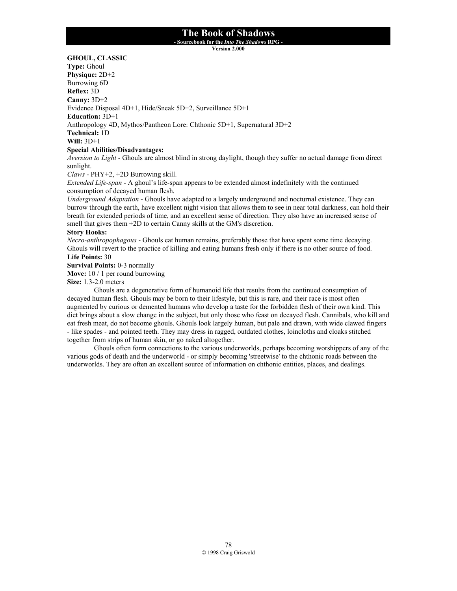**- Sourcebook for the** *Into The Shadows* **RPG -** 

**Version 2.000**

**GHOUL, CLASSIC** 

**Type:** Ghoul **Physique:** 2D+2 Burrowing 6D **Reflex:** 3D **Canny:** 3D+2 Evidence Disposal 4D+1, Hide/Sneak 5D+2, Surveillance 5D+1 **Education:** 3D+1 Anthropology 4D, Mythos/Pantheon Lore: Chthonic 5D+1, Supernatural 3D+2 **Technical:** 1D **Will:** 3D+1 **Special Abilities/Disadvantages:**

*Aversion to Light* - Ghouls are almost blind in strong daylight, though they suffer no actual damage from direct sunlight.

*Claws* - PHY+2, +2D Burrowing skill.

*Extended Life-span* - A ghoul's life-span appears to be extended almost indefinitely with the continued consumption of decayed human flesh.

*Underground Adaptation* - Ghouls have adapted to a largely underground and nocturnal existence. They can burrow through the earth, have excellent night vision that allows them to see in near total darkness, can hold their breath for extended periods of time, and an excellent sense of direction. They also have an increased sense of smell that gives them +2D to certain Canny skills at the GM's discretion.

### **Story Hooks:**

*Necro-anthropophagous* - Ghouls eat human remains, preferably those that have spent some time decaying. Ghouls will revert to the practice of killing and eating humans fresh only if there is no other source of food. **Life Points:** 30

**Survival Points:** 0-3 normally

**Move:** 10 / 1 per round burrowing

**Size:** 1.3-2.0 meters

Ghouls are a degenerative form of humanoid life that results from the continued consumption of decayed human flesh. Ghouls may be born to their lifestyle, but this is rare, and their race is most often augmented by curious or demented humans who develop a taste for the forbidden flesh of their own kind. This diet brings about a slow change in the subject, but only those who feast on decayed flesh. Cannibals, who kill and eat fresh meat, do not become ghouls. Ghouls look largely human, but pale and drawn, with wide clawed fingers - like spades - and pointed teeth. They may dress in ragged, outdated clothes, loincloths and cloaks stitched together from strips of human skin, or go naked altogether.

 Ghouls often form connections to the various underworlds, perhaps becoming worshippers of any of the various gods of death and the underworld - or simply becoming 'streetwise' to the chthonic roads between the underworlds. They are often an excellent source of information on chthonic entities, places, and dealings.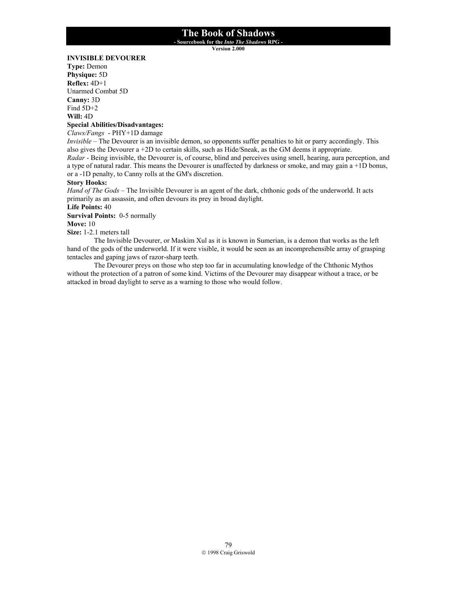**- Sourcebook for the** *Into The Shadows* **RPG -** 

**Version 2.000**

### **INVISIBLE DEVOURER**

**Type:** Demon **Physique:** 5D **Reflex:** 4D+1 Unarmed Combat 5D **Canny:** 3D Find 5D+2 **Will:** 4D

# **Special Abilities/Disadvantages:**

*Claws/Fangs* - PHY+1D damage

*Invisible* – The Devourer is an invisible demon, so opponents suffer penalties to hit or parry accordingly. This also gives the Devourer a +2D to certain skills, such as Hide/Sneak, as the GM deems it appropriate. *Radar* - Being invisible, the Devourer is, of course, blind and perceives using smell, hearing, aura perception, and a type of natural radar. This means the Devourer is unaffected by darkness or smoke, and may gain a +1D bonus, or a -1D penalty, to Canny rolls at the GM's discretion.

## **Story Hooks:**

*Hand of The Gods* – The Invisible Devourer is an agent of the dark, chthonic gods of the underworld. It acts primarily as an assassin, and often devours its prey in broad daylight.

**Life Points:** 40

**Survival Points:** 0-5 normally

**Move:** 10

**Size:** 1-2.1 meters tall

 The Invisible Devourer, or Maskim Xul as it is known in Sumerian, is a demon that works as the left hand of the gods of the underworld. If it were visible, it would be seen as an incomprehensible array of grasping tentacles and gaping jaws of razor-sharp teeth.

 The Devourer preys on those who step too far in accumulating knowledge of the Chthonic Mythos without the protection of a patron of some kind. Victims of the Devourer may disappear without a trace, or be attacked in broad daylight to serve as a warning to those who would follow.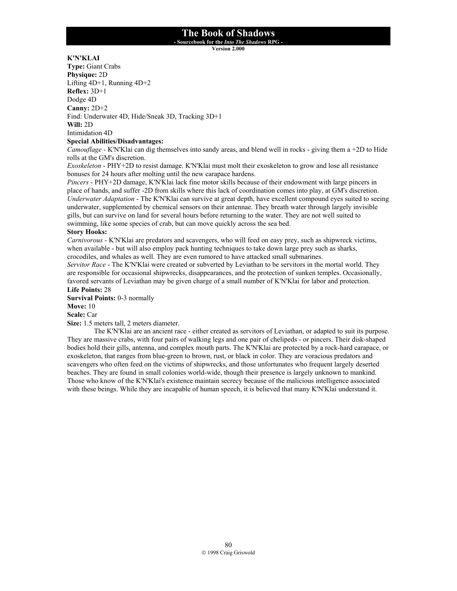**- Sourcebook for the** *Into The Shadows* **RPG -** 

**Version 2.000**

## **K'N'KLAI**

**Type:** Giant Crabs **Physique:** 2D Lifting 4D+1, Running 4D+2 **Reflex:** 3D+1 Dodge 4D **Canny:** 2D+2 Find: Underwater 4D, Hide/Sneak 3D, Tracking 3D+1 **Will:** 2D Intimidation 4D

## **Special Abilities/Disadvantages:**

*Camouflage* - K'N'Klai can dig themselves into sandy areas, and blend well in rocks - giving them a +2D to Hide rolls at the GM's discretion.

*Exoskeleton* - PHY+2D to resist damage. K'N'Klai must molt their exoskeleton to grow and lose all resistance bonuses for 24 hours after molting until the new carapace hardens.

*Pincers* - PHY+2D damage, K'N'Klai lack fine motor skills because of their endowment with large pincers in place of hands, and suffer -2D from skills where this lack of coordination comes into play, at GM's discretion. *Underwater Adaptation* - The K'N'Klai can survive at great depth, have excellent compound eyes suited to seeing underwater, supplemented by chemical sensors on their antennae. They breath water through largely invisible gills, but can survive on land for several hours before returning to the water. They are not well suited to swimming, like some species of crab, but can move quickly across the sea bed.

### **Story Hooks:**

*Carnivorous* - K'N'Klai are predators and scavengers, who will feed on easy prey, such as shipwreck victims, when available - but will also employ pack hunting techniques to take down large prey such as sharks, crocodiles, and whales as well. They are even rumored to have attacked small submarines.

*Servitor Race* - The K'N'Klai were created or subverted by Leviathan to be servitors in the mortal world. They are responsible for occasional shipwrecks, disappearances, and the protection of sunken temples. Occasionally, favored servants of Leviathan may be given charge of a small number of K'N'Klai for labor and protection. **Life Points:** 28

**Survival Points:** 0-3 normally

**Move:** 10

**Scale:** Car

**Size:** 1.5 meters tall, 2 meters diameter.

The K'N'Klai are an ancient race - either created as servitors of Leviathan, or adapted to suit its purpose. They are massive crabs, with four pairs of walking legs and one pair of chelipeds - or pincers. Their disk-shaped bodies hold their gills, antenna, and complex mouth parts. The K'N'Klai are protected by a rock-hard carapace, or exoskeleton, that ranges from blue-green to brown, rust, or black in color. They are voracious predators and scavengers who often feed on the victims of shipwrecks, and those unfortunates who frequent largely deserted beaches. They are found in small colonies world-wide, though their presence is largely unknown to mankind. Those who know of the K'N'Klai's existence maintain secrecy because of the malicious intelligence associated with these beings. While they are incapable of human speech, it is believed that many K'N'Klai understand it.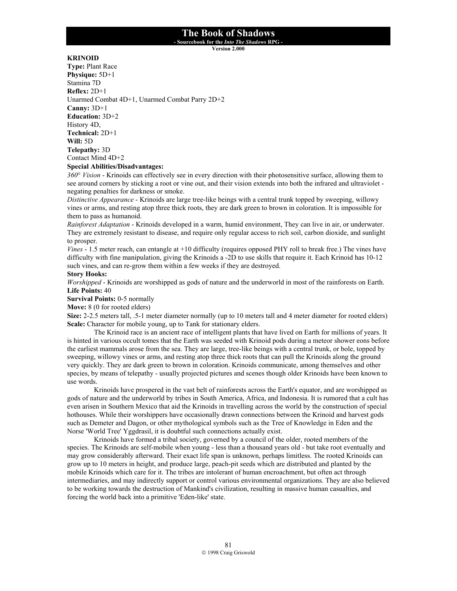**- Sourcebook for the** *Into The Shadows* **RPG -** 

**Version 2.000**

### **KRINOID**

**Type:** Plant Race **Physique:** 5D+1 Stamina 7D **Reflex:** 2D+1 Unarmed Combat 4D+1, Unarmed Combat Parry 2D+2 **Canny:** 3D+1 **Education:** 3D+2 History 4D, **Technical:** 2D+1 **Will:** 5D **Telepathy:** 3D Contact Mind 4D+2 **Special Abilities/Disadvantages:**

*360*° *Vision* - Krinoids can effectively see in every direction with their photosensitive surface, allowing them to see around corners by sticking a root or vine out, and their vision extends into both the infrared and ultraviolet negating penalties for darkness or smoke.

*Distinctive Appearance* - Krinoids are large tree-like beings with a central trunk topped by sweeping, willowy vines or arms, and resting atop three thick roots, they are dark green to brown in coloration. It is impossible for them to pass as humanoid.

*Rainforest Adaptation* - Krinoids developed in a warm, humid environment, They can live in air, or underwater. They are extremely resistant to disease, and require only regular access to rich soil, carbon dioxide, and sunlight to prosper.

*Vines* - 1.5 meter reach, can entangle at +10 difficulty (requires opposed PHY roll to break free.) The vines have difficulty with fine manipulation, giving the Krinoids a -2D to use skills that require it. Each Krinoid has 10-12 such vines, and can re-grow them within a few weeks if they are destroyed.

### **Story Hooks:**

*Worshipped* - Krinoids are worshipped as gods of nature and the underworld in most of the rainforests on Earth. **Life Points:** 40

**Survival Points:** 0-5 normally

**Move:** 8 (0 for rooted elders)

**Size:** 2-2.5 meters tall, .5-1 meter diameter normally (up to 10 meters tall and 4 meter diameter for rooted elders) **Scale:** Character for mobile young, up to Tank for stationary elders.

The Krinoid race is an ancient race of intelligent plants that have lived on Earth for millions of years. It is hinted in various occult tomes that the Earth was seeded with Krinoid pods during a meteor shower eons before the earliest mammals arose from the sea. They are large, tree-like beings with a central trunk, or bole, topped by sweeping, willowy vines or arms, and resting atop three thick roots that can pull the Krinoids along the ground very quickly. They are dark green to brown in coloration. Krinoids communicate, among themselves and other species, by means of telepathy - usually projected pictures and scenes though older Krinoids have been known to use words.

Krinoids have prospered in the vast belt of rainforests across the Earth's equator, and are worshipped as gods of nature and the underworld by tribes in South America, Africa, and Indonesia. It is rumored that a cult has even arisen in Southern Mexico that aid the Krinoids in travelling across the world by the construction of special hothouses. While their worshippers have occasionally drawn connections between the Krinoid and harvest gods such as Demeter and Dagon, or other mythological symbols such as the Tree of Knowledge in Eden and the Norse 'World Tree' Yggdrasil, it is doubtful such connections actually exist.

 Krinoids have formed a tribal society, governed by a council of the older, rooted members of the species. The Krinoids are self-mobile when young - less than a thousand years old - but take root eventually and may grow considerably afterward. Their exact life span is unknown, perhaps limitless. The rooted Krinoids can grow up to 10 meters in height, and produce large, peach-pit seeds which are distributed and planted by the mobile Krinoids which care for it. The tribes are intolerant of human encroachment, but often act through intermediaries, and may indirectly support or control various environmental organizations. They are also believed to be working towards the destruction of Mankind's civilization, resulting in massive human casualties, and forcing the world back into a primitive 'Eden-like' state.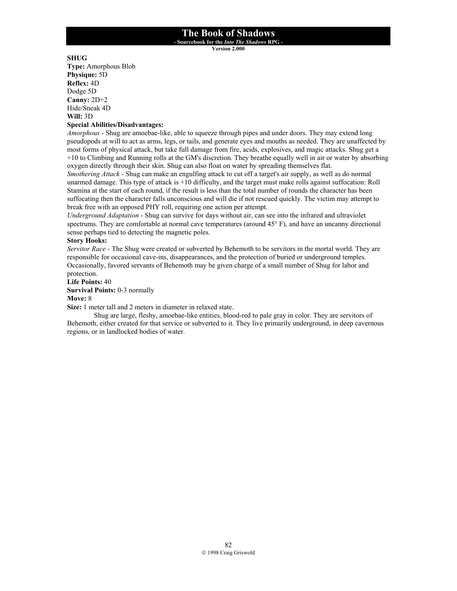**- Sourcebook for the** *Into The Shadows* **RPG -** 

**Version 2.000**

## **SHUG**

**Type:** Amorphous Blob **Physique:** 5D **Reflex:** 4D Dodge 5D **Canny:** 2D+2 Hide/Sneak 4D **Will:** 3D

### **Special Abilities/Disadvantages:**

*Amorphous* - Shug are amoebae-like, able to squeeze through pipes and under doors. They may extend long pseudopods at will to act as arms, legs, or tails, and generate eyes and mouths as needed. They are unaffected by most forms of physical attack, but take full damage from fire, acids, explosives, and magic attacks. Shug get a +10 to Climbing and Running rolls at the GM's discretion. They breathe equally well in air or water by absorbing oxygen directly through their skin. Shug can also float on water by spreading themselves flat.

*Smothering Attack* - Shug can make an engulfing attack to cut off a target's air supply, as well as do normal unarmed damage. This type of attack is +10 difficulty, and the target must make rolls against suffocation: Roll Stamina at the start of each round, if the result is less than the total number of rounds the character has been suffocating then the character falls unconscious and will die if not rescued quickly. The victim may attempt to break free with an opposed PHY roll, requiring one action per attempt.

*Underground Adaptation* - Shug can survive for days without air, can see into the infrared and ultraviolet spectrums. They are comfortable at normal cave temperatures (around 45° F), and have an uncanny directional sense perhaps tied to detecting the magnetic poles.

### **Story Hooks:**

*Servitor Race* - The Shug were created or subverted by Behemoth to be servitors in the mortal world. They are responsible for occasional cave-ins, disappearances, and the protection of buried or underground temples. Occasionally, favored servants of Behemoth may be given charge of a small number of Shug for labor and protection.

**Life Points:** 40 **Survival Points:** 0-3 normally **Move:** 8

**Size:** 1 meter tall and 2 meters in diameter in relaxed state.

Shug are large, fleshy, amoebae-like entities, blood-red to pale gray in color. They are servitors of Behemoth, either created for that service or subverted to it. They live primarily underground, in deep cavernous regions, or in landlocked bodies of water.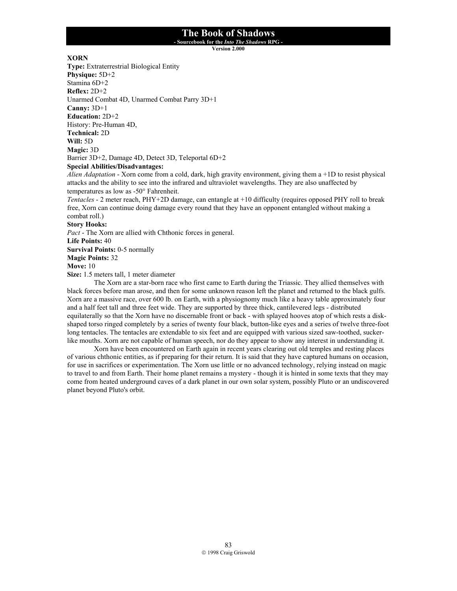**- Sourcebook for the** *Into The Shadows* **RPG -** 

**Version 2.000**

## **XORN**

**Type:** Extraterrestrial Biological Entity **Physique:** 5D+2 Stamina 6D+2 **Reflex:** 2D+2 Unarmed Combat 4D, Unarmed Combat Parry 3D+1 **Canny:** 3D+1 **Education:** 2D+2 History: Pre-Human 4D, **Technical:** 2D **Will:** 5D **Magic:** 3D Barrier 3D+2, Damage 4D, Detect 3D, Teleportal 6D+2 **Special Abilities/Disadvantages:**

*Alien Adaptation* - Xorn come from a cold, dark, high gravity environment, giving them a +1D to resist physical attacks and the ability to see into the infrared and ultraviolet wavelengths. They are also unaffected by temperatures as low as -50° Fahrenheit.

*Tentacles* - 2 meter reach, PHY+2D damage, can entangle at +10 difficulty (requires opposed PHY roll to break free, Xorn can continue doing damage every round that they have an opponent entangled without making a combat roll.)

**Story Hooks:**

*Pact* - The Xorn are allied with Chthonic forces in general.

**Life Points:** 40

**Survival Points:** 0-5 normally

**Magic Points:** 32

**Move:** 10

**Size:** 1.5 meters tall, 1 meter diameter

The Xorn are a star-born race who first came to Earth during the Triassic. They allied themselves with black forces before man arose, and then for some unknown reason left the planet and returned to the black gulfs. Xorn are a massive race, over 600 lb. on Earth, with a physiognomy much like a heavy table approximately four and a half feet tall and three feet wide. They are supported by three thick, cantilevered legs - distributed equilaterally so that the Xorn have no discernable front or back - with splayed hooves atop of which rests a diskshaped torso ringed completely by a series of twenty four black, button-like eyes and a series of twelve three-foot long tentacles. The tentacles are extendable to six feet and are equipped with various sized saw-toothed, suckerlike mouths. Xorn are not capable of human speech, nor do they appear to show any interest in understanding it.

Xorn have been encountered on Earth again in recent years clearing out old temples and resting places of various chthonic entities, as if preparing for their return. It is said that they have captured humans on occasion, for use in sacrifices or experimentation. The Xorn use little or no advanced technology, relying instead on magic to travel to and from Earth. Their home planet remains a mystery - though it is hinted in some texts that they may come from heated underground caves of a dark planet in our own solar system, possibly Pluto or an undiscovered planet beyond Pluto's orbit.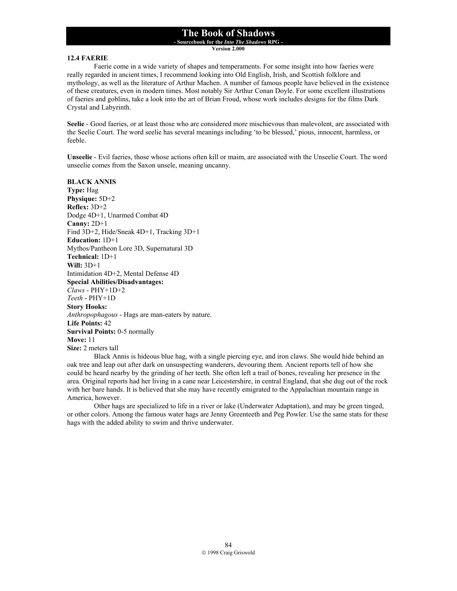**- Sourcebook for the** *Into The Shadows* **RPG -** 

**Version 2.000**

### **12.4 FAERIE**

 Faerie come in a wide variety of shapes and temperaments. For some insight into how faeries were really regarded in ancient times, I recommend looking into Old English, Irish, and Scottish folklore and mythology, as well as the literature of Arthur Machen. A number of famous people have believed in the existence of these creatures, even in modern times. Most notably Sir Arthur Conan Doyle. For some excellent illustrations of faeries and goblins, take a look into the art of Brian Froud, whose work includes designs for the films Dark Crystal and Labyrinth.

**Seelie** - Good faeries, or at least those who are considered more mischievous than malevolent, are associated with the Seelie Court. The word seelie has several meanings including 'to be blessed,' pious, innocent, harmless, or feeble.

**Unseelie** - Evil faeries, those whose actions often kill or maim, are associated with the Unseelie Court. The word unseelie comes from the Saxon unsele, meaning uncanny.

**BLACK ANNIS Type:** Hag **Physique:** 5D+2 **Reflex:** 3D+2 Dodge 4D+1, Unarmed Combat 4D **Canny:** 2D+1 Find 3D+2, Hide/Sneak 4D+1, Tracking 3D+1 **Education:** 1D+1 Mythos/Pantheon Lore 3D, Supernatural 3D **Technical:** 1D+1 **Will:** 3D+1 Intimidation 4D+2, Mental Defense 4D **Special Abilities/Disadvantages:** *Claws* - PHY+1D+2 *Teeth* - PHY+1D **Story Hooks:** *Anthropophagous* - Hags are man-eaters by nature. **Life Points:** 42 **Survival Points:** 0-5 normally **Move:** 11 **Size:** 2 meters tall

 Black Annis is hideous blue hag, with a single piercing eye, and iron claws. She would hide behind an oak tree and leap out after dark on unsuspecting wanderers, devouring them. Ancient reports tell of how she could be heard nearby by the grinding of her teeth. She often left a trail of bones, revealing her presence in the area. Original reports had her living in a cane near Leicestershire, in central England, that she dug out of the rock with her bare hands. It is believed that she may have recently emigrated to the Appalachian mountain range in America, however.

 Other hags are specialized to life in a river or lake (Underwater Adaptation), and may be green tinged, or other colors. Among the famous water hags are Jenny Greenteeth and Peg Powler. Use the same stats for these hags with the added ability to swim and thrive underwater.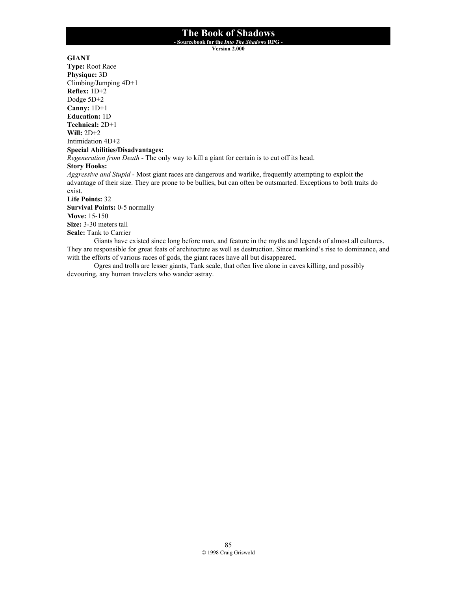**- Sourcebook for the** *Into The Shadows* **RPG -** 

**Version 2.000**

## **GIANT**

**Type:** Root Race **Physique:** 3D Climbing/Jumping 4D+1 **Reflex:** 1D+2 Dodge 5D+2 **Canny:** 1D+1 **Education:** 1D **Technical:** 2D+1 **Will:** 2D+2 Intimidation 4D+2 **Special Abilities/Disadvantages:** *Regeneration from Death* - The only way to kill a giant for certain is to cut off its head. **Story Hooks:** *Aggressive and Stupid* - Most giant races are dangerous and warlike, frequently attempting to exploit the advantage of their size. They are prone to be bullies, but can often be outsmarted. Exceptions to both traits do exist. **Life Points:** 32 **Survival Points:** 0-5 normally **Move:** 15-150 **Size:** 3-30 meters tall **Scale:** Tank to Carrier Giants have existed since long before man, and feature in the myths and legends of almost all cultures. They are responsible for great feats of architecture as well as destruction. Since mankind's rise to dominance, and with the efforts of various races of gods, the giant races have all but disappeared.

 Ogres and trolls are lesser giants, Tank scale, that often live alone in caves killing, and possibly devouring, any human travelers who wander astray.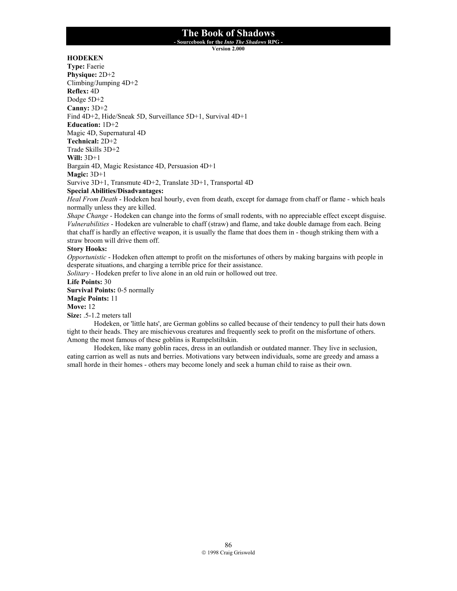**- Sourcebook for the** *Into The Shadows* **RPG -** 

**Version 2.000**

## **HODEKEN**

**Type:** Faerie **Physique:** 2D+2 Climbing/Jumping 4D+2 **Reflex:** 4D Dodge 5D+2 **Canny:** 3D+2 Find 4D+2, Hide/Sneak 5D, Surveillance 5D+1, Survival 4D+1 **Education:** 1D+2 Magic 4D, Supernatural 4D **Technical:** 2D+2 Trade Skills 3D+2 **Will:** 3D+1 Bargain 4D, Magic Resistance 4D, Persuasion 4D+1 **Magic:** 3D+1 Survive 3D+1, Transmute 4D+2, Translate 3D+1, Transportal 4D

**Special Abilities/Disadvantages:**

*Heal From Death* - Hodeken heal hourly, even from death, except for damage from chaff or flame - which heals normally unless they are killed.

*Shape Change* - Hodeken can change into the forms of small rodents, with no appreciable effect except disguise. *Vulnerabilities* - Hodeken are vulnerable to chaff (straw) and flame, and take double damage from each. Being that chaff is hardly an effective weapon, it is usually the flame that does them in - though striking them with a straw broom will drive them off.

## **Story Hooks:**

*Opportunistic* - Hodeken often attempt to profit on the misfortunes of others by making bargains with people in desperate situations, and charging a terrible price for their assistance.

*Solitary* - Hodeken prefer to live alone in an old ruin or hollowed out tree.

**Life Points:** 30

**Survival Points:** 0-5 normally

**Magic Points:** 11

### **Move:** 12

**Size:** .5-1.2 meters tall

Hodeken, or 'little hats', are German goblins so called because of their tendency to pull their hats down tight to their heads. They are mischievous creatures and frequently seek to profit on the misfortune of others. Among the most famous of these goblins is Rumpelstiltskin.

 Hodeken, like many goblin races, dress in an outlandish or outdated manner. They live in seclusion, eating carrion as well as nuts and berries. Motivations vary between individuals, some are greedy and amass a small horde in their homes - others may become lonely and seek a human child to raise as their own.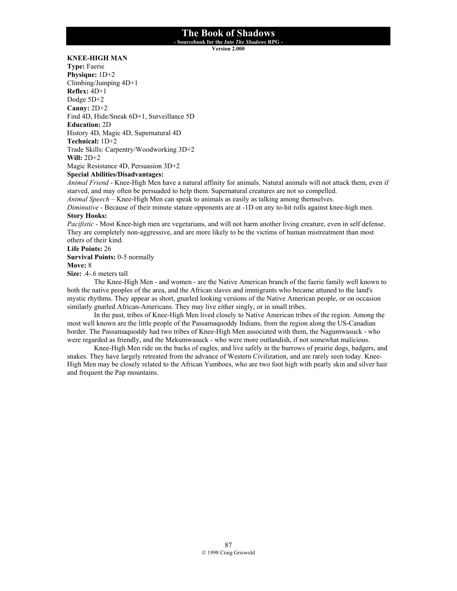**- Sourcebook for the** *Into The Shadows* **RPG -** 

**Version 2.000**

## **KNEE-HIGH MAN**

**Type:** Faerie **Physique:** 1D+2 Climbing/Jumping 4D+1 **Reflex:** 4D+1 Dodge 5D+2 **Canny:** 2D+2 Find 4D, Hide/Sneak 6D+1, Surveillance 5D **Education:** 2D History 4D, Magic 4D, Supernatural 4D **Technical:** 1D+2 Trade Skills: Carpentry/Woodworking 3D+2 **Will:** 2D+2

Magic Resistance 4D, Persuasion 3D+2

### **Special Abilities/Disadvantages:**

*Animal Friend* - Knee-High Men have a natural affinity for animals. Natural animals will not attack them, even if starved, and may often be persuaded to help them. Supernatural creatures are not so compelled.

*Animal Speech* – Knee-High Men can speak to animals as easily as talking among themselves.

*Diminutive* - Because of their minute stature opponents are at -1D on any to-hit rolls against knee-high men. **Story Hooks:**

*Pacifistic* - Most Knee-high men are vegetarians, and will not harm another living creature, even in self defense. They are completely non-aggressive, and are more likely to be the victims of human mistreatment than most others of their kind.

**Life Points:** 26 **Survival Points:** 0-5 normally **Move:** 8

**Size:** .4-.6 meters tall

The Knee-High Men - and women - are the Native American branch of the faerie family well known to both the native peoples of the area, and the African slaves and immigrants who became attuned to the land's mystic rhythms. They appear as short, gnarled looking versions of the Native American people, or on occasion similarly gnarled African-Americans. They may live either singly, or in small tribes.

In the past, tribes of Knee-High Men lived closely to Native American tribes of the region. Among the most well known are the little people of the Passamaquoddy Indians, from the region along the US-Canadian border. The Passamaquoddy had two tribes of Knee-High Men associated with them, the Nagumwasuck - who were regarded as friendly, and the Mekumwasuck - who were more outlandish, if not somewhat malicious.

Knee-High Men ride on the backs of eagles, and live safely in the burrows of prairie dogs, badgers, and snakes. They have largely retreated from the advance of Western Civilization, and are rarely seen today. Knee-High Men may be closely related to the African Yumboes, who are two foot high with pearly skin and silver hair and frequent the Pap mountains.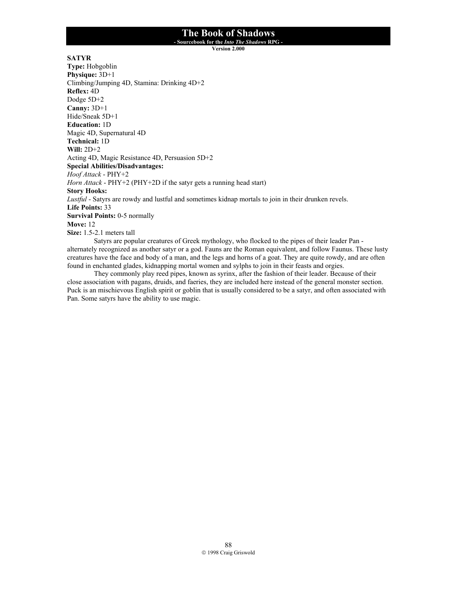**- Sourcebook for the** *Into The Shadows* **RPG -** 

**Version 2.000**

**SATYR**

**Type:** Hobgoblin **Physique:** 3D+1 Climbing/Jumping 4D, Stamina: Drinking 4D+2 **Reflex:** 4D Dodge 5D+2 **Canny:** 3D+1 Hide/Sneak 5D+1 **Education:** 1D Magic 4D, Supernatural 4D **Technical:** 1D **Will:** 2D+2 Acting 4D, Magic Resistance 4D, Persuasion 5D+2 **Special Abilities/Disadvantages:** *Hoof Attack* - PHY+2 *Horn Attack* - PHY+2 (PHY+2D if the satyr gets a running head start) **Story Hooks:** *Lustful* - Satyrs are rowdy and lustful and sometimes kidnap mortals to join in their drunken revels. **Life Points:** 33 **Survival Points:** 0-5 normally **Move:** 12 **Size:** 1.5-2.1 meters tall Satyrs are popular creatures of Greek mythology, who flocked to the pipes of their leader Pan -

alternately recognized as another satyr or a god. Fauns are the Roman equivalent, and follow Faunus. These lusty creatures have the face and body of a man, and the legs and horns of a goat. They are quite rowdy, and are often found in enchanted glades, kidnapping mortal women and sylphs to join in their feasts and orgies. They commonly play reed pipes, known as syrinx, after the fashion of their leader. Because of their

close association with pagans, druids, and faeries, they are included here instead of the general monster section. Puck is an mischievous English spirit or goblin that is usually considered to be a satyr, and often associated with Pan. Some satyrs have the ability to use magic.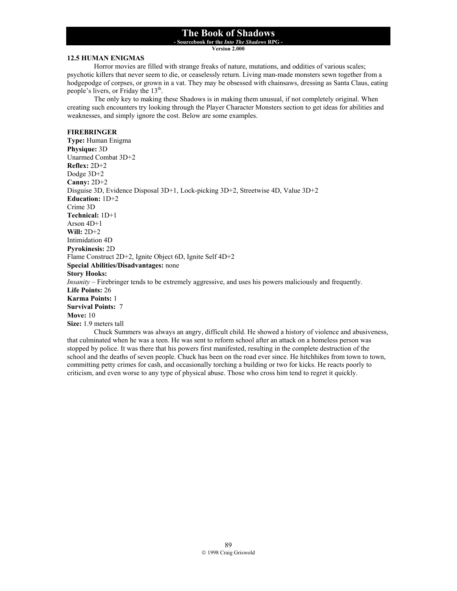**- Sourcebook for the** *Into The Shadows* **RPG -** 

**Version 2.000**

#### **12.5 HUMAN ENIGMAS**

 Horror movies are filled with strange freaks of nature, mutations, and oddities of various scales; psychotic killers that never seem to die, or ceaselessly return. Living man-made monsters sewn together from a hodgepodge of corpses, or grown in a vat. They may be obsessed with chainsaws, dressing as Santa Claus, eating people's livers, or Friday the  $13<sup>th</sup>$ .

 The only key to making these Shadows is in making them unusual, if not completely original. When creating such encounters try looking through the Player Character Monsters section to get ideas for abilities and weaknesses, and simply ignore the cost. Below are some examples.

### **FIREBRINGER**

**Type:** Human Enigma **Physique:** 3D Unarmed Combat 3D+2 **Reflex:** 2D+2 Dodge 3D+2 **Canny:** 2D+2 Disguise 3D, Evidence Disposal 3D+1, Lock-picking 3D+2, Streetwise 4D, Value 3D+2 **Education:** 1D+2 Crime 3D **Technical:** 1D+1 Arson 4D+1 **Will:** 2D+2 Intimidation 4D **Pyrokinesis:** 2D Flame Construct 2D+2, Ignite Object 6D, Ignite Self 4D+2 **Special Abilities/Disadvantages:** none **Story Hooks:** *Insanity* – Firebringer tends to be extremely aggressive, and uses his powers maliciously and frequently. **Life Points:** 26 **Karma Points:** 1 **Survival Points:** 7 **Move:** 10 **Size:** 1.9 meters tall Chuck Summers was always an angry, difficult child. He showed a history of violence and abusiveness,

that culminated when he was a teen. He was sent to reform school after an attack on a homeless person was stopped by police. It was there that his powers first manifested, resulting in the complete destruction of the school and the deaths of seven people. Chuck has been on the road ever since. He hitchhikes from town to town, committing petty crimes for cash, and occasionally torching a building or two for kicks. He reacts poorly to criticism, and even worse to any type of physical abuse. Those who cross him tend to regret it quickly.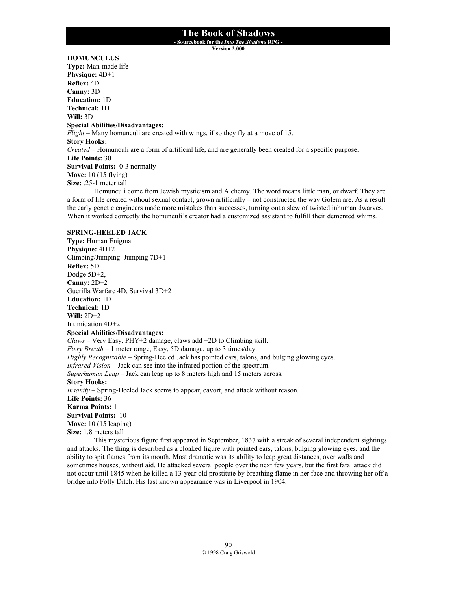**- Sourcebook for the** *Into The Shadows* **RPG -** 

**Version 2.000**

## **HOMUNCULUS**

**Type:** Man-made life **Physique:** 4D+1 **Reflex:** 4D **Canny:** 3D **Education:** 1D **Technical:** 1D **Will:** 3D **Special Abilities/Disadvantages:** *Flight* – Many homunculi are created with wings, if so they fly at a move of 15. **Story Hooks:** *Created* – Homunculi are a form of artificial life, and are generally been created for a specific purpose. **Life Points:** 30 **Survival Points:** 0-3 normally **Move:** 10 (15 flying) **Size:** .25-1 meter tall Homunculi come from Jewish mysticism and Alchemy. The word means little man, or dwarf. They are

a form of life created without sexual contact, grown artificially – not constructed the way Golem are. As a result the early genetic engineers made more mistakes than successes, turning out a slew of twisted inhuman dwarves. When it worked correctly the homunculi's creator had a customized assistant to fulfill their demented whims.

#### **SPRING-HEELED JACK**

**Type:** Human Enigma **Physique:** 4D+2 Climbing/Jumping: Jumping 7D+1 **Reflex:** 5D Dodge 5D+2, **Canny:** 2D+2 Guerilla Warfare 4D, Survival 3D+2 **Education:** 1D **Technical:** 1D **Will:** 2D+2 Intimidation 4D+2 **Special Abilities/Disadvantages:** *Claws* – Very Easy, PHY+2 damage, claws add +2D to Climbing skill. *Fiery Breath* – 1 meter range, Easy, 5D damage, up to 3 times/day. *Highly Recognizable* – Spring-Heeled Jack has pointed ears, talons, and bulging glowing eyes. *Infrared Vision* – Jack can see into the infrared portion of the spectrum. *Superhuman Leap* – Jack can leap up to 8 meters high and 15 meters across. **Story Hooks:** *Insanity* – Spring-Heeled Jack seems to appear, cavort, and attack without reason. **Life Points:** 36 **Karma Points:** 1 **Survival Points:** 10 **Move:** 10 (15 leaping) **Size:** 1.8 meters tall This mysterious figure first appeared in September, 1837 with a streak of several independent sightings

and attacks. The thing is described as a cloaked figure with pointed ears, talons, bulging glowing eyes, and the ability to spit flames from its mouth. Most dramatic was its ability to leap great distances, over walls and sometimes houses, without aid. He attacked several people over the next few years, but the first fatal attack did not occur until 1845 when he killed a 13-year old prostitute by breathing flame in her face and throwing her off a bridge into Folly Ditch. His last known appearance was in Liverpool in 1904.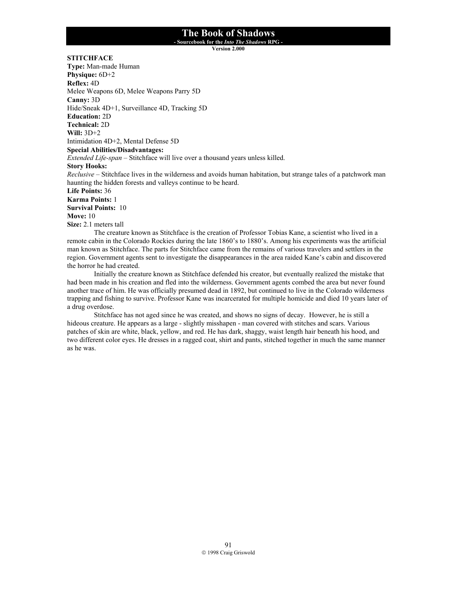**- Sourcebook for the** *Into The Shadows* **RPG -** 

**Version 2.000**

**STITCHFACE**

**Type:** Man-made Human **Physique:** 6D+2 **Reflex:** 4D Melee Weapons 6D, Melee Weapons Parry 5D **Canny:** 3D Hide/Sneak 4D+1, Surveillance 4D, Tracking 5D **Education:** 2D **Technical:** 2D **Will:** 3D+2 Intimidation 4D+2, Mental Defense 5D **Special Abilities/Disadvantages:** *Extended Life-span* – Stitchface will live over a thousand years unless killed. **Story Hooks:** *Reclusive* – Stitchface lives in the wilderness and avoids human habitation, but strange tales of a patchwork man haunting the hidden forests and valleys continue to be heard. **Life Points:** 36 **Karma Points:** 1 **Survival Points:** 10 **Move:** 10 **Size:** 2.1 meters tall

The creature known as Stitchface is the creation of Professor Tobias Kane, a scientist who lived in a remote cabin in the Colorado Rockies during the late 1860's to 1880's. Among his experiments was the artificial man known as Stitchface. The parts for Stitchface came from the remains of various travelers and settlers in the region. Government agents sent to investigate the disappearances in the area raided Kane's cabin and discovered the horror he had created.

Initially the creature known as Stitchface defended his creator, but eventually realized the mistake that had been made in his creation and fled into the wilderness. Government agents combed the area but never found another trace of him. He was officially presumed dead in 1892, but continued to live in the Colorado wilderness trapping and fishing to survive. Professor Kane was incarcerated for multiple homicide and died 10 years later of a drug overdose.

 Stitchface has not aged since he was created, and shows no signs of decay. However, he is still a hideous creature. He appears as a large - slightly misshapen - man covered with stitches and scars. Various patches of skin are white, black, yellow, and red. He has dark, shaggy, waist length hair beneath his hood, and two different color eyes. He dresses in a ragged coat, shirt and pants, stitched together in much the same manner as he was.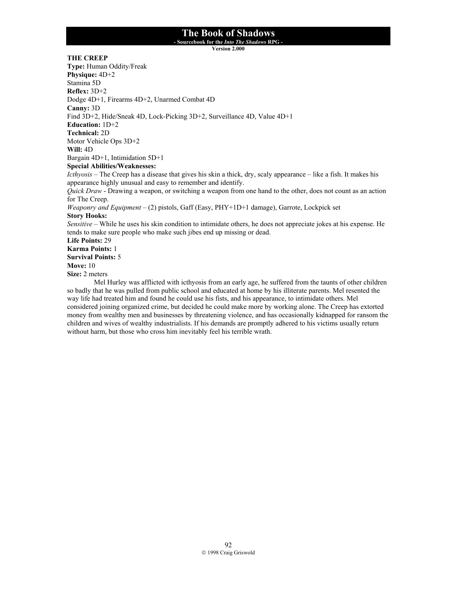**- Sourcebook for the** *Into The Shadows* **RPG -** 

**Version 2.000**

**THE CREEP**

**Type:** Human Oddity/Freak **Physique:** 4D+2 Stamina 5D **Reflex:** 3D+2 Dodge 4D+1, Firearms 4D+2, Unarmed Combat 4D **Canny:** 3D Find 3D+2, Hide/Sneak 4D, Lock-Picking 3D+2, Surveillance 4D, Value 4D+1 **Education:** 1D+2 **Technical:** 2D Motor Vehicle Ops 3D+2 **Will:** 4D Bargain 4D+1, Intimidation 5D+1 **Special Abilities/Weaknesses:** *Icthyosis* – The Creep has a disease that gives his skin a thick, dry, scaly appearance – like a fish. It makes his appearance highly unusual and easy to remember and identify. *Quick Draw* - Drawing a weapon, or switching a weapon from one hand to the other, does not count as an action for The Creep. *Weaponry and Equipment* – (2) pistols, Gaff (Easy, PHY+1D+1 damage), Garrote, Lockpick set **Story Hooks:** *Sensitive* – While he uses his skin condition to intimidate others, he does not appreciate jokes at his expense. He tends to make sure people who make such jibes end up missing or dead. **Life Points:** 29 **Karma Points:** 1 **Survival Points:** 5 **Move:** 10

**Size:** 2 meters

 Mel Hurley was afflicted with icthyosis from an early age, he suffered from the taunts of other children so badly that he was pulled from public school and educated at home by his illiterate parents. Mel resented the way life had treated him and found he could use his fists, and his appearance, to intimidate others. Mel considered joining organized crime, but decided he could make more by working alone. The Creep has extorted money from wealthy men and businesses by threatening violence, and has occasionally kidnapped for ransom the children and wives of wealthy industrialists. If his demands are promptly adhered to his victims usually return without harm, but those who cross him inevitably feel his terrible wrath.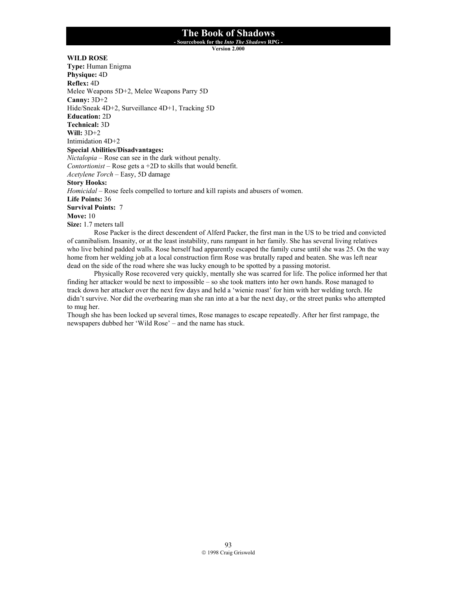**- Sourcebook for the** *Into The Shadows* **RPG -** 

**Version 2.000**

**WILD ROSE** 

**Type:** Human Enigma **Physique:** 4D **Reflex:** 4D Melee Weapons 5D+2, Melee Weapons Parry 5D **Canny:** 3D+2 Hide/Sneak 4D+2, Surveillance 4D+1, Tracking 5D **Education:** 2D **Technical:** 3D **Will:** 3D+2 Intimidation 4D+2 **Special Abilities/Disadvantages:** *Nictalopia* – Rose can see in the dark without penalty. *Contortionist* – Rose gets a +2D to skills that would benefit. *Acetylene Torch* – Easy, 5D damage **Story Hooks:** *Homicidal* – Rose feels compelled to torture and kill rapists and abusers of women. **Life Points:** 36 **Survival Points:** 7 **Move:** 10 **Size:** 1.7 meters tall Rose Packer is the direct descendent of Alferd Packer, the first man in the US to be tried and convicted

of cannibalism. Insanity, or at the least instability, runs rampant in her family. She has several living relatives who live behind padded walls. Rose herself had apparently escaped the family curse until she was 25. On the way home from her welding job at a local construction firm Rose was brutally raped and beaten. She was left near dead on the side of the road where she was lucky enough to be spotted by a passing motorist.

Physically Rose recovered very quickly, mentally she was scarred for life. The police informed her that finding her attacker would be next to impossible – so she took matters into her own hands. Rose managed to track down her attacker over the next few days and held a 'wienie roast' for him with her welding torch. He didn't survive. Nor did the overbearing man she ran into at a bar the next day, or the street punks who attempted to mug her.

Though she has been locked up several times, Rose manages to escape repeatedly. After her first rampage, the newspapers dubbed her 'Wild Rose' – and the name has stuck.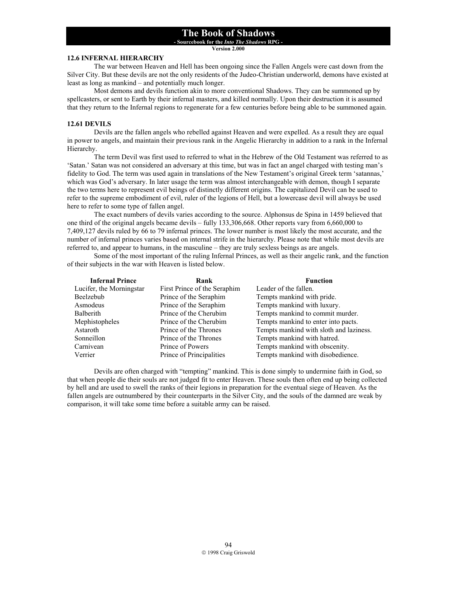**- Sourcebook for the** *Into The Shadows* **RPG -** 

**Version 2.000**

### **12.6 INFERNAL HIERARCHY**

 The war between Heaven and Hell has been ongoing since the Fallen Angels were cast down from the Silver City. But these devils are not the only residents of the Judeo-Christian underworld, demons have existed at least as long as mankind – and potentially much longer.

 Most demons and devils function akin to more conventional Shadows. They can be summoned up by spellcasters, or sent to Earth by their infernal masters, and killed normally. Upon their destruction it is assumed that they return to the Infernal regions to regenerate for a few centuries before being able to be summoned again.

### **12.61 DEVILS**

Devils are the fallen angels who rebelled against Heaven and were expelled. As a result they are equal in power to angels, and maintain their previous rank in the Angelic Hierarchy in addition to a rank in the Infernal Hierarchy.

The term Devil was first used to referred to what in the Hebrew of the Old Testament was referred to as 'Satan.' Satan was not considered an adversary at this time, but was in fact an angel charged with testing man's fidelity to God. The term was used again in translations of the New Testament's original Greek term 'satannas,' which was God's adversary. In later usage the term was almost interchangeable with demon, though I separate the two terms here to represent evil beings of distinctly different origins. The capitalized Devil can be used to refer to the supreme embodiment of evil, ruler of the legions of Hell, but a lowercase devil will always be used here to refer to some type of fallen angel.

The exact numbers of devils varies according to the source. Alphonsus de Spina in 1459 believed that one third of the original angels became devils – fully 133,306,668. Other reports vary from 6,660,000 to 7,409,127 devils ruled by 66 to 79 infernal princes. The lower number is most likely the most accurate, and the number of infernal princes varies based on internal strife in the hierarchy. Please note that while most devils are referred to, and appear to humans, in the masculine – they are truly sexless beings as are angels.

Some of the most important of the ruling Infernal Princes, as well as their angelic rank, and the function of their subjects in the war with Heaven is listed below.

| <b>Infernal Prince</b>   | Rank                         | <b>Function</b>                         |
|--------------------------|------------------------------|-----------------------------------------|
| Lucifer, the Morningstar | First Prince of the Seraphim | Leader of the fallen.                   |
| Beelzebub                | Prince of the Seraphim       | Tempts mankind with pride.              |
| Asmodeus                 | Prince of the Seraphim       | Tempts mankind with luxury.             |
| Balberith                | Prince of the Cherubim       | Tempts mankind to commit murder.        |
| Mephistopheles           | Prince of the Cherubim       | Tempts mankind to enter into pacts.     |
| Astaroth                 | Prince of the Thrones        | Tempts mankind with sloth and laziness. |
| Sonneillon               | Prince of the Thrones        | Tempts mankind with hatred.             |
| Carnivean                | Prince of Powers             | Tempts mankind with obscenity.          |
| Verrier                  | Prince of Principalities     | Tempts mankind with disobedience.       |

 Devils are often charged with "tempting" mankind. This is done simply to undermine faith in God, so that when people die their souls are not judged fit to enter Heaven. These souls then often end up being collected by hell and are used to swell the ranks of their legions in preparation for the eventual siege of Heaven. As the fallen angels are outnumbered by their counterparts in the Silver City, and the souls of the damned are weak by comparison, it will take some time before a suitable army can be raised.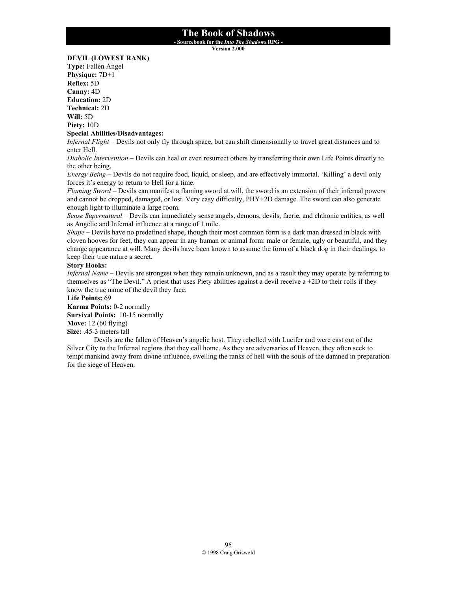**- Sourcebook for the** *Into The Shadows* **RPG -** 

**Version 2.000**

### **DEVIL (LOWEST RANK)**

**Type:** Fallen Angel **Physique:** 7D+1 **Reflex:** 5D **Canny:** 4D **Education:** 2D **Technical:** 2D **Will:** 5D **Piety:** 10D

#### **Special Abilities/Disadvantages:**

*Infernal Flight* – Devils not only fly through space, but can shift dimensionally to travel great distances and to enter Hell.

*Diabolic Intervention* – Devils can heal or even resurrect others by transferring their own Life Points directly to the other being.

*Energy Being* – Devils do not require food, liquid, or sleep, and are effectively immortal. 'Killing' a devil only forces it's energy to return to Hell for a time.

*Flaming Sword* – Devils can manifest a flaming sword at will, the sword is an extension of their infernal powers and cannot be dropped, damaged, or lost. Very easy difficulty, PHY+2D damage. The sword can also generate enough light to illuminate a large room.

*Sense Supernatural* – Devils can immediately sense angels, demons, devils, faerie, and chthonic entities, as well as Angelic and Infernal influence at a range of 1 mile.

*Shape* – Devils have no predefined shape, though their most common form is a dark man dressed in black with cloven hooves for feet, they can appear in any human or animal form: male or female, ugly or beautiful, and they change appearance at will. Many devils have been known to assume the form of a black dog in their dealings, to keep their true nature a secret.

### **Story Hooks:**

*Infernal Name* – Devils are strongest when they remain unknown, and as a result they may operate by referring to themselves as "The Devil." A priest that uses Piety abilities against a devil receive a +2D to their rolls if they know the true name of the devil they face.

#### **Life Points:** 69

**Karma Points:** 0-2 normally **Survival Points:** 10-15 normally **Move:** 12 (60 flying)

**Size:** .45-3 meters tall

Devils are the fallen of Heaven's angelic host. They rebelled with Lucifer and were cast out of the Silver City to the Infernal regions that they call home. As they are adversaries of Heaven, they often seek to tempt mankind away from divine influence, swelling the ranks of hell with the souls of the damned in preparation for the siege of Heaven.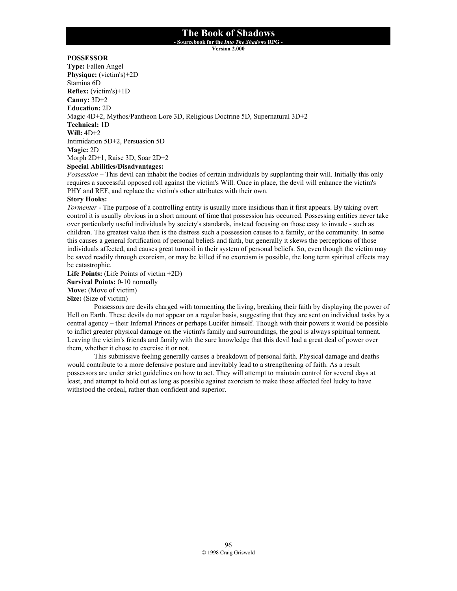**- Sourcebook for the** *Into The Shadows* **RPG -** 

**Version 2.000**

## **POSSESSOR**

**Type:** Fallen Angel **Physique:** (victim's)+2D Stamina 6D **Reflex:** (victim's)+1D **Canny:** 3D+2 **Education:** 2D Magic 4D+2, Mythos/Pantheon Lore 3D, Religious Doctrine 5D, Supernatural 3D+2 **Technical:** 1D **Will:** 4D+2 Intimidation 5D+2, Persuasion 5D **Magic:** 2D Morph 2D+1, Raise 3D, Soar 2D+2 **Special Abilities/Disadvantages:**

*Possession* – This devil can inhabit the bodies of certain individuals by supplanting their will. Initially this only requires a successful opposed roll against the victim's Will. Once in place, the devil will enhance the victim's PHY and REF, and replace the victim's other attributes with their own.

### **Story Hooks:**

*Tormenter* - The purpose of a controlling entity is usually more insidious than it first appears. By taking overt control it is usually obvious in a short amount of time that possession has occurred. Possessing entities never take over particularly useful individuals by society's standards, instead focusing on those easy to invade - such as children. The greatest value then is the distress such a possession causes to a family, or the community. In some this causes a general fortification of personal beliefs and faith, but generally it skews the perceptions of those individuals affected, and causes great turmoil in their system of personal beliefs. So, even though the victim may be saved readily through exorcism, or may be killed if no exorcism is possible, the long term spiritual effects may be catastrophic.

**Life Points:** (Life Points of victim +2D) **Survival Points:** 0-10 normally **Move:** (Move of victim) **Size:** (Size of victim)

 Possessors are devils charged with tormenting the living, breaking their faith by displaying the power of Hell on Earth. These devils do not appear on a regular basis, suggesting that they are sent on individual tasks by a central agency – their Infernal Princes or perhaps Lucifer himself. Though with their powers it would be possible to inflict greater physical damage on the victim's family and surroundings, the goal is always spiritual torment. Leaving the victim's friends and family with the sure knowledge that this devil had a great deal of power over them, whether it chose to exercise it or not.

This submissive feeling generally causes a breakdown of personal faith. Physical damage and deaths would contribute to a more defensive posture and inevitably lead to a strengthening of faith. As a result possessors are under strict guidelines on how to act. They will attempt to maintain control for several days at least, and attempt to hold out as long as possible against exorcism to make those affected feel lucky to have withstood the ordeal, rather than confident and superior.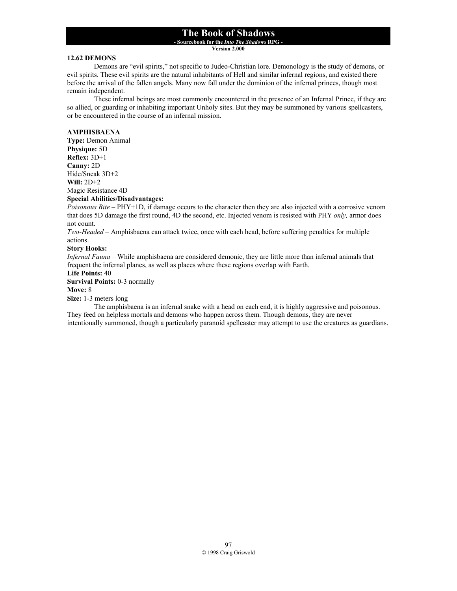**- Sourcebook for the** *Into The Shadows* **RPG -** 

**Version 2.000**

### **12.62 DEMONS**

Demons are "evil spirits," not specific to Judeo-Christian lore. Demonology is the study of demons, or evil spirits. These evil spirits are the natural inhabitants of Hell and similar infernal regions, and existed there before the arrival of the fallen angels. Many now fall under the dominion of the infernal princes, though most remain independent.

These infernal beings are most commonly encountered in the presence of an Infernal Prince, if they are so allied, or guarding or inhabiting important Unholy sites. But they may be summoned by various spellcasters, or be encountered in the course of an infernal mission.

### **AMPHISBAENA**

**Type:** Demon Animal **Physique:** 5D **Reflex:** 3D+1 **Canny:** 2D Hide/Sneak 3D+2 **Will:** 2D+2 Magic Resistance 4D **Special Abilities/Disadvantages:**

*Poisonous Bite* – PHY+1D, if damage occurs to the character then they are also injected with a corrosive venom that does 5D damage the first round, 4D the second, etc. Injected venom is resisted with PHY *only,* armor does not count.

*Two-Headed* – Amphisbaena can attack twice, once with each head, before suffering penalties for multiple actions.

### **Story Hooks:**

*Infernal Fauna* – While amphisbaena are considered demonic, they are little more than infernal animals that frequent the infernal planes, as well as places where these regions overlap with Earth.

**Life Points:** 40

**Survival Points:** 0-3 normally

## **Move:** 8

**Size:** 1-3 meters long

The amphisbaena is an infernal snake with a head on each end, it is highly aggressive and poisonous. They feed on helpless mortals and demons who happen across them. Though demons, they are never intentionally summoned, though a particularly paranoid spellcaster may attempt to use the creatures as guardians.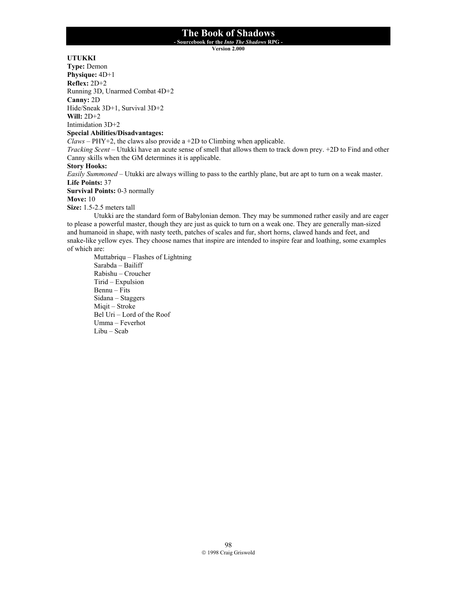**- Sourcebook for the** *Into The Shadows* **RPG -** 

**Version 2.000**

## **UTUKKI**

**Type:** Demon **Physique:** 4D+1 **Reflex:** 2D+2 Running 3D, Unarmed Combat 4D+2 **Canny:** 2D Hide/Sneak 3D+1, Survival 3D+2 **Will:** 2D+2

Intimidation 3D+2

### **Special Abilities/Disadvantages:**

 $\hat{Cl}$ *aws* – PHY+2, the claws also provide a +2D to Climbing when applicable.

*Tracking Scent* – Utukki have an acute sense of smell that allows them to track down prey. +2D to Find and other Canny skills when the GM determines it is applicable.

## **Story Hooks:**

*Easily Summoned* – Utukki are always willing to pass to the earthly plane, but are apt to turn on a weak master. **Life Points:** 37

**Survival Points:** 0-3 normally

**Move:** 10

**Size:** 1.5-2.5 meters tall

Utukki are the standard form of Babylonian demon. They may be summoned rather easily and are eager to please a powerful master, though they are just as quick to turn on a weak one. They are generally man-sized and humanoid in shape, with nasty teeth, patches of scales and fur, short horns, clawed hands and feet, and snake-like yellow eyes. They choose names that inspire are intended to inspire fear and loathing, some examples of which are:

Muttabriqu – Flashes of Lightning Sarabda – Bailiff Rabishu – Croucher Tirid – Expulsion Bennu – Fits Sidana – Staggers Miqit – Stroke Bel Uri – Lord of the Roof Umma – Feverhot Libu – Scab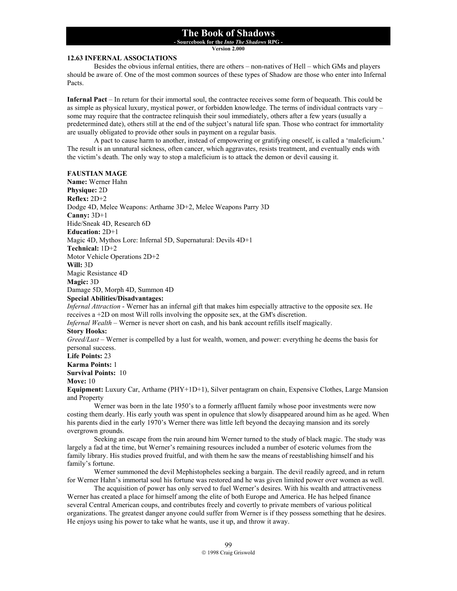**- Sourcebook for the** *Into The Shadows* **RPG -** 

**Version 2.000**

### **12.63 INFERNAL ASSOCIATIONS**

 Besides the obvious infernal entities, there are others – non-natives of Hell – which GMs and players should be aware of. One of the most common sources of these types of Shadow are those who enter into Infernal Pacts.

**Infernal Pact** – In return for their immortal soul, the contractee receives some form of bequeath. This could be as simple as physical luxury, mystical power, or forbidden knowledge. The terms of individual contracts vary – some may require that the contractee relinquish their soul immediately, others after a few years (usually a predetermined date), others still at the end of the subject's natural life span. Those who contract for immortality are usually obligated to provide other souls in payment on a regular basis.

 A pact to cause harm to another, instead of empowering or gratifying oneself, is called a 'maleficium.' The result is an unnatural sickness, often cancer, which aggravates, resists treatment, and eventually ends with the victim's death. The only way to stop a maleficium is to attack the demon or devil causing it.

#### **FAUSTIAN MAGE**

**Name:** Werner Hahn **Physique:** 2D **Reflex:** 2D+2 Dodge 4D, Melee Weapons: Arthame 3D+2, Melee Weapons Parry 3D **Canny:** 3D+1 Hide/Sneak 4D, Research 6D **Education:** 2D+1 Magic 4D, Mythos Lore: Infernal 5D, Supernatural: Devils 4D+1 **Technical:** 1D+2 Motor Vehicle Operations 2D+2 **Will:** 3D Magic Resistance 4D **Magic:** 3D Damage 5D, Morph 4D, Summon 4D **Special Abilities/Disadvantages:** *Infernal Attraction* - Werner has an infernal gift that makes him especially attractive to the opposite sex. He receives a +2D on most Will rolls involving the opposite sex, at the GM's discretion. *Infernal Wealth* – Werner is never short on cash, and his bank account refills itself magically. **Story Hooks:** *Greed/Lust* – Werner is compelled by a lust for wealth, women, and power: everything he deems the basis for personal success.

**Life Points:** 23 **Karma Points:** 1

**Survival Points:** 10

#### **Move:** 10

**Equipment:** Luxury Car, Arthame (PHY+1D+1), Silver pentagram on chain, Expensive Clothes, Large Mansion and Property

 Werner was born in the late 1950's to a formerly affluent family whose poor investments were now costing them dearly. His early youth was spent in opulence that slowly disappeared around him as he aged. When his parents died in the early 1970's Werner there was little left beyond the decaying mansion and its sorely overgrown grounds.

 Seeking an escape from the ruin around him Werner turned to the study of black magic. The study was largely a fad at the time, but Werner's remaining resources included a number of esoteric volumes from the family library. His studies proved fruitful, and with them he saw the means of reestablishing himself and his family's fortune.

 Werner summoned the devil Mephistopheles seeking a bargain. The devil readily agreed, and in return for Werner Hahn's immortal soul his fortune was restored and he was given limited power over women as well.

 The acquisition of power has only served to fuel Werner's desires. With his wealth and attractiveness Werner has created a place for himself among the elite of both Europe and America. He has helped finance several Central American coups, and contributes freely and covertly to private members of various political organizations. The greatest danger anyone could suffer from Werner is if they possess something that he desires. He enjoys using his power to take what he wants, use it up, and throw it away.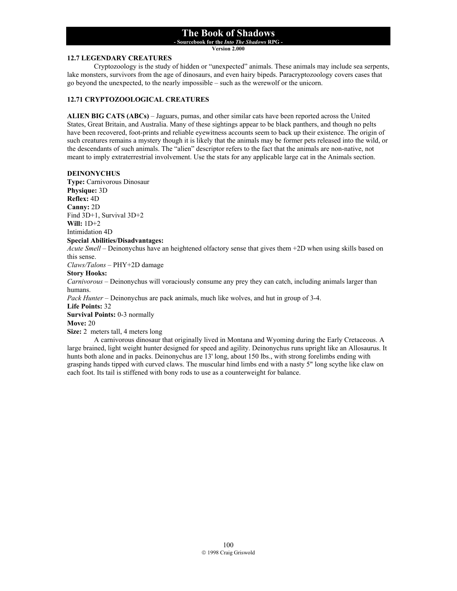**- Sourcebook for the** *Into The Shadows* **RPG -** 

**Version 2.000**

### **12.7 LEGENDARY CREATURES**

 Cryptozoology is the study of hidden or "unexpected" animals. These animals may include sea serpents, lake monsters, survivors from the age of dinosaurs, and even hairy bipeds. Paracryptozoology covers cases that go beyond the unexpected, to the nearly impossible – such as the werewolf or the unicorn.

## **12.71 CRYPTOZOOLOGICAL CREATURES**

**ALIEN BIG CATS (ABCs)** – Jaguars, pumas, and other similar cats have been reported across the United States, Great Britain, and Australia. Many of these sightings appear to be black panthers, and though no pelts have been recovered, foot-prints and reliable eyewitness accounts seem to back up their existence. The origin of such creatures remains a mystery though it is likely that the animals may be former pets released into the wild, or the descendants of such animals. The "alien" descriptor refers to the fact that the animals are non-native, not meant to imply extraterrestrial involvement. Use the stats for any applicable large cat in the Animals section.

### **DEINONYCHUS**

**Type:** Carnivorous Dinosaur **Physique:** 3D **Reflex:** 4D **Canny:** 2D Find 3D+1, Survival 3D+2 **Will:** 1D+2 Intimidation 4D **Special Abilities/Disadvantages:** *Acute Smell* – Deinonychus have an heightened olfactory sense that gives them +2D when using skills based on this sense. *Claws/Talons* – PHY+2D damage **Story Hooks:** *Carnivorous* – Deinonychus will voraciously consume any prey they can catch, including animals larger than humans. *Pack Hunter* – Deinonychus are pack animals, much like wolves, and hut in group of 3-4. **Life Points:** 32 **Survival Points:** 0-3 normally **Move:** 20

**Size:** 2 meters tall, 4 meters long

A carnivorous dinosaur that originally lived in Montana and Wyoming during the Early Cretaceous. A large brained, light weight hunter designed for speed and agility. Deinonychus runs upright like an Allosaurus. It hunts both alone and in packs. Deinonychus are 13' long, about 150 lbs., with strong forelimbs ending with grasping hands tipped with curved claws. The muscular hind limbs end with a nasty 5" long scythe like claw on each foot. Its tail is stiffened with bony rods to use as a counterweight for balance.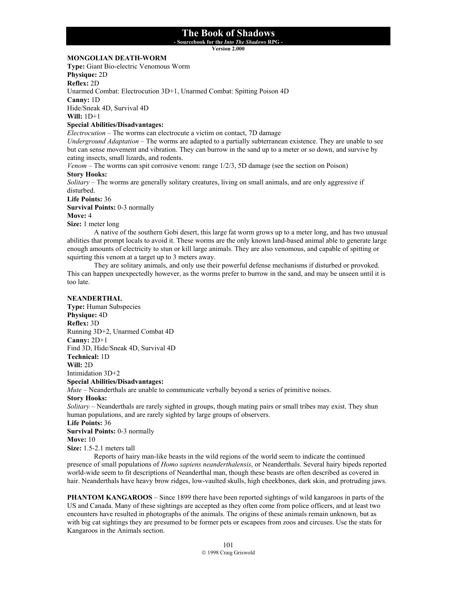**- Sourcebook for the** *Into The Shadows* **RPG -** 

**Version 2.000**

## **MONGOLIAN DEATH-WORM**

**Type:** Giant Bio-electric Venomous Worm

**Physique:** 2D

**Reflex:** 2D

Unarmed Combat: Electrocution 3D+1, Unarmed Combat: Spitting Poison 4D

**Canny:** 1D

Hide/Sneak 4D, Survival 4D

**Will:** 1D+1

## **Special Abilities/Disadvantages:**

*Electrocution* – The worms can electrocute a victim on contact, 7D damage

*Underground Adaptation* – The worms are adapted to a partially subterranean existence. They are unable to see but can sense movement and vibration. They can burrow in the sand up to a meter or so down, and survive by eating insects, small lizards, and rodents.

*Venom* – The worms can spit corrosive venom: range 1/2/3, 5D damage (see the section on Poison) **Story Hooks:**

*Solitary* – The worms are generally solitary creatures, living on small animals, and are only aggressive if disturbed.

#### **Life Points:** 36

**Survival Points:** 0-3 normally

**Move:** 4

**Size:** 1 meter long

 A native of the southern Gobi desert, this large fat worm grows up to a meter long, and has two unusual abilities that prompt locals to avoid it. These worms are the only known land-based animal able to generate large enough amounts of electricity to stun or kill large animals. They are also venomous, and capable of spitting or squirting this venom at a target up to 3 meters away.

 They are solitary animals, and only use their powerful defense mechanisms if disturbed or provoked. This can happen unexpectedly however, as the worms prefer to burrow in the sand, and may be unseen until it is too late.

### **NEANDERTHAL**

**Type:** Human Subspecies **Physique:** 4D **Reflex:** 3D Running 3D+2, Unarmed Combat 4D **Canny:** 2D+1 Find 3D, Hide/Sneak 4D, Survival 4D **Technical:** 1D **Will:** 2D Intimidation 3D+2

### **Special Abilities/Disadvantages:**

*Mute* – Neanderthals are unable to communicate verbally beyond a series of primitive noises.

#### **Story Hooks:**

*Solitary* – Neanderthals are rarely sighted in groups, though mating pairs or small tribes may exist. They shun human populations, and are rarely sighted by large groups of observers.

# **Life Points:** 36

**Survival Points:** 0-3 normally

# **Move:** 10

**Size:** 1.5-2.1 meters tall

 Reports of hairy man-like beasts in the wild regions of the world seem to indicate the continued presence of small populations of *Homo sapiens neanderthalensis*, or Neanderthals. Several hairy bipeds reported world-wide seem to fit descriptions of Neanderthal man, though these beasts are often described as covered in hair. Neanderthals have heavy brow ridges, low-vaulted skulls, high cheekbones, dark skin, and protruding jaws.

**PHANTOM KANGAROOS** – Since 1899 there have been reported sightings of wild kangaroos in parts of the US and Canada. Many of these sightings are accepted as they often come from police officers, and at least two encounters have resulted in photographs of the animals. The origins of these animals remain unknown, but as with big cat sightings they are presumed to be former pets or escapees from zoos and circuses. Use the stats for Kangaroos in the Animals section.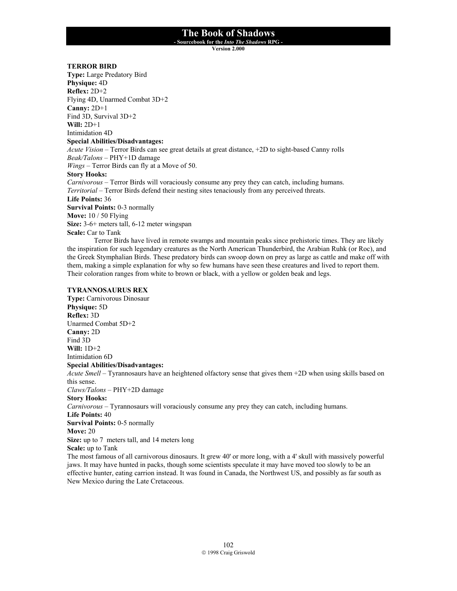**- Sourcebook for the** *Into The Shadows* **RPG -** 

**Version 2.000**

### **TERROR BIRD**

**Type:** Large Predatory Bird **Physique:** 4D **Reflex:** 2D+2 Flying 4D, Unarmed Combat 3D+2 **Canny:** 2D+1 Find 3D, Survival 3D+2 **Will:** 2D+1 Intimidation 4D **Special Abilities/Disadvantages:** *Acute Vision* – Terror Birds can see great details at great distance, +2D to sight-based Canny rolls *Beak/Talons* – PHY+1D damage *Wings* – Terror Birds can fly at a Move of 50. **Story Hooks:** *Carnivorous* – Terror Birds will voraciously consume any prey they can catch, including humans. *Territorial* – Terror Birds defend their nesting sites tenaciously from any perceived threats. **Life Points:** 36 **Survival Points:** 0-3 normally **Move:** 10 / 50 Flying **Size:** 3-6+ meters tall, 6-12 meter wingspan **Scale:** Car to Tank Terror Birds have lived in remote swamps and mountain peaks since prehistoric times. They are likely

the inspiration for such legendary creatures as the North American Thunderbird, the Arabian Ruhk (or Roc), and the Greek Stymphalian Birds. These predatory birds can swoop down on prey as large as cattle and make off with them, making a simple explanation for why so few humans have seen these creatures and lived to report them. Their coloration ranges from white to brown or black, with a yellow or golden beak and legs.

### **TYRANNOSAURUS REX**

**Type:** Carnivorous Dinosaur **Physique:** 5D **Reflex:** 3D Unarmed Combat 5D+2 **Canny:** 2D Find 3D **Will:** 1D+2 Intimidation 6D **Special Abilities/Disadvantages:** *Acute Smell* – Tyrannosaurs have an heightened olfactory sense that gives them +2D when using skills based on this sense. *Claws/Talons* – PHY+2D damage **Story Hooks:** *Carnivorous* – Tyrannosaurs will voraciously consume any prey they can catch, including humans. **Life Points:** 40 **Survival Points:** 0-5 normally **Move:** 20 **Size:** up to 7 meters tall, and 14 meters long **Scale:** up to Tank The most famous of all carnivorous dinosaurs. It grew 40' or more long, with a 4' skull with massively powerful jaws. It may have hunted in packs, though some scientists speculate it may have moved too slowly to be an effective hunter, eating carrion instead. It was found in Canada, the Northwest US, and possibly as far south as

New Mexico during the Late Cretaceous.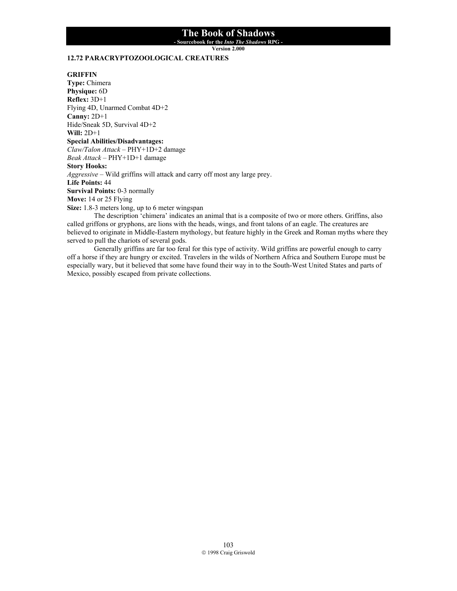**- Sourcebook for the** *Into The Shadows* **RPG -** 

**Version 2.000**

## **12.72 PARACRYPTOZOOLOGICAL CREATURES**

#### **GRIFFIN**

**Type:** Chimera **Physique:** 6D **Reflex:** 3D+1 Flying 4D, Unarmed Combat 4D+2 **Canny:** 2D+1 Hide/Sneak 5D, Survival 4D+2 **Will:** 2D+1 **Special Abilities/Disadvantages:** *Claw/Talon Attack* – PHY+1D+2 damage *Beak Attack* – PHY+1D+1 damage **Story Hooks:** *Aggressive* – Wild griffins will attack and carry off most any large prey. **Life Points:** 44 **Survival Points:** 0-3 normally **Move:** 14 or 25 Flying **Size:** 1.8-3 meters long, up to 6 meter wingspan

 The description 'chimera' indicates an animal that is a composite of two or more others. Griffins, also called griffons or gryphons, are lions with the heads, wings, and front talons of an eagle. The creatures are believed to originate in Middle-Eastern mythology, but feature highly in the Greek and Roman myths where they served to pull the chariots of several gods.

 Generally griffins are far too feral for this type of activity. Wild griffins are powerful enough to carry off a horse if they are hungry or excited. Travelers in the wilds of Northern Africa and Southern Europe must be especially wary, but it believed that some have found their way in to the South-West United States and parts of Mexico, possibly escaped from private collections.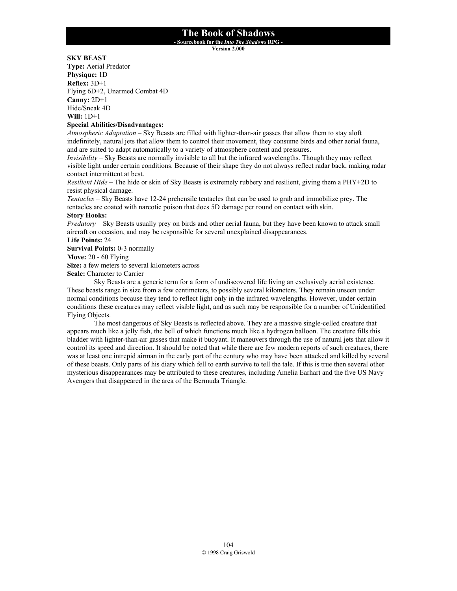**- Sourcebook for the** *Into The Shadows* **RPG -** 

**Version 2.000**

## **SKY BEAST**

**Type:** Aerial Predator **Physique:** 1D **Reflex:** 3D+1 Flying 6D+2, Unarmed Combat 4D **Canny:** 2D+1 Hide/Sneak 4D **Will:** 1D+1

### **Special Abilities/Disadvantages:**

*Atmospheric Adaptation* – Sky Beasts are filled with lighter-than-air gasses that allow them to stay aloft indefinitely, natural jets that allow them to control their movement, they consume birds and other aerial fauna, and are suited to adapt automatically to a variety of atmosphere content and pressures.

*Invisibility* – Sky Beasts are normally invisible to all but the infrared wavelengths. Though they may reflect visible light under certain conditions. Because of their shape they do not always reflect radar back, making radar contact intermittent at best.

*Resilient Hide* – The hide or skin of Sky Beasts is extremely rubbery and resilient, giving them a PHY+2D to resist physical damage.

*Tentacles* – Sky Beasts have 12-24 prehensile tentacles that can be used to grab and immobilize prey. The tentacles are coated with narcotic poison that does 5D damage per round on contact with skin.

## **Story Hooks:**

*Predatory* – Sky Beasts usually prey on birds and other aerial fauna, but they have been known to attack small aircraft on occasion, and may be responsible for several unexplained disappearances.

### **Life Points:** 24

**Survival Points:** 0-3 normally

**Move:** 20 - 60 Flying

**Size:** a few meters to several kilometers across

**Scale:** Character to Carrier

 Sky Beasts are a generic term for a form of undiscovered life living an exclusively aerial existence. These beasts range in size from a few centimeters, to possibly several kilometers. They remain unseen under normal conditions because they tend to reflect light only in the infrared wavelengths. However, under certain conditions these creatures may reflect visible light, and as such may be responsible for a number of Unidentified Flying Objects.

 The most dangerous of Sky Beasts is reflected above. They are a massive single-celled creature that appears much like a jelly fish, the bell of which functions much like a hydrogen balloon. The creature fills this bladder with lighter-than-air gasses that make it buoyant. It maneuvers through the use of natural jets that allow it control its speed and direction. It should be noted that while there are few modern reports of such creatures, there was at least one intrepid airman in the early part of the century who may have been attacked and killed by several of these beasts. Only parts of his diary which fell to earth survive to tell the tale. If this is true then several other mysterious disappearances may be attributed to these creatures, including Amelia Earhart and the five US Navy Avengers that disappeared in the area of the Bermuda Triangle.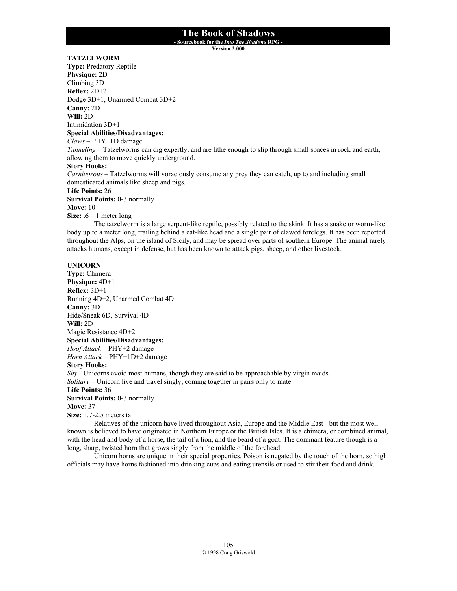**- Sourcebook for the** *Into The Shadows* **RPG -** 

**Version 2.000**

## **TATZELWORM**

**Type:** Predatory Reptile **Physique:** 2D Climbing 3D **Reflex:** 2D+2 Dodge 3D+1, Unarmed Combat 3D+2 **Canny:** 2D **Will:** 2D Intimidation 3D+1 **Special Abilities/Disadvantages:**

*Claws* – PHY+1D damage

*Tunneling* – Tatzelworms can dig expertly, and are lithe enough to slip through small spaces in rock and earth, allowing them to move quickly underground.

### **Story Hooks:**

*Carnivorous* – Tatzelworms will voraciously consume any prey they can catch, up to and including small domesticated animals like sheep and pigs.

**Life Points:** 26

**Survival Points:** 0-3 normally

**Move:** 10

**Size:**  $.6 - 1$  meter long

 The tatzelworm is a large serpent-like reptile, possibly related to the skink. It has a snake or worm-like body up to a meter long, trailing behind a cat-like head and a single pair of clawed forelegs. It has been reported throughout the Alps, on the island of Sicily, and may be spread over parts of southern Europe. The animal rarely attacks humans, except in defense, but has been known to attack pigs, sheep, and other livestock.

### **UNICORN**

**Type:** Chimera **Physique:** 4D+1 **Reflex:** 3D+1 Running 4D+2, Unarmed Combat 4D **Canny:** 3D Hide/Sneak 6D, Survival 4D **Will:** 2D Magic Resistance 4D+2 **Special Abilities/Disadvantages:** *Hoof Attack* – PHY+2 damage *Horn Attack* – PHY+1D+2 damage **Story Hooks:**

*Shy* - Unicorns avoid most humans, though they are said to be approachable by virgin maids.

*Solitary* – Unicorn live and travel singly, coming together in pairs only to mate.

**Life Points:** 36

**Survival Points:** 0-3 normally

**Move:** 37

**Size:** 1.7-2.5 meters tall

 Relatives of the unicorn have lived throughout Asia, Europe and the Middle East - but the most well known is believed to have originated in Northern Europe or the British Isles. It is a chimera, or combined animal, with the head and body of a horse, the tail of a lion, and the beard of a goat. The dominant feature though is a long, sharp, twisted horn that grows singly from the middle of the forehead.

 Unicorn horns are unique in their special properties. Poison is negated by the touch of the horn, so high officials may have horns fashioned into drinking cups and eating utensils or used to stir their food and drink.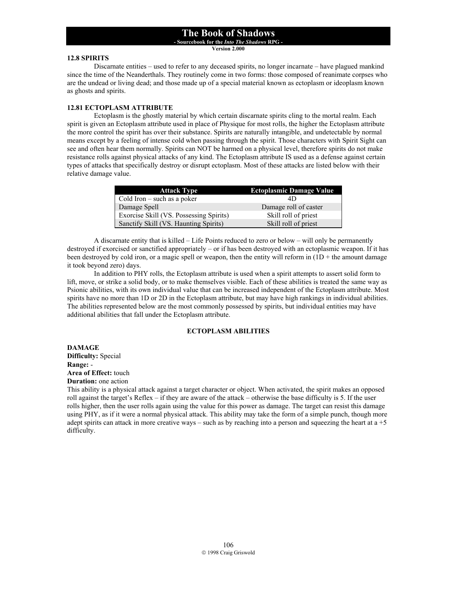**- Sourcebook for the** *Into The Shadows* **RPG -** 

**Version 2.000**

### **12.8 SPIRITS**

Discarnate entities – used to refer to any deceased spirits, no longer incarnate – have plagued mankind since the time of the Neanderthals. They routinely come in two forms: those composed of reanimate corpses who are the undead or living dead; and those made up of a special material known as ectoplasm or ideoplasm known as ghosts and spirits.

## **12.81 ECTOPLASM ATTRIBUTE**

 Ectoplasm is the ghostly material by which certain discarnate spirits cling to the mortal realm. Each spirit is given an Ectoplasm attribute used in place of Physique for most rolls, the higher the Ectoplasm attribute the more control the spirit has over their substance. Spirits are naturally intangible, and undetectable by normal means except by a feeling of intense cold when passing through the spirit. Those characters with Spirit Sight can see and often hear them normally. Spirits can NOT be harmed on a physical level, therefore spirits do not make resistance rolls against physical attacks of any kind. The Ectoplasm attribute IS used as a defense against certain types of attacks that specifically destroy or disrupt ectoplasm. Most of these attacks are listed below with their relative damage value.

| <b>Attack Type</b>                      | <b>Ectoplasmic Damage Value</b> |
|-----------------------------------------|---------------------------------|
| Cold Iron $-$ such as a poker           | 4D                              |
| Damage Spell                            | Damage roll of caster           |
| Exorcise Skill (VS. Possessing Spirits) | Skill roll of priest            |
| Sanctify Skill (VS. Haunting Spirits)   | Skill roll of priest            |

 A discarnate entity that is killed – Life Points reduced to zero or below – will only be permanently destroyed if exorcised or sanctified appropriately – or if has been destroyed with an ectoplasmic weapon. If it has been destroyed by cold iron, or a magic spell or weapon, then the entity will reform in (1D + the amount damage it took beyond zero) days.

 In addition to PHY rolls, the Ectoplasm attribute is used when a spirit attempts to assert solid form to lift, move, or strike a solid body, or to make themselves visible. Each of these abilities is treated the same way as Psionic abilities, with its own individual value that can be increased independent of the Ectoplasm attribute. Most spirits have no more than 1D or 2D in the Ectoplasm attribute, but may have high rankings in individual abilities. The abilities represented below are the most commonly possessed by spirits, but individual entities may have additional abilities that fall under the Ectoplasm attribute.

## **ECTOPLASM ABILITIES**

**DAMAGE Difficulty:** Special **Range:** - **Area of Effect:** touch

**Duration:** one action

This ability is a physical attack against a target character or object. When activated, the spirit makes an opposed roll against the target's Reflex – if they are aware of the attack – otherwise the base difficulty is 5. If the user rolls higher, then the user rolls again using the value for this power as damage. The target can resist this damage using PHY, as if it were a normal physical attack. This ability may take the form of a simple punch, though more adept spirits can attack in more creative ways – such as by reaching into a person and squeezing the heart at  $a + 5$ difficulty.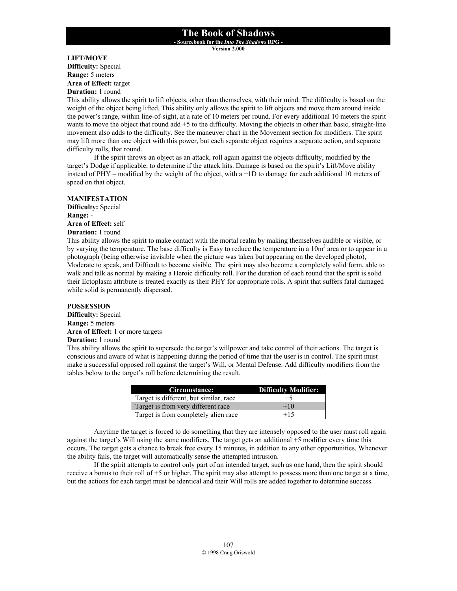**- Sourcebook for the** *Into The Shadows* **RPG - Version 2.000**

#### **LIFT/MOVE Difficulty:** Special

**Range:** 5 meters **Area of Effect:** target

**Duration:** 1 round

This ability allows the spirit to lift objects, other than themselves, with their mind. The difficulty is based on the weight of the object being lifted. This ability only allows the spirit to lift objects and move them around inside the power's range, within line-of-sight, at a rate of 10 meters per round. For every additional 10 meters the spirit wants to move the object that round add +5 to the difficulty. Moving the objects in other than basic, straight-line movement also adds to the difficulty. See the maneuver chart in the Movement section for modifiers. The spirit may lift more than one object with this power, but each separate object requires a separate action, and separate difficulty rolls, that round.

If the spirit throws an object as an attack, roll again against the objects difficulty, modified by the target's Dodge if applicable, to determine if the attack hits. Damage is based on the spirit's Lift/Move ability – instead of PHY – modified by the weight of the object, with a +1D to damage for each additional 10 meters of speed on that object.

### **MANIFESTATION**

**Difficulty:** Special **Range:** - **Area of Effect:** self

## **Duration:** 1 round

This ability allows the spirit to make contact with the mortal realm by making themselves audible or visible, or by varying the temperature. The base difficulty is Easy to reduce the temperature in a  $10m<sup>2</sup>$  area or to appear in a photograph (being otherwise invisible when the picture was taken but appearing on the developed photo), Moderate to speak, and Difficult to become visible. The spirit may also become a completely solid form, able to walk and talk as normal by making a Heroic difficulty roll. For the duration of each round that the sprit is solid their Ectoplasm attribute is treated exactly as their PHY for appropriate rolls. A spirit that suffers fatal damaged while solid is permanently dispersed.

#### **POSSESSION**

**Difficulty:** Special **Range:** 5 meters **Area of Effect:** 1 or more targets **Duration:** 1 round

This ability allows the spirit to supersede the target's willpower and take control of their actions. The target is conscious and aware of what is happening during the period of time that the user is in control. The spirit must make a successful opposed roll against the target's Will, or Mental Defense. Add difficulty modifiers from the tables below to the target's roll before determining the result.

| Circumstance:                          | Difficulty Modifier: |
|----------------------------------------|----------------------|
| Target is different, but similar, race | $+5$                 |
| Target is from very different race     | $+10$                |
| Target is from completely alien race   | $+15$                |

 Anytime the target is forced to do something that they are intensely opposed to the user must roll again against the target's Will using the same modifiers. The target gets an additional +5 modifier every time this occurs. The target gets a chance to break free every 15 minutes, in addition to any other opportunities. Whenever the ability fails, the target will automatically sense the attempted intrusion.

 If the spirit attempts to control only part of an intended target, such as one hand, then the spirit should receive a bonus to their roll of +5 or higher. The spirit may also attempt to possess more than one target at a time, but the actions for each target must be identical and their Will rolls are added together to determine success.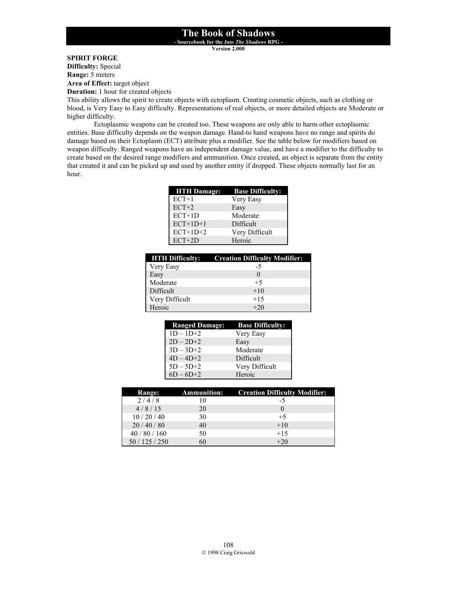**- Sourcebook for the** *Into The Shadows* **RPG -** 

**Version 2.000**

## **SPIRIT FORGE**

**Difficulty:** Special **Range:** 5 meters

**Area of Effect:** target object

**Duration:** 1 hour for created objects

This ability allows the spirit to create objects with ectoplasm. Creating cosmetic objects, such as clothing or blood, is Very Easy to Easy difficulty. Representations of real objects, or more detailed objects are Moderate or higher difficulty.

 Ectoplasmic weapons can be created too. These weapons are only able to harm other ectoplasmic entities. Base difficulty depends on the weapon damage. Hand-to hand weapons have no range and spirits do damage based on their Ectoplasm (ECT) attribute plus a modifier. See the table below for modifiers based on weapon difficulty. Ranged weapons have an independent damage value, and have a modifier to the difficulty to create based on the desired range modifiers and ammunition. Once created, an object is separate from the entity that created it and can be picked up and used by another entity if dropped. These objects normally last for an hour.

| <b>HTH Damage:</b> | <b>Base Difficulty:</b> |
|--------------------|-------------------------|
| $ECT+1$            | Very Easy               |
| $ECT+2$            | Easy                    |
| $ECT+1D$           | Moderate                |
| $ECT+1D+1$         | Difficult               |
| $ECT+1D+2$         | Very Difficult          |
| $ECT+2D$           | Heroic                  |

|                | <b>HTH Difficulty:</b> Creation Difficulty Modifier: |
|----------------|------------------------------------------------------|
| Very Easy      | -5                                                   |
| Easy           | $\Omega$                                             |
| Moderate       | $+5$                                                 |
| Difficult      | $+10$                                                |
| Very Difficult | $+15$                                                |
| Heroic         | $+20$                                                |

| <b>Ranged Damage:</b> | <b>Base Difficulty:</b> |
|-----------------------|-------------------------|
| $1D - 1D + 2$         | Very Easy               |
| $2D - 2D + 2$         | Easy                    |
| $3D - 3D + 2$         | Moderate                |
| $4D - 4D + 2$         | Difficult               |
| $5D - 5D + 2$         | Very Difficult          |
| $6D - 6D + 2$         | Heroic                  |

| <b>Range:</b>  |    | <b>Ammunition:</b> Creation Difficulty Modifier: |
|----------------|----|--------------------------------------------------|
| 2/4/8          | 10 | -5                                               |
| 4/8/15         | 20 |                                                  |
| 10/20/40       | 30 | $+5$                                             |
| 20/40/80       | 40 | $+10$                                            |
| 40/80/160      | 50 | $+15$                                            |
| 50 / 125 / 250 | 60 | $+20$                                            |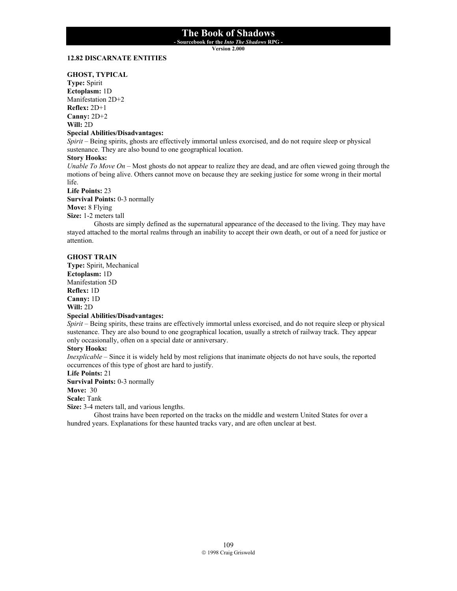**- Sourcebook for the** *Into The Shadows* **RPG -** 

**Version 2.000**

#### **12.82 DISCARNATE ENTITIES**

#### **GHOST, TYPICAL**

**Type:** Spirit **Ectoplasm:** 1D Manifestation 2D+2 **Reflex:** 2D+1 **Canny:** 2D+2 **Will:** 2D

### **Special Abilities/Disadvantages:**

*Spirit* – Being spirits, ghosts are effectively immortal unless exorcised, and do not require sleep or physical sustenance. They are also bound to one geographical location.

### **Story Hooks:**

*Unable To Move On* – Most ghosts do not appear to realize they are dead, and are often viewed going through the motions of being alive. Others cannot move on because they are seeking justice for some wrong in their mortal life.

**Life Points:** 23

**Survival Points:** 0-3 normally **Move:** 8 Flying

**Size:** 1-2 meters tall

 Ghosts are simply defined as the supernatural appearance of the deceased to the living. They may have stayed attached to the mortal realms through an inability to accept their own death, or out of a need for justice or attention.

#### **GHOST TRAIN**

**Type:** Spirit, Mechanical **Ectoplasm:** 1D Manifestation 5D **Reflex:** 1D **Canny:** 1D **Will:** 2D

## **Special Abilities/Disadvantages:**

*Spirit* – Being spirits, these trains are effectively immortal unless exorcised, and do not require sleep or physical sustenance. They are also bound to one geographical location, usually a stretch of railway track. They appear only occasionally, often on a special date or anniversary.

#### **Story Hooks:**

*Inexplicable* – Since it is widely held by most religions that inanimate objects do not have souls, the reported occurrences of this type of ghost are hard to justify.

## **Life Points:** 21

**Survival Points:** 0-3 normally

### **Move:** 30

**Scale:** Tank

**Size:** 3-4 meters tall, and various lengths.

 Ghost trains have been reported on the tracks on the middle and western United States for over a hundred years. Explanations for these haunted tracks vary, and are often unclear at best.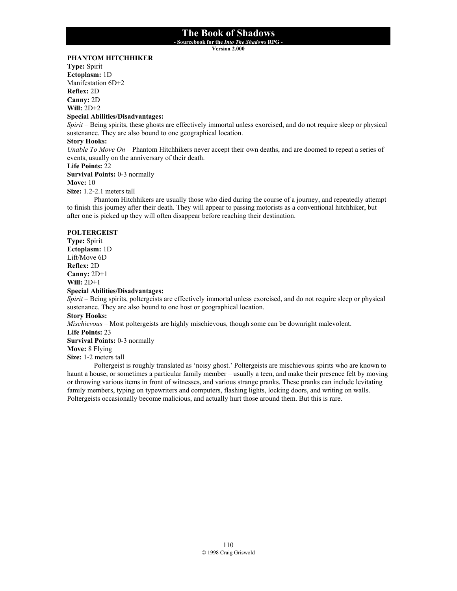**- Sourcebook for the** *Into The Shadows* **RPG -** 

**Version 2.000**

## **PHANTOM HITCHHIKER**

**Type:** Spirit **Ectoplasm:** 1D Manifestation 6D+2 **Reflex:** 2D **Canny:** 2D **Will:** 2D+2

#### **Special Abilities/Disadvantages:**

*Spirit* – Being spirits, these ghosts are effectively immortal unless exorcised, and do not require sleep or physical sustenance. They are also bound to one geographical location.

#### **Story Hooks:**

*Unable To Move On* – Phantom Hitchhikers never accept their own deaths, and are doomed to repeat a series of events, usually on the anniversary of their death.

### **Life Points:** 22

**Survival Points:** 0-3 normally

#### **Move:** 10

**Size:** 1.2-2.1 meters tall

 Phantom Hitchhikers are usually those who died during the course of a journey, and repeatedly attempt to finish this journey after their death. They will appear to passing motorists as a conventional hitchhiker, but after one is picked up they will often disappear before reaching their destination.

#### **POLTERGEIST**

**Type:** Spirit **Ectoplasm:** 1D Lift/Move 6D **Reflex:** 2D **Canny:** 2D+1 **Will:** 2D+1

## **Special Abilities/Disadvantages:**

*Spirit* – Being spirits, poltergeists are effectively immortal unless exorcised, and do not require sleep or physical sustenance. They are also bound to one host or geographical location.

**Story Hooks:**

*Mischievous* – Most poltergeists are highly mischievous, though some can be downright malevolent.

**Life Points:** 23

**Survival Points:** 0-3 normally

**Move:** 8 Flying

**Size:** 1-2 meters tall

 Poltergeist is roughly translated as 'noisy ghost.' Poltergeists are mischievous spirits who are known to haunt a house, or sometimes a particular family member – usually a teen, and make their presence felt by moving or throwing various items in front of witnesses, and various strange pranks. These pranks can include levitating family members, typing on typewriters and computers, flashing lights, locking doors, and writing on walls. Poltergeists occasionally become malicious, and actually hurt those around them. But this is rare.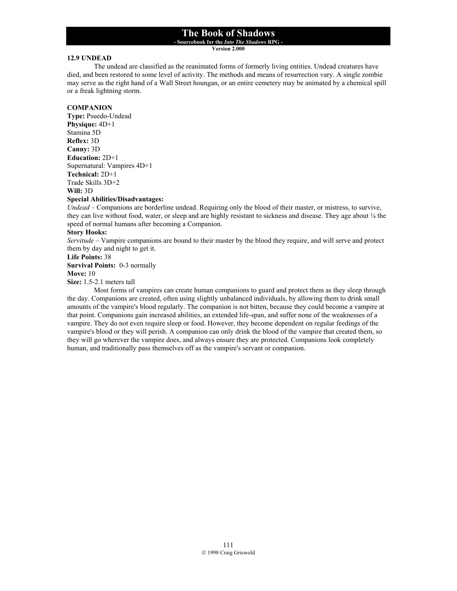**- Sourcebook for the** *Into The Shadows* **RPG -** 

**Version 2.000**

#### **12.9 UNDEAD**

 The undead are classified as the reanimated forms of formerly living entities. Undead creatures have died, and been restored to some level of activity. The methods and means of resurrection vary. A single zombie may serve as the right hand of a Wall Street houngan, or an entire cemetery may be animated by a chemical spill or a freak lightning storm.

### **COMPANION**

**Type:** Psuedo-Undead **Physique:** 4D+1 Stamina 5D **Reflex:** 3D **Canny:** 3D **Education:** 2D+1 Supernatural: Vampires 4D+1 **Technical:** 2D+1 Trade Skills 3D+2 **Will:** 3D

## **Special Abilities/Disadvantages:**

*Undead* – Companions are borderline undead. Requiring only the blood of their master, or mistress, to survive, they can live without food, water, or sleep and are highly resistant to sickness and disease. They age about  $\frac{1}{4}$  the speed of normal humans after becoming a Companion.

### **Story Hooks:**

*Servitude* – Vampire companions are bound to their master by the blood they require, and will serve and protect them by day and night to get it.

#### **Life Points:** 38

**Survival Points:** 0-3 normally

#### **Move:** 10

**Size:** 1.5-2.1 meters tall

Most forms of vampires can create human companions to guard and protect them as they sleep through the day. Companions are created, often using slightly unbalanced individuals, by allowing them to drink small amounts of the vampire's blood regularly. The companion is not bitten, because they could become a vampire at that point. Companions gain increased abilities, an extended life-span, and suffer none of the weaknesses of a vampire. They do not even require sleep or food. However, they become dependent on regular feedings of the vampire's blood or they will perish. A companion can only drink the blood of the vampire that created them, so they will go wherever the vampire does, and always ensure they are protected. Companions look completely human, and traditionally pass themselves off as the vampire's servant or companion.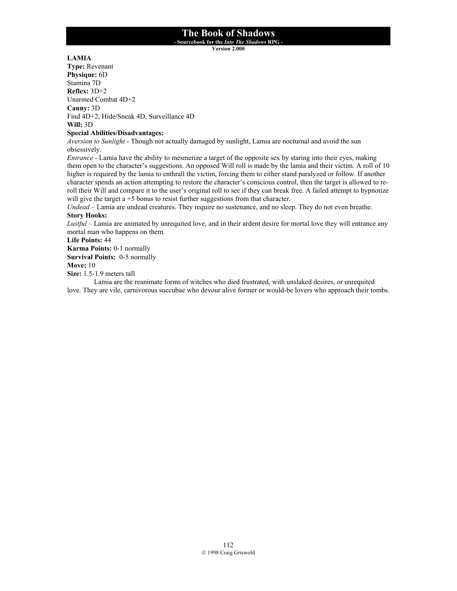**- Sourcebook for the** *Into The Shadows* **RPG -** 

**Version 2.000**

## **LAMIA**

**Type:** Revenant **Physique:** 6D Stamina 7D **Reflex:** 3D+2 Unarmed Combat 4D+2 **Canny:** 3D Find 4D+2, Hide/Sneak 4D, Surveillance 4D **Will:** 3D

## **Special Abilities/Disadvantages:**

*Aversion to Sunlight* - Though not actually damaged by sunlight, Lamia are nocturnal and avoid the sun obsessively.

*Entrance* - Lamia have the ability to mesmerize a target of the opposite sex by staring into their eyes, making them open to the character's suggestions. An opposed Will roll is made by the lamia and their victim. A roll of 10 higher is required by the lamia to enthrall the victim, forcing them to either stand paralyzed or follow. If another character spends an action attempting to restore the character's conscious control, then the target is allowed to reroll their Will and compare it to the user's original roll to see if they can break free. A failed attempt to hypnotize will give the target a +5 bonus to resist further suggestions from that character.

*Undead* – Lamia are undead creatures. They require no sustenance, and no sleep. They do not even breathe. **Story Hooks:**

*Lustful* – Lamia are animated by unrequited love, and in their ardent desire for mortal love they will entrance any mortal man who happens on them.

#### **Life Points:** 44

**Karma Points:** 0-1 normally

**Survival Points:** 0-5 normally

## **Move:** 10

**Size:** 1.5-1.9 meters tall

 Lamia are the reanimate forms of witches who died frustrated, with unslaked desires, or unrequited love. They are vile, carnivorous succubae who devour alive former or would-be lovers who approach their tombs.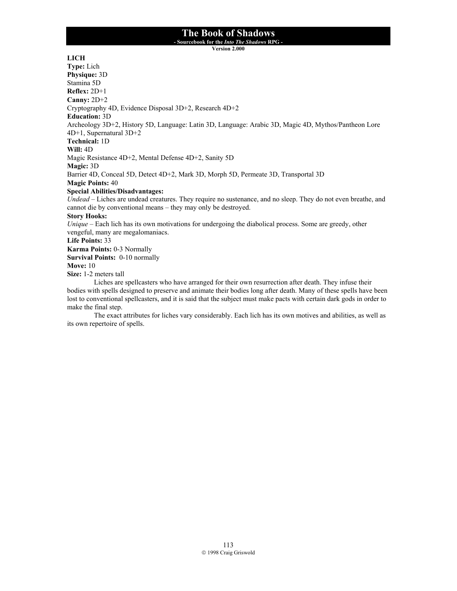**- Sourcebook for the** *Into The Shadows* **RPG -** 

**Version 2.000**

### **LICH**

**Type:** Lich **Physique:** 3D Stamina 5D **Reflex:** 2D+1 **Canny:** 2D+2 Cryptography 4D, Evidence Disposal 3D+2, Research 4D+2 **Education:** 3D Archeology 3D+2, History 5D, Language: Latin 3D, Language: Arabic 3D, Magic 4D, Mythos/Pantheon Lore 4D+1, Supernatural 3D+2 **Technical:** 1D **Will:** 4D Magic Resistance 4D+2, Mental Defense 4D+2, Sanity 5D **Magic:** 3D Barrier 4D, Conceal 5D, Detect 4D+2, Mark 3D, Morph 5D, Permeate 3D, Transportal 3D **Magic Points:** 40 **Special Abilities/Disadvantages:** *Undead* – Liches are undead creatures. They require no sustenance, and no sleep. They do not even breathe, and cannot die by conventional means – they may only be destroyed. **Story Hooks:** *Unique* – Each lich has its own motivations for undergoing the diabolical process. Some are greedy, other vengeful, many are megalomaniacs. **Life Points:** 33 **Karma Points:** 0-3 Normally **Survival Points:** 0-10 normally **Move:** 10 **Size:** 1-2 meters tall Liches are spellcasters who have arranged for their own resurrection after death. They infuse their

bodies with spells designed to preserve and animate their bodies long after death. Many of these spells have been lost to conventional spellcasters, and it is said that the subject must make pacts with certain dark gods in order to make the final step.

 The exact attributes for liches vary considerably. Each lich has its own motives and abilities, as well as its own repertoire of spells.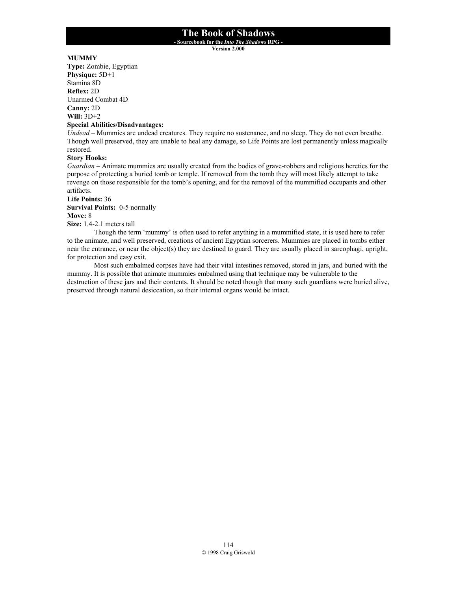**- Sourcebook for the** *Into The Shadows* **RPG -** 

**Version 2.000**

## **MUMMY**

**Type:** Zombie, Egyptian **Physique:** 5D+1 Stamina 8D **Reflex:** 2D Unarmed Combat 4D **Canny:** 2D **Will:** 3D+2

## **Special Abilities/Disadvantages:**

*Undead* – Mummies are undead creatures. They require no sustenance, and no sleep. They do not even breathe. Though well preserved, they are unable to heal any damage, so Life Points are lost permanently unless magically restored.

## **Story Hooks:**

*Guardian* – Animate mummies are usually created from the bodies of grave-robbers and religious heretics for the purpose of protecting a buried tomb or temple. If removed from the tomb they will most likely attempt to take revenge on those responsible for the tomb's opening, and for the removal of the mummified occupants and other artifacts.

**Life Points:** 36

**Survival Points:** 0-5 normally

**Move:** 8

**Size:** 1.4-2.1 meters tall

 Though the term 'mummy' is often used to refer anything in a mummified state, it is used here to refer to the animate, and well preserved, creations of ancient Egyptian sorcerers. Mummies are placed in tombs either near the entrance, or near the object(s) they are destined to guard. They are usually placed in sarcophagi, upright, for protection and easy exit.

 Most such embalmed corpses have had their vital intestines removed, stored in jars, and buried with the mummy. It is possible that animate mummies embalmed using that technique may be vulnerable to the destruction of these jars and their contents. It should be noted though that many such guardians were buried alive, preserved through natural desiccation, so their internal organs would be intact.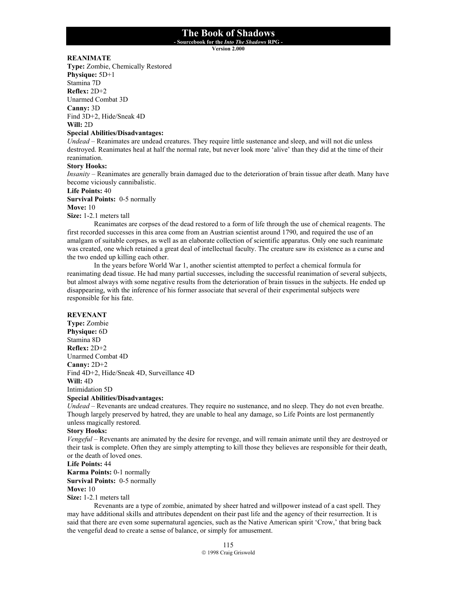**- Sourcebook for the** *Into The Shadows* **RPG -** 

**Version 2.000**

## **REANIMATE**

**Type:** Zombie, Chemically Restored **Physique:** 5D+1 Stamina 7D **Reflex:** 2D+2 Unarmed Combat 3D **Canny:** 3D Find 3D+2, Hide/Sneak 4D **Will:** 2D

#### **Special Abilities/Disadvantages:**

*Undead* – Reanimates are undead creatures. They require little sustenance and sleep, and will not die unless destroyed. Reanimates heal at half the normal rate, but never look more 'alive' than they did at the time of their reanimation.

#### **Story Hooks:**

*Insanity* – Reanimates are generally brain damaged due to the deterioration of brain tissue after death. Many have become viciously cannibalistic.

#### **Life Points:** 40

**Survival Points:** 0-5 normally

#### **Move:** 10

**Size:** 1-2.1 meters tall

 Reanimates are corpses of the dead restored to a form of life through the use of chemical reagents. The first recorded successes in this area come from an Austrian scientist around 1790, and required the use of an amalgam of suitable corpses, as well as an elaborate collection of scientific apparatus. Only one such reanimate was created, one which retained a great deal of intellectual faculty. The creature saw its existence as a curse and the two ended up killing each other.

 In the years before World War 1, another scientist attempted to perfect a chemical formula for reanimating dead tissue. He had many partial successes, including the successful reanimation of several subjects, but almost always with some negative results from the deterioration of brain tissues in the subjects. He ended up disappearing, with the inference of his former associate that several of their experimental subjects were responsible for his fate.

#### **REVENANT**

**Type:** Zombie **Physique:** 6D Stamina 8D **Reflex:** 2D+2 Unarmed Combat 4D **Canny:** 2D+2 Find 4D+2, Hide/Sneak 4D, Surveillance 4D **Will:** 4D Intimidation 5D

#### **Special Abilities/Disadvantages:**

*Undead* – Revenants are undead creatures. They require no sustenance, and no sleep. They do not even breathe. Though largely preserved by hatred, they are unable to heal any damage, so Life Points are lost permanently unless magically restored.

#### **Story Hooks:**

*Vengeful* – Revenants are animated by the desire for revenge, and will remain animate until they are destroyed or their task is complete. Often they are simply attempting to kill those they believes are responsible for their death, or the death of loved ones.

### **Life Points:** 44

**Karma Points:** 0-1 normally **Survival Points:** 0-5 normally

#### **Move:** 10

**Size:** 1-2.1 meters tall

 Revenants are a type of zombie, animated by sheer hatred and willpower instead of a cast spell. They may have additional skills and attributes dependent on their past life and the agency of their resurrection. It is said that there are even some supernatural agencies, such as the Native American spirit 'Crow,' that bring back the vengeful dead to create a sense of balance, or simply for amusement.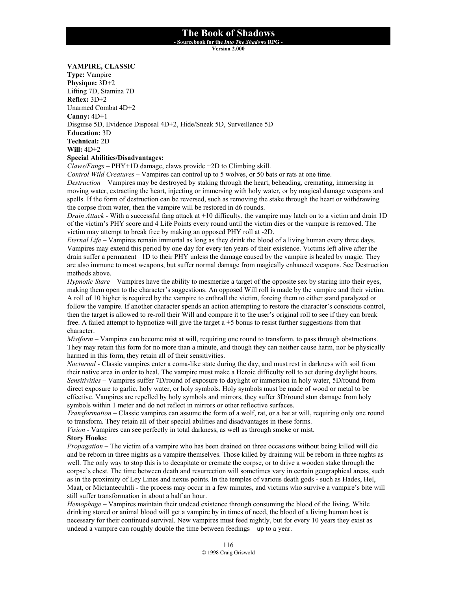**- Sourcebook for the** *Into The Shadows* **RPG -** 

**Version 2.000**

#### **VAMPIRE, CLASSIC**

**Type:** Vampire **Physique:** 3D+2 Lifting 7D, Stamina 7D **Reflex:** 3D+2 Unarmed Combat 4D+2 **Canny:** 4D+1 Disguise 5D, Evidence Disposal 4D+2, Hide/Sneak 5D, Surveillance 5D **Education:** 3D **Technical:** 2D **Will:** 4D+2 **Special Abilities/Disadvantages:**

*Claws/Fangs* – PHY+1D damage, claws provide +2D to Climbing skill.

*Control Wild Creatures* – Vampires can control up to 5 wolves, or 50 bats or rats at one time. *Destruction* – Vampires may be destroyed by staking through the heart, beheading, cremating, immersing in moving water, extracting the heart, injecting or immersing with holy water, or by magical damage weapons and spells. If the form of destruction can be reversed, such as removing the stake through the heart or withdrawing the corpse from water, then the vampire will be restored in d6 rounds.

*Drain Attack* - With a successful fang attack at +10 difficulty, the vampire may latch on to a victim and drain 1D of the victim's PHY score and 4 Life Points every round until the victim dies or the vampire is removed. The victim may attempt to break free by making an opposed PHY roll at -2D.

*Eternal Life* – Vampires remain immortal as long as they drink the blood of a living human every three days. Vampires may extend this period by one day for every ten years of their existence. Victims left alive after the drain suffer a permanent –1D to their PHY unless the damage caused by the vampire is healed by magic. They are also immune to most weapons, but suffer normal damage from magically enhanced weapons. See Destruction methods above.

*Hypnotic Stare* – Vampires have the ability to mesmerize a target of the opposite sex by staring into their eyes, making them open to the character's suggestions. An opposed Will roll is made by the vampire and their victim. A roll of 10 higher is required by the vampire to enthrall the victim, forcing them to either stand paralyzed or follow the vampire. If another character spends an action attempting to restore the character's conscious control, then the target is allowed to re-roll their Will and compare it to the user's original roll to see if they can break free. A failed attempt to hypnotize will give the target a +5 bonus to resist further suggestions from that character.

*Mistform* – Vampires can become mist at will, requiring one round to transform, to pass through obstructions. They may retain this form for no more than a minute, and though they can neither cause harm, nor be physically harmed in this form, they retain all of their sensitivities.

*Nocturnal* - Classic vampires enter a coma-like state during the day, and must rest in darkness with soil from their native area in order to heal. The vampire must make a Heroic difficulty roll to act during daylight hours. *Sensitivities* – Vampires suffer 7D/round of exposure to daylight or immersion in holy water, 5D/round from direct exposure to garlic, holy water, or holy symbols. Holy symbols must be made of wood or metal to be effective. Vampires are repelled by holy symbols and mirrors, they suffer 3D/round stun damage from holy symbols within 1 meter and do not reflect in mirrors or other reflective surfaces.

*Transformation* – Classic vampires can assume the form of a wolf, rat, or a bat at will, requiring only one round to transform. They retain all of their special abilities and disadvantages in these forms.

*Vision* - Vampires can see perfectly in total darkness, as well as through smoke or mist.

### **Story Hooks:**

*Propagation* – The victim of a vampire who has been drained on three occasions without being killed will die and be reborn in three nights as a vampire themselves. Those killed by draining will be reborn in three nights as well. The only way to stop this is to decapitate or cremate the corpse, or to drive a wooden stake through the corpse's chest. The time between death and resurrection will sometimes vary in certain geographical areas, such as in the proximity of Ley Lines and nexus points. In the temples of various death gods - such as Hades, Hel, Maat, or Mictantecuhtli - the process may occur in a few minutes, and victims who survive a vampire's bite will still suffer transformation in about a half an hour.

*Hemophage* – Vampires maintain their undead existence through consuming the blood of the living. While drinking stored or animal blood will get a vampire by in times of need, the blood of a living human host is necessary for their continued survival. New vampires must feed nightly, but for every 10 years they exist as undead a vampire can roughly double the time between feedings – up to a year.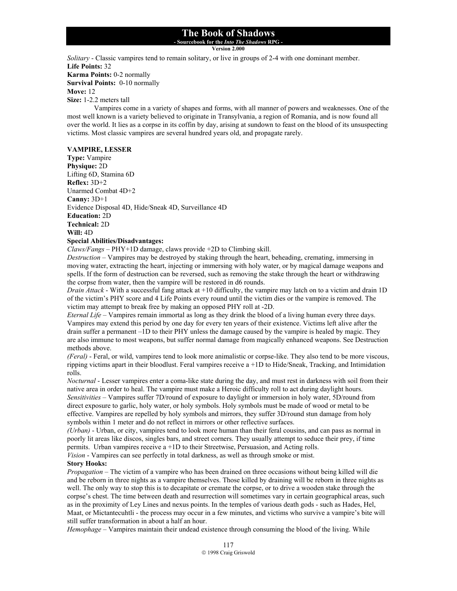## **- Sourcebook for the** *Into The Shadows* **RPG -**

**Version 2.000**

*Solitary* - Classic vampires tend to remain solitary, or live in groups of 2-4 with one dominant member. **Life Points:** 32 **Karma Points:** 0-2 normally **Survival Points:** 0-10 normally **Move:** 12 **Size:** 1-2.2 meters tall

Vampires come in a variety of shapes and forms, with all manner of powers and weaknesses. One of the most well known is a variety believed to originate in Transylvania, a region of Romania, and is now found all over the world. It lies as a corpse in its coffin by day, arising at sundown to feast on the blood of its unsuspecting victims. Most classic vampires are several hundred years old, and propagate rarely.

#### **VAMPIRE, LESSER**

**Type:** Vampire **Physique:** 2D Lifting 6D, Stamina 6D **Reflex:** 3D+2 Unarmed Combat 4D+2 **Canny:** 3D+1 Evidence Disposal 4D, Hide/Sneak 4D, Surveillance 4D **Education:** 2D **Technical:** 2D **Will:** 4D **Special Abilities/Disadvantages:**

*Claws/Fangs* – PHY+1D damage, claws provide +2D to Climbing skill.

*Destruction* – Vampires may be destroyed by staking through the heart, beheading, cremating, immersing in moving water, extracting the heart, injecting or immersing with holy water, or by magical damage weapons and spells. If the form of destruction can be reversed, such as removing the stake through the heart or withdrawing the corpse from water, then the vampire will be restored in d6 rounds.

*Drain Attack* - With a successful fang attack at +10 difficulty, the vampire may latch on to a victim and drain 1D of the victim's PHY score and 4 Life Points every round until the victim dies or the vampire is removed. The victim may attempt to break free by making an opposed PHY roll at -2D.

*Eternal Life* – Vampires remain immortal as long as they drink the blood of a living human every three days. Vampires may extend this period by one day for every ten years of their existence. Victims left alive after the drain suffer a permanent –1D to their PHY unless the damage caused by the vampire is healed by magic. They are also immune to most weapons, but suffer normal damage from magically enhanced weapons. See Destruction methods above.

*(Feral)* - Feral, or wild, vampires tend to look more animalistic or corpse-like. They also tend to be more viscous, ripping victims apart in their bloodlust. Feral vampires receive a +1D to Hide/Sneak, Tracking, and Intimidation rolls.

*Nocturnal* - Lesser vampires enter a coma-like state during the day, and must rest in darkness with soil from their native area in order to heal. The vampire must make a Heroic difficulty roll to act during daylight hours. *Sensitivities* – Vampires suffer 7D/round of exposure to daylight or immersion in holy water, 5D/round from direct exposure to garlic, holy water, or holy symbols. Holy symbols must be made of wood or metal to be effective. Vampires are repelled by holy symbols and mirrors, they suffer 3D/round stun damage from holy symbols within 1 meter and do not reflect in mirrors or other reflective surfaces.

*(Urban)* - Urban, or city, vampires tend to look more human than their feral cousins, and can pass as normal in poorly lit areas like discos, singles bars, and street corners. They usually attempt to seduce their prey, if time permits. Urban vampires receive a +1D to their Streetwise, Persuasion, and Acting rolls.

*Vision* - Vampires can see perfectly in total darkness, as well as through smoke or mist.

## **Story Hooks:**

*Propagation* – The victim of a vampire who has been drained on three occasions without being killed will die and be reborn in three nights as a vampire themselves. Those killed by draining will be reborn in three nights as well. The only way to stop this is to decapitate or cremate the corpse, or to drive a wooden stake through the corpse's chest. The time between death and resurrection will sometimes vary in certain geographical areas, such as in the proximity of Ley Lines and nexus points. In the temples of various death gods - such as Hades, Hel, Maat, or Mictantecuhtli - the process may occur in a few minutes, and victims who survive a vampire's bite will still suffer transformation in about a half an hour.

*Hemophage* – Vampires maintain their undead existence through consuming the blood of the living. While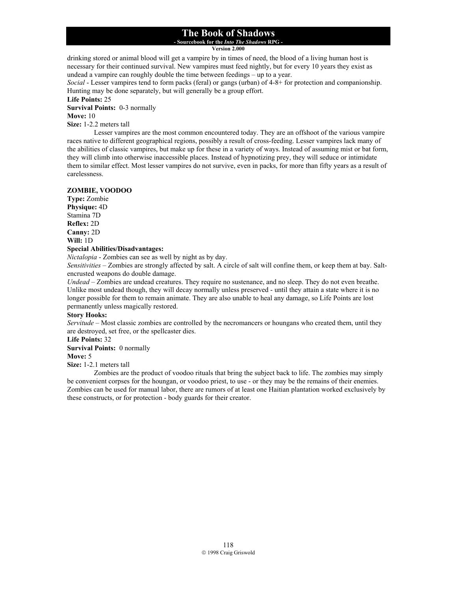**- Sourcebook for the** *Into The Shadows* **RPG -** 

**Version 2.000**

drinking stored or animal blood will get a vampire by in times of need, the blood of a living human host is necessary for their continued survival. New vampires must feed nightly, but for every 10 years they exist as undead a vampire can roughly double the time between feedings – up to a year.

*Social* - Lesser vampires tend to form packs (feral) or gangs (urban) of 4-8+ for protection and companionship. Hunting may be done separately, but will generally be a group effort.

**Life Points:** 25

**Survival Points:** 0-3 normally

## **Move:** 10

**Size:** 1-2.2 meters tall

Lesser vampires are the most common encountered today. They are an offshoot of the various vampire races native to different geographical regions, possibly a result of cross-feeding. Lesser vampires lack many of the abilities of classic vampires, but make up for these in a variety of ways. Instead of assuming mist or bat form, they will climb into otherwise inaccessible places. Instead of hypnotizing prey, they will seduce or intimidate them to similar effect. Most lesser vampires do not survive, even in packs, for more than fifty years as a result of carelessness.

### **ZOMBIE, VOODOO**

**Type:** Zombie **Physique:** 4D Stamina 7D **Reflex:** 2D **Canny:** 2D **Will:** 1D

#### **Special Abilities/Disadvantages:**

*Nictalopia* - Zombies can see as well by night as by day.

*Sensitivities* – Zombies are strongly affected by salt. A circle of salt will confine them, or keep them at bay. Saltencrusted weapons do double damage.

*Undead* – Zombies are undead creatures. They require no sustenance, and no sleep. They do not even breathe. Unlike most undead though, they will decay normally unless preserved - until they attain a state where it is no longer possible for them to remain animate. They are also unable to heal any damage, so Life Points are lost permanently unless magically restored.

#### **Story Hooks:**

*Servitude* – Most classic zombies are controlled by the necromancers or houngans who created them, until they are destroyed, set free, or the spellcaster dies.

### **Life Points:** 32

**Survival Points:** 0 normally

#### **Move:** 5

**Size:** 1-2.1 meters tall

 Zombies are the product of voodoo rituals that bring the subject back to life. The zombies may simply be convenient corpses for the houngan, or voodoo priest, to use - or they may be the remains of their enemies. Zombies can be used for manual labor, there are rumors of at least one Haitian plantation worked exclusively by these constructs, or for protection - body guards for their creator.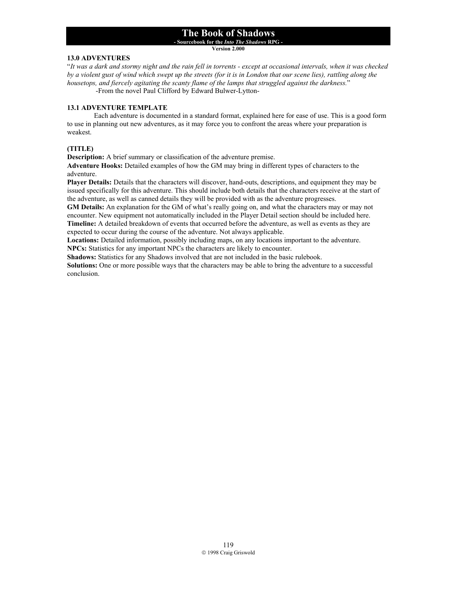**- Sourcebook for the** *Into The Shadows* **RPG -** 

**Version 2.000**

### **13.0 ADVENTURES**

"*It was a dark and stormy night and the rain fell in torrents - except at occasional intervals, when it was checked by a violent gust of wind which swept up the streets (for it is in London that our scene lies), rattling along the housetops, and fiercely agitating the scanty flame of the lamps that struggled against the darkness.*" -From the novel Paul Clifford by Edward Bulwer-Lytton-

**13.1 ADVENTURE TEMPLATE** 

 Each adventure is documented in a standard format, explained here for ease of use. This is a good form to use in planning out new adventures, as it may force you to confront the areas where your preparation is weakest.

## **(TITLE)**

**Description:** A brief summary or classification of the adventure premise.

**Adventure Hooks:** Detailed examples of how the GM may bring in different types of characters to the adventure.

**Player Details:** Details that the characters will discover, hand-outs, descriptions, and equipment they may be issued specifically for this adventure. This should include both details that the characters receive at the start of the adventure, as well as canned details they will be provided with as the adventure progresses.

**GM Details:** An explanation for the GM of what's really going on, and what the characters may or may not encounter. New equipment not automatically included in the Player Detail section should be included here. **Timeline:** A detailed breakdown of events that occurred before the adventure, as well as events as they are expected to occur during the course of the adventure. Not always applicable.

**Locations:** Detailed information, possibly including maps, on any locations important to the adventure. **NPCs:** Statistics for any important NPCs the characters are likely to encounter.

**Shadows:** Statistics for any Shadows involved that are not included in the basic rulebook.

**Solutions:** One or more possible ways that the characters may be able to bring the adventure to a successful conclusion.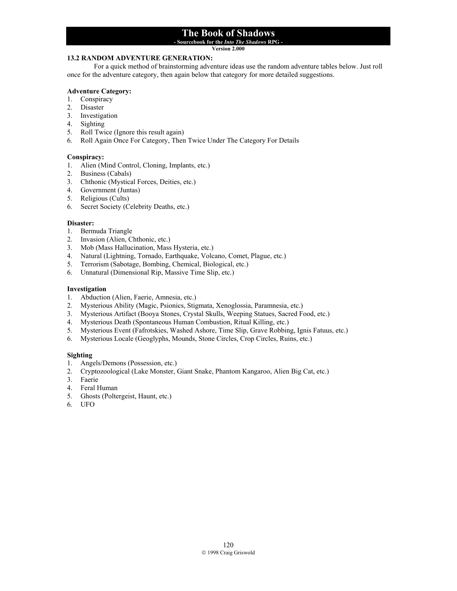**- Sourcebook for the** *Into The Shadows* **RPG -** 

#### **Version 2.000**

## **13.2 RANDOM ADVENTURE GENERATION:**

 For a quick method of brainstorming adventure ideas use the random adventure tables below. Just roll once for the adventure category, then again below that category for more detailed suggestions.

## **Adventure Category:**

- 1. Conspiracy
- 2. Disaster
- 3. Investigation
- 4. Sighting
- 5. Roll Twice (Ignore this result again)
- 6. Roll Again Once For Category, Then Twice Under The Category For Details

### **Conspiracy:**

- 1. Alien (Mind Control, Cloning, Implants, etc.)
- 2. Business (Cabals)
- 3. Chthonic (Mystical Forces, Deities, etc.)
- 4. Government (Juntas)
- 5. Religious (Cults)
- 6. Secret Society (Celebrity Deaths, etc.)

#### **Disaster:**

- 1. Bermuda Triangle
- 2. Invasion (Alien, Chthonic, etc.)
- 3. Mob (Mass Hallucination, Mass Hysteria, etc.)
- 4. Natural (Lightning, Tornado, Earthquake, Volcano, Comet, Plague, etc.)
- 5. Terrorism (Sabotage, Bombing, Chemical, Biological, etc.)
- 6. Unnatural (Dimensional Rip, Massive Time Slip, etc.)

### **Investigation**

- 1. Abduction (Alien, Faerie, Amnesia, etc.)
- 2. Mysterious Ability (Magic, Psionics, Stigmata, Xenoglossia, Paramnesia, etc.)
- 3. Mysterious Artifact (Booya Stones, Crystal Skulls, Weeping Statues, Sacred Food, etc.)
- 4. Mysterious Death (Spontaneous Human Combustion, Ritual Killing, etc.)
- 5. Mysterious Event (Fafrotskies, Washed Ashore, Time Slip, Grave Robbing, Ignis Fatuus, etc.)
- 6. Mysterious Locale (Geoglyphs, Mounds, Stone Circles, Crop Circles, Ruins, etc.)

## **Sighting**

- 1. Angels/Demons (Possession, etc.)
- 2. Cryptozoological (Lake Monster, Giant Snake, Phantom Kangaroo, Alien Big Cat, etc.)
- 3. Faerie
- 4. Feral Human
- 5. Ghosts (Poltergeist, Haunt, etc.)
- 6. UFO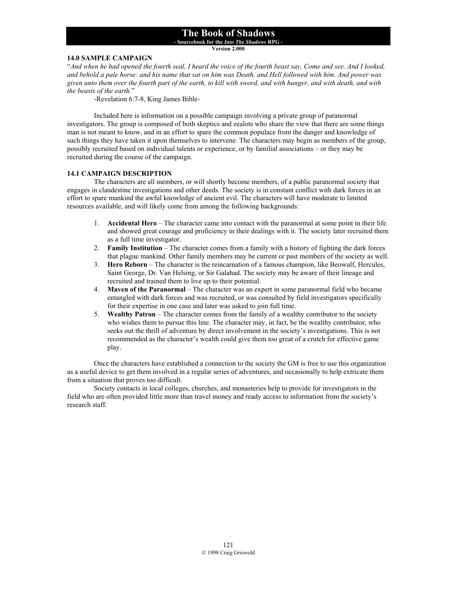**- Sourcebook for the** *Into The Shadows* **RPG -** 

**Version 2.000**

### **14.0 SAMPLE CAMPAIGN**

"*And when he had opened the fourth seal, I heard the voice of the fourth beast say, Come and see. And I looked, and behold a pale horse: and his name that sat on him was Death, and Hell followed with him. And power was given unto them over the fourth part of the earth, to kill with sword, and with hunger, and with death, and with the beasts of the earth.*"

-Revelation 6:7-8, King James Bible-

 Included here is information on a possible campaign involving a private group of paranormal investigators. The group is composed of both skeptics and zealots who share the view that there are some things man is not meant to know, and in an effort to spare the common populace from the danger and knowledge of such things they have taken it upon themselves to intervene. The characters may begin as members of the group, possibly recruited based on individual talents or experience, or by familial associations – or they may be recruited during the course of the campaign.

#### **14.1 CAMPAIGN DESCRIPTION**

 The characters are all members, or will shortly become members, of a public paranormal society that engages in clandestine investigations and other deeds. The society is in constant conflict with dark forces in an effort to spare mankind the awful knowledge of ancient evil. The characters will have moderate to limited resources available, and will likely come from among the following backgrounds:

- 1. **Accidental Hero** The character came into contact with the paranormal at some point in their life and showed great courage and proficiency in their dealings with it. The society later recruited them as a full time investigator.
- 2. **Family Institution** The character comes from a family with a history of fighting the dark forces that plague mankind. Other family members may be current or past members of the society as well.
- 3. **Hero Reborn**  The character is the reincarnation of a famous champion, like Beowulf, Hercules, Saint George, Dr. Van Helsing, or Sir Galahad. The society may be aware of their lineage and recruited and trained them to live up to their potential.
- 4. **Maven of the Paranormal**  The character was an expert in some paranormal field who became entangled with dark forces and was recruited, or was consulted by field investigators specifically for their expertise in one case and later was asked to join full time.
- 5. **Wealthy Patron**  The character comes from the family of a wealthy contributor to the society who wishes them to pursue this line. The character may, in fact, be the wealthy contributor, who seeks out the thrill of adventure by direct involvement in the society's investigations. This is not recommended as the character's wealth could give them too great of a crutch for effective game play.

Once the characters have established a connection to the society the GM is free to use this organization as a useful device to get them involved in a regular series of adventures, and occasionally to help extricate them from a situation that proves too difficult.

 Society contacts in local colleges, churches, and monasteries help to provide for investigators in the field who are often provided little more than travel money and ready access to information from the society's research staff.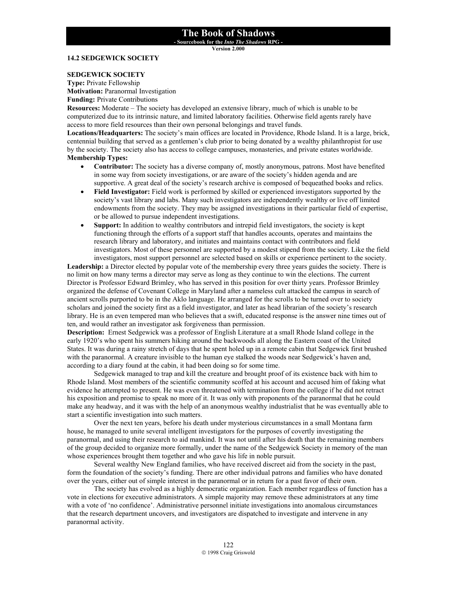**- Sourcebook for the** *Into The Shadows* **RPG -** 

**Version 2.000**

#### **14.2 SEDGEWICK SOCIETY**

#### **SEDGEWICK SOCIETY**

**Type:** Private Fellowship **Motivation: Paranormal Investigation Funding: Private Contributions** 

**Resources:** Moderate – The society has developed an extensive library, much of which is unable to be computerized due to its intrinsic nature, and limited laboratory facilities. Otherwise field agents rarely have access to more field resources than their own personal belongings and travel funds.

**Locations/Headquarters:** The society's main offices are located in Providence, Rhode Island. It is a large, brick, centennial building that served as a gentlemen's club prior to being donated by a wealthy philanthropist for use by the society. The society also has access to college campuses, monasteries, and private estates worldwide. **Membership Types:** 

- **Contributor:** The society has a diverse company of, mostly anonymous, patrons. Most have benefited in some way from society investigations, or are aware of the society's hidden agenda and are supportive. A great deal of the society's research archive is composed of bequeathed books and relics.
- **Field Investigator:** Field work is performed by skilled or experienced investigators supported by the society's vast library and labs. Many such investigators are independently wealthy or live off limited endowments from the society. They may be assigned investigations in their particular field of expertise, or be allowed to pursue independent investigations.
- **Support:** In addition to wealthy contributors and intrepid field investigators, the society is kept functioning through the efforts of a support staff that handles accounts, operates and maintains the research library and laboratory, and initiates and maintains contact with contributors and field investigators. Most of these personnel are supported by a modest stipend from the society. Like the field investigators, most support personnel are selected based on skills or experience pertinent to the society.

Leadership: a Director elected by popular vote of the membership every three years guides the society. There is no limit on how many terms a director may serve as long as they continue to win the elections. The current Director is Professor Edward Brimley, who has served in this position for over thirty years. Professor Brimley organized the defense of Covenant College in Maryland after a nameless cult attacked the campus in search of ancient scrolls purported to be in the Aklo language. He arranged for the scrolls to be turned over to society scholars and joined the society first as a field investigator, and later as head librarian of the society's research library. He is an even tempered man who believes that a swift, educated response is the answer nine times out of ten, and would rather an investigator ask forgiveness than permission.

**Description:** Ernest Sedgewick was a professor of English Literature at a small Rhode Island college in the early 1920's who spent his summers hiking around the backwoods all along the Eastern coast of the United States. It was during a rainy stretch of days that he spent holed up in a remote cabin that Sedgewick first brushed with the paranormal. A creature invisible to the human eye stalked the woods near Sedgewick's haven and, according to a diary found at the cabin, it had been doing so for some time.

Sedgewick managed to trap and kill the creature and brought proof of its existence back with him to Rhode Island. Most members of the scientific community scoffed at his account and accused him of faking what evidence he attempted to present. He was even threatened with termination from the college if he did not retract his exposition and promise to speak no more of it. It was only with proponents of the paranormal that he could make any headway, and it was with the help of an anonymous wealthy industrialist that he was eventually able to start a scientific investigation into such matters.

Over the next ten years, before his death under mysterious circumstances in a small Montana farm house, he managed to unite several intelligent investigators for the purposes of covertly investigating the paranormal, and using their research to aid mankind. It was not until after his death that the remaining members of the group decided to organize more formally, under the name of the Sedgewick Society in memory of the man whose experiences brought them together and who gave his life in noble pursuit.

Several wealthy New England families, who have received discreet aid from the society in the past, form the foundation of the society's funding. There are other individual patrons and families who have donated over the years, either out of simple interest in the paranormal or in return for a past favor of their own.

 The society has evolved as a highly democratic organization. Each member regardless of function has a vote in elections for executive administrators. A simple majority may remove these administrators at any time with a vote of 'no confidence'. Administrative personnel initiate investigations into anomalous circumstances that the research department uncovers, and investigators are dispatched to investigate and intervene in any paranormal activity.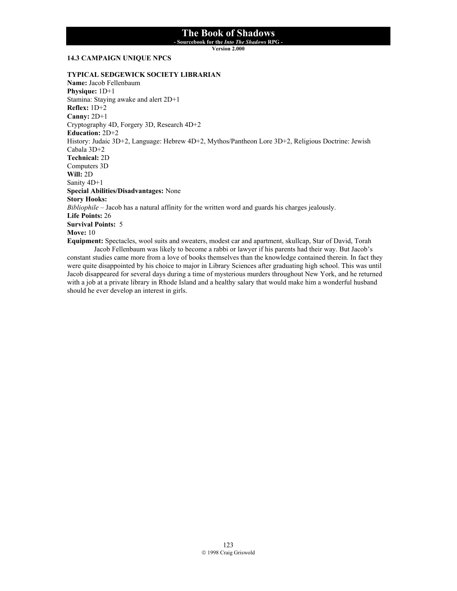**- Sourcebook for the** *Into The Shadows* **RPG -** 

**Version 2.000**

#### **14.3 CAMPAIGN UNIQUE NPCS**

### **TYPICAL SEDGEWICK SOCIETY LIBRARIAN**

**Name:** Jacob Fellenbaum **Physique:** 1D+1 Stamina: Staying awake and alert 2D+1 **Reflex:** 1D+2 **Canny:** 2D+1 Cryptography 4D, Forgery 3D, Research 4D+2 **Education:** 2D+2 History: Judaic 3D+2, Language: Hebrew 4D+2, Mythos/Pantheon Lore 3D+2, Religious Doctrine: Jewish Cabala 3D+2 **Technical:** 2D Computers 3D **Will:** 2D Sanity 4D+1 **Special Abilities/Disadvantages:** None **Story Hooks:** *Bibliophile* – Jacob has a natural affinity for the written word and guards his charges jealously. **Life Points:** 26 **Survival Points:** 5 **Move:** 10 **Equipment:** Spectacles, wool suits and sweaters, modest car and apartment, skullcap, Star of David, Torah

Jacob Fellenbaum was likely to become a rabbi or lawyer if his parents had their way. But Jacob's constant studies came more from a love of books themselves than the knowledge contained therein. In fact they were quite disappointed by his choice to major in Library Sciences after graduating high school. This was until Jacob disappeared for several days during a time of mysterious murders throughout New York, and he returned with a job at a private library in Rhode Island and a healthy salary that would make him a wonderful husband should he ever develop an interest in girls.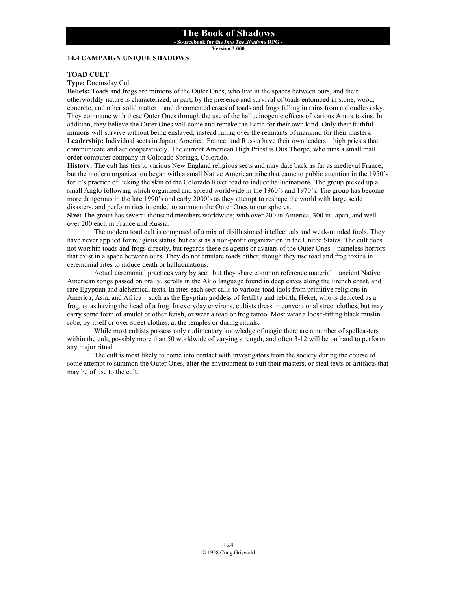**- Sourcebook for the** *Into The Shadows* **RPG -** 

**Version 2.000**

## **14.4 CAMPAIGN UNIQUE SHADOWS**

### **TOAD CULT**

**Type:** Doomsday Cult

**Beliefs:** Toads and frogs are minions of the Outer Ones, who live in the spaces between ours, and their otherworldly nature is characterized, in part, by the presence and survival of toads entombed in stone, wood, concrete, and other solid matter – and documented cases of toads and frogs falling in rains from a cloudless sky. They commune with these Outer Ones through the use of the hallucinogenic effects of various Anura toxins. In addition, they believe the Outer Ones will come and remake the Earth for their own kind. Only their faithful minions will survive without being enslaved, instead ruling over the remnants of mankind for their masters. **Leadership:** Individual sects in Japan, America, France, and Russia have their own leaders – high priests that communicate and act cooperatively. The current American High Priest is Otis Thorpe, who runs a small mail order computer company in Colorado Springs, Colorado.

**History:** The cult has ties to various New England religious sects and may date back as far as medieval France, but the modern organization began with a small Native American tribe that came to public attention in the 1950's for it's practice of licking the skin of the Colorado River toad to induce hallucinations. The group picked up a small Anglo following which organized and spread worldwide in the 1960's and 1970's. The group has become more dangerous in the late 1990's and early 2000's as they attempt to reshape the world with large scale disasters, and perform rites intended to summon the Outer Ones to our spheres.

**Size:** The group has several thousand members worldwide; with over 200 in America, 300 in Japan, and well over 200 each in France and Russia.

 The modern toad cult is composed of a mix of disillusioned intellectuals and weak-minded fools. They have never applied for religious status, but exist as a non-profit organization in the United States. The cult does not worship toads and frogs directly, but regards these as agents or avatars of the Outer Ones – nameless horrors that exist in a space between ours. They do not emulate toads either, though they use toad and frog toxins in ceremonial rites to induce death or hallucinations.

 Actual ceremonial practices vary by sect, but they share common reference material – ancient Native American songs passed on orally, scrolls in the Aklo language found in deep caves along the French coast, and rare Egyptian and alchemical texts. In rites each sect calls to various toad idols from primitive religions in America, Asia, and Africa – such as the Egyptian goddess of fertility and rebirth, Heket, who is depicted as a frog, or as having the head of a frog. In everyday environs, cultists dress in conventional street clothes, but may carry some form of amulet or other fetish, or wear a toad or frog tattoo. Most wear a loose-fitting black muslin robe, by itself or over street clothes, at the temples or during rituals.

 While most cultists possess only rudimentary knowledge of magic there are a number of spellcasters within the cult, possibly more than 50 worldwide of varying strength, and often 3-12 will be on hand to perform any major ritual.

 The cult is most likely to come into contact with investigators from the society during the course of some attempt to summon the Outer Ones, alter the environment to suit their masters, or steal texts or artifacts that may be of use to the cult.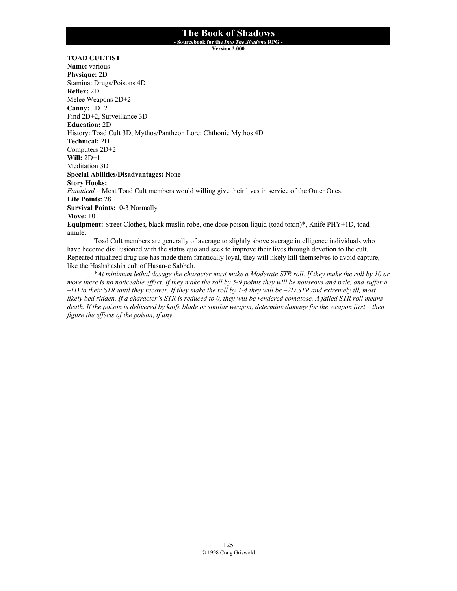**- Sourcebook for the** *Into The Shadows* **RPG -** 

**Version 2.000**

### **TOAD CULTIST**

**Name:** various **Physique:** 2D Stamina: Drugs/Poisons 4D **Reflex:** 2D Melee Weapons 2D+2 **Canny:** 1D+2 Find 2D+2, Surveillance 3D **Education:** 2D History: Toad Cult 3D, Mythos/Pantheon Lore: Chthonic Mythos 4D **Technical:** 2D Computers 2D+2 **Will:** 2D+1 Meditation 3D **Special Abilities/Disadvantages:** None **Story Hooks:** *Fanatical* – Most Toad Cult members would willing give their lives in service of the Outer Ones. **Life Points:** 28 **Survival Points:** 0-3 Normally **Move:** 10 **Equipment:** Street Clothes, black muslin robe, one dose poison liquid (toad toxin)\*, Knife PHY+1D, toad amulet Toad Cult members are generally of average to slightly above average intelligence individuals who

have become disillusioned with the status quo and seek to improve their lives through devotion to the cult. Repeated ritualized drug use has made them fanatically loyal, they will likely kill themselves to avoid capture, like the Hashshashin cult of Hasan-e Sabbah.

\**At minimum lethal dosage the character must make a Moderate STR roll. If they make the roll by 10 or more there is no noticeable effect. If they make the roll by 5-9 points they will be nauseous and pale, and suffer a –1D to their STR until they recover. If they make the roll by 1-4 they will be –2D STR and extremely ill, most likely bed ridden. If a character's STR is reduced to 0, they will be rendered comatose. A failed STR roll means*  death. If the poison is delivered by knife blade or similar weapon, determine damage for the weapon first – then *figure the effects of the poison, if any.*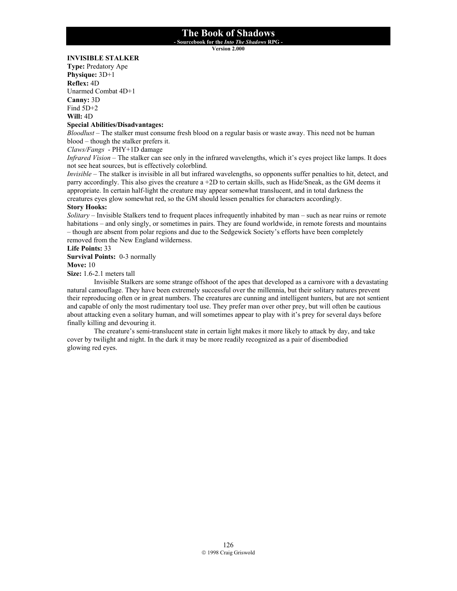**- Sourcebook for the** *Into The Shadows* **RPG -** 

**Version 2.000**

### **INVISIBLE STALKER**

**Type:** Predatory Ape **Physique:** 3D+1 **Reflex:** 4D Unarmed Combat 4D+1 **Canny:** 3D Find 5D+2 **Will:** 4D

### **Special Abilities/Disadvantages:**

*Bloodlust* – The stalker must consume fresh blood on a regular basis or waste away. This need not be human blood – though the stalker prefers it.

*Claws/Fangs* - PHY+1D damage

*Infrared Vision* – The stalker can see only in the infrared wavelengths, which it's eyes project like lamps. It does not see heat sources, but is effectively colorblind.

*Invisible* – The stalker is invisible in all but infrared wavelengths, so opponents suffer penalties to hit, detect, and parry accordingly. This also gives the creature a +2D to certain skills, such as Hide/Sneak, as the GM deems it appropriate. In certain half-light the creature may appear somewhat translucent, and in total darkness the creatures eyes glow somewhat red, so the GM should lessen penalties for characters accordingly.

### **Story Hooks:**

*Solitary* – Invisible Stalkers tend to frequent places infrequently inhabited by man – such as near ruins or remote habitations – and only singly, or sometimes in pairs. They are found worldwide, in remote forests and mountains – though are absent from polar regions and due to the Sedgewick Society's efforts have been completely removed from the New England wilderness.

### **Life Points:** 33

**Survival Points:** 0-3 normally

**Move:** 10

**Size:** 1.6-2.1 meters tall

 Invisible Stalkers are some strange offshoot of the apes that developed as a carnivore with a devastating natural camouflage. They have been extremely successful over the millennia, but their solitary natures prevent their reproducing often or in great numbers. The creatures are cunning and intelligent hunters, but are not sentient and capable of only the most rudimentary tool use. They prefer man over other prey, but will often be cautious about attacking even a solitary human, and will sometimes appear to play with it's prey for several days before finally killing and devouring it.

 The creature's semi-translucent state in certain light makes it more likely to attack by day, and take cover by twilight and night. In the dark it may be more readily recognized as a pair of disembodied glowing red eyes.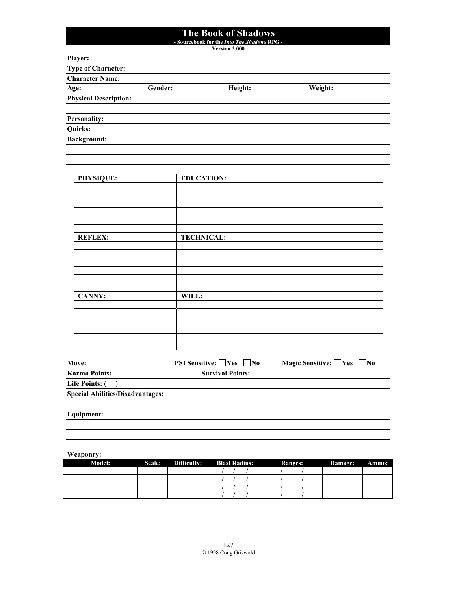**- Sourcebook for the** *Into The Shadows* **RPG -** 

**Version 2.000**

| v<br>a.<br>n |
|--------------|
|--------------|

| <b>Type of Character:</b>    |         |         |         |  |
|------------------------------|---------|---------|---------|--|
| <b>Character Name:</b>       |         |         |         |  |
| Age:                         | Gender: | Height: | Weight: |  |
| <b>Physical Description:</b> |         |         |         |  |
|                              |         |         |         |  |
| <b>Personality:</b>          |         |         |         |  |

**Quirks:**

**Background:** 

| PHYSIQUE:      | <b>EDUCATION:</b> |              |
|----------------|-------------------|--------------|
|                |                   |              |
|                |                   |              |
|                |                   |              |
|                |                   |              |
| <b>REFLEX:</b> | <b>TECHNICAL:</b> |              |
|                |                   |              |
|                |                   |              |
|                |                   |              |
|                |                   |              |
| <b>CANNY:</b>  | WILL:             |              |
|                |                   |              |
|                |                   |              |
|                |                   |              |
|                |                   |              |
| -              |                   | $\mathbb{R}$ |

| Move:                                   | <b>PSI Sensitive:</b> Yes<br><b>No</b> | Magic Sensitive: Yes<br>   No |
|-----------------------------------------|----------------------------------------|-------------------------------|
| <b>Karma Points:</b>                    | <b>Survival Points:</b>                |                               |
| Life Points: (                          |                                        |                               |
| <b>Special Abilities/Disadvantages:</b> |                                        |                               |
|                                         |                                        |                               |

**Equipment:**

| Weaponry:     |                    |                      |                |         |       |
|---------------|--------------------|----------------------|----------------|---------|-------|
| <b>Model:</b> | Scale: Difficulty: | <b>Blast Radius:</b> | <b>Ranges:</b> | Damage: | Ammo: |
|               |                    |                      |                |         |       |
|               |                    |                      |                |         |       |
|               |                    |                      |                |         |       |
|               |                    |                      |                |         |       |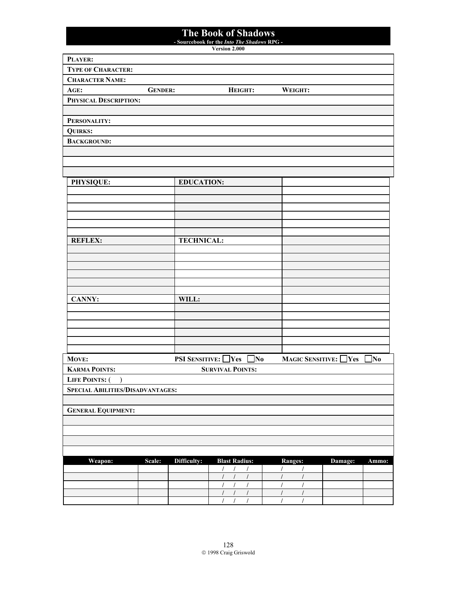**- Sourcebook for the** *Into The Shadows* **RPG -** 

**Version 2.000**

| PLAYER:                                 |                |                           |                                                                              |                                  |          |       |
|-----------------------------------------|----------------|---------------------------|------------------------------------------------------------------------------|----------------------------------|----------|-------|
| <b>TYPE OF CHARACTER:</b>               |                |                           |                                                                              |                                  |          |       |
| <b>CHARACTER NAME:</b>                  |                |                           |                                                                              |                                  |          |       |
| AGE:                                    | <b>GENDER:</b> |                           | HEIGHT:                                                                      | WEIGHT:                          |          |       |
| PHYSICAL DESCRIPTION:                   |                |                           |                                                                              |                                  |          |       |
|                                         |                |                           |                                                                              |                                  |          |       |
| PERSONALITY:                            |                |                           |                                                                              |                                  |          |       |
| <b>QUIRKS:</b>                          |                |                           |                                                                              |                                  |          |       |
| <b>BACKGROUND:</b>                      |                |                           |                                                                              |                                  |          |       |
|                                         |                |                           |                                                                              |                                  |          |       |
|                                         |                |                           |                                                                              |                                  |          |       |
|                                         |                |                           |                                                                              |                                  |          |       |
| PHYSIQUE:                               |                | <b>EDUCATION:</b>         |                                                                              |                                  |          |       |
|                                         |                |                           |                                                                              |                                  |          |       |
|                                         |                |                           |                                                                              |                                  |          |       |
|                                         |                |                           |                                                                              |                                  |          |       |
|                                         |                |                           |                                                                              |                                  |          |       |
| <b>REFLEX:</b>                          |                | <b>TECHNICAL:</b>         |                                                                              |                                  |          |       |
|                                         |                |                           |                                                                              |                                  |          |       |
|                                         |                |                           |                                                                              |                                  |          |       |
|                                         |                |                           |                                                                              |                                  |          |       |
|                                         |                |                           |                                                                              |                                  |          |       |
|                                         |                |                           |                                                                              |                                  |          |       |
| <b>CANNY:</b>                           |                | WILL:                     |                                                                              |                                  |          |       |
|                                         |                |                           |                                                                              |                                  |          |       |
|                                         |                |                           |                                                                              |                                  |          |       |
|                                         |                |                           |                                                                              |                                  |          |       |
|                                         |                |                           |                                                                              |                                  |          |       |
|                                         |                |                           |                                                                              |                                  |          |       |
| MOVE:                                   |                | <b>PSI SENSITIVE:</b> Yes | $\mathbf{N_0}$                                                               | <b>MAGIC SENSITIVE:</b>          | $\gamma$ | ]No   |
| <b>KARMA POINTS:</b>                    |                |                           | <b>SURVIVAL POINTS:</b>                                                      |                                  |          |       |
| <b>LIFE POINTS: (</b><br>$\lambda$      |                |                           |                                                                              |                                  |          |       |
| <b>SPECIAL ABILITIES/DISADVANTAGES:</b> |                |                           |                                                                              |                                  |          |       |
|                                         |                |                           |                                                                              |                                  |          |       |
| <b>GENERAL EQUIPMENT:</b>               |                |                           |                                                                              |                                  |          |       |
|                                         |                |                           |                                                                              |                                  |          |       |
|                                         |                |                           |                                                                              |                                  |          |       |
|                                         |                |                           |                                                                              |                                  |          |       |
| Weapon:                                 | Scale:         | Difficulty:               | <b>Blast Radius:</b>                                                         | <b>Ranges:</b>                   | Damage:  | Ammo: |
|                                         |                |                           | $\sqrt{2}$<br>$\sqrt{ }$<br>$\sqrt{2}$                                       | $\prime$<br>$\prime$             |          |       |
|                                         |                |                           | $\sqrt{ }$<br>$\prime$<br>$\sqrt{2}$                                         | $\sqrt{2}$<br>$\prime$           |          |       |
|                                         |                |                           | $\sqrt{2}$<br>$\prime$<br>$\prime$<br>$\sqrt{2}$<br>$\sqrt{2}$<br>$\sqrt{2}$ | /<br>T<br>$\sqrt{2}$<br>$\prime$ |          |       |
|                                         |                |                           | $\overline{I}$                                                               |                                  |          |       |